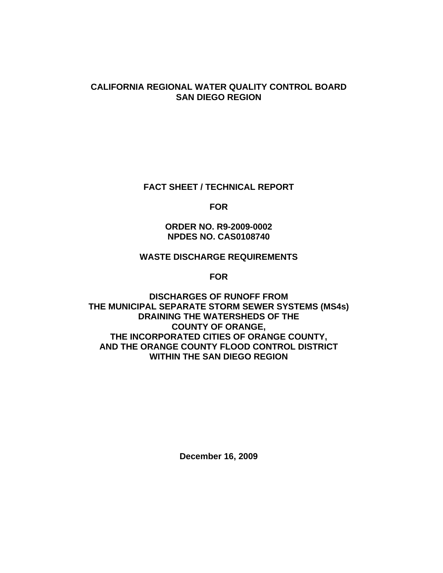### **CALIFORNIA REGIONAL WATER QUALITY CONTROL BOARD SAN DIEGO REGION**

### **FACT SHEET / TECHNICAL REPORT**

**FOR** 

## **ORDER NO. R9-2009-0002 NPDES NO. CAS0108740**

### **WASTE DISCHARGE REQUIREMENTS**

**FOR** 

### **DISCHARGES OF RUNOFF FROM THE MUNICIPAL SEPARATE STORM SEWER SYSTEMS (MS4s) DRAINING THE WATERSHEDS OF THE COUNTY OF ORANGE, THE INCORPORATED CITIES OF ORANGE COUNTY, AND THE ORANGE COUNTY FLOOD CONTROL DISTRICT WITHIN THE SAN DIEGO REGION**

**December 16, 2009**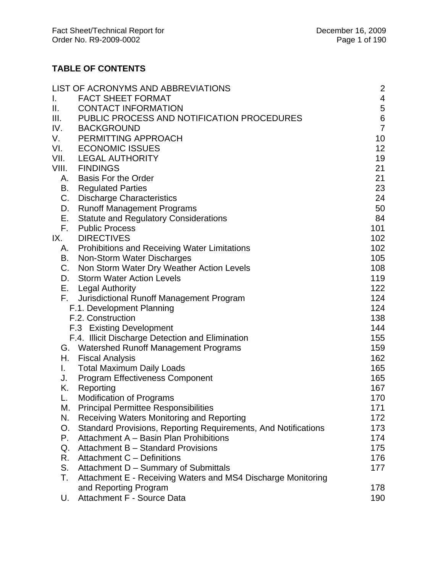# **TABLE OF CONTENTS**

|                           | LIST OF ACRONYMS AND ABBREVIATIONS                             | 2               |
|---------------------------|----------------------------------------------------------------|-----------------|
| L.                        | <b>FACT SHEET FORMAT</b>                                       | 4               |
| Ш.                        | <b>CONTACT INFORMATION</b>                                     | 5               |
| Ш.                        | PUBLIC PROCESS AND NOTIFICATION PROCEDURES                     | $\,6$           |
| IV.                       | <b>BACKGROUND</b>                                              | $\overline{7}$  |
| V.                        | PERMITTING APPROACH                                            | 10              |
| VI.                       | <b>ECONOMIC ISSUES</b>                                         | 12 <sub>2</sub> |
| VII.                      | <b>LEGAL AUTHORITY</b>                                         | 19              |
| VIII.                     | <b>FINDINGS</b>                                                | 21              |
| А.                        | <b>Basis For the Order</b>                                     | 21              |
| В.                        | <b>Regulated Parties</b>                                       | 23              |
| C.                        | <b>Discharge Characteristics</b>                               | 24              |
| D.                        | <b>Runoff Management Programs</b>                              | 50              |
| Е.                        | <b>Statute and Regulatory Considerations</b>                   | 84              |
| F.                        | <b>Public Process</b>                                          | 101             |
| IX.                       | <b>DIRECTIVES</b>                                              | 102             |
| А.                        | <b>Prohibitions and Receiving Water Limitations</b>            | 102             |
| В.                        | Non-Storm Water Discharges                                     | 105             |
| C.                        | Non Storm Water Dry Weather Action Levels                      | 108             |
| D.                        | <b>Storm Water Action Levels</b>                               | 119             |
|                           | E. Legal Authority                                             | 122             |
|                           | F. Jurisdictional Runoff Management Program                    | 124             |
| F.1. Development Planning |                                                                | 124             |
|                           | F.2. Construction                                              | 138             |
|                           | F.3 Existing Development                                       | 144             |
|                           | F.4. Illicit Discharge Detection and Elimination               | 155             |
|                           | G. Watershed Runoff Management Programs                        | 159             |
|                           | H. Fiscal Analysis                                             | 162             |
| I.                        | <b>Total Maximum Daily Loads</b>                               | 165             |
| J.                        | Program Effectiveness Component                                | 165             |
| K.                        | Reporting                                                      | 167             |
| L.                        | <b>Modification of Programs</b>                                | 170             |
| М.                        | <b>Principal Permittee Responsibilities</b>                    | 171             |
| N.                        | Receiving Waters Monitoring and Reporting                      | 172             |
| О.                        | Standard Provisions, Reporting Requirements, And Notifications | 173             |
| Р.                        | Attachment A - Basin Plan Prohibitions                         | 174             |
| Q.                        | Attachment B - Standard Provisions                             | 175             |
| R.                        | Attachment C - Definitions                                     | 176             |
| S.                        | Attachment D - Summary of Submittals                           | 177             |
| Т.                        | Attachment E - Receiving Waters and MS4 Discharge Monitoring   |                 |
|                           | and Reporting Program                                          | 178             |
| U.                        | Attachment F - Source Data                                     | 190             |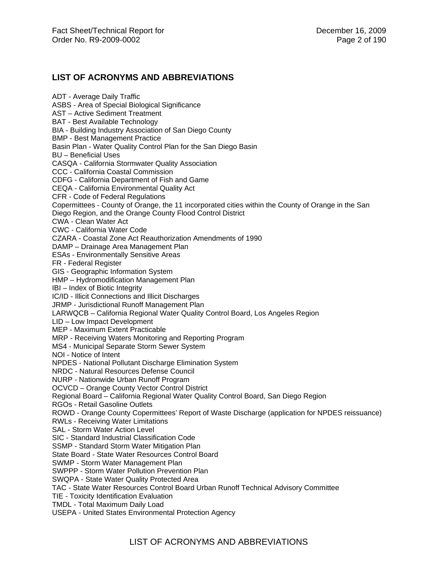### **LIST OF ACRONYMS AND ABBREVIATIONS**

ADT - Average Daily Traffic ASBS - Area of Special Biological Significance AST – Active Sediment Treatment BAT - Best Available Technology BIA - Building Industry Association of San Diego County BMP - Best Management Practice Basin Plan - Water Quality Control Plan for the San Diego Basin BU – Beneficial Uses CASQA - California Stormwater Quality Association CCC - California Coastal Commission CDFG - California Department of Fish and Game CEQA - California Environmental Quality Act CFR - Code of Federal Regulations Copermittees - County of Orange, the 11 incorporated cities within the County of Orange in the San Diego Region, and the Orange County Flood Control District CWA - Clean Water Act CWC - California Water Code CZARA - Coastal Zone Act Reauthorization Amendments of 1990 DAMP – Drainage Area Management Plan ESAs - Environmentally Sensitive Areas FR - Federal Register GIS - Geographic Information System HMP – Hydromodification Management Plan IBI – Index of Biotic Integrity IC/ID - Illicit Connections and Illicit Discharges JRMP - Jurisdictional Runoff Management Plan LARWQCB – California Regional Water Quality Control Board, Los Angeles Region LID – Low Impact Development MEP - Maximum Extent Practicable MRP - Receiving Waters Monitoring and Reporting Program MS4 - Municipal Separate Storm Sewer System NOI - Notice of Intent NPDES - National Pollutant Discharge Elimination System NRDC - Natural Resources Defense Council NURP - Nationwide Urban Runoff Program OCVCD – Orange County Vector Control District Regional Board – California Regional Water Quality Control Board, San Diego Region RGOs - Retail Gasoline Outlets ROWD - Orange County Copermittees' Report of Waste Discharge (application for NPDES reissuance) RWLs - Receiving Water Limitations SAL - Storm Water Action Level SIC - Standard Industrial Classification Code SSMP - Standard Storm Water Mitigation Plan State Board - State Water Resources Control Board SWMP - Storm Water Management Plan SWPPP - Storm Water Pollution Prevention Plan SWQPA - State Water Quality Protected Area TAC - State Water Resources Control Board Urban Runoff Technical Advisory Committee TIE - Toxicity Identification Evaluation TMDL - Total Maximum Daily Load USEPA - United States Environmental Protection Agency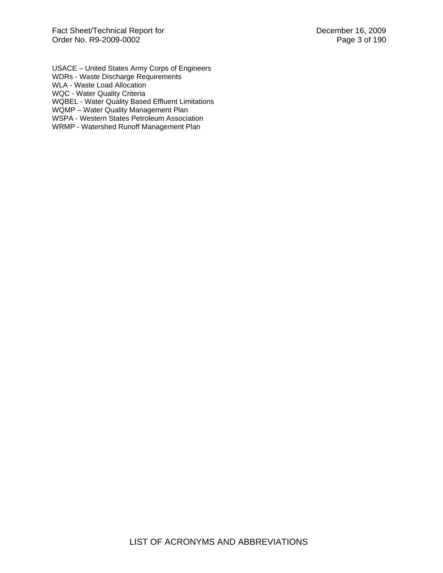USACE – United States Army Corps of Engineers WDRs - Waste Discharge Requirements WLA - Waste Load Allocation WQC - Water Quality Criteria WQBEL - Water Quality Based Effluent Limitations WQMP – Water Quality Management Plan WSPA - Western States Petroleum Association WRMP - Watershed Runoff Management Plan

LIST OF ACRONYMS AND ABBREVIATIONS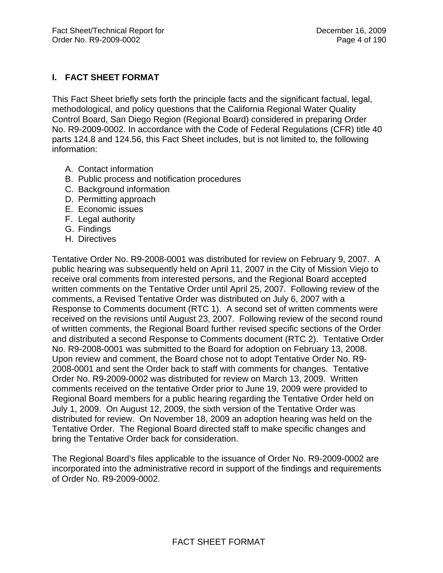# **I. FACT SHEET FORMAT**

This Fact Sheet briefly sets forth the principle facts and the significant factual, legal, methodological, and policy questions that the California Regional Water Quality Control Board, San Diego Region (Regional Board) considered in preparing Order No. R9-2009-0002. In accordance with the Code of Federal Regulations (CFR) title 40 parts 124.8 and 124.56, this Fact Sheet includes, but is not limited to, the following information:

- A. Contact information
- B. Public process and notification procedures
- C. Background information
- D. Permitting approach
- E. Economic issues
- F. Legal authority
- G. Findings
- H. Directives

Tentative Order No. R9-2008-0001 was distributed for review on February 9, 2007. A public hearing was subsequently held on April 11, 2007 in the City of Mission Viejo to receive oral comments from interested persons, and the Regional Board accepted written comments on the Tentative Order until April 25, 2007. Following review of the comments, a Revised Tentative Order was distributed on July 6, 2007 with a Response to Comments document (RTC 1). A second set of written comments were received on the revisions until August 23, 2007. Following review of the second round of written comments, the Regional Board further revised specific sections of the Order and distributed a second Response to Comments document (RTC 2). Tentative Order No. R9-2008-0001 was submitted to the Board for adoption on February 13, 2008. Upon review and comment, the Board chose not to adopt Tentative Order No. R9- 2008-0001 and sent the Order back to staff with comments for changes. Tentative Order No. R9-2009-0002 was distributed for review on March 13, 2009. Written comments received on the tentative Order prior to June 19, 2009 were provided to Regional Board members for a public hearing regarding the Tentative Order held on July 1, 2009. On August 12, 2009, the sixth version of the Tentative Order was distributed for review. On November 18, 2009 an adoption hearing was held on the Tentative Order. The Regional Board directed staff to make specific changes and bring the Tentative Order back for consideration.

The Regional Board's files applicable to the issuance of Order No. R9-2009-0002 are incorporated into the administrative record in support of the findings and requirements of Order No. R9-2009-0002.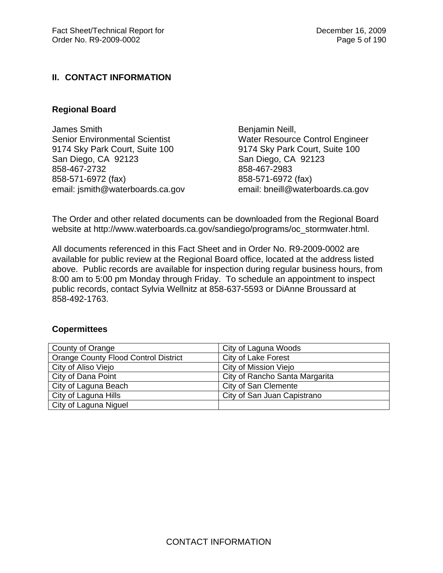## **II. CONTACT INFORMATION**

### **Regional Board**

James Smith Senior Environmental Scientist 9174 Sky Park Court, Suite 100 San Diego, CA 92123 858-467-2732 858-571-6972 (fax) email: jsmith@waterboards.ca.gov Benjamin Neill, Water Resource Control Engineer 9174 Sky Park Court, Suite 100 San Diego, CA 92123 858-467-2983 858-571-6972 (fax) email: bneill@waterboards.ca.gov

The Order and other related documents can be downloaded from the Regional Board website at http://www.waterboards.ca.gov/sandiego/programs/oc\_stormwater.html.

All documents referenced in this Fact Sheet and in Order No. R9-2009-0002 are available for public review at the Regional Board office, located at the address listed above. Public records are available for inspection during regular business hours, from 8:00 am to 5:00 pm Monday through Friday. To schedule an appointment to inspect public records, contact Sylvia Wellnitz at 858-637-5593 or DiAnne Broussard at 858-492-1763.

#### **Copermittees**

| County of Orange                            | City of Laguna Woods           |  |
|---------------------------------------------|--------------------------------|--|
| <b>Orange County Flood Control District</b> | City of Lake Forest            |  |
| City of Aliso Viejo                         | City of Mission Viejo          |  |
| City of Dana Point                          | City of Rancho Santa Margarita |  |
| City of Laguna Beach                        | City of San Clemente           |  |
| City of Laguna Hills                        | City of San Juan Capistrano    |  |
| City of Laguna Niguel                       |                                |  |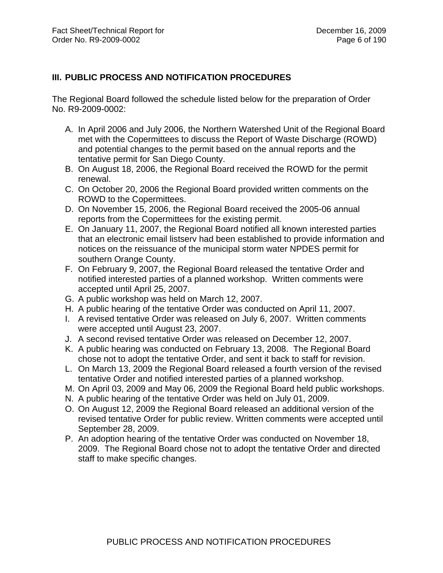# **III. PUBLIC PROCESS AND NOTIFICATION PROCEDURES**

The Regional Board followed the schedule listed below for the preparation of Order No. R9-2009-0002:

- A. In April 2006 and July 2006, the Northern Watershed Unit of the Regional Board met with the Copermittees to discuss the Report of Waste Discharge (ROWD) and potential changes to the permit based on the annual reports and the tentative permit for San Diego County.
- B. On August 18, 2006, the Regional Board received the ROWD for the permit renewal.
- C. On October 20, 2006 the Regional Board provided written comments on the ROWD to the Copermittees.
- D. On November 15, 2006, the Regional Board received the 2005-06 annual reports from the Copermittees for the existing permit.
- E. On January 11, 2007, the Regional Board notified all known interested parties that an electronic email listserv had been established to provide information and notices on the reissuance of the municipal storm water NPDES permit for southern Orange County.
- F. On February 9, 2007, the Regional Board released the tentative Order and notified interested parties of a planned workshop. Written comments were accepted until April 25, 2007.
- G. A public workshop was held on March 12, 2007.
- H. A public hearing of the tentative Order was conducted on April 11, 2007.
- I. A revised tentative Order was released on July 6, 2007. Written comments were accepted until August 23, 2007.
- J. A second revised tentative Order was released on December 12, 2007.
- K. A public hearing was conducted on February 13, 2008. The Regional Board chose not to adopt the tentative Order, and sent it back to staff for revision.
- L. On March 13, 2009 the Regional Board released a fourth version of the revised tentative Order and notified interested parties of a planned workshop.
- M. On April 03, 2009 and May 06, 2009 the Regional Board held public workshops.
- N. A public hearing of the tentative Order was held on July 01, 2009.
- O. On August 12, 2009 the Regional Board released an additional version of the revised tentative Order for public review. Written comments were accepted until September 28, 2009.
- P. An adoption hearing of the tentative Order was conducted on November 18, 2009. The Regional Board chose not to adopt the tentative Order and directed staff to make specific changes.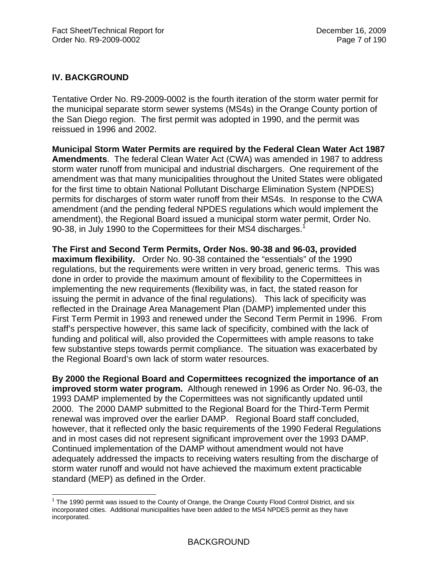# **IV. BACKGROUND**

Tentative Order No. R9-2009-0002 is the fourth iteration of the storm water permit for the municipal separate storm sewer systems (MS4s) in the Orange County portion of the San Diego region. The first permit was adopted in 1990, and the permit was reissued in 1996 and 2002.

**Municipal Storm Water Permits are required by the Federal Clean Water Act 1987 Amendments**. The federal Clean Water Act (CWA) was amended in 1987 to address storm water runoff from municipal and industrial dischargers. One requirement of the amendment was that many municipalities throughout the United States were obligated for the first time to obtain National Pollutant Discharge Elimination System (NPDES) permits for discharges of storm water runoff from their MS4s. In response to the CWA amendment (and the pending federal NPDES regulations which would implement the amendment), the Regional Board issued a municipal storm water permit, Order No. 90-38, in July 1990 to the Copermittees for their MS4 discharges.<sup>1</sup>

**The First and Second Term Permits, Order Nos. 90-38 and 96-03, provided maximum flexibility.** Order No. 90-38 contained the "essentials" of the 1990 regulations, but the requirements were written in very broad, generic terms. This was done in order to provide the maximum amount of flexibility to the Copermittees in implementing the new requirements (flexibility was, in fact, the stated reason for issuing the permit in advance of the final regulations). This lack of specificity was reflected in the Drainage Area Management Plan (DAMP) implemented under this First Term Permit in 1993 and renewed under the Second Term Permit in 1996. From staff's perspective however, this same lack of specificity, combined with the lack of funding and political will, also provided the Copermittees with ample reasons to take few substantive steps towards permit compliance. The situation was exacerbated by the Regional Board's own lack of storm water resources.

**By 2000 the Regional Board and Copermittees recognized the importance of an improved storm water program.** Although renewed in 1996 as Order No. 96-03, the 1993 DAMP implemented by the Copermittees was not significantly updated until 2000. The 2000 DAMP submitted to the Regional Board for the Third-Term Permit renewal was improved over the earlier DAMP. Regional Board staff concluded, however, that it reflected only the basic requirements of the 1990 Federal Regulations and in most cases did not represent significant improvement over the 1993 DAMP. Continued implementation of the DAMP without amendment would not have adequately addressed the impacts to receiving waters resulting from the discharge of storm water runoff and would not have achieved the maximum extent practicable standard (MEP) as defined in the Order.

 $\overline{a}$  $1$  The 1990 permit was issued to the County of Orange, the Orange County Flood Control District, and six incorporated cities. Additional municipalities have been added to the MS4 NPDES permit as they have incorporated.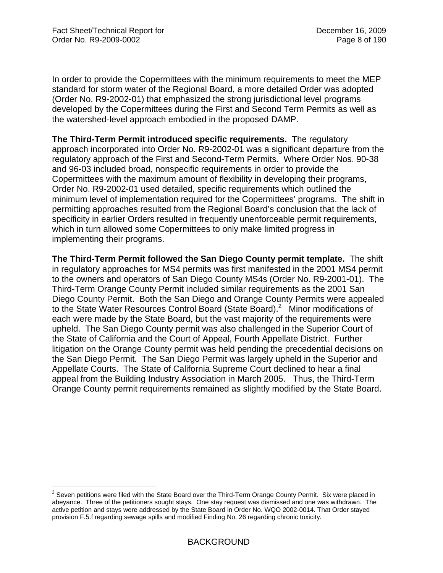1

In order to provide the Copermittees with the minimum requirements to meet the MEP standard for storm water of the Regional Board, a more detailed Order was adopted (Order No. R9-2002-01) that emphasized the strong jurisdictional level programs developed by the Copermittees during the First and Second Term Permits as well as the watershed-level approach embodied in the proposed DAMP.

**The Third-Term Permit introduced specific requirements.** The regulatory approach incorporated into Order No. R9-2002-01 was a significant departure from the regulatory approach of the First and Second-Term Permits. Where Order Nos. 90-38 and 96-03 included broad, nonspecific requirements in order to provide the Copermittees with the maximum amount of flexibility in developing their programs, Order No. R9-2002-01 used detailed, specific requirements which outlined the minimum level of implementation required for the Copermittees' programs. The shift in permitting approaches resulted from the Regional Board's conclusion that the lack of specificity in earlier Orders resulted in frequently unenforceable permit requirements, which in turn allowed some Copermittees to only make limited progress in implementing their programs.

**The Third-Term Permit followed the San Diego County permit template.** The shift in regulatory approaches for MS4 permits was first manifested in the 2001 MS4 permit to the owners and operators of San Diego County MS4s (Order No. R9-2001-01). The Third-Term Orange County Permit included similar requirements as the 2001 San Diego County Permit. Both the San Diego and Orange County Permits were appealed to the State Water Resources Control Board (State Board).<sup>2</sup> Minor modifications of each were made by the State Board, but the vast majority of the requirements were upheld. The San Diego County permit was also challenged in the Superior Court of the State of California and the Court of Appeal, Fourth Appellate District. Further litigation on the Orange County permit was held pending the precedential decisions on the San Diego Permit. The San Diego Permit was largely upheld in the Superior and Appellate Courts. The State of California Supreme Court declined to hear a final appeal from the Building Industry Association in March 2005. Thus, the Third-Term Orange County permit requirements remained as slightly modified by the State Board.

 $2$  Seven petitions were filed with the State Board over the Third-Term Orange County Permit. Six were placed in abeyance. Three of the petitioners sought stays. One stay request was dismissed and one was withdrawn. The active petition and stays were addressed by the State Board in Order No. WQO 2002-0014. That Order stayed provision F.5.f regarding sewage spills and modified Finding No. 26 regarding chronic toxicity.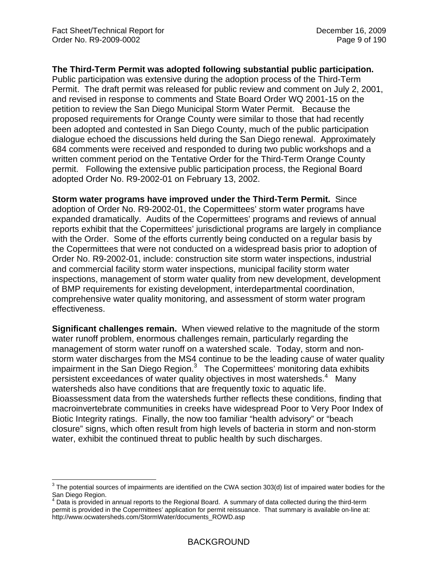$\overline{a}$ 

#### **The Third-Term Permit was adopted following substantial public participation.**

Public participation was extensive during the adoption process of the Third-Term Permit. The draft permit was released for public review and comment on July 2, 2001, and revised in response to comments and State Board Order WQ 2001-15 on the petition to review the San Diego Municipal Storm Water Permit. Because the proposed requirements for Orange County were similar to those that had recently been adopted and contested in San Diego County, much of the public participation dialogue echoed the discussions held during the San Diego renewal. Approximately 684 comments were received and responded to during two public workshops and a written comment period on the Tentative Order for the Third-Term Orange County permit. Following the extensive public participation process, the Regional Board adopted Order No. R9-2002-01 on February 13, 2002.

**Storm water programs have improved under the Third-Term Permit.** Since adoption of Order No. R9-2002-01, the Copermittees' storm water programs have expanded dramatically. Audits of the Copermittees' programs and reviews of annual reports exhibit that the Copermittees' jurisdictional programs are largely in compliance with the Order. Some of the efforts currently being conducted on a regular basis by the Copermittees that were not conducted on a widespread basis prior to adoption of Order No. R9-2002-01, include: construction site storm water inspections, industrial and commercial facility storm water inspections, municipal facility storm water inspections, management of storm water quality from new development, development of BMP requirements for existing development, interdepartmental coordination, comprehensive water quality monitoring, and assessment of storm water program effectiveness.

**Significant challenges remain.** When viewed relative to the magnitude of the storm water runoff problem, enormous challenges remain, particularly regarding the management of storm water runoff on a watershed scale. Today, storm and nonstorm water discharges from the MS4 continue to be the leading cause of water quality impairment in the San Diego Region. $3$  The Copermittees' monitoring data exhibits persistent exceedances of water quality objectives in most watersheds.<sup>4</sup> Many watersheds also have conditions that are frequently toxic to aquatic life. Bioassessment data from the watersheds further reflects these conditions, finding that macroinvertebrate communities in creeks have widespread Poor to Very Poor Index of Biotic Integrity ratings. Finally, the now too familiar "health advisory" or "beach closure" signs, which often result from high levels of bacteria in storm and non-storm water, exhibit the continued threat to public health by such discharges.

 $3$  The potential sources of impairments are identified on the CWA section 303(d) list of impaired water bodies for the

San Diego Region.<br><sup>4</sup> Data is provided in annual reports to the Regional Board. A summary of data collected during the third-term permit is provided in the Copermittees' application for permit reissuance. That summary is available on-line at: http://www.ocwatersheds.com/StormWater/documents\_ROWD.asp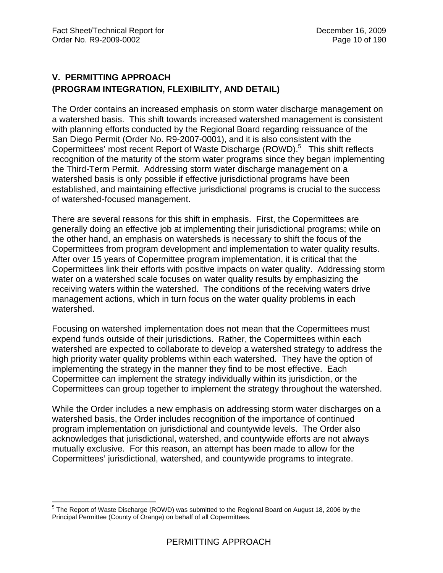# **V. PERMITTING APPROACH (PROGRAM INTEGRATION, FLEXIBILITY, AND DETAIL)**

The Order contains an increased emphasis on storm water discharge management on a watershed basis. This shift towards increased watershed management is consistent with planning efforts conducted by the Regional Board regarding reissuance of the San Diego Permit (Order No. R9-2007-0001), and it is also consistent with the Copermittees' most recent Report of Waste Discharge (ROWD).<sup>5</sup> This shift reflects recognition of the maturity of the storm water programs since they began implementing the Third-Term Permit. Addressing storm water discharge management on a watershed basis is only possible if effective jurisdictional programs have been established, and maintaining effective jurisdictional programs is crucial to the success of watershed-focused management.

There are several reasons for this shift in emphasis. First, the Copermittees are generally doing an effective job at implementing their jurisdictional programs; while on the other hand, an emphasis on watersheds is necessary to shift the focus of the Copermittees from program development and implementation to water quality results. After over 15 years of Copermittee program implementation, it is critical that the Copermittees link their efforts with positive impacts on water quality. Addressing storm water on a watershed scale focuses on water quality results by emphasizing the receiving waters within the watershed. The conditions of the receiving waters drive management actions, which in turn focus on the water quality problems in each watershed.

Focusing on watershed implementation does not mean that the Copermittees must expend funds outside of their jurisdictions. Rather, the Copermittees within each watershed are expected to collaborate to develop a watershed strategy to address the high priority water quality problems within each watershed. They have the option of implementing the strategy in the manner they find to be most effective. Each Copermittee can implement the strategy individually within its jurisdiction, or the Copermittees can group together to implement the strategy throughout the watershed.

While the Order includes a new emphasis on addressing storm water discharges on a watershed basis, the Order includes recognition of the importance of continued program implementation on jurisdictional and countywide levels. The Order also acknowledges that jurisdictional, watershed, and countywide efforts are not always mutually exclusive. For this reason, an attempt has been made to allow for the Copermittees' jurisdictional, watershed, and countywide programs to integrate.

 5 The Report of Waste Discharge (ROWD) was submitted to the Regional Board on August 18, 2006 by the Principal Permittee (County of Orange) on behalf of all Copermittees.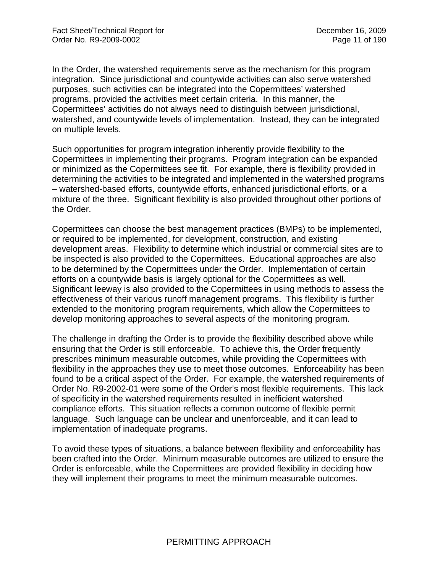In the Order, the watershed requirements serve as the mechanism for this program integration. Since jurisdictional and countywide activities can also serve watershed purposes, such activities can be integrated into the Copermittees' watershed programs, provided the activities meet certain criteria. In this manner, the Copermittees' activities do not always need to distinguish between jurisdictional, watershed, and countywide levels of implementation. Instead, they can be integrated on multiple levels.

Such opportunities for program integration inherently provide flexibility to the Copermittees in implementing their programs. Program integration can be expanded or minimized as the Copermittees see fit. For example, there is flexibility provided in determining the activities to be integrated and implemented in the watershed programs – watershed-based efforts, countywide efforts, enhanced jurisdictional efforts, or a mixture of the three. Significant flexibility is also provided throughout other portions of the Order.

Copermittees can choose the best management practices (BMPs) to be implemented, or required to be implemented, for development, construction, and existing development areas. Flexibility to determine which industrial or commercial sites are to be inspected is also provided to the Copermittees. Educational approaches are also to be determined by the Copermittees under the Order. Implementation of certain efforts on a countywide basis is largely optional for the Copermittees as well. Significant leeway is also provided to the Copermittees in using methods to assess the effectiveness of their various runoff management programs. This flexibility is further extended to the monitoring program requirements, which allow the Copermittees to develop monitoring approaches to several aspects of the monitoring program.

The challenge in drafting the Order is to provide the flexibility described above while ensuring that the Order is still enforceable. To achieve this, the Order frequently prescribes minimum measurable outcomes, while providing the Copermittees with flexibility in the approaches they use to meet those outcomes. Enforceability has been found to be a critical aspect of the Order. For example, the watershed requirements of Order No. R9-2002-01 were some of the Order's most flexible requirements. This lack of specificity in the watershed requirements resulted in inefficient watershed compliance efforts. This situation reflects a common outcome of flexible permit language. Such language can be unclear and unenforceable, and it can lead to implementation of inadequate programs.

To avoid these types of situations, a balance between flexibility and enforceability has been crafted into the Order. Minimum measurable outcomes are utilized to ensure the Order is enforceable, while the Copermittees are provided flexibility in deciding how they will implement their programs to meet the minimum measurable outcomes.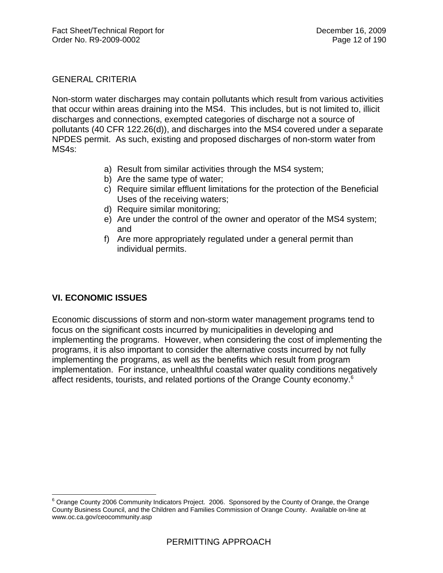## GENERAL CRITERIA

Non-storm water discharges may contain pollutants which result from various activities that occur within areas draining into the MS4. This includes, but is not limited to, illicit discharges and connections, exempted categories of discharge not a source of pollutants (40 CFR 122.26(d)), and discharges into the MS4 covered under a separate NPDES permit. As such, existing and proposed discharges of non-storm water from MS4s:

- a) Result from similar activities through the MS4 system;
- b) Are the same type of water;
- c) Require similar effluent limitations for the protection of the Beneficial Uses of the receiving waters;
- d) Require similar monitoring;
- e) Are under the control of the owner and operator of the MS4 system; and
- f) Are more appropriately regulated under a general permit than individual permits.

# **VI. ECONOMIC ISSUES**

 $\overline{a}$ 

Economic discussions of storm and non-storm water management programs tend to focus on the significant costs incurred by municipalities in developing and implementing the programs. However, when considering the cost of implementing the programs, it is also important to consider the alternative costs incurred by not fully implementing the programs, as well as the benefits which result from program implementation. For instance, unhealthful coastal water quality conditions negatively affect residents, tourists, and related portions of the Orange County economy.<sup>6</sup>

<sup>&</sup>lt;sup>6</sup> Orange County 2006 Community Indicators Project. 2006. Sponsored by the County of Orange, the Orange County Business Council, and the Children and Families Commission of Orange County. Available on-line at www.oc.ca.gov/ceocommunity.asp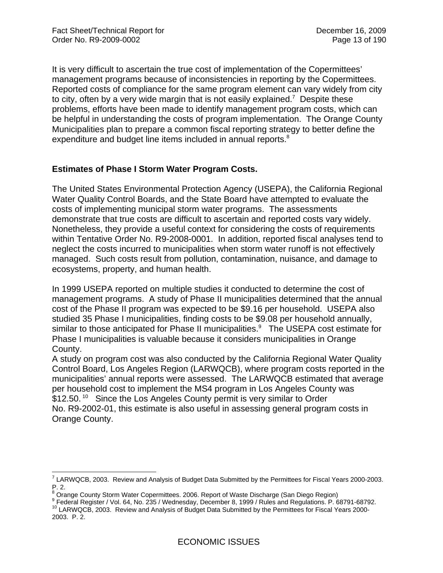It is very difficult to ascertain the true cost of implementation of the Copermittees' management programs because of inconsistencies in reporting by the Copermittees. Reported costs of compliance for the same program element can vary widely from city to city, often by a very wide margin that is not easily explained.<sup>7</sup> Despite these problems, efforts have been made to identify management program costs, which can be helpful in understanding the costs of program implementation. The Orange County Municipalities plan to prepare a common fiscal reporting strategy to better define the expenditure and budget line items included in annual reports.<sup>8</sup>

## **Estimates of Phase I Storm Water Program Costs.**

The United States Environmental Protection Agency (USEPA), the California Regional Water Quality Control Boards, and the State Board have attempted to evaluate the costs of implementing municipal storm water programs. The assessments demonstrate that true costs are difficult to ascertain and reported costs vary widely. Nonetheless, they provide a useful context for considering the costs of requirements within Tentative Order No. R9-2008-0001. In addition, reported fiscal analyses tend to neglect the costs incurred to municipalities when storm water runoff is not effectively managed. Such costs result from pollution, contamination, nuisance, and damage to ecosystems, property, and human health.

In 1999 USEPA reported on multiple studies it conducted to determine the cost of management programs. A study of Phase II municipalities determined that the annual cost of the Phase II program was expected to be \$9.16 per household. USEPA also studied 35 Phase I municipalities, finding costs to be \$9.08 per household annually, similar to those anticipated for Phase II municipalities.<sup>9</sup> The USEPA cost estimate for Phase I municipalities is valuable because it considers municipalities in Orange County.

A study on program cost was also conducted by the California Regional Water Quality Control Board, Los Angeles Region (LARWQCB), where program costs reported in the municipalities' annual reports were assessed. The LARWQCB estimated that average per household cost to implement the MS4 program in Los Angeles County was \$12.50.<sup>10</sup> Since the Los Angeles County permit is very similar to Order No. R9-2002-01, this estimate is also useful in assessing general program costs in Orange County.

 7 LARWQCB, 2003. Review and Analysis of Budget Data Submitted by the Permittees for Fiscal Years 2000-2003. P. 2.

<sup>&</sup>lt;sup>8</sup> Orange County Storm Water Copermittees. 2006. Report of Waste Discharge (San Diego Region)<br><sup>9</sup> Eadaral Begister (Vel. 64, No. 335 (Wednesday, December 8, 1999 (Bulge and Begulations, D. 6

<sup>&</sup>lt;sup>9</sup> Federal Register / Vol. 64, No. 235 / Wednesday, December 8, 1999 / Rules and Regulations. P. 68791-68792.<br><sup>10</sup> LARWQCB, 2003. Review and Analysis of Budget Data Submitted by the Permittees for Fiscal Years 2000-

<sup>2003.</sup> P. 2.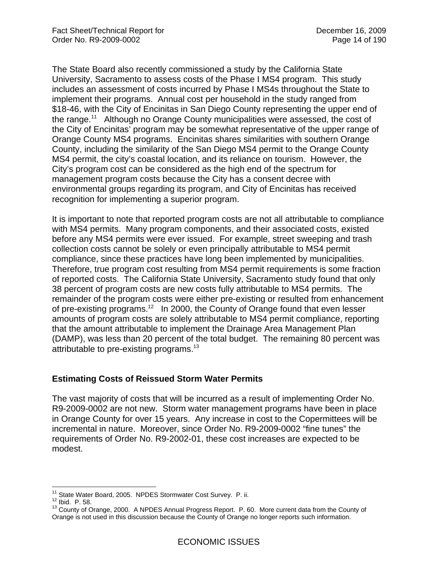The State Board also recently commissioned a study by the California State University, Sacramento to assess costs of the Phase I MS4 program. This study includes an assessment of costs incurred by Phase I MS4s throughout the State to implement their programs. Annual cost per household in the study ranged from \$18-46, with the City of Encinitas in San Diego County representing the upper end of the range.<sup>11</sup> Although no Orange County municipalities were assessed, the cost of the City of Encinitas' program may be somewhat representative of the upper range of Orange County MS4 programs. Encinitas shares similarities with southern Orange County, including the similarity of the San Diego MS4 permit to the Orange County MS4 permit, the city's coastal location, and its reliance on tourism. However, the City's program cost can be considered as the high end of the spectrum for management program costs because the City has a consent decree with environmental groups regarding its program, and City of Encinitas has received recognition for implementing a superior program.

It is important to note that reported program costs are not all attributable to compliance with MS4 permits. Many program components, and their associated costs, existed before any MS4 permits were ever issued. For example, street sweeping and trash collection costs cannot be solely or even principally attributable to MS4 permit compliance, since these practices have long been implemented by municipalities. Therefore, true program cost resulting from MS4 permit requirements is some fraction of reported costs. The California State University, Sacramento study found that only 38 percent of program costs are new costs fully attributable to MS4 permits. The remainder of the program costs were either pre-existing or resulted from enhancement of pre-existing programs.<sup>12</sup> In 2000, the County of Orange found that even lesser amounts of program costs are solely attributable to MS4 permit compliance, reporting that the amount attributable to implement the Drainage Area Management Plan (DAMP), was less than 20 percent of the total budget. The remaining 80 percent was attributable to pre-existing programs.<sup>13</sup>

### **Estimating Costs of Reissued Storm Water Permits**

The vast majority of costs that will be incurred as a result of implementing Order No. R9-2009-0002 are not new. Storm water management programs have been in place in Orange County for over 15 years. Any increase in cost to the Copermittees will be incremental in nature. Moreover, since Order No. R9-2009-0002 "fine tunes" the requirements of Order No. R9-2002-01, these cost increases are expected to be modest.

<sup>&</sup>lt;sup>11</sup> State Water Board, 2005. NPDES Stormwater Cost Survey. P. ii.

<sup>12</sup> Ibid. P. 58.<br><sup>12</sup> Ibid. P. 58. 13 County of Orange, 2000. A NPDES Annual Progress Report. P. 60. More current data from the County of Orange is not used in this discussion because the County of Orange no longer reports such information.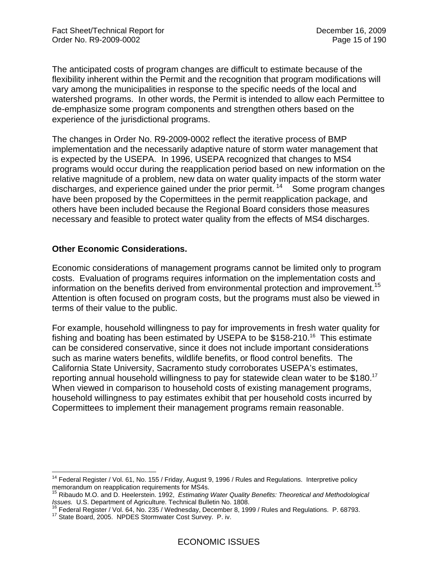The anticipated costs of program changes are difficult to estimate because of the flexibility inherent within the Permit and the recognition that program modifications will vary among the municipalities in response to the specific needs of the local and watershed programs. In other words, the Permit is intended to allow each Permittee to de-emphasize some program components and strengthen others based on the experience of the jurisdictional programs.

The changes in Order No. R9-2009-0002 reflect the iterative process of BMP implementation and the necessarily adaptive nature of storm water management that is expected by the USEPA. In 1996, USEPA recognized that changes to MS4 programs would occur during the reapplication period based on new information on the relative magnitude of a problem, new data on water quality impacts of the storm water discharges, and experience gained under the prior permit.  $14$  Some program changes have been proposed by the Copermittees in the permit reapplication package, and others have been included because the Regional Board considers those measures necessary and feasible to protect water quality from the effects of MS4 discharges.

### **Other Economic Considerations.**

Economic considerations of management programs cannot be limited only to program costs. Evaluation of programs requires information on the implementation costs and information on the benefits derived from environmental protection and improvement.<sup>15</sup> Attention is often focused on program costs, but the programs must also be viewed in terms of their value to the public.

For example, household willingness to pay for improvements in fresh water quality for fishing and boating has been estimated by USEPA to be  $$158-210<sup>16</sup>$  This estimate can be considered conservative, since it does not include important considerations such as marine waters benefits, wildlife benefits, or flood control benefits. The California State University, Sacramento study corroborates USEPA's estimates, reporting annual household willingness to pay for statewide clean water to be \$180.<sup>17</sup> When viewed in comparison to household costs of existing management programs, household willingness to pay estimates exhibit that per household costs incurred by Copermittees to implement their management programs remain reasonable.

<sup>1</sup> <sup>14</sup> Federal Register / Vol. 61, No. 155 / Friday, August 9, 1996 / Rules and Regulations. Interpretive policy memorandum on reapplication requirements for MS4s.

<sup>15</sup> Ribaudo M.O. and D. Heelerstein. 1992, *Estimating Water Quality Benefits: Theoretical and Methodological*  Issues. U.S. Department of Agriculture. Technical Bulletin No. 1808.<br><sup>16</sup> Federal Register / Vol. 64, No. 235 / Wednesday, December 8, 1999 / Rules and Regulations. P. 68793.<br><sup>17</sup> State Board, 2005. NPDES Stormwater Cost S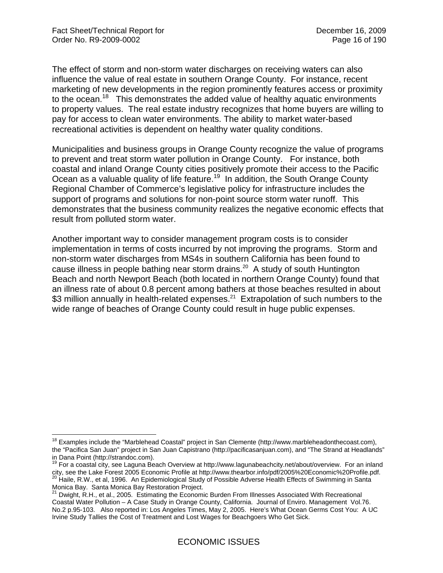The effect of storm and non-storm water discharges on receiving waters can also influence the value of real estate in southern Orange County. For instance, recent marketing of new developments in the region prominently features access or proximity to the ocean.<sup>18</sup> This demonstrates the added value of healthy aquatic environments to property values. The real estate industry recognizes that home buyers are willing to pay for access to clean water environments. The ability to market water-based recreational activities is dependent on healthy water quality conditions.

Municipalities and business groups in Orange County recognize the value of programs to prevent and treat storm water pollution in Orange County. For instance, both coastal and inland Orange County cities positively promote their access to the Pacific Ocean as a valuable quality of life feature.<sup>19</sup> In addition, the South Orange County Regional Chamber of Commerce's legislative policy for infrastructure includes the support of programs and solutions for non-point source storm water runoff. This demonstrates that the business community realizes the negative economic effects that result from polluted storm water.

Another important way to consider management program costs is to consider implementation in terms of costs incurred by not improving the programs. Storm and non-storm water discharges from MS4s in southern California has been found to cause illness in people bathing near storm drains.<sup>20</sup> A study of south Huntington Beach and north Newport Beach (both located in northern Orange County) found that an illness rate of about 0.8 percent among bathers at those beaches resulted in about \$3 million annually in health-related expenses. $21$  Extrapolation of such numbers to the wide range of beaches of Orange County could result in huge public expenses.

 $\overline{a}$ <sup>18</sup> Examples include the "Marblehead Coastal" project in San Clemente (http://www.marbleheadonthecoast.com), the "Pacifica San Juan" project in San Juan Capistrano (http://pacificasanjuan.com), and "The Strand at Headlands" in Dana Point (http://strandoc.com).

<sup>&</sup>lt;sup>19</sup> For a coastal city, see Laguna Beach Overview at http://www.lagunabeachcity.net/about/overview. For an inland city, see the Lake Forest 2005 Economic Profile at http://www.thearbor.info/pdf/2005%20Economic%20Profile.pdf.<br><sup>20</sup> Haile, R.W., et al, 1996. An Epidemiological Study of Possible Adverse Health Effects of Swimming in Santa Monica Bay. Santa Monica Bay Restoration Project.

<sup>&</sup>lt;sup>21</sup> Dwight, R.H., et al., 2005. Estimating the Economic Burden From Illnesses Associated With Recreational Coastal Water Pollution – A Case Study in Orange County, California. Journal of Enviro. Management Vol.76. No.2 p.95-103. Also reported in: Los Angeles Times, May 2, 2005. Here's What Ocean Germs Cost You: A UC Irvine Study Tallies the Cost of Treatment and Lost Wages for Beachgoers Who Get Sick.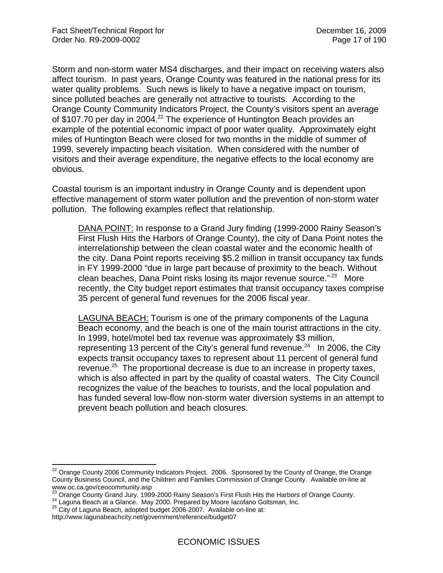Storm and non-storm water MS4 discharges, and their impact on receiving waters also affect tourism. In past years, Orange County was featured in the national press for its water quality problems. Such news is likely to have a negative impact on tourism, since polluted beaches are generally not attractive to tourists. According to the Orange County Community Indicators Project, the County's visitors spent an average of \$107.70 per day in 2004.<sup>22</sup> The experience of Huntington Beach provides an example of the potential economic impact of poor water quality. Approximately eight miles of Huntington Beach were closed for two months in the middle of summer of 1999, severely impacting beach visitation. When considered with the number of visitors and their average expenditure, the negative effects to the local economy are obvious.

Coastal tourism is an important industry in Orange County and is dependent upon effective management of storm water pollution and the prevention of non-storm water pollution. The following examples reflect that relationship.

DANA POINT: In response to a Grand Jury finding (1999-2000 Rainy Season's First Flush Hits the Harbors of Orange County), the city of Dana Point notes the interrelationship between the clean coastal water and the economic health of the city. Dana Point reports receiving \$5.2 million in transit occupancy tax funds in FY 1999-2000 "due in large part because of proximity to the beach. Without clean beaches, Dana Point risks losing its major revenue source."<sup>23</sup> More recently, the City budget report estimates that transit occupancy taxes comprise 35 percent of general fund revenues for the 2006 fiscal year.

LAGUNA BEACH: Tourism is one of the primary components of the Laguna Beach economy, and the beach is one of the main tourist attractions in the city. In 1999, hotel/motel bed tax revenue was approximately \$3 million, representing 13 percent of the City's general fund revenue.<sup>24</sup> In 2006, the City expects transit occupancy taxes to represent about 11 percent of general fund revenue.<sup>25</sup> The proportional decrease is due to an increase in property taxes, which is also affected in part by the quality of coastal waters. The City Council recognizes the value of the beaches to tourists, and the local population and has funded several low-flow non-storm water diversion systems in an attempt to prevent beach pollution and beach closures.

 $\overline{a}$ 

 $^{22}$  Orange County 2006 Community Indicators Project. 2006. Sponsored by the County of Orange, the Orange County Business Council, and the Children and Families Commission of Orange County. Available on-line at www.oc.ca.gov/ceocommunity.asp

<sup>&</sup>lt;sup>23</sup> Orange County Grand Jury. 1999-2000 Rainy Season's First Flush Hits the Harbors of Orange County.<br><sup>24</sup> Laguna Beach at a Glance. May 2000. Prepared by Moore Iacofano Goltsman, Inc.<br><sup>25</sup> City of Laguna Beach, adopted b

http://www.lagunabeachcity.net/government/reference/budget07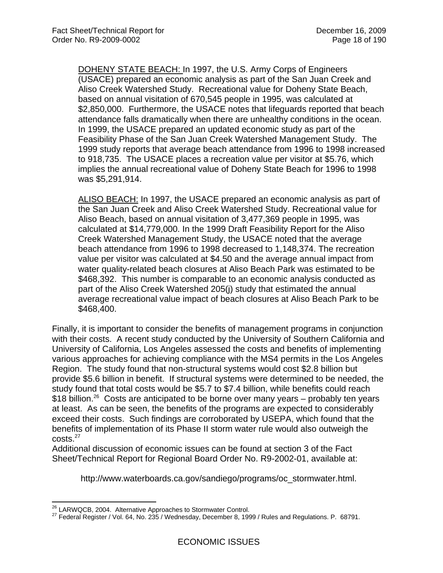DOHENY STATE BEACH: In 1997, the U.S. Army Corps of Engineers (USACE) prepared an economic analysis as part of the San Juan Creek and Aliso Creek Watershed Study. Recreational value for Doheny State Beach, based on annual visitation of 670,545 people in 1995, was calculated at \$2,850,000. Furthermore, the USACE notes that lifeguards reported that beach attendance falls dramatically when there are unhealthy conditions in the ocean. In 1999, the USACE prepared an updated economic study as part of the Feasibility Phase of the San Juan Creek Watershed Management Study. The 1999 study reports that average beach attendance from 1996 to 1998 increased to 918,735. The USACE places a recreation value per visitor at \$5.76, which implies the annual recreational value of Doheny State Beach for 1996 to 1998 was \$5,291,914.

ALISO BEACH: In 1997, the USACE prepared an economic analysis as part of the San Juan Creek and Aliso Creek Watershed Study. Recreational value for Aliso Beach, based on annual visitation of 3,477,369 people in 1995, was calculated at \$14,779,000. In the 1999 Draft Feasibility Report for the Aliso Creek Watershed Management Study, the USACE noted that the average beach attendance from 1996 to 1998 decreased to 1,148,374. The recreation value per visitor was calculated at \$4.50 and the average annual impact from water quality-related beach closures at Aliso Beach Park was estimated to be \$468,392. This number is comparable to an economic analysis conducted as part of the Aliso Creek Watershed 205(j) study that estimated the annual average recreational value impact of beach closures at Aliso Beach Park to be \$468,400.

Finally, it is important to consider the benefits of management programs in conjunction with their costs. A recent study conducted by the University of Southern California and University of California, Los Angeles assessed the costs and benefits of implementing various approaches for achieving compliance with the MS4 permits in the Los Angeles Region. The study found that non-structural systems would cost \$2.8 billion but provide \$5.6 billion in benefit. If structural systems were determined to be needed, the study found that total costs would be \$5.7 to \$7.4 billion, while benefits could reach \$18 billion.<sup>26</sup> Costs are anticipated to be borne over many years – probably ten years at least. As can be seen, the benefits of the programs are expected to considerably exceed their costs. Such findings are corroborated by USEPA, which found that the benefits of implementation of its Phase II storm water rule would also outweigh the costs.<sup>27</sup>

Additional discussion of economic issues can be found at section 3 of the Fact Sheet/Technical Report for Regional Board Order No. R9-2002-01, available at:

http://www.waterboards.ca.gov/sandiego/programs/oc\_stormwater.html.

<sup>&</sup>lt;sup>26</sup> LARWQCB, 2004. Alternative Approaches to Stormwater Control.

<sup>27</sup> Federal Register / Vol. 64, No. 235 / Wednesday, December 8, 1999 / Rules and Regulations. P. 68791.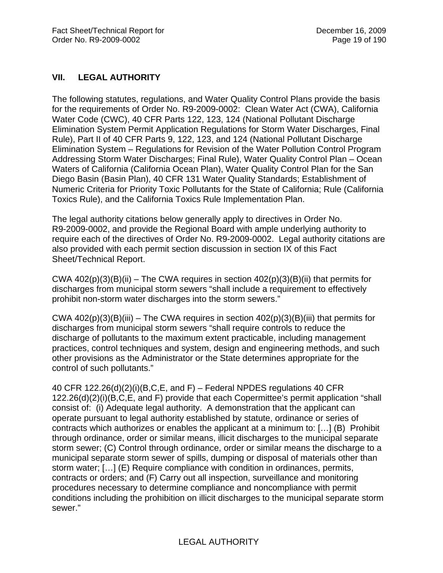# **VII. LEGAL AUTHORITY**

The following statutes, regulations, and Water Quality Control Plans provide the basis for the requirements of Order No. R9-2009-0002: Clean Water Act (CWA), California Water Code (CWC), 40 CFR Parts 122, 123, 124 (National Pollutant Discharge Elimination System Permit Application Regulations for Storm Water Discharges, Final Rule), Part II of 40 CFR Parts 9, 122, 123, and 124 (National Pollutant Discharge Elimination System – Regulations for Revision of the Water Pollution Control Program Addressing Storm Water Discharges; Final Rule), Water Quality Control Plan – Ocean Waters of California (California Ocean Plan), Water Quality Control Plan for the San Diego Basin (Basin Plan), 40 CFR 131 Water Quality Standards; Establishment of Numeric Criteria for Priority Toxic Pollutants for the State of California; Rule (California Toxics Rule), and the California Toxics Rule Implementation Plan.

The legal authority citations below generally apply to directives in Order No. R9-2009-0002, and provide the Regional Board with ample underlying authority to require each of the directives of Order No. R9-2009-0002. Legal authority citations are also provided with each permit section discussion in section IX of this Fact Sheet/Technical Report.

CWA  $402(p)(3)(B)(ii)$  – The CWA requires in section  $402(p)(3)(B)(ii)$  that permits for discharges from municipal storm sewers "shall include a requirement to effectively prohibit non-storm water discharges into the storm sewers."

CWA  $402(p)(3)(B)(iii)$  – The CWA requires in section  $402(p)(3)(B)(iii)$  that permits for discharges from municipal storm sewers "shall require controls to reduce the discharge of pollutants to the maximum extent practicable, including management practices, control techniques and system, design and engineering methods, and such other provisions as the Administrator or the State determines appropriate for the control of such pollutants."

40 CFR 122.26(d)(2)(i)(B,C,E, and F) – Federal NPDES regulations 40 CFR 122.26(d)(2)(i)(B,C,E, and F) provide that each Copermittee's permit application "shall consist of: (i) Adequate legal authority. A demonstration that the applicant can operate pursuant to legal authority established by statute, ordinance or series of contracts which authorizes or enables the applicant at a minimum to: […] (B) Prohibit through ordinance, order or similar means, illicit discharges to the municipal separate storm sewer; (C) Control through ordinance, order or similar means the discharge to a municipal separate storm sewer of spills, dumping or disposal of materials other than storm water; […] (E) Require compliance with condition in ordinances, permits, contracts or orders; and (F) Carry out all inspection, surveillance and monitoring procedures necessary to determine compliance and noncompliance with permit conditions including the prohibition on illicit discharges to the municipal separate storm sewer."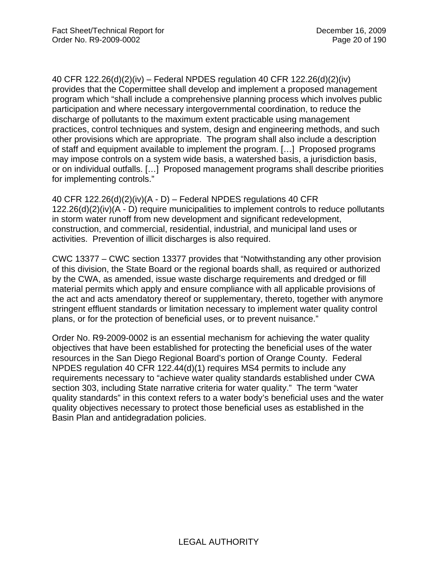40 CFR 122.26(d)(2)(iv) – Federal NPDES regulation 40 CFR 122.26(d)(2)(iv) provides that the Copermittee shall develop and implement a proposed management program which "shall include a comprehensive planning process which involves public participation and where necessary intergovernmental coordination, to reduce the discharge of pollutants to the maximum extent practicable using management practices, control techniques and system, design and engineering methods, and such other provisions which are appropriate. The program shall also include a description of staff and equipment available to implement the program. […] Proposed programs may impose controls on a system wide basis, a watershed basis, a jurisdiction basis, or on individual outfalls. […] Proposed management programs shall describe priorities for implementing controls."

40 CFR 122.26(d)(2)(iv)(A - D) – Federal NPDES regulations 40 CFR 122.26(d)(2)(iv)(A - D) require municipalities to implement controls to reduce pollutants in storm water runoff from new development and significant redevelopment, construction, and commercial, residential, industrial, and municipal land uses or activities. Prevention of illicit discharges is also required.

CWC 13377 – CWC section 13377 provides that "Notwithstanding any other provision of this division, the State Board or the regional boards shall, as required or authorized by the CWA, as amended, issue waste discharge requirements and dredged or fill material permits which apply and ensure compliance with all applicable provisions of the act and acts amendatory thereof or supplementary, thereto, together with anymore stringent effluent standards or limitation necessary to implement water quality control plans, or for the protection of beneficial uses, or to prevent nuisance."

Order No. R9-2009-0002 is an essential mechanism for achieving the water quality objectives that have been established for protecting the beneficial uses of the water resources in the San Diego Regional Board's portion of Orange County. Federal NPDES regulation 40 CFR 122.44(d)(1) requires MS4 permits to include any requirements necessary to "achieve water quality standards established under CWA section 303, including State narrative criteria for water quality." The term "water quality standards" in this context refers to a water body's beneficial uses and the water quality objectives necessary to protect those beneficial uses as established in the Basin Plan and antidegradation policies.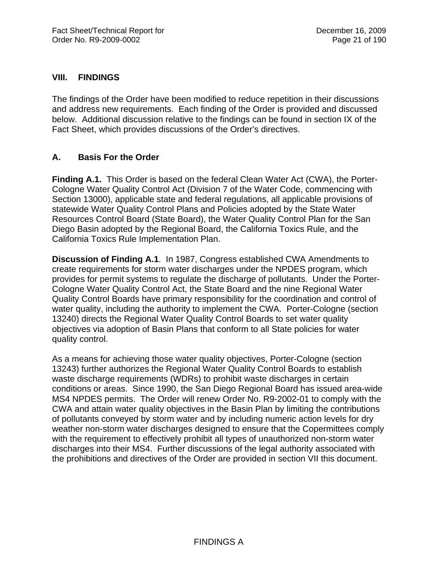## **VIII. FINDINGS**

The findings of the Order have been modified to reduce repetition in their discussions and address new requirements. Each finding of the Order is provided and discussed below. Additional discussion relative to the findings can be found in section IX of the Fact Sheet, which provides discussions of the Order's directives.

## **A. Basis For the Order**

**Finding A.1.** This Order is based on the federal Clean Water Act (CWA), the Porter-Cologne Water Quality Control Act (Division 7 of the Water Code, commencing with Section 13000), applicable state and federal regulations, all applicable provisions of statewide Water Quality Control Plans and Policies adopted by the State Water Resources Control Board (State Board), the Water Quality Control Plan for the San Diego Basin adopted by the Regional Board, the California Toxics Rule, and the California Toxics Rule Implementation Plan.

**Discussion of Finding A.1**. In 1987, Congress established CWA Amendments to create requirements for storm water discharges under the NPDES program, which provides for permit systems to regulate the discharge of pollutants. Under the Porter-Cologne Water Quality Control Act, the State Board and the nine Regional Water Quality Control Boards have primary responsibility for the coordination and control of water quality, including the authority to implement the CWA. Porter-Cologne (section 13240) directs the Regional Water Quality Control Boards to set water quality objectives via adoption of Basin Plans that conform to all State policies for water quality control.

As a means for achieving those water quality objectives, Porter-Cologne (section 13243) further authorizes the Regional Water Quality Control Boards to establish waste discharge requirements (WDRs) to prohibit waste discharges in certain conditions or areas. Since 1990, the San Diego Regional Board has issued area-wide MS4 NPDES permits. The Order will renew Order No. R9-2002-01 to comply with the CWA and attain water quality objectives in the Basin Plan by limiting the contributions of pollutants conveyed by storm water and by including numeric action levels for dry weather non-storm water discharges designed to ensure that the Copermittees comply with the requirement to effectively prohibit all types of unauthorized non-storm water discharges into their MS4. Further discussions of the legal authority associated with the prohibitions and directives of the Order are provided in section VII this document.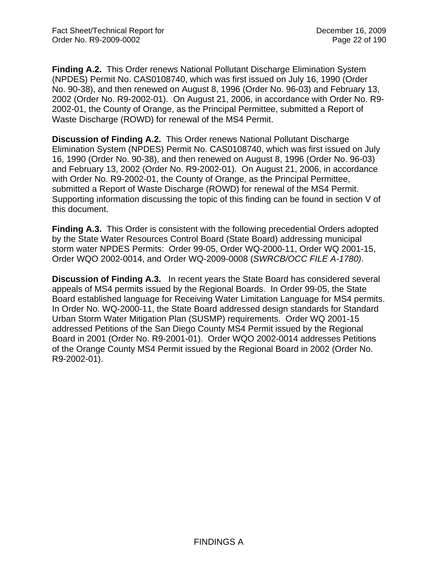**Finding A.2.** This Order renews National Pollutant Discharge Elimination System (NPDES) Permit No. CAS0108740, which was first issued on July 16, 1990 (Order No. 90-38), and then renewed on August 8, 1996 (Order No. 96-03) and February 13, 2002 (Order No. R9-2002-01). On August 21, 2006, in accordance with Order No. R9- 2002-01, the County of Orange, as the Principal Permittee, submitted a Report of Waste Discharge (ROWD) for renewal of the MS4 Permit.

**Discussion of Finding A.2.** This Order renews National Pollutant Discharge Elimination System (NPDES) Permit No. CAS0108740, which was first issued on July 16, 1990 (Order No. 90-38), and then renewed on August 8, 1996 (Order No. 96-03) and February 13, 2002 (Order No. R9-2002-01). On August 21, 2006, in accordance with Order No. R9-2002-01, the County of Orange, as the Principal Permittee, submitted a Report of Waste Discharge (ROWD) for renewal of the MS4 Permit. Supporting information discussing the topic of this finding can be found in section V of this document.

**Finding A.3.** This Order is consistent with the following precedential Orders adopted by the State Water Resources Control Board (State Board) addressing municipal storm water NPDES Permits: Order 99-05, Order WQ-2000-11, Order WQ 2001-15, Order WQO 2002-0014, and Order WQ-2009-0008 (*SWRCB/OCC FILE A-1780)*.

**Discussion of Finding A.3.** In recent years the State Board has considered several appeals of MS4 permits issued by the Regional Boards. In Order 99-05, the State Board established language for Receiving Water Limitation Language for MS4 permits. In Order No. WQ-2000-11, the State Board addressed design standards for Standard Urban Storm Water Mitigation Plan (SUSMP) requirements. Order WQ 2001-15 addressed Petitions of the San Diego County MS4 Permit issued by the Regional Board in 2001 (Order No. R9-2001-01). Order WQO 2002-0014 addresses Petitions of the Orange County MS4 Permit issued by the Regional Board in 2002 (Order No. R9-2002-01).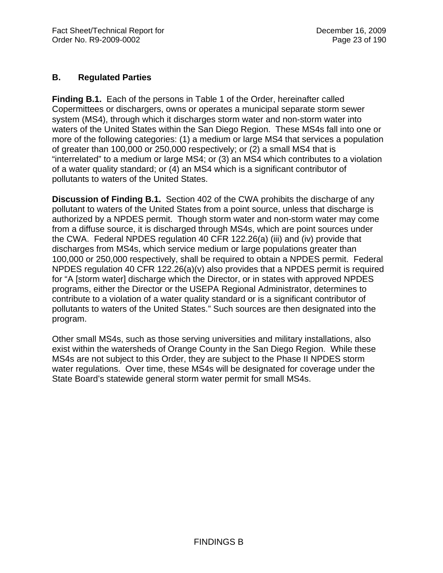## **B. Regulated Parties**

**Finding B.1.** Each of the persons in Table 1 of the Order, hereinafter called Copermittees or dischargers, owns or operates a municipal separate storm sewer system (MS4), through which it discharges storm water and non-storm water into waters of the United States within the San Diego Region. These MS4s fall into one or more of the following categories: (1) a medium or large MS4 that services a population of greater than 100,000 or 250,000 respectively; or (2) a small MS4 that is "interrelated" to a medium or large MS4; or (3) an MS4 which contributes to a violation of a water quality standard; or (4) an MS4 which is a significant contributor of pollutants to waters of the United States.

**Discussion of Finding B.1.** Section 402 of the CWA prohibits the discharge of any pollutant to waters of the United States from a point source, unless that discharge is authorized by a NPDES permit. Though storm water and non-storm water may come from a diffuse source, it is discharged through MS4s, which are point sources under the CWA. Federal NPDES regulation 40 CFR 122.26(a) (iii) and (iv) provide that discharges from MS4s, which service medium or large populations greater than 100,000 or 250,000 respectively, shall be required to obtain a NPDES permit. Federal NPDES regulation 40 CFR 122.26(a)(v) also provides that a NPDES permit is required for "A [storm water] discharge which the Director, or in states with approved NPDES programs, either the Director or the USEPA Regional Administrator, determines to contribute to a violation of a water quality standard or is a significant contributor of pollutants to waters of the United States." Such sources are then designated into the program.

Other small MS4s, such as those serving universities and military installations, also exist within the watersheds of Orange County in the San Diego Region. While these MS4s are not subject to this Order, they are subject to the Phase II NPDES storm water regulations. Over time, these MS4s will be designated for coverage under the State Board's statewide general storm water permit for small MS4s.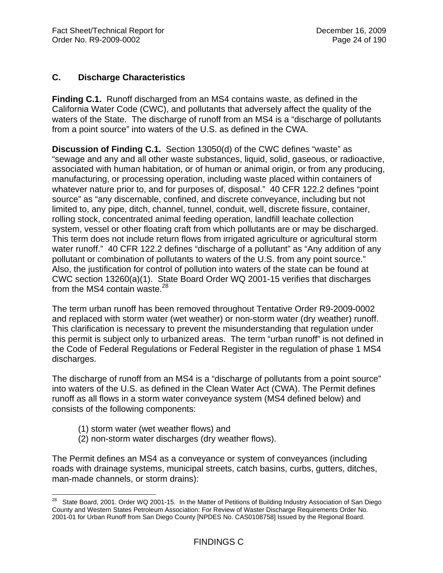# **C. Discharge Characteristics**

**Finding C.1.** Runoff discharged from an MS4 contains waste, as defined in the California Water Code (CWC), and pollutants that adversely affect the quality of the waters of the State. The discharge of runoff from an MS4 is a "discharge of pollutants from a point source" into waters of the U.S. as defined in the CWA.

**Discussion of Finding C.1.** Section 13050(d) of the CWC defines "waste" as "sewage and any and all other waste substances, liquid, solid, gaseous, or radioactive, associated with human habitation, or of human or animal origin, or from any producing, manufacturing, or processing operation, including waste placed within containers of whatever nature prior to, and for purposes of, disposal." 40 CFR 122.2 defines "point source" as "any discernable, confined, and discrete conveyance, including but not limited to, any pipe, ditch, channel, tunnel, conduit, well, discrete fissure, container, rolling stock, concentrated animal feeding operation, landfill leachate collection system, vessel or other floating craft from which pollutants are or may be discharged. This term does not include return flows from irrigated agriculture or agricultural storm water runoff." 40 CFR 122.2 defines "discharge of a pollutant" as "Any addition of any pollutant or combination of pollutants to waters of the U.S. from any point source." Also, the justification for control of pollution into waters of the state can be found at CWC section 13260(a)(1). State Board Order WQ 2001-15 verifies that discharges from the MS4 contain waste. $^{28}$ 

The term urban runoff has been removed throughout Tentative Order R9-2009-0002 and replaced with storm water (wet weather) or non-storm water (dry weather) runoff. This clarification is necessary to prevent the misunderstanding that regulation under this permit is subject only to urbanized areas. The term "urban runoff" is not defined in the Code of Federal Regulations or Federal Register in the regulation of phase 1 MS4 discharges.

The discharge of runoff from an MS4 is a "discharge of pollutants from a point source" into waters of the U.S. as defined in the Clean Water Act (CWA). The Permit defines runoff as all flows in a storm water conveyance system (MS4 defined below) and consists of the following components:

- (1) storm water (wet weather flows) and
- (2) non-storm water discharges (dry weather flows).

The Permit defines an MS4 as a conveyance or system of conveyances (including roads with drainage systems, municipal streets, catch basins, curbs, gutters, ditches, man-made channels, or storm drains):

 $\overline{a}$ <sup>28</sup> State Board, 2001. Order WQ 2001-15. In the Matter of Petitions of Building Industry Association of San Diego County and Western States Petroleum Association: For Review of Waster Discharge Requirements Order No. 2001-01 for Urban Runoff from San Diego County [NPDES No. CAS0108758] Issued by the Regional Board.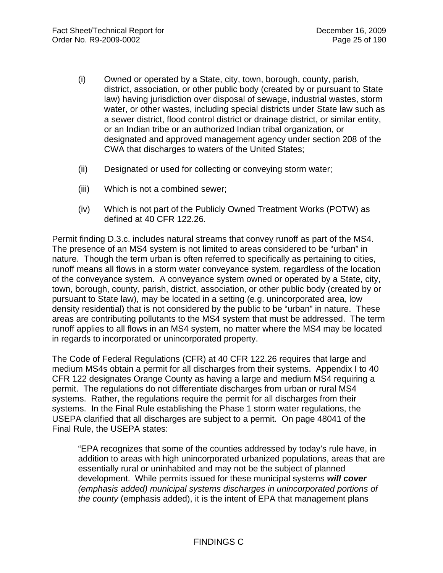- (i) Owned or operated by a State, city, town, borough, county, parish, district, association, or other public body (created by or pursuant to State law) having jurisdiction over disposal of sewage, industrial wastes, storm water, or other wastes, including special districts under State law such as a sewer district, flood control district or drainage district, or similar entity, or an Indian tribe or an authorized Indian tribal organization, or designated and approved management agency under section 208 of the CWA that discharges to waters of the United States;
- (ii) Designated or used for collecting or conveying storm water;
- (iii) Which is not a combined sewer;
- (iv) Which is not part of the Publicly Owned Treatment Works (POTW) as defined at 40 CFR 122.26.

Permit finding D.3.c. includes natural streams that convey runoff as part of the MS4. The presence of an MS4 system is not limited to areas considered to be "urban" in nature. Though the term urban is often referred to specifically as pertaining to cities, runoff means all flows in a storm water conveyance system, regardless of the location of the conveyance system. A conveyance system owned or operated by a State, city, town, borough, county, parish, district, association, or other public body (created by or pursuant to State law), may be located in a setting (e.g. unincorporated area, low density residential) that is not considered by the public to be "urban" in nature. These areas are contributing pollutants to the MS4 system that must be addressed. The term runoff applies to all flows in an MS4 system, no matter where the MS4 may be located in regards to incorporated or unincorporated property.

The Code of Federal Regulations (CFR) at 40 CFR 122.26 requires that large and medium MS4s obtain a permit for all discharges from their systems. Appendix I to 40 CFR 122 designates Orange County as having a large and medium MS4 requiring a permit. The regulations do not differentiate discharges from urban or rural MS4 systems. Rather, the regulations require the permit for all discharges from their systems. In the Final Rule establishing the Phase 1 storm water regulations, the USEPA clarified that all discharges are subject to a permit. On page 48041 of the Final Rule, the USEPA states:

"EPA recognizes that some of the counties addressed by today's rule have, in addition to areas with high unincorporated urbanized populations, areas that are essentially rural or uninhabited and may not be the subject of planned development. While permits issued for these municipal systems *will cover (emphasis added) municipal systems discharges in unincorporated portions of the county* (emphasis added), it is the intent of EPA that management plans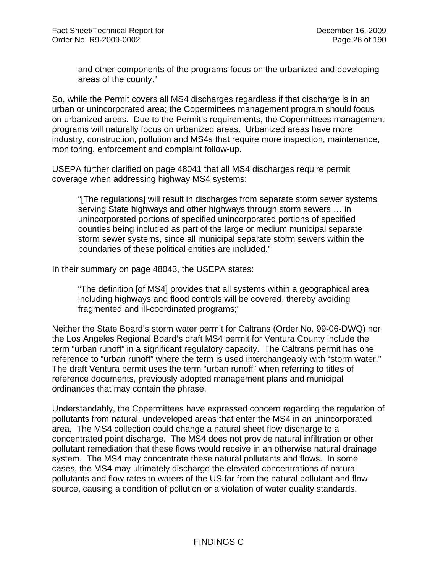and other components of the programs focus on the urbanized and developing areas of the county."

So, while the Permit covers all MS4 discharges regardless if that discharge is in an urban or unincorporated area; the Copermittees management program should focus on urbanized areas. Due to the Permit's requirements, the Copermittees management programs will naturally focus on urbanized areas. Urbanized areas have more industry, construction, pollution and MS4s that require more inspection, maintenance, monitoring, enforcement and complaint follow-up.

USEPA further clarified on page 48041 that all MS4 discharges require permit coverage when addressing highway MS4 systems:

"[The regulations] will result in discharges from separate storm sewer systems serving State highways and other highways through storm sewers … in unincorporated portions of specified unincorporated portions of specified counties being included as part of the large or medium municipal separate storm sewer systems, since all municipal separate storm sewers within the boundaries of these political entities are included."

In their summary on page 48043, the USEPA states:

"The definition [of MS4] provides that all systems within a geographical area including highways and flood controls will be covered, thereby avoiding fragmented and ill-coordinated programs;"

Neither the State Board's storm water permit for Caltrans (Order No. 99-06-DWQ) nor the Los Angeles Regional Board's draft MS4 permit for Ventura County include the term "urban runoff" in a significant regulatory capacity. The Caltrans permit has one reference to "urban runoff" where the term is used interchangeably with "storm water." The draft Ventura permit uses the term "urban runoff" when referring to titles of reference documents, previously adopted management plans and municipal ordinances that may contain the phrase.

Understandably, the Copermittees have expressed concern regarding the regulation of pollutants from natural, undeveloped areas that enter the MS4 in an unincorporated area. The MS4 collection could change a natural sheet flow discharge to a concentrated point discharge. The MS4 does not provide natural infiltration or other pollutant remediation that these flows would receive in an otherwise natural drainage system. The MS4 may concentrate these natural pollutants and flows. In some cases, the MS4 may ultimately discharge the elevated concentrations of natural pollutants and flow rates to waters of the US far from the natural pollutant and flow source, causing a condition of pollution or a violation of water quality standards.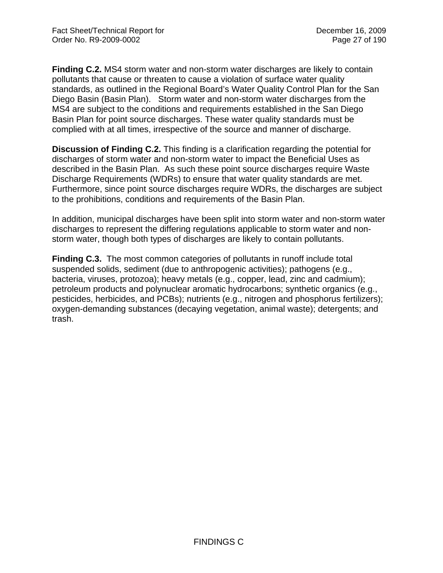**Finding C.2.** MS4 storm water and non-storm water discharges are likely to contain pollutants that cause or threaten to cause a violation of surface water quality standards, as outlined in the Regional Board's Water Quality Control Plan for the San Diego Basin (Basin Plan). Storm water and non-storm water discharges from the MS4 are subject to the conditions and requirements established in the San Diego Basin Plan for point source discharges. These water quality standards must be complied with at all times, irrespective of the source and manner of discharge.

**Discussion of Finding C.2.** This finding is a clarification regarding the potential for discharges of storm water and non-storm water to impact the Beneficial Uses as described in the Basin Plan. As such these point source discharges require Waste Discharge Requirements (WDRs) to ensure that water quality standards are met. Furthermore, since point source discharges require WDRs, the discharges are subject to the prohibitions, conditions and requirements of the Basin Plan.

In addition, municipal discharges have been split into storm water and non-storm water discharges to represent the differing regulations applicable to storm water and nonstorm water, though both types of discharges are likely to contain pollutants.

**Finding C.3.** The most common categories of pollutants in runoff include total suspended solids, sediment (due to anthropogenic activities); pathogens (e.g., bacteria, viruses, protozoa); heavy metals (e.g., copper, lead, zinc and cadmium); petroleum products and polynuclear aromatic hydrocarbons; synthetic organics (e.g., pesticides, herbicides, and PCBs); nutrients (e.g., nitrogen and phosphorus fertilizers); oxygen-demanding substances (decaying vegetation, animal waste); detergents; and trash.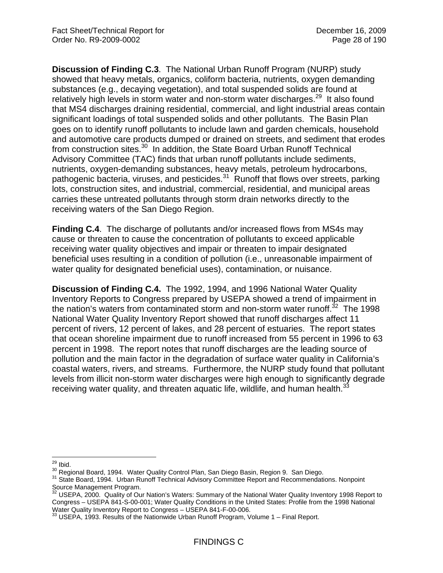**Discussion of Finding C.3**. The National Urban Runoff Program (NURP) study showed that heavy metals, organics, coliform bacteria, nutrients, oxygen demanding substances (e.g., decaying vegetation), and total suspended solids are found at relatively high levels in storm water and non-storm water discharges.<sup>29</sup> It also found that MS4 discharges draining residential, commercial, and light industrial areas contain significant loadings of total suspended solids and other pollutants. The Basin Plan goes on to identify runoff pollutants to include lawn and garden chemicals, household and automotive care products dumped or drained on streets, and sediment that erodes from construction sites.30 In addition, the State Board Urban Runoff Technical Advisory Committee (TAC) finds that urban runoff pollutants include sediments, nutrients, oxygen-demanding substances, heavy metals, petroleum hydrocarbons, pathogenic bacteria, viruses, and pesticides.<sup>31</sup> Runoff that flows over streets, parking lots, construction sites, and industrial, commercial, residential, and municipal areas carries these untreated pollutants through storm drain networks directly to the receiving waters of the San Diego Region.

**Finding C.4**. The discharge of pollutants and/or increased flows from MS4s may cause or threaten to cause the concentration of pollutants to exceed applicable receiving water quality objectives and impair or threaten to impair designated beneficial uses resulting in a condition of pollution (i.e., unreasonable impairment of water quality for designated beneficial uses), contamination, or nuisance.

**Discussion of Finding C.4.** The 1992, 1994, and 1996 National Water Quality Inventory Reports to Congress prepared by USEPA showed a trend of impairment in the nation's waters from contaminated storm and non-storm water runoff.<sup>32</sup> The 1998 National Water Quality Inventory Report showed that runoff discharges affect 11 percent of rivers, 12 percent of lakes, and 28 percent of estuaries. The report states that ocean shoreline impairment due to runoff increased from 55 percent in 1996 to 63 percent in 1998. The report notes that runoff discharges are the leading source of pollution and the main factor in the degradation of surface water quality in California's coastal waters, rivers, and streams. Furthermore, the NURP study found that pollutant levels from illicit non-storm water discharges were high enough to significantly degrade receiving water quality, and threaten aquatic life, wildlife, and human health. $33$ 

 $29$  lbid.

<sup>&</sup>lt;sup>30</sup> Regional Board, 1994. Water Quality Control Plan, San Diego Basin, Region 9. San Diego.<br><sup>31</sup> State Board, 1994. Urban Runoff Technical Advisory Committee Report and Recommendations. Nonpoint Source Management Program.

 $32$  USEPA, 2000. Quality of Our Nation's Waters: Summary of the National Water Quality Inventory 1998 Report to Congress – USEPA 841-S-00-001; Water Quality Conditions in the United States: Profile from the 1998 National Water Quality Inventory Report to Congress – USEPA 841-F-00-006.

 $3$  USEPA, 1993. Results of the Nationwide Urban Runoff Program, Volume 1 – Final Report.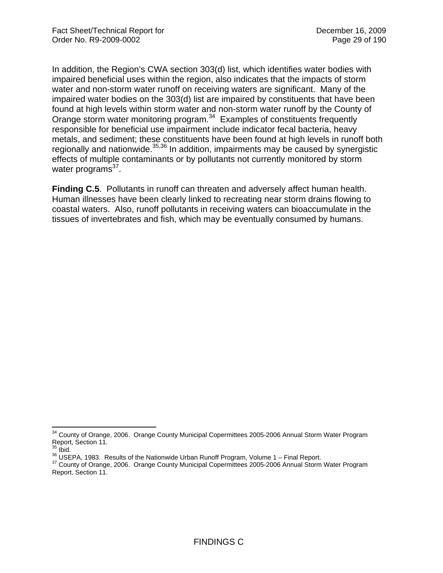In addition, the Region's CWA section 303(d) list, which identifies water bodies with impaired beneficial uses within the region, also indicates that the impacts of storm water and non-storm water runoff on receiving waters are significant. Many of the impaired water bodies on the 303(d) list are impaired by constituents that have been found at high levels within storm water and non-storm water runoff by the County of Orange storm water monitoring program.<sup>34</sup> Examples of constituents frequently responsible for beneficial use impairment include indicator fecal bacteria, heavy metals, and sediment; these constituents have been found at high levels in runoff both regionally and nationwide.<sup>35,36</sup> In addition, impairments may be caused by synergistic effects of multiple contaminants or by pollutants not currently monitored by storm water programs $37$ .

**Finding C.5**. Pollutants in runoff can threaten and adversely affect human health. Human illnesses have been clearly linked to recreating near storm drains flowing to coastal waters. Also, runoff pollutants in receiving waters can bioaccumulate in the tissues of invertebrates and fish, which may be eventually consumed by humans.

 $\overline{a}$ 

<sup>&</sup>lt;sup>34</sup> County of Orange, 2006. Orange County Municipal Copermittees 2005-2006 Annual Storm Water Program Report, Section 11.<br>
<sup>35</sup> Ibid.

<sup>36</sup> USEPA, 1983. Results of the Nationwide Urban Runoff Program, Volume 1 – Final Report.<br><sup>37</sup> County of Orange, 2006. Orange County Municipal Copermittees 2005-2006 Annual Storm Water Program Report, Section 11.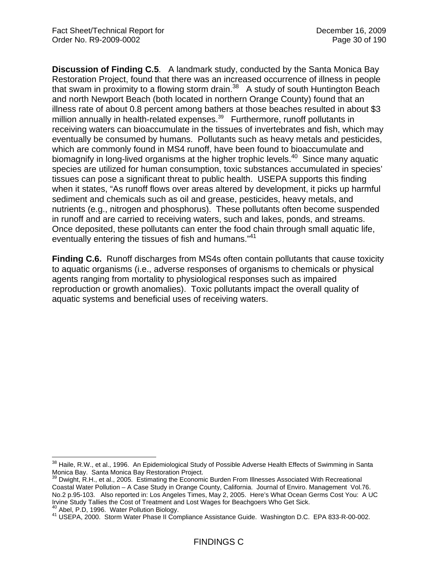**Discussion of Finding C.5**. A landmark study, conducted by the Santa Monica Bay Restoration Project, found that there was an increased occurrence of illness in people that swam in proximity to a flowing storm drain.<sup>38</sup> A study of south Huntington Beach and north Newport Beach (both located in northern Orange County) found that an illness rate of about 0.8 percent among bathers at those beaches resulted in about \$3 million annually in health-related expenses.<sup>39</sup> Furthermore, runoff pollutants in receiving waters can bioaccumulate in the tissues of invertebrates and fish, which may eventually be consumed by humans. Pollutants such as heavy metals and pesticides, which are commonly found in MS4 runoff, have been found to bioaccumulate and biomagnify in long-lived organisms at the higher trophic levels.<sup>40</sup> Since many aquatic species are utilized for human consumption, toxic substances accumulated in species' tissues can pose a significant threat to public health. USEPA supports this finding when it states, "As runoff flows over areas altered by development, it picks up harmful sediment and chemicals such as oil and grease, pesticides, heavy metals, and nutrients (e.g., nitrogen and phosphorus). These pollutants often become suspended in runoff and are carried to receiving waters, such and lakes, ponds, and streams. Once deposited, these pollutants can enter the food chain through small aquatic life, eventually entering the tissues of fish and humans.<sup>"41</sup>

**Finding C.6.** Runoff discharges from MS4s often contain pollutants that cause toxicity to aquatic organisms (i.e., adverse responses of organisms to chemicals or physical agents ranging from mortality to physiological responses such as impaired reproduction or growth anomalies). Toxic pollutants impact the overall quality of aquatic systems and beneficial uses of receiving waters.

 $\overline{a}$ 

 $38$  Haile, R.W., et al., 1996. An Epidemiological Study of Possible Adverse Health Effects of Swimming in Santa Monica Bay. Santa Monica Bay Restoration Project.

Dwight, R.H., et al., 2005. Estimating the Economic Burden From Illnesses Associated With Recreational Coastal Water Pollution – A Case Study in Orange County, California. Journal of Enviro. Management Vol.76. No.2 p.95-103. Also reported in: Los Angeles Times, May 2, 2005. Here's What Ocean Germs Cost You: A UC Irvine Study Tallies the Cost of Treatment and Lost Wages for Beachgoers Who Get Sick.

<sup>40</sup> Abel, P.D, 1996. Water Pollution Biology.<br><sup>41</sup> USEPA, 2000. Storm Water Phase II Compliance Assistance Guide. Washington D.C. EPA 833-R-00-002.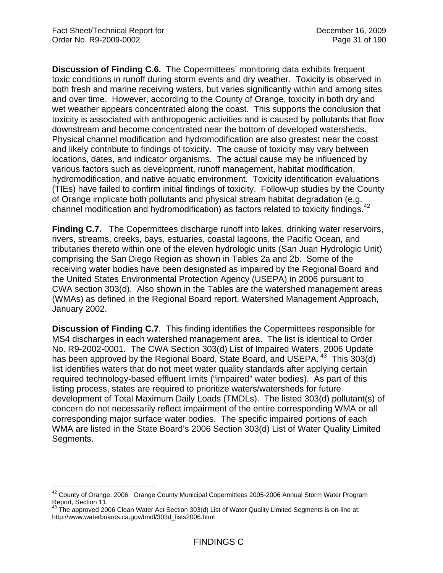**Discussion of Finding C.6.** The Copermittees' monitoring data exhibits frequent toxic conditions in runoff during storm events and dry weather. Toxicity is observed in both fresh and marine receiving waters, but varies significantly within and among sites and over time. However, according to the County of Orange, toxicity in both dry and wet weather appears concentrated along the coast. This supports the conclusion that toxicity is associated with anthropogenic activities and is caused by pollutants that flow downstream and become concentrated near the bottom of developed watersheds. Physical channel modification and hydromodification are also greatest near the coast and likely contribute to findings of toxicity. The cause of toxicity may vary between locations, dates, and indicator organisms. The actual cause may be influenced by various factors such as development, runoff management, habitat modification, hydromodification, and native aquatic environment. Toxicity identification evaluations (TIEs) have failed to confirm initial findings of toxicity. Follow-up studies by the County of Orange implicate both pollutants and physical stream habitat degradation (e.g. channel modification and hydromodification) as factors related to toxicity findings.<sup>42</sup>

**Finding C.7.** The Copermittees discharge runoff into lakes, drinking water reservoirs, rivers, streams, creeks, bays, estuaries, coastal lagoons, the Pacific Ocean, and tributaries thereto within one of the eleven hydrologic units (San Juan Hydrologic Unit) comprising the San Diego Region as shown in Tables 2a and 2b. Some of the receiving water bodies have been designated as impaired by the Regional Board and the United States Environmental Protection Agency (USEPA) in 2006 pursuant to CWA section 303(d). Also shown in the Tables are the watershed management areas (WMAs) as defined in the Regional Board report, Watershed Management Approach, January 2002.

**Discussion of Finding C.7**. This finding identifies the Copermittees responsible for MS4 discharges in each watershed management area. The list is identical to Order No. R9-2002-0001. The CWA Section 303(d) List of Impaired Waters, 2006 Update has been approved by the Regional Board, State Board, and USEPA, <sup>43</sup> This 303(d) list identifies waters that do not meet water quality standards after applying certain required technology-based effluent limits ("impaired" water bodies). As part of this listing process, states are required to prioritize waters/watersheds for future development of Total Maximum Daily Loads (TMDLs). The listed 303(d) pollutant(s) of concern do not necessarily reflect impairment of the entire corresponding WMA or all corresponding major surface water bodies. The specific impaired portions of each WMA are listed in the State Board's 2006 Section 303(d) List of Water Quality Limited Segments.

 $\overline{a}$  $42$  County of Orange, 2006. Orange County Municipal Copermittees 2005-2006 Annual Storm Water Program Report, Section 11.

 $^{43}$  The approved 2006 Clean Water Act Section 303(d) List of Water Quality Limited Segments is on-line at: http://www.waterboards.ca.gov/tmdl/303d\_lists2006.html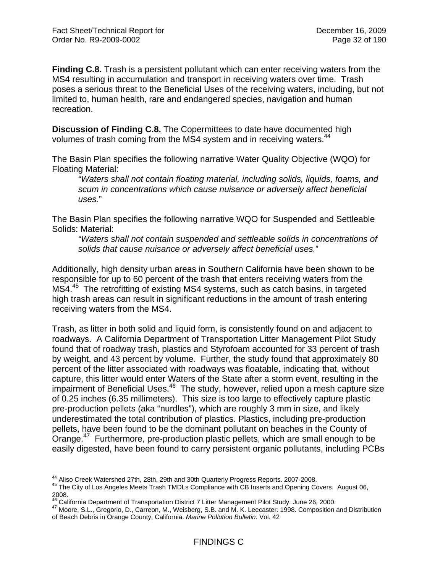**Finding C.8.** Trash is a persistent pollutant which can enter receiving waters from the MS4 resulting in accumulation and transport in receiving waters over time. Trash poses a serious threat to the Beneficial Uses of the receiving waters, including, but not limited to, human health, rare and endangered species, navigation and human recreation.

**Discussion of Finding C.8.** The Copermittees to date have documented high volumes of trash coming from the MS4 system and in receiving waters.<sup>44</sup>

The Basin Plan specifies the following narrative Water Quality Objective (WQO) for Floating Material:

*"Waters shall not contain floating material, including solids, liquids, foams, and scum in concentrations which cause nuisance or adversely affect beneficial uses.*"

The Basin Plan specifies the following narrative WQO for Suspended and Settleable Solids: Material:

*"Waters shall not contain suspended and settleable solids in concentrations of solids that cause nuisance or adversely affect beneficial uses.*"

Additionally, high density urban areas in Southern California have been shown to be responsible for up to 60 percent of the trash that enters receiving waters from the MS4.<sup>45</sup> The retrofitting of existing MS4 systems, such as catch basins, in targeted high trash areas can result in significant reductions in the amount of trash entering receiving waters from the MS4.

Trash, as litter in both solid and liquid form, is consistently found on and adjacent to roadways. A California Department of Transportation Litter Management Pilot Study found that of roadway trash, plastics and Styrofoam accounted for 33 percent of trash by weight, and 43 percent by volume. Further, the study found that approximately 80 percent of the litter associated with roadways was floatable, indicating that, without capture, this litter would enter Waters of the State after a storm event, resulting in the impairment of Beneficial Uses.<sup>46</sup> The study, however, relied upon a mesh capture size of 0.25 inches (6.35 millimeters). This size is too large to effectively capture plastic pre-production pellets (aka "nurdles"), which are roughly 3 mm in size, and likely underestimated the total contribution of plastics. Plastics, including pre-production pellets, have been found to be the dominant pollutant on beaches in the County of Orange.<sup>47</sup> Furthermore, pre-production plastic pellets, which are small enough to be easily digested, have been found to carry persistent organic pollutants, including PCBs

<sup>&</sup>lt;sup>44</sup> Aliso Creek Watershed 27th. 28th, 29th and 30th Quarterly Progress Reports. 2007-2008.

<sup>&</sup>lt;sup>45</sup> The City of Los Angeles Meets Trash TMDLs Compliance with CB Inserts and Opening Covers. August 06, 2008.

<sup>&</sup>lt;sup>46</sup> California Department of Transportation District 7 Litter Management Pilot Study. June 26, 2000.<br><sup>47</sup> Moore, S.L., Gregorio, D., Carreon, M., Weisberg, S.B. and M. K. Leecaster. 1998. Composition and Distribution ar Summan, S.L., Gregorio, D., Carreon, M., Weisberg, S.B. and M. K. Leecaster. 1998. Composition and Distribution<br>of Beach Debris in Orange County, California. *Marine Pollution Bulletin*. Vol. 42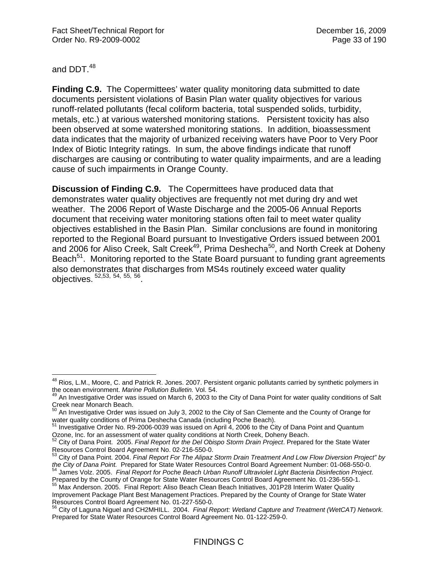and DDT.<sup>48</sup>

**Finding C.9.** The Copermittees' water quality monitoring data submitted to date documents persistent violations of Basin Plan water quality objectives for various runoff-related pollutants (fecal coliform bacteria, total suspended solids, turbidity, metals, etc.) at various watershed monitoring stations. Persistent toxicity has also been observed at some watershed monitoring stations. In addition, bioassessment data indicates that the majority of urbanized receiving waters have Poor to Very Poor Index of Biotic Integrity ratings. In sum, the above findings indicate that runoff discharges are causing or contributing to water quality impairments, and are a leading cause of such impairments in Orange County.

**Discussion of Finding C.9.** The Copermittees have produced data that demonstrates water quality objectives are frequently not met during dry and wet weather. The 2006 Report of Waste Discharge and the 2005-06 Annual Reports document that receiving water monitoring stations often fail to meet water quality objectives established in the Basin Plan. Similar conclusions are found in monitoring reported to the Regional Board pursuant to Investigative Orders issued between 2001 and 2006 for Aliso Creek, Salt Creek<sup>49</sup>, Prima Deshecha<sup>50</sup>, and North Creek at Doheny Beach<sup>51</sup>. Monitoring reported to the State Board pursuant to funding grant agreements also demonstrates that discharges from MS4s routinely exceed water quality objectives. 52,53, 54, 55, 56.

 $\overline{a}$ <sup>48</sup> Rios, L.M., Moore, C. and Patrick R. Jones. 2007. Persistent organic pollutants carried by synthetic polymers in the ocean environment. *Marine Pollution Bulletin.* Vol. 54.<br><sup>49</sup> An Investigative Order was issued on March 6, 2003 to the City of Dana Point for water quality conditions of Salt

Creek near Monarch Beach.

 $50$  An Investigative Order was issued on July 3, 2002 to the City of San Clemente and the County of Orange for water quality conditions of Prima Deshecha Canada (including Poche Beach).<br>51 Investigative Order No. R9-2006-0039 was issued on April 4, 2006 to the City of Dana Point and Quantum

Ozone, Inc. for an assessment of water quality conditions at North Creek, Doheny Beach.<br><sup>52</sup> City of Dana Point. 2005. *Final Report for the Del Obispo Storm Drain Project*. Prepared for the State Water

Resources Control Board Agreement No. 02-216-550-0.

<sup>53</sup> City of Dana Point. 2004. *Final Report For The Alipaz Storm Drain Treatment And Low Flow Diversion Project" by* 

the City of Dana Point. Prepared for State Water Resources Control Board Agreement Number: 01-068-550-0.<br><sup>54</sup> James Volz. 2005. Final Report for Poche Beach Urban Runoff Ultraviolet Light Bacteria Disinfection Project.<br>Pre

Freparce By the County of Orange for State Water Clean Beach Initiatives, J01P28 Interim Water Quality Improvement Package Plant Best Management Practices. Prepared by the County of Orange for State Water Resources Control Board Agreement No. 01-227-550-0.

<sup>56</sup> City of Laguna Niguel and CH2MHILL. 2004. *Final Report: Wetland Capture and Treatment (WetCAT) Network.* Prepared for State Water Resources Control Board Agreement No. 01-122-259-0.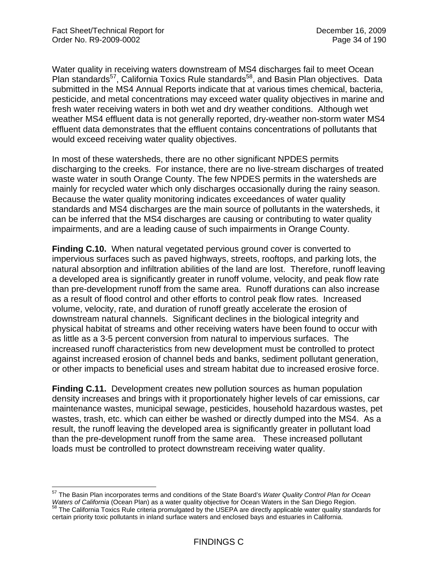$\overline{a}$ 

Water quality in receiving waters downstream of MS4 discharges fail to meet Ocean Plan standards<sup>57</sup>, California Toxics Rule standards<sup>58</sup>, and Basin Plan objectives. Data submitted in the MS4 Annual Reports indicate that at various times chemical, bacteria, pesticide, and metal concentrations may exceed water quality objectives in marine and fresh water receiving waters in both wet and dry weather conditions. Although wet weather MS4 effluent data is not generally reported, dry-weather non-storm water MS4 effluent data demonstrates that the effluent contains concentrations of pollutants that would exceed receiving water quality objectives.

In most of these watersheds, there are no other significant NPDES permits discharging to the creeks. For instance, there are no live-stream discharges of treated waste water in south Orange County. The few NPDES permits in the watersheds are mainly for recycled water which only discharges occasionally during the rainy season. Because the water quality monitoring indicates exceedances of water quality standards and MS4 discharges are the main source of pollutants in the watersheds, it can be inferred that the MS4 discharges are causing or contributing to water quality impairments, and are a leading cause of such impairments in Orange County.

**Finding C.10.** When natural vegetated pervious ground cover is converted to impervious surfaces such as paved highways, streets, rooftops, and parking lots, the natural absorption and infiltration abilities of the land are lost. Therefore, runoff leaving a developed area is significantly greater in runoff volume, velocity, and peak flow rate than pre-development runoff from the same area. Runoff durations can also increase as a result of flood control and other efforts to control peak flow rates. Increased volume, velocity, rate, and duration of runoff greatly accelerate the erosion of downstream natural channels. Significant declines in the biological integrity and physical habitat of streams and other receiving waters have been found to occur with as little as a 3-5 percent conversion from natural to impervious surfaces. The increased runoff characteristics from new development must be controlled to protect against increased erosion of channel beds and banks, sediment pollutant generation, or other impacts to beneficial uses and stream habitat due to increased erosive force.

**Finding C.11.** Development creates new pollution sources as human population density increases and brings with it proportionately higher levels of car emissions, car maintenance wastes, municipal sewage, pesticides, household hazardous wastes, pet wastes, trash, etc. which can either be washed or directly dumped into the MS4. As a result, the runoff leaving the developed area is significantly greater in pollutant load than the pre-development runoff from the same area. These increased pollutant loads must be controlled to protect downstream receiving water quality.

<sup>57</sup> The Basin Plan incorporates terms and conditions of the State Board's *Water Quality Control Plan for Ocean*  Waters of California (Ocean Plan) as a water quality objective for Ocean Waters in the San Diego Region.<br><sup>58</sup> The California Toxics Rule criteria promulgated by the USEPA are directly applicable water quality standards for certain priority toxic pollutants in inland surface waters and enclosed bays and estuaries in California.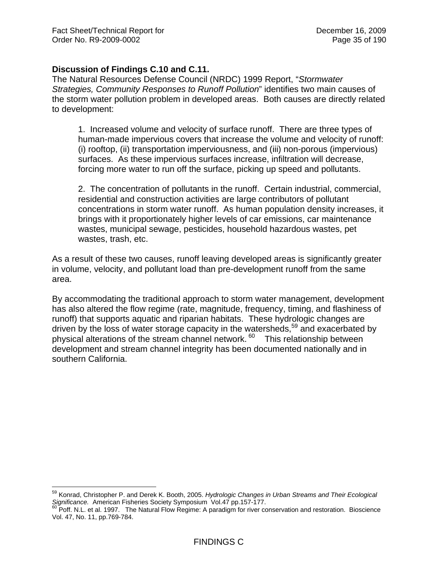$\overline{a}$ 

## **Discussion of Findings C.10 and C.11.**

The Natural Resources Defense Council (NRDC) 1999 Report, "*Stormwater Strategies, Community Responses to Runoff Pollution*" identifies two main causes of the storm water pollution problem in developed areas. Both causes are directly related to development:

1. Increased volume and velocity of surface runoff. There are three types of human-made impervious covers that increase the volume and velocity of runoff: (i) rooftop, (ii) transportation imperviousness, and (iii) non-porous (impervious) surfaces. As these impervious surfaces increase, infiltration will decrease, forcing more water to run off the surface, picking up speed and pollutants.

2. The concentration of pollutants in the runoff. Certain industrial, commercial, residential and construction activities are large contributors of pollutant concentrations in storm water runoff. As human population density increases, it brings with it proportionately higher levels of car emissions, car maintenance wastes, municipal sewage, pesticides, household hazardous wastes, pet wastes, trash, etc.

As a result of these two causes, runoff leaving developed areas is significantly greater in volume, velocity, and pollutant load than pre-development runoff from the same area.

By accommodating the traditional approach to storm water management, development has also altered the flow regime (rate, magnitude, frequency, timing, and flashiness of runoff) that supports aquatic and riparian habitats. These hydrologic changes are driven by the loss of water storage capacity in the watersheds,<sup>59</sup> and exacerbated by physical alterations of the stream channel network. 60 This relationship between development and stream channel integrity has been documented nationally and in southern California.

<sup>59</sup> Konrad, Christopher P. and Derek K. Booth, 2005. *Hydrologic Changes in Urban Streams and Their Ecological*  Significance. American Fisheries Society Symposium Vol.47 pp.157-177.<br><sup>60</sup> Poff. N.L. et al. 1997. The Natural Flow Regime: A paradigm for river conservation and restoration. Bioscience

Vol. 47, No. 11, pp.769-784.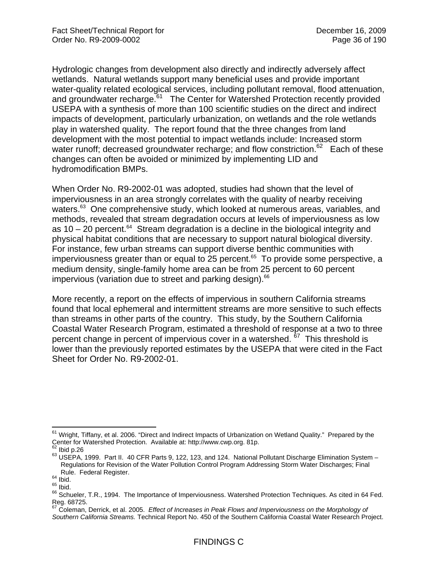Hydrologic changes from development also directly and indirectly adversely affect wetlands. Natural wetlands support many beneficial uses and provide important water-quality related ecological services, including pollutant removal, flood attenuation, and groundwater recharge.<sup>61</sup> The Center for Watershed Protection recently provided USEPA with a synthesis of more than 100 scientific studies on the direct and indirect impacts of development, particularly urbanization, on wetlands and the role wetlands play in watershed quality. The report found that the three changes from land development with the most potential to impact wetlands include: Increased storm water runoff; decreased groundwater recharge; and flow constriction.<sup>62</sup> Each of these changes can often be avoided or minimized by implementing LID and hydromodification BMPs.

When Order No. R9-2002-01 was adopted, studies had shown that the level of imperviousness in an area strongly correlates with the quality of nearby receiving waters.<sup>63</sup> One comprehensive study, which looked at numerous areas, variables, and methods, revealed that stream degradation occurs at levels of imperviousness as low as  $10 - 20$  percent.<sup>64</sup> Stream degradation is a decline in the biological integrity and physical habitat conditions that are necessary to support natural biological diversity. For instance, few urban streams can support diverse benthic communities with imperviousness greater than or equal to  $25$  percent.<sup>65</sup> To provide some perspective, a medium density, single-family home area can be from 25 percent to 60 percent impervious (variation due to street and parking design).<sup>66</sup>

More recently, a report on the effects of impervious in southern California streams found that local ephemeral and intermittent streams are more sensitive to such effects than streams in other parts of the country. This study, by the Southern California Coastal Water Research Program, estimated a threshold of response at a two to three percent change in percent of impervious cover in a watershed. <sup>67</sup> This threshold is lower than the previously reported estimates by the USEPA that were cited in the Fact Sheet for Order No. R9-2002-01.

1

<sup>&</sup>lt;sup>61</sup> Wright, Tiffany, et al. 2006. "Direct and Indirect Impacts of Urbanization on Wetland Quality." Prepared by the Center for Watershed Protection. Available at: http://www.cwp.org. 81p.<br>
<sup>62</sup> Ibid p.26

 $63$  USEPA, 1999. Part II. 40 CFR Parts 9, 122, 123, and 124. National Pollutant Discharge Elimination System – Regulations for Revision of the Water Pollution Control Program Addressing Storm Water Discharges; Final

Rule. Federal Register.<br><sup>64</sup> Ibid.<br><sup>65</sup> Ibid. <sup>65</sup> Ibid. 65 Ibid. 66 Ibid. 66 Ibid. 66 Inperviousness. Watershed Protection Techniques. As cited in 64 Fed. Reg. 68725.

<sup>67</sup> Coleman, Derrick, et al. 2005. *Effect of Increases in Peak Flows and Imperviousness on the Morphology of Southern California Streams.* Technical Report No. 450 of the Southern California Coastal Water Research Project.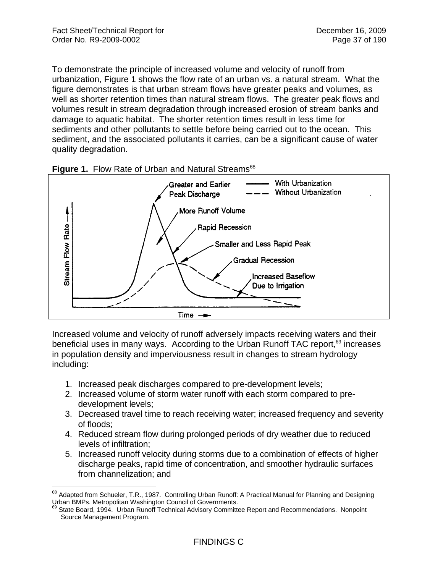To demonstrate the principle of increased volume and velocity of runoff from urbanization, Figure 1 shows the flow rate of an urban vs. a natural stream. What the figure demonstrates is that urban stream flows have greater peaks and volumes, as well as shorter retention times than natural stream flows. The greater peak flows and volumes result in stream degradation through increased erosion of stream banks and damage to aquatic habitat. The shorter retention times result in less time for sediments and other pollutants to settle before being carried out to the ocean. This sediment, and the associated pollutants it carries, can be a significant cause of water quality degradation.



**Figure 1. Flow Rate of Urban and Natural Streams<sup>68</sup>** 

Increased volume and velocity of runoff adversely impacts receiving waters and their beneficial uses in many ways. According to the Urban Runoff TAC report,<sup>69</sup> increases in population density and imperviousness result in changes to stream hydrology including:

- 1. Increased peak discharges compared to pre-development levels;
- 2. Increased volume of storm water runoff with each storm compared to predevelopment levels;
- 3. Decreased travel time to reach receiving water; increased frequency and severity of floods;
- 4. Reduced stream flow during prolonged periods of dry weather due to reduced levels of infiltration;
- 5. Increased runoff velocity during storms due to a combination of effects of higher discharge peaks, rapid time of concentration, and smoother hydraulic surfaces from channelization; and

 $\overline{a}$  $^{68}$  Adapted from Schueler, T.R., 1987. Controlling Urban Runoff: A Practical Manual for Planning and Designing Urban BMPs. Metropolitan Washington Council of Governments.<br><sup>69</sup> State Board, 1994. Urban Runoff Technical Advisory Committee Report and Recommendations. Nonpoint

Source Management Program.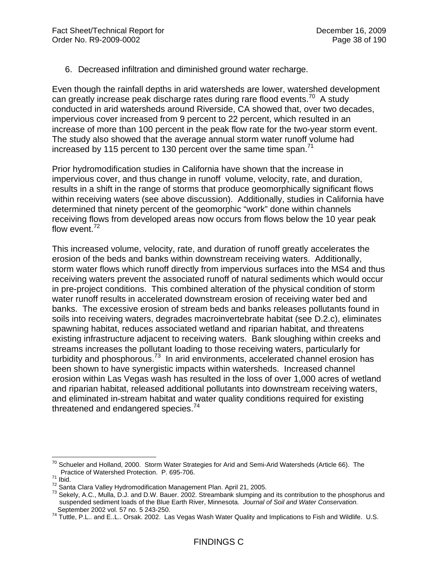6. Decreased infiltration and diminished ground water recharge.

Even though the rainfall depths in arid watersheds are lower, watershed development can greatly increase peak discharge rates during rare flood events.<sup>70</sup> A study conducted in arid watersheds around Riverside, CA showed that, over two decades, impervious cover increased from 9 percent to 22 percent, which resulted in an increase of more than 100 percent in the peak flow rate for the two-year storm event. The study also showed that the average annual storm water runoff volume had increased by 115 percent to 130 percent over the same time span.<sup>71</sup>

Prior hydromodification studies in California have shown that the increase in impervious cover, and thus change in runoff volume, velocity, rate, and duration, results in a shift in the range of storms that produce geomorphically significant flows within receiving waters (see above discussion). Additionally, studies in California have determined that ninety percent of the geomorphic "work" done within channels receiving flows from developed areas now occurs from flows below the 10 year peak flow event.<sup>72</sup>

This increased volume, velocity, rate, and duration of runoff greatly accelerates the erosion of the beds and banks within downstream receiving waters. Additionally, storm water flows which runoff directly from impervious surfaces into the MS4 and thus receiving waters prevent the associated runoff of natural sediments which would occur in pre-project conditions. This combined alteration of the physical condition of storm water runoff results in accelerated downstream erosion of receiving water bed and banks. The excessive erosion of stream beds and banks releases pollutants found in soils into receiving waters, degrades macroinvertebrate habitat (see D.2.c), eliminates spawning habitat, reduces associated wetland and riparian habitat, and threatens existing infrastructure adjacent to receiving waters. Bank sloughing within creeks and streams increases the pollutant loading to those receiving waters, particularly for turbidity and phosphorous. $73$  In arid environments, accelerated channel erosion has been shown to have synergistic impacts within watersheds. Increased channel erosion within Las Vegas wash has resulted in the loss of over 1,000 acres of wetland and riparian habitat, released additional pollutants into downstream receiving waters, and eliminated in-stream habitat and water quality conditions required for existing threatened and endangered species.<sup>74</sup>

 $\overline{a}$  $^{70}$  Schueler and Holland, 2000. Storm Water Strategies for Arid and Semi-Arid Watersheds (Article 66). The

Practice of Watershed Protection. P. 695-706.<br><sup>71</sup> Ibid.<br><sup>72</sup> Santa Clara Valley Hydromodification Management Plan. April 21, 2005.<br><sup>73</sup> Sekely. A.C., Mulla, D.J. and D.W. Bauer. 2002. Streambank slumping and its contribut suspended sediment loads of the Blue Earth River, Minnesota. *Journal of Soil and Water Conservation.* 

September 2002 vol. 57 no. 5 243-250. 74 Tuttle, P.L.. and E..L.. Orsak. 2002. Las Vegas Wash Water Quality and Implications to Fish and Wildlife. U.S.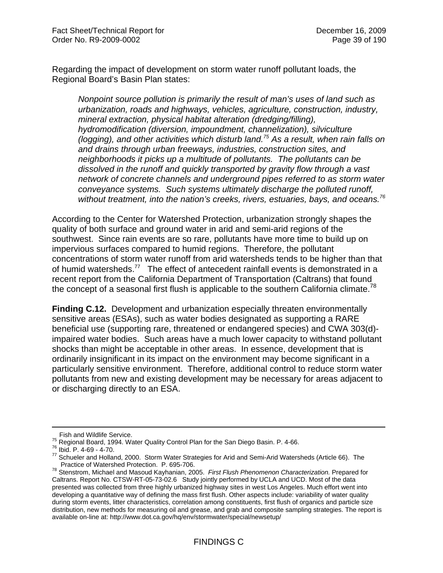Regarding the impact of development on storm water runoff pollutant loads, the Regional Board's Basin Plan states:

*Nonpoint source pollution is primarily the result of man's uses of land such as urbanization, roads and highways, vehicles, agriculture, construction, industry, mineral extraction, physical habitat alteration (dredging/filling), hydromodification (diversion, impoundment, channelization), silviculture (logging), and other activities which disturb land.75 As a result, when rain falls on and drains through urban freeways, industries, construction sites, and neighborhoods it picks up a multitude of pollutants. The pollutants can be dissolved in the runoff and quickly transported by gravity flow through a vast network of concrete channels and underground pipes referred to as storm water conveyance systems. Such systems ultimately discharge the polluted runoff, without treatment, into the nation's creeks, rivers, estuaries, bays, and oceans.76* 

According to the Center for Watershed Protection, urbanization strongly shapes the quality of both surface and ground water in arid and semi-arid regions of the southwest. Since rain events are so rare, pollutants have more time to build up on impervious surfaces compared to humid regions. Therefore, the pollutant concentrations of storm water runoff from arid watersheds tends to be higher than that of humid watersheds.<sup>77</sup> The effect of antecedent rainfall events is demonstrated in a recent report from the California Department of Transportation (Caltrans) that found the concept of a seasonal first flush is applicable to the southern California climate.<sup>78</sup>

**Finding C.12.** Development and urbanization especially threaten environmentally sensitive areas (ESAs), such as water bodies designated as supporting a RARE beneficial use (supporting rare, threatened or endangered species) and CWA 303(d) impaired water bodies. Such areas have a much lower capacity to withstand pollutant shocks than might be acceptable in other areas. In essence, development that is ordinarily insignificant in its impact on the environment may become significant in a particularly sensitive environment. Therefore, additional control to reduce storm water pollutants from new and existing development may be necessary for areas adjacent to or discharging directly to an ESA.

Fish and Wildlife Service.<br><sup>75</sup> Regional Board, 1994. Water Quality Control Plan for the San Diego Basin. P. 4-66.

 $\frac{76}{16}$  Regional Board, 1994. Water Accomputer Control Plan for the San Diego Basin. P. 695-706.<br>
The Schueler and Holland, 2000. Storm Water Strategies for Arid and Semi-Arid Watersheds (Article 66). The Practice of

Practice of Watershed Protection. P. 695-706. 78 Stenstrom, Michael and Masoud Kayhanian, 2005. *First Flush Phenomenon Characterization.* Prepared for Caltrans. Report No. CTSW-RT-05-73-02.6 Study jointly performed by UCLA and UCD. Most of the data presented was collected from three highly urbanized highway sites in west Los Angeles. Much effort went into developing a quantitative way of defining the mass first flush. Other aspects include: variability of water quality during storm events, litter characteristics, correlation among constituents, first flush of organics and particle size distribution, new methods for measuring oil and grease, and grab and composite sampling strategies. The report is available on-line at: http://www.dot.ca.gov/hq/env/stormwater/special/newsetup/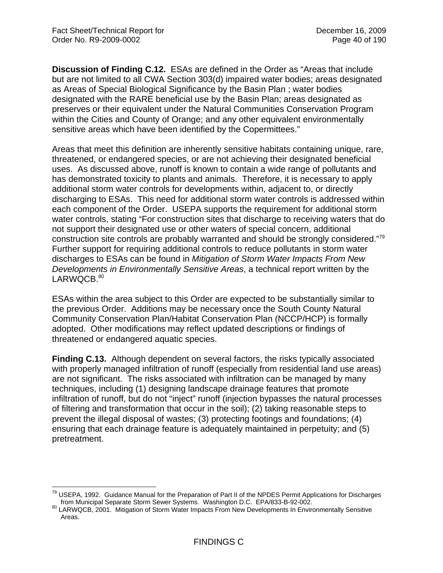**Discussion of Finding C.12.** ESAs are defined in the Order as "Areas that include but are not limited to all CWA Section 303(d) impaired water bodies; areas designated as Areas of Special Biological Significance by the Basin Plan ; water bodies designated with the RARE beneficial use by the Basin Plan; areas designated as preserves or their equivalent under the Natural Communities Conservation Program within the Cities and County of Orange; and any other equivalent environmentally sensitive areas which have been identified by the Copermittees."

Areas that meet this definition are inherently sensitive habitats containing unique, rare, threatened, or endangered species, or are not achieving their designated beneficial uses. As discussed above, runoff is known to contain a wide range of pollutants and has demonstrated toxicity to plants and animals. Therefore, it is necessary to apply additional storm water controls for developments within, adjacent to, or directly discharging to ESAs. This need for additional storm water controls is addressed within each component of the Order. USEPA supports the requirement for additional storm water controls, stating "For construction sites that discharge to receiving waters that do not support their designated use or other waters of special concern, additional construction site controls are probably warranted and should be strongly considered."79 Further support for requiring additional controls to reduce pollutants in storm water discharges to ESAs can be found in *Mitigation of Storm Water Impacts From New Developments in Environmentally Sensitive Areas*, a technical report written by the LARWQCB.<sup>80</sup>

ESAs within the area subject to this Order are expected to be substantially similar to the previous Order. Additions may be necessary once the South County Natural Community Conservation Plan/Habitat Conservation Plan (NCCP/HCP) is formally adopted. Other modifications may reflect updated descriptions or findings of threatened or endangered aquatic species.

**Finding C.13.** Although dependent on several factors, the risks typically associated with properly managed infiltration of runoff (especially from residential land use areas) are not significant. The risks associated with infiltration can be managed by many techniques, including (1) designing landscape drainage features that promote infiltration of runoff, but do not "inject" runoff (injection bypasses the natural processes of filtering and transformation that occur in the soil); (2) taking reasonable steps to prevent the illegal disposal of wastes; (3) protecting footings and foundations; (4) ensuring that each drainage feature is adequately maintained in perpetuity; and (5) pretreatment.

<sup>1</sup> <sup>79</sup> USEPA, 1992. Guidance Manual for the Preparation of Part II of the NPDES Permit Applications for Discharges

from Municipal Separate Storm Sewer Systems. Washington D.C. EPA/833-B-92-002.<br><sup>80</sup> LARWQCB, 2001. Mitigation of Storm Water Impacts From New Developments In Environmentally Sensitive Areas.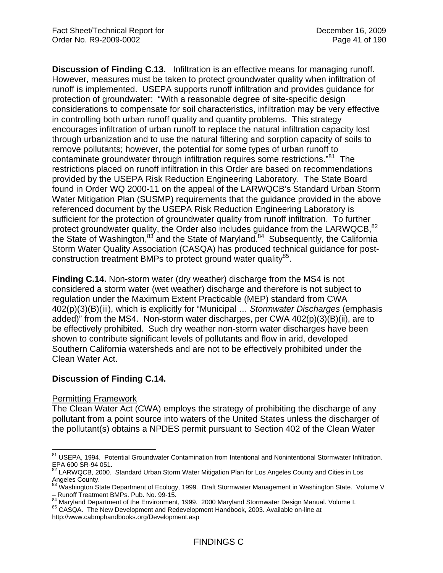**Discussion of Finding C.13.** Infiltration is an effective means for managing runoff. However, measures must be taken to protect groundwater quality when infiltration of runoff is implemented.USEPA supports runoff infiltration and provides guidance for protection of groundwater: "With a reasonable degree of site-specific design considerations to compensate for soil characteristics, infiltration may be very effective in controlling both urban runoff quality and quantity problems. This strategy encourages infiltration of urban runoff to replace the natural infiltration capacity lost through urbanization and to use the natural filtering and sorption capacity of soils to remove pollutants; however, the potential for some types of urban runoff to contaminate groundwater through infiltration requires some restrictions."<sup>81</sup> The restrictions placed on runoff infiltration in this Order are based on recommendations provided by the USEPA Risk Reduction Engineering Laboratory. The State Board found in Order WQ 2000-11 on the appeal of the LARWQCB's Standard Urban Storm Water Mitigation Plan (SUSMP) requirements that the guidance provided in the above referenced document by the USEPA Risk Reduction Engineering Laboratory is sufficient for the protection of groundwater quality from runoff infiltration. To further protect groundwater quality, the Order also includes guidance from the LARWQCB, 82 the State of Washington, $83$  and the State of Maryland. $84$  Subsequently, the California Storm Water Quality Association (CASQA) has produced technical guidance for postconstruction treatment BMPs to protect ground water quality $^{85}$ .

**Finding C.14.** Non-storm water (dry weather) discharge from the MS4 is not considered a storm water (wet weather) discharge and therefore is not subject to regulation under the Maximum Extent Practicable (MEP) standard from CWA 402(p)(3)(B)(iii), which is explicitly for "Municipal … *Stormwater Discharges* (emphasis added)" from the MS4. Non-storm water discharges, per CWA 402(p)(3)(B)(ii), are to be effectively prohibited. Such dry weather non-storm water discharges have been shown to contribute significant levels of pollutants and flow in arid, developed Southern California watersheds and are not to be effectively prohibited under the Clean Water Act.

# **Discussion of Finding C.14.**

#### Permitting Framework

The Clean Water Act (CWA) employs the strategy of prohibiting the discharge of any pollutant from a point source into waters of the United States unless the discharger of the pollutant(s) obtains a NPDES permit pursuant to Section 402 of the Clean Water

 $\overline{a}$ 81 USEPA, 1994. Potential Groundwater Contamination from Intentional and Nonintentional Stormwater Infiltration. EPA 600 SR-94 051.

 $82$  LARWQCB, 2000. Standard Urban Storm Water Mitigation Plan for Los Angeles County and Cities in Los Angeles County.

<sup>83</sup> Washington State Department of Ecology, 1999. Draft Stormwater Management in Washington State. Volume V – Runoff Treatment BMPs. Pub. No. 99-15.

<sup>84</sup> Maryland Department of the Environment, 1999. 2000 Maryland Stormwater Design Manual. Volume I.<br>85 CASQA. The New Development and Redevelopment Handbook, 2003. Available on-line at

http://www.cabmphandbooks.org/Development.asp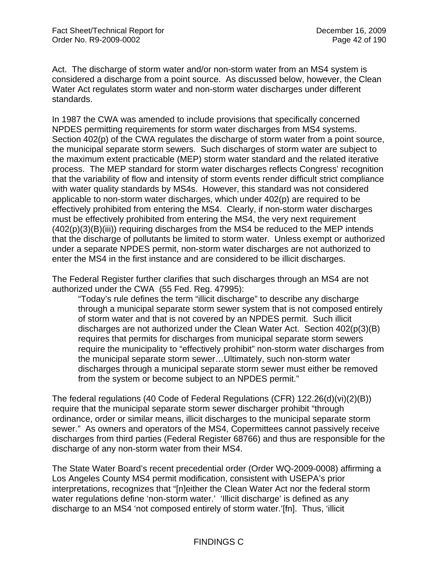Act. The discharge of storm water and/or non-storm water from an MS4 system is considered a discharge from a point source. As discussed below, however, the Clean Water Act regulates storm water and non-storm water discharges under different standards.

In 1987 the CWA was amended to include provisions that specifically concerned NPDES permitting requirements for storm water discharges from MS4 systems. Section 402(p) of the CWA regulates the discharge of storm water from a point source, the municipal separate storm sewers. Such discharges of storm water are subject to the maximum extent practicable (MEP) storm water standard and the related iterative process. The MEP standard for storm water discharges reflects Congress' recognition that the variability of flow and intensity of storm events render difficult strict compliance with water quality standards by MS4s. However, this standard was not considered applicable to non-storm water discharges, which under 402(p) are required to be effectively prohibited from entering the MS4. Clearly, if non-storm water discharges must be effectively prohibited from entering the MS4, the very next requirement (402(p)(3)(B)(iii)) requiring discharges from the MS4 be reduced to the MEP intends that the discharge of pollutants be limited to storm water. Unless exempt or authorized under a separate NPDES permit, non-storm water discharges are not authorized to enter the MS4 in the first instance and are considered to be illicit discharges.

The Federal Register further clarifies that such discharges through an MS4 are not authorized under the CWA (55 Fed. Reg. 47995):

"Today's rule defines the term "illicit discharge" to describe any discharge through a municipal separate storm sewer system that is not composed entirely of storm water and that is not covered by an NPDES permit. Such illicit discharges are not authorized under the Clean Water Act. Section 402(p(3)(B) requires that permits for discharges from municipal separate storm sewers require the municipality to "effectively prohibit" non-storm water discharges from the municipal separate storm sewer…Ultimately, such non-storm water discharges through a municipal separate storm sewer must either be removed from the system or become subject to an NPDES permit."

The federal regulations (40 Code of Federal Regulations (CFR) 122.26(d)(vi)(2)(B)) require that the municipal separate storm sewer discharger prohibit "through ordinance, order or similar means, illicit discharges to the municipal separate storm sewer." As owners and operators of the MS4, Copermittees cannot passively receive discharges from third parties (Federal Register 68766) and thus are responsible for the discharge of any non-storm water from their MS4.

The State Water Board's recent precedential order (Order WQ-2009-0008) affirming a Los Angeles County MS4 permit modification, consistent with USEPA's prior interpretations, recognizes that "[n]either the Clean Water Act nor the federal storm water regulations define 'non-storm water.' 'Illicit discharge' is defined as any discharge to an MS4 'not composed entirely of storm water.'[fn]. Thus, 'illicit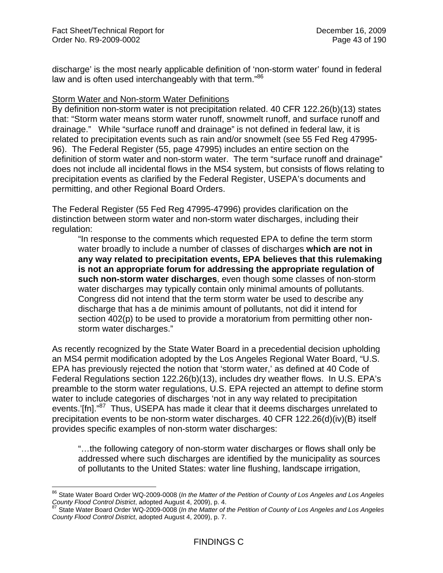discharge' is the most nearly applicable definition of 'non-storm water' found in federal law and is often used interchangeably with that term."86

### Storm Water and Non-storm Water Definitions

By definition non-storm water is not precipitation related. 40 CFR 122.26(b)(13) states that: "Storm water means storm water runoff, snowmelt runoff, and surface runoff and drainage." While "surface runoff and drainage" is not defined in federal law, it is related to precipitation events such as rain and/or snowmelt (see 55 Fed Reg 47995- 96). The Federal Register (55, page 47995) includes an entire section on the definition of storm water and non-storm water. The term "surface runoff and drainage" does not include all incidental flows in the MS4 system, but consists of flows relating to precipitation events as clarified by the Federal Register, USEPA's documents and permitting, and other Regional Board Orders.

The Federal Register (55 Fed Reg 47995-47996) provides clarification on the distinction between storm water and non-storm water discharges, including their regulation:

"In response to the comments which requested EPA to define the term storm water broadly to include a number of classes of discharges **which are not in any way related to precipitation events, EPA believes that this rulemaking is not an appropriate forum for addressing the appropriate regulation of such non-storm water discharges**, even though some classes of non-storm water discharges may typically contain only minimal amounts of pollutants. Congress did not intend that the term storm water be used to describe any discharge that has a de minimis amount of pollutants, not did it intend for section 402(p) to be used to provide a moratorium from permitting other nonstorm water discharges."

As recently recognized by the State Water Board in a precedential decision upholding an MS4 permit modification adopted by the Los Angeles Regional Water Board, "U.S. EPA has previously rejected the notion that 'storm water,' as defined at 40 Code of Federal Regulations section 122.26(b)(13), includes dry weather flows. In U.S. EPA's preamble to the storm water regulations, U.S. EPA rejected an attempt to define storm water to include categories of discharges 'not in any way related to precipitation events.'[fn]."<sup>87</sup> Thus, USEPA has made it clear that it deems discharges unrelated to precipitation events to be non-storm water discharges. 40 CFR 122.26(d)(iv)(B) itself provides specific examples of non-storm water discharges:

"…the following category of non-storm water discharges or flows shall only be addressed where such discharges are identified by the municipality as sources of pollutants to the United States: water line flushing, landscape irrigation,

<sup>86</sup> State Water Board Order WQ-2009-0008 (*In the Matter of the Petition of County of Los Angeles and Los Angeles County Flood Control District*, adopted August 4, 2009), p. 4.<br><sup>87</sup> State Water Board Order WQ-2009-0008 (*In the Matter of the Petition of County of Los Angeles and Los Angeles* 

*County Flood Control District*, adopted August 4, 2009), p. 7.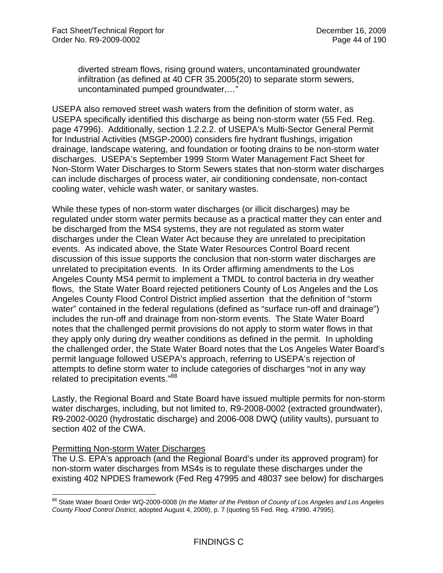diverted stream flows, rising ground waters, uncontaminated groundwater infiltration (as defined at 40 CFR 35.2005(20) to separate storm sewers, uncontaminated pumped groundwater,…"

USEPA also removed street wash waters from the definition of storm water, as USEPA specifically identified this discharge as being non-storm water (55 Fed. Reg. page 47996). Additionally, section 1.2.2.2. of USEPA's Multi-Sector General Permit for Industrial Activities (MSGP-2000) considers fire hydrant flushings, irrigation drainage, landscape watering, and foundation or footing drains to be non-storm water discharges. USEPA's September 1999 Storm Water Management Fact Sheet for Non-Storm Water Discharges to Storm Sewers states that non-storm water discharges can include discharges of process water, air conditioning condensate, non-contact cooling water, vehicle wash water, or sanitary wastes.

While these types of non-storm water discharges (or illicit discharges) may be regulated under storm water permits because as a practical matter they can enter and be discharged from the MS4 systems, they are not regulated as storm water discharges under the Clean Water Act because they are unrelated to precipitation events. As indicated above, the State Water Resources Control Board recent discussion of this issue supports the conclusion that non-storm water discharges are unrelated to precipitation events. In its Order affirming amendments to the Los Angeles County MS4 permit to implement a TMDL to control bacteria in dry weather flows, the State Water Board rejected petitioners County of Los Angeles and the Los Angeles County Flood Control District implied assertion that the definition of "storm water" contained in the federal regulations (defined as "surface run-off and drainage") includes the run-off and drainage from non-storm events. The State Water Board notes that the challenged permit provisions do not apply to storm water flows in that they apply only during dry weather conditions as defined in the permit. In upholding the challenged order, the State Water Board notes that the Los Angeles Water Board's permit language followed USEPA's approach, referring to USEPA's rejection of attempts to define storm water to include categories of discharges "not in any way related to precipitation events."88

Lastly, the Regional Board and State Board have issued multiple permits for non-storm water discharges, including, but not limited to, R9-2008-0002 (extracted groundwater), R9-2002-0020 (hydrostatic discharge) and 2006-008 DWQ (utility vaults), pursuant to section 402 of the CWA.

### Permitting Non-storm Water Discharges

 $\overline{a}$ 

The U.S. EPA's approach (and the Regional Board's under its approved program) for non-storm water discharges from MS4s is to regulate these discharges under the existing 402 NPDES framework (Fed Reg 47995 and 48037 see below) for discharges

<sup>&</sup>lt;sup>88</sup> State Water Board Order WQ-2009-0008 (*In the Matter of the Petition of County of Los Angeles and Los Angeles County Flood Control District*, adopted August 4, 2009), p. 7 (quoting 55 Fed. Reg. 47990. 47995).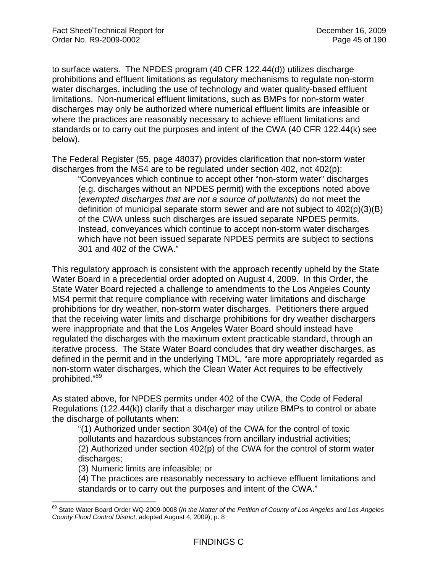to surface waters. The NPDES program (40 CFR 122.44(d)) utilizes discharge prohibitions and effluent limitations as regulatory mechanisms to regulate non-storm water discharges, including the use of technology and water quality-based effluent limitations. Non-numerical effluent limitations, such as BMPs for non-storm water discharges may only be authorized where numerical effluent limits are infeasible or where the practices are reasonably necessary to achieve effluent limitations and standards or to carry out the purposes and intent of the CWA (40 CFR 122.44(k) see below).

The Federal Register (55, page 48037) provides clarification that non-storm water discharges from the MS4 are to be regulated under section 402, not 402(p):

"Conveyances which continue to accept other "non-storm water" discharges (e.g. discharges without an NPDES permit) with the exceptions noted above (*exempted discharges that are not a source of pollutants*) do not meet the definition of municipal separate storm sewer and are not subject to 402(p)(3)(B) of the CWA unless such discharges are issued separate NPDES permits. Instead, conveyances which continue to accept non-storm water discharges which have not been issued separate NPDES permits are subject to sections 301 and 402 of the CWA."

This regulatory approach is consistent with the approach recently upheld by the State Water Board in a precedential order adopted on August 4, 2009. In this Order, the State Water Board rejected a challenge to amendments to the Los Angeles County MS4 permit that require compliance with receiving water limitations and discharge prohibitions for dry weather, non-storm water discharges. Petitioners there argued that the receiving water limits and discharge prohibitions for dry weather dischargers were inappropriate and that the Los Angeles Water Board should instead have regulated the discharges with the maximum extent practicable standard, through an iterative process. The State Water Board concludes that dry weather discharges, as defined in the permit and in the underlying TMDL, "are more appropriately regarded as non-storm water discharges, which the Clean Water Act requires to be effectively prohibited."89

As stated above, for NPDES permits under 402 of the CWA, the Code of Federal Regulations (122.44(k)) clarify that a discharger may utilize BMPs to control or abate the discharge of pollutants when:

"(1) Authorized under section 304(e) of the CWA for the control of toxic pollutants and hazardous substances from ancillary industrial activities; (2) Authorized under section 402(p) of the CWA for the control of storm water discharges;

(3) Numeric limits are infeasible; or

1

(4) The practices are reasonably necessary to achieve effluent limitations and standards or to carry out the purposes and intent of the CWA."

<sup>&</sup>lt;sup>89</sup> State Water Board Order WQ-2009-0008 (*In the Matter of the Petition of County of Los Angeles and Los Angeles County Flood Control District*, adopted August 4, 2009), p. 8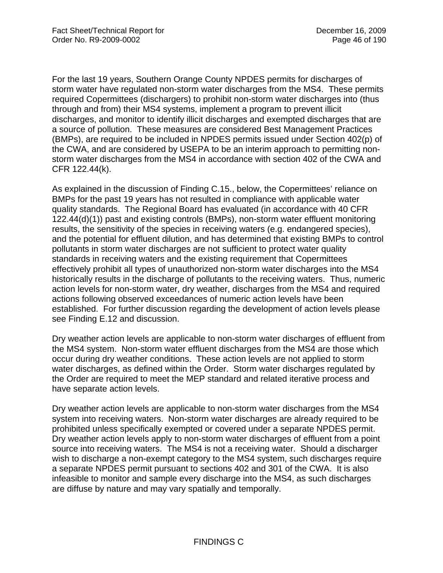For the last 19 years, Southern Orange County NPDES permits for discharges of storm water have regulated non-storm water discharges from the MS4. These permits required Copermittees (dischargers) to prohibit non-storm water discharges into (thus through and from) their MS4 systems, implement a program to prevent illicit discharges, and monitor to identify illicit discharges and exempted discharges that are a source of pollution. These measures are considered Best Management Practices (BMPs), are required to be included in NPDES permits issued under Section 402(p) of the CWA, and are considered by USEPA to be an interim approach to permitting nonstorm water discharges from the MS4 in accordance with section 402 of the CWA and CFR 122.44(k).

As explained in the discussion of Finding C.15., below, the Copermittees' reliance on BMPs for the past 19 years has not resulted in compliance with applicable water quality standards. The Regional Board has evaluated (in accordance with 40 CFR 122.44(d)(1)) past and existing controls (BMPs), non-storm water effluent monitoring results, the sensitivity of the species in receiving waters (e.g. endangered species), and the potential for effluent dilution, and has determined that existing BMPs to control pollutants in storm water discharges are not sufficient to protect water quality standards in receiving waters and the existing requirement that Copermittees effectively prohibit all types of unauthorized non-storm water discharges into the MS4 historically results in the discharge of pollutants to the receiving waters. Thus, numeric action levels for non-storm water, dry weather, discharges from the MS4 and required actions following observed exceedances of numeric action levels have been established. For further discussion regarding the development of action levels please see Finding E.12 and discussion.

Dry weather action levels are applicable to non-storm water discharges of effluent from the MS4 system. Non-storm water effluent discharges from the MS4 are those which occur during dry weather conditions. These action levels are not applied to storm water discharges, as defined within the Order. Storm water discharges regulated by the Order are required to meet the MEP standard and related iterative process and have separate action levels.

Dry weather action levels are applicable to non-storm water discharges from the MS4 system into receiving waters. Non-storm water discharges are already required to be prohibited unless specifically exempted or covered under a separate NPDES permit. Dry weather action levels apply to non-storm water discharges of effluent from a point source into receiving waters. The MS4 is not a receiving water. Should a discharger wish to discharge a non-exempt category to the MS4 system, such discharges require a separate NPDES permit pursuant to sections 402 and 301 of the CWA. It is also infeasible to monitor and sample every discharge into the MS4, as such discharges are diffuse by nature and may vary spatially and temporally.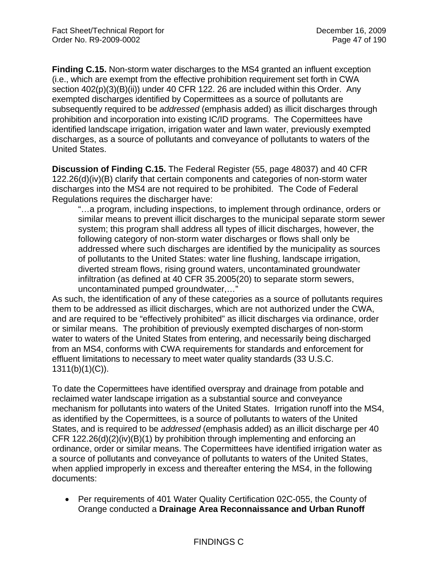**Finding C.15.** Non-storm water discharges to the MS4 granted an influent exception (i.e., which are exempt from the effective prohibition requirement set forth in CWA section 402(p)(3)(B)(ii)) under 40 CFR 122. 26 are included within this Order. Any exempted discharges identified by Copermittees as a source of pollutants are subsequently required to be *addressed* (emphasis added) as illicit discharges through prohibition and incorporation into existing IC/ID programs. The Copermittees have identified landscape irrigation, irrigation water and lawn water, previously exempted discharges, as a source of pollutants and conveyance of pollutants to waters of the United States.

**Discussion of Finding C.15.** The Federal Register (55, page 48037) and 40 CFR 122.26(d)(iv)(B) clarify that certain components and categories of non-storm water discharges into the MS4 are not required to be prohibited. The Code of Federal Regulations requires the discharger have:

"…a program, including inspections, to implement through ordinance, orders or similar means to prevent illicit discharges to the municipal separate storm sewer system; this program shall address all types of illicit discharges, however, the following category of non-storm water discharges or flows shall only be addressed where such discharges are identified by the municipality as sources of pollutants to the United States: water line flushing, landscape irrigation, diverted stream flows, rising ground waters, uncontaminated groundwater infiltration (as defined at 40 CFR 35.2005(20) to separate storm sewers, uncontaminated pumped groundwater,…"

As such, the identification of any of these categories as a source of pollutants requires them to be addressed as illicit discharges, which are not authorized under the CWA, and are required to be "effectively prohibited" as illicit discharges via ordinance, order or similar means. The prohibition of previously exempted discharges of non-storm water to waters of the United States from entering, and necessarily being discharged from an MS4, conforms with CWA requirements for standards and enforcement for effluent limitations to necessary to meet water quality standards (33 U.S.C. 1311(b)(1)(C)).

To date the Copermittees have identified overspray and drainage from potable and reclaimed water landscape irrigation as a substantial source and conveyance mechanism for pollutants into waters of the United States. Irrigation runoff into the MS4, as identified by the Copermittees, is a source of pollutants to waters of the United States, and is required to be *addressed* (emphasis added) as an illicit discharge per 40 CFR 122.26(d)(2)(iv)(B)(1) by prohibition through implementing and enforcing an ordinance, order or similar means. The Copermittees have identified irrigation water as a source of pollutants and conveyance of pollutants to waters of the United States, when applied improperly in excess and thereafter entering the MS4, in the following documents:

 Per requirements of 401 Water Quality Certification 02C-055, the County of Orange conducted a **Drainage Area Reconnaissance and Urban Runoff**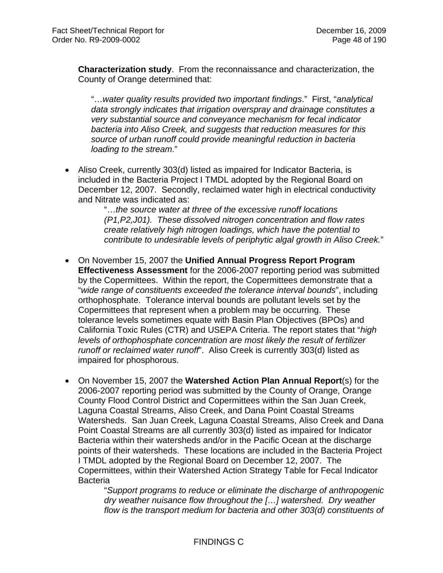**Characterization study**. From the reconnaissance and characterization, the County of Orange determined that:

"…*water quality results provided two important findings*." First, "*analytical data strongly indicates that irrigation overspray and drainage constitutes a very substantial source and conveyance mechanism for fecal indicator bacteria into Aliso Creek, and suggests that reduction measures for this source of urban runoff could provide meaningful reduction in bacteria loading to the stream*."

 Aliso Creek, currently 303(d) listed as impaired for Indicator Bacteria, is included in the Bacteria Project I TMDL adopted by the Regional Board on December 12, 2007. Secondly, reclaimed water high in electrical conductivity and Nitrate was indicated as:

> "…*the source water at three of the excessive runoff locations (P1,P2,J01). These dissolved nitrogen concentration and flow rates create relatively high nitrogen loadings, which have the potential to contribute to undesirable levels of periphytic algal growth in Aliso Creek.*"

- On November 15, 2007 the **Unified Annual Progress Report Program Effectiveness Assessment** for the 2006-2007 reporting period was submitted by the Copermittees. Within the report, the Copermittees demonstrate that a "*wide range of constituents exceeded the tolerance interval bounds*", including orthophosphate. Tolerance interval bounds are pollutant levels set by the Copermittees that represent when a problem may be occurring. These tolerance levels sometimes equate with Basin Plan Objectives (BPOs) and California Toxic Rules (CTR) and USEPA Criteria. The report states that "*high levels of orthophosphate concentration are most likely the result of fertilizer runoff or reclaimed water runoff*". Aliso Creek is currently 303(d) listed as impaired for phosphorous.
- On November 15, 2007 the **Watershed Action Plan Annual Report**(s) for the 2006-2007 reporting period was submitted by the County of Orange, Orange County Flood Control District and Copermittees within the San Juan Creek, Laguna Coastal Streams, Aliso Creek, and Dana Point Coastal Streams Watersheds. San Juan Creek, Laguna Coastal Streams, Aliso Creek and Dana Point Coastal Streams are all currently 303(d) listed as impaired for Indicator Bacteria within their watersheds and/or in the Pacific Ocean at the discharge points of their watersheds. These locations are included in the Bacteria Project I TMDL adopted by the Regional Board on December 12, 2007. The Copermittees, within their Watershed Action Strategy Table for Fecal Indicator **Bacteria**

"*Support programs to reduce or eliminate the discharge of anthropogenic dry weather nuisance flow throughout the […] watershed. Dry weather flow is the transport medium for bacteria and other 303(d) constituents of*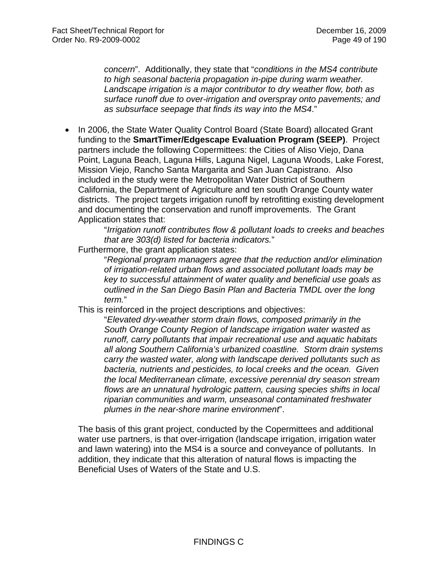*concern*". Additionally, they state that "*conditions in the MS4 contribute to high seasonal bacteria propagation in-pipe during warm weather. Landscape irrigation is a major contributor to dry weather flow, both as surface runoff due to over-irrigation and overspray onto pavements; and as subsurface seepage that finds its way into the MS4*."

 In 2006, the State Water Quality Control Board (State Board) allocated Grant funding to the **SmartTimer/Edgescape Evaluation Program (SEEP)**. Project partners include the following Copermittees: the Cities of Aliso Viejo, Dana Point, Laguna Beach, Laguna Hills, Laguna Nigel, Laguna Woods, Lake Forest, Mission Viejo, Rancho Santa Margarita and San Juan Capistrano. Also included in the study were the Metropolitan Water District of Southern California, the Department of Agriculture and ten south Orange County water districts. The project targets irrigation runoff by retrofitting existing development and documenting the conservation and runoff improvements. The Grant Application states that:

> "*Irrigation runoff contributes flow & pollutant loads to creeks and beaches that are 303(d) listed for bacteria indicators.*"

Furthermore, the grant application states:

"*Regional program managers agree that the reduction and/or elimination of irrigation-related urban flows and associated pollutant loads may be key to successful attainment of water quality and beneficial use goals as outlined in the San Diego Basin Plan and Bacteria TMDL over the long term.*"

This is reinforced in the project descriptions and objectives:

"*Elevated dry-weather storm drain flows, composed primarily in the South Orange County Region of landscape irrigation water wasted as runoff, carry pollutants that impair recreational use and aquatic habitats all along Southern California's urbanized coastline. Storm drain systems carry the wasted water, along with landscape derived pollutants such as bacteria, nutrients and pesticides, to local creeks and the ocean. Given the local Mediterranean climate, excessive perennial dry season stream flows are an unnatural hydrologic pattern, causing species shifts in local riparian communities and warm, unseasonal contaminated freshwater plumes in the near-shore marine environment*".

The basis of this grant project, conducted by the Copermittees and additional water use partners, is that over-irrigation (landscape irrigation, irrigation water and lawn watering) into the MS4 is a source and conveyance of pollutants. In addition, they indicate that this alteration of natural flows is impacting the Beneficial Uses of Waters of the State and U.S.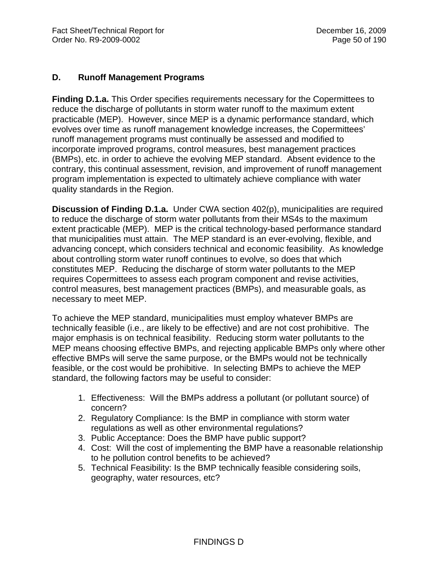## **D. Runoff Management Programs**

**Finding D.1.a.** This Order specifies requirements necessary for the Copermittees to reduce the discharge of pollutants in storm water runoff to the maximum extent practicable (MEP). However, since MEP is a dynamic performance standard, which evolves over time as runoff management knowledge increases, the Copermittees' runoff management programs must continually be assessed and modified to incorporate improved programs, control measures, best management practices (BMPs), etc. in order to achieve the evolving MEP standard. Absent evidence to the contrary, this continual assessment, revision, and improvement of runoff management program implementation is expected to ultimately achieve compliance with water quality standards in the Region.

**Discussion of Finding D.1.a.** Under CWA section 402(p), municipalities are required to reduce the discharge of storm water pollutants from their MS4s to the maximum extent practicable (MEP). MEP is the critical technology-based performance standard that municipalities must attain. The MEP standard is an ever-evolving, flexible, and advancing concept, which considers technical and economic feasibility. As knowledge about controlling storm water runoff continues to evolve, so does that which constitutes MEP. Reducing the discharge of storm water pollutants to the MEP requires Copermittees to assess each program component and revise activities, control measures, best management practices (BMPs), and measurable goals, as necessary to meet MEP.

To achieve the MEP standard, municipalities must employ whatever BMPs are technically feasible (i.e., are likely to be effective) and are not cost prohibitive. The major emphasis is on technical feasibility. Reducing storm water pollutants to the MEP means choosing effective BMPs, and rejecting applicable BMPs only where other effective BMPs will serve the same purpose, or the BMPs would not be technically feasible, or the cost would be prohibitive. In selecting BMPs to achieve the MEP standard, the following factors may be useful to consider:

- 1. Effectiveness: Will the BMPs address a pollutant (or pollutant source) of concern?
- 2. Regulatory Compliance: Is the BMP in compliance with storm water regulations as well as other environmental regulations?
- 3. Public Acceptance: Does the BMP have public support?
- 4. Cost: Will the cost of implementing the BMP have a reasonable relationship to he pollution control benefits to be achieved?
- 5. Technical Feasibility: Is the BMP technically feasible considering soils, geography, water resources, etc?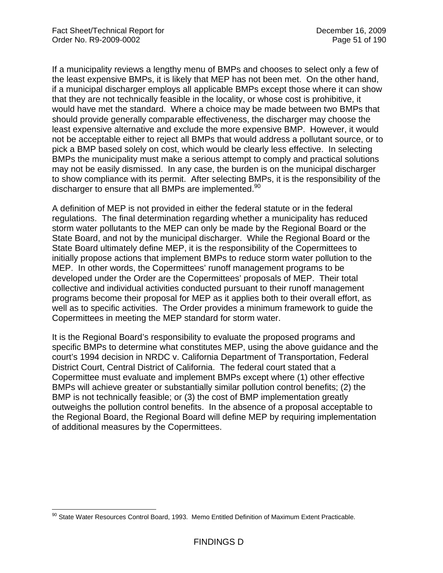If a municipality reviews a lengthy menu of BMPs and chooses to select only a few of the least expensive BMPs, it is likely that MEP has not been met. On the other hand, if a municipal discharger employs all applicable BMPs except those where it can show that they are not technically feasible in the locality, or whose cost is prohibitive, it would have met the standard. Where a choice may be made between two BMPs that should provide generally comparable effectiveness, the discharger may choose the least expensive alternative and exclude the more expensive BMP. However, it would not be acceptable either to reject all BMPs that would address a pollutant source, or to pick a BMP based solely on cost, which would be clearly less effective. In selecting BMPs the municipality must make a serious attempt to comply and practical solutions may not be easily dismissed. In any case, the burden is on the municipal discharger to show compliance with its permit. After selecting BMPs, it is the responsibility of the discharger to ensure that all BMPs are implemented.<sup>90</sup>

A definition of MEP is not provided in either the federal statute or in the federal regulations. The final determination regarding whether a municipality has reduced storm water pollutants to the MEP can only be made by the Regional Board or the State Board, and not by the municipal discharger. While the Regional Board or the State Board ultimately define MEP, it is the responsibility of the Copermittees to initially propose actions that implement BMPs to reduce storm water pollution to the MEP. In other words, the Copermittees' runoff management programs to be developed under the Order are the Copermittees' proposals of MEP. Their total collective and individual activities conducted pursuant to their runoff management programs become their proposal for MEP as it applies both to their overall effort, as well as to specific activities. The Order provides a minimum framework to guide the Copermittees in meeting the MEP standard for storm water.

It is the Regional Board's responsibility to evaluate the proposed programs and specific BMPs to determine what constitutes MEP, using the above guidance and the court's 1994 decision in NRDC v. California Department of Transportation, Federal District Court, Central District of California. The federal court stated that a Copermittee must evaluate and implement BMPs except where (1) other effective BMPs will achieve greater or substantially similar pollution control benefits; (2) the BMP is not technically feasible; or (3) the cost of BMP implementation greatly outweighs the pollution control benefits. In the absence of a proposal acceptable to the Regional Board, the Regional Board will define MEP by requiring implementation of additional measures by the Copermittees.

 $\overline{a}$ <sup>90</sup> State Water Resources Control Board, 1993. Memo Entitled Definition of Maximum Extent Practicable.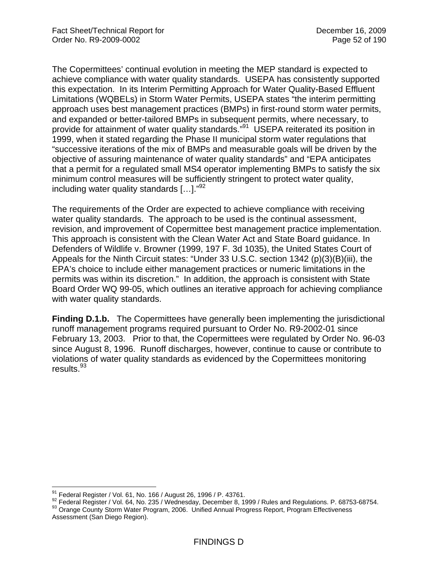The Copermittees' continual evolution in meeting the MEP standard is expected to achieve compliance with water quality standards. USEPA has consistently supported this expectation. In its Interim Permitting Approach for Water Quality-Based Effluent Limitations (WQBELs) in Storm Water Permits, USEPA states "the interim permitting approach uses best management practices (BMPs) in first-round storm water permits, and expanded or better-tailored BMPs in subsequent permits, where necessary, to provide for attainment of water quality standards.<sup>"91</sup> USEPA reiterated its position in 1999, when it stated regarding the Phase II municipal storm water regulations that "successive iterations of the mix of BMPs and measurable goals will be driven by the objective of assuring maintenance of water quality standards" and "EPA anticipates that a permit for a regulated small MS4 operator implementing BMPs to satisfy the six minimum control measures will be sufficiently stringent to protect water quality, including water quality standards  $[...]$ ."<sup>92</sup>

The requirements of the Order are expected to achieve compliance with receiving water quality standards. The approach to be used is the continual assessment, revision, and improvement of Copermittee best management practice implementation. This approach is consistent with the Clean Water Act and State Board guidance. In Defenders of Wildlife v. Browner (1999, 197 F. 3d 1035), the United States Court of Appeals for the Ninth Circuit states: "Under 33 U.S.C. section 1342 (p)(3)(B)(iii), the EPA's choice to include either management practices or numeric limitations in the permits was within its discretion." In addition, the approach is consistent with State Board Order WQ 99-05, which outlines an iterative approach for achieving compliance with water quality standards.

**Finding D.1.b.** The Copermittees have generally been implementing the jurisdictional runoff management programs required pursuant to Order No. R9-2002-01 since February 13, 2003. Prior to that, the Copermittees were regulated by Order No. 96-03 since August 8, 1996. Runoff discharges, however, continue to cause or contribute to violations of water quality standards as evidenced by the Copermittees monitoring results.93

<sup>&</sup>lt;sup>91</sup> Federal Register / Vol. 61, No. 166 / August 26, 1996 / P. 43761.

<sup>92</sup> Federal Register / Vol. 64, No. 235 / Wednesday, December 8, 1999 / Rules and Regulations. P. 68753-68754.<br><sup>93</sup> Orange County Storm Water Program, 2006. Unified Annual Progress Report, Program Effectiveness Assessment (San Diego Region).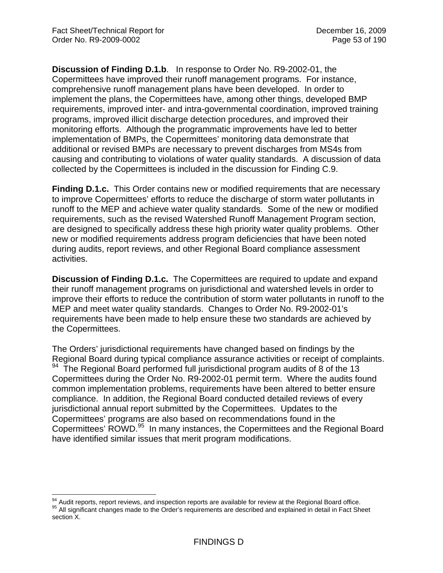**Discussion of Finding D.1.b**. In response to Order No. R9-2002-01, the Copermittees have improved their runoff management programs. For instance, comprehensive runoff management plans have been developed. In order to implement the plans, the Copermittees have, among other things, developed BMP requirements, improved inter- and intra-governmental coordination, improved training programs, improved illicit discharge detection procedures, and improved their monitoring efforts. Although the programmatic improvements have led to better implementation of BMPs, the Copermittees' monitoring data demonstrate that additional or revised BMPs are necessary to prevent discharges from MS4s from causing and contributing to violations of water quality standards. A discussion of data collected by the Copermittees is included in the discussion for Finding C.9.

**Finding D.1.c.** This Order contains new or modified requirements that are necessary to improve Copermittees' efforts to reduce the discharge of storm water pollutants in runoff to the MEP and achieve water quality standards. Some of the new or modified requirements, such as the revised Watershed Runoff Management Program section, are designed to specifically address these high priority water quality problems. Other new or modified requirements address program deficiencies that have been noted during audits, report reviews, and other Regional Board compliance assessment activities.

**Discussion of Finding D.1.c.** The Copermittees are required to update and expand their runoff management programs on jurisdictional and watershed levels in order to improve their efforts to reduce the contribution of storm water pollutants in runoff to the MEP and meet water quality standards. Changes to Order No. R9-2002-01's requirements have been made to help ensure these two standards are achieved by the Copermittees.

The Orders' jurisdictional requirements have changed based on findings by the Regional Board during typical compliance assurance activities or receipt of complaints.  $94$  The Regional Board performed full jurisdictional program audits of 8 of the 13 Copermittees during the Order No. R9-2002-01 permit term. Where the audits found common implementation problems, requirements have been altered to better ensure compliance. In addition, the Regional Board conducted detailed reviews of every jurisdictional annual report submitted by the Copermittees. Updates to the Copermittees' programs are also based on recommendations found in the Copermittees' ROWD.95 In many instances, the Copermittees and the Regional Board have identified similar issues that merit program modifications.

<sup>94</sup> Audit reports, report reviews, and inspection reports are available for review at the Regional Board office. <sup>95</sup> All significant changes made to the Order's requirements are described and explained in detail in Fact Sheet section<sub>X</sub>.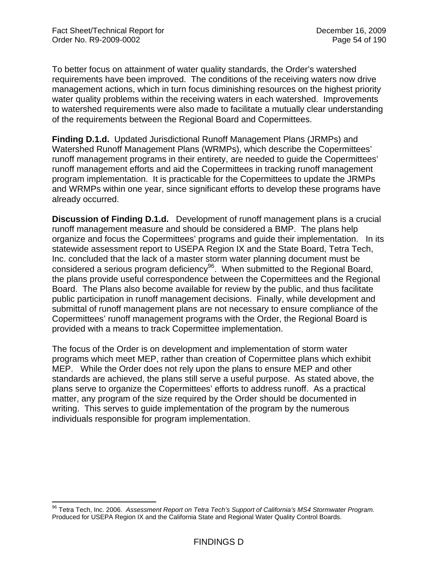To better focus on attainment of water quality standards, the Order's watershed requirements have been improved. The conditions of the receiving waters now drive management actions, which in turn focus diminishing resources on the highest priority water quality problems within the receiving waters in each watershed. Improvements to watershed requirements were also made to facilitate a mutually clear understanding of the requirements between the Regional Board and Copermittees.

**Finding D.1.d.** Updated Jurisdictional Runoff Management Plans (JRMPs) and Watershed Runoff Management Plans (WRMPs), which describe the Copermittees' runoff management programs in their entirety, are needed to guide the Copermittees' runoff management efforts and aid the Copermittees in tracking runoff management program implementation. It is practicable for the Copermittees to update the JRMPs and WRMPs within one year, since significant efforts to develop these programs have already occurred.

**Discussion of Finding D.1.d.** Development of runoff management plans is a crucial runoff management measure and should be considered a BMP. The plans help organize and focus the Copermittees' programs and guide their implementation. In its statewide assessment report to USEPA Region IX and the State Board, Tetra Tech, Inc. concluded that the lack of a master storm water planning document must be considered a serious program deficiency<sup>96</sup>. When submitted to the Regional Board, the plans provide useful correspondence between the Copermittees and the Regional Board. The Plans also become available for review by the public, and thus facilitate public participation in runoff management decisions. Finally, while development and submittal of runoff management plans are not necessary to ensure compliance of the Copermittees' runoff management programs with the Order, the Regional Board is provided with a means to track Copermittee implementation.

The focus of the Order is on development and implementation of storm water programs which meet MEP, rather than creation of Copermittee plans which exhibit MEP. While the Order does not rely upon the plans to ensure MEP and other standards are achieved, the plans still serve a useful purpose. As stated above, the plans serve to organize the Copermittees' efforts to address runoff. As a practical matter, any program of the size required by the Order should be documented in writing. This serves to guide implementation of the program by the numerous individuals responsible for program implementation.

 $\overline{a}$ 96 Tetra Tech, Inc. 2006. *Assessment Report on Tetra Tech's Support of California's MS4 Stormwater Program.* Produced for USEPA Region IX and the California State and Regional Water Quality Control Boards.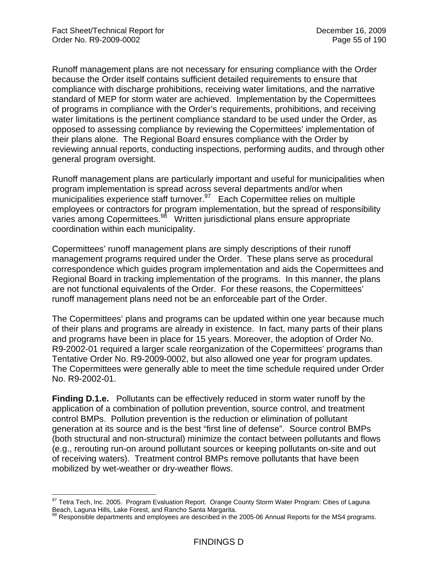Runoff management plans are not necessary for ensuring compliance with the Order because the Order itself contains sufficient detailed requirements to ensure that compliance with discharge prohibitions, receiving water limitations, and the narrative standard of MEP for storm water are achieved. Implementation by the Copermittees of programs in compliance with the Order's requirements, prohibitions, and receiving water limitations is the pertinent compliance standard to be used under the Order, as opposed to assessing compliance by reviewing the Copermittees' implementation of their plans alone. The Regional Board ensures compliance with the Order by reviewing annual reports, conducting inspections, performing audits, and through other general program oversight.

Runoff management plans are particularly important and useful for municipalities when program implementation is spread across several departments and/or when  $m$ unicipalities experience staff turnover. $97$  Each Copermittee relies on multiple employees or contractors for program implementation, but the spread of responsibility varies among Copermittees.98 Written jurisdictional plans ensure appropriate coordination within each municipality.

Copermittees' runoff management plans are simply descriptions of their runoff management programs required under the Order. These plans serve as procedural correspondence which guides program implementation and aids the Copermittees and Regional Board in tracking implementation of the programs. In this manner, the plans are not functional equivalents of the Order. For these reasons, the Copermittees' runoff management plans need not be an enforceable part of the Order.

The Copermittees' plans and programs can be updated within one year because much of their plans and programs are already in existence. In fact, many parts of their plans and programs have been in place for 15 years. Moreover, the adoption of Order No. R9-2002-01 required a larger scale reorganization of the Copermittees' programs than Tentative Order No. R9-2009-0002, but also allowed one year for program updates. The Copermittees were generally able to meet the time schedule required under Order No. R9-2002-01.

**Finding D.1.e.** Pollutants can be effectively reduced in storm water runoff by the application of a combination of pollution prevention, source control, and treatment control BMPs. Pollution prevention is the reduction or elimination of pollutant generation at its source and is the best "first line of defense". Source control BMPs (both structural and non-structural) minimize the contact between pollutants and flows (e.g., rerouting run-on around pollutant sources or keeping pollutants on-site and out of receiving waters). Treatment control BMPs remove pollutants that have been mobilized by wet-weather or dry-weather flows.

 $97$  Tetra Tech, Inc. 2005. Program Evaluation Report. Orange County Storm Water Program: Cities of Laguna Beach, Laguna Hills, Lake Forest, and Rancho Santa Margarita.<br><sup>98</sup> Responsible departments and employees are described in the 2005-06 Annual Reports for the MS4 programs.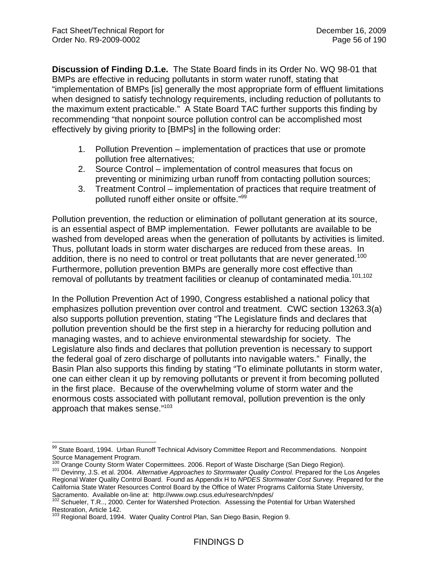**Discussion of Finding D.1.e.** The State Board finds in its Order No. WQ 98-01 that BMPs are effective in reducing pollutants in storm water runoff, stating that "implementation of BMPs [is] generally the most appropriate form of effluent limitations when designed to satisfy technology requirements, including reduction of pollutants to the maximum extent practicable." A State Board TAC further supports this finding by recommending "that nonpoint source pollution control can be accomplished most effectively by giving priority to [BMPs] in the following order:

- 1. Pollution Prevention implementation of practices that use or promote pollution free alternatives;
- 2. Source Control implementation of control measures that focus on preventing or minimizing urban runoff from contacting pollution sources;
- 3. Treatment Control implementation of practices that require treatment of polluted runoff either onsite or offsite."99

Pollution prevention, the reduction or elimination of pollutant generation at its source, is an essential aspect of BMP implementation. Fewer pollutants are available to be washed from developed areas when the generation of pollutants by activities is limited. Thus, pollutant loads in storm water discharges are reduced from these areas. In addition, there is no need to control or treat pollutants that are never generated.<sup>100</sup> Furthermore, pollution prevention BMPs are generally more cost effective than removal of pollutants by treatment facilities or cleanup of contaminated media.<sup>101,102</sup>

In the Pollution Prevention Act of 1990, Congress established a national policy that emphasizes pollution prevention over control and treatment. CWC section 13263.3(a) also supports pollution prevention, stating "The Legislature finds and declares that pollution prevention should be the first step in a hierarchy for reducing pollution and managing wastes, and to achieve environmental stewardship for society. The Legislature also finds and declares that pollution prevention is necessary to support the federal goal of zero discharge of pollutants into navigable waters." Finally, the Basin Plan also supports this finding by stating "To eliminate pollutants in storm water, one can either clean it up by removing pollutants or prevent it from becoming polluted in the first place. Because of the overwhelming volume of storm water and the enormous costs associated with pollutant removal, pollution prevention is the only approach that makes sense."103

<sup>1</sup> 99 State Board, 1994. Urban Runoff Technical Advisory Committee Report and Recommendations. Nonpoint Source Management Program.

<sup>&</sup>lt;sup>100</sup> Orange County Storm Water Copermittees. 2006. Report of Waste Discharge (San Diego Region).<br><sup>101</sup> Devinny, J.S. et al. 2004. *Alternative Approaches to Stormwater Quality Control.* Prepared for the Los Angeles 101 Devinny, J.S. et al. 2004. Alternative Approaches to Stormwater Quality Control. Prepared for the Los Angeles<br>Regional Water Quality Control Board. Found as Appendix H to NPDES Stormwater Cost Survey. Prepared for the California State Water Resources Control Board by the Office of Water Programs California State University, Sacramento. Available on-line at: http://www.owp.csus.edu/research/npdes/<br><sup>102</sup> Schueler, T.R.., 2000. Center for Watershed Protection. Assessing the Potential for Urban Watershed

Restoration, Article 142.

Regional Board, 1994. Water Quality Control Plan, San Diego Basin, Region 9.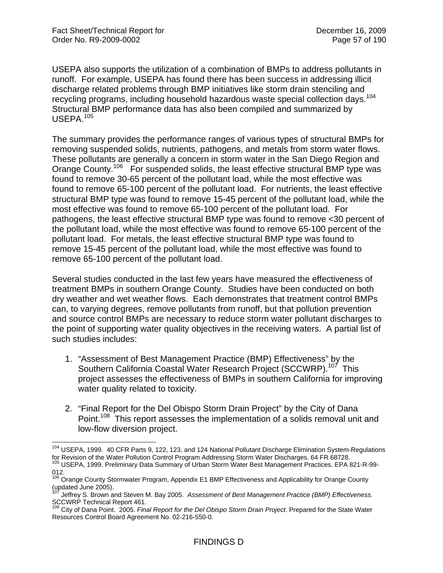USEPA also supports the utilization of a combination of BMPs to address pollutants in runoff. For example, USEPA has found there has been success in addressing illicit discharge related problems through BMP initiatives like storm drain stenciling and recycling programs, including household hazardous waste special collection days.104 Structural BMP performance data has also been compiled and summarized by USEPA.105

The summary provides the performance ranges of various types of structural BMPs for removing suspended solids, nutrients, pathogens, and metals from storm water flows. These pollutants are generally a concern in storm water in the San Diego Region and Orange County.<sup>106</sup> For suspended solids, the least effective structural BMP type was found to remove 30-65 percent of the pollutant load, while the most effective was found to remove 65-100 percent of the pollutant load. For nutrients, the least effective structural BMP type was found to remove 15-45 percent of the pollutant load, while the most effective was found to remove 65-100 percent of the pollutant load. For pathogens, the least effective structural BMP type was found to remove <30 percent of the pollutant load, while the most effective was found to remove 65-100 percent of the pollutant load. For metals, the least effective structural BMP type was found to remove 15-45 percent of the pollutant load, while the most effective was found to remove 65-100 percent of the pollutant load.

Several studies conducted in the last few years have measured the effectiveness of treatment BMPs in southern Orange County. Studies have been conducted on both dry weather and wet weather flows. Each demonstrates that treatment control BMPs can, to varying degrees, remove pollutants from runoff, but that pollution prevention and source control BMPs are necessary to reduce storm water pollutant discharges to the point of supporting water quality objectives in the receiving waters. A partial list of such studies includes:

- 1. "Assessment of Best Management Practice (BMP) Effectiveness" by the Southern California Coastal Water Research Project (SCCWRP).<sup>107</sup> This project assesses the effectiveness of BMPs in southern California for improving water quality related to toxicity.
- 2. "Final Report for the Del Obispo Storm Drain Project" by the City of Dana Point.<sup>108</sup> This report assesses the implementation of a solids removal unit and low-flow diversion project.

<sup>&</sup>lt;sup>104</sup> USEPA, 1999. 40 CFR Parts 9, 122, 123, and 124 National Pollutant Discharge Elimination System-Regulations for Revision of the Water Pollution Control Program Addressing Storm Water Discharges. 64 FR 68728.<br><sup>105</sup> USEPA, 1999. Preliminary Data Summary of Urban Storm Water Best Management Practices. EPA 821-R-99-

<sup>012.</sup> 

<sup>&</sup>lt;sup>106</sup> Orange County Stormwater Program, Appendix E1 BMP Effectiveness and Applicability for Orange County (updated June 2005).

<sup>107</sup> Jeffrey S. Brown and Steven M. Bay 2005. *Assessment of Best Management Practice (BMP) Effectiveness.* SCCWRP Technical Report 461.

<sup>108</sup> City of Dana Point. 2005. *Final Report for the Del Obispo Storm Drain Project*. Prepared for the State Water Resources Control Board Agreement No. 02-216-550-0.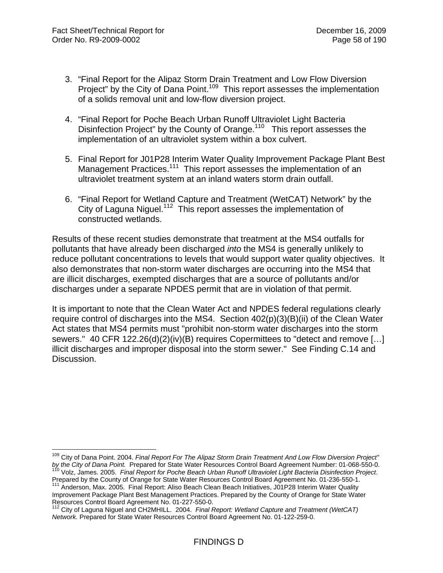- 3. "Final Report for the Alipaz Storm Drain Treatment and Low Flow Diversion Project" by the City of Dana Point.<sup>109</sup> This report assesses the implementation of a solids removal unit and low-flow diversion project.
- 4. "Final Report for Poche Beach Urban Runoff Ultraviolet Light Bacteria Disinfection Project" by the County of Orange.<sup>110</sup> This report assesses the implementation of an ultraviolet system within a box culvert.
- 5. Final Report for J01P28 Interim Water Quality Improvement Package Plant Best Management Practices.<sup>111</sup> This report assesses the implementation of an ultraviolet treatment system at an inland waters storm drain outfall.
- 6. "Final Report for Wetland Capture and Treatment (WetCAT) Network" by the City of Laguna Niguel.<sup>112</sup> This report assesses the implementation of constructed wetlands.

Results of these recent studies demonstrate that treatment at the MS4 outfalls for pollutants that have already been discharged *into* the MS4 is generally unlikely to reduce pollutant concentrations to levels that would support water quality objectives. It also demonstrates that non-storm water discharges are occurring into the MS4 that are illicit discharges, exempted discharges that are a source of pollutants and/or discharges under a separate NPDES permit that are in violation of that permit.

It is important to note that the Clean Water Act and NPDES federal regulations clearly require control of discharges into the MS4. Section 402(p)(3)(B)(ii) of the Clean Water Act states that MS4 permits must "prohibit non-storm water discharges into the storm sewers." 40 CFR 122.26(d)(2)(iv)(B) requires Copermittees to "detect and remove […] illicit discharges and improper disposal into the storm sewer." See Finding C.14 and Discussion.

<sup>109</sup> City of Dana Point. 2004. *Final Report For The Alipaz Storm Drain Treatment And Low Flow Diversion Project"*  by the City of Dana Point. Prepared for State Water Resources Control Board Agreement Number: 01-068-550-0.<br><sup>110</sup> Volz, James. 2005. Final Report for Poche Beach Urban Runoff Ultraviolet Light Bacteria Disinfection Project

Prepared by the County of Orange for State Water Resources Control Board Agreement No. 01-236-550-1. 111 Anderson, Max. 2005. Final Report: Aliso Beach Clean Beach Initiatives, J01P28 Interim Water Quality

Improvement Package Plant Best Management Practices. Prepared by the County of Orange for State Water Resources Control Board Agreement No. 01-227-550-0.

<sup>112</sup> City of Laguna Niguel and CH2MHILL. 2004. *Final Report: Wetland Capture and Treatment (WetCAT) Network.* Prepared for State Water Resources Control Board Agreement No. 01-122-259-0.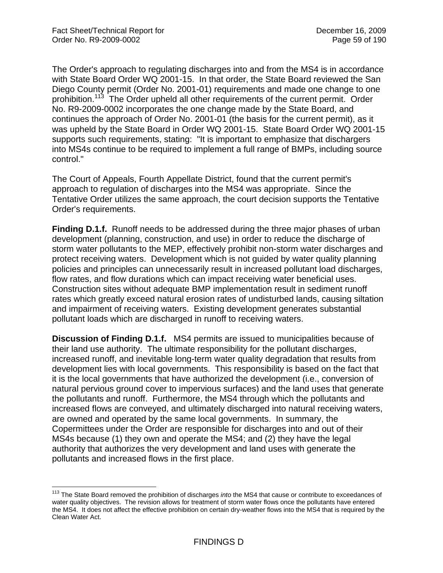The Order's approach to regulating discharges into and from the MS4 is in accordance with State Board Order WQ 2001-15. In that order, the State Board reviewed the San Diego County permit (Order No. 2001-01) requirements and made one change to one prohibition.<sup>113</sup> The Order upheld all other requirements of the current permit. Order No. R9-2009-0002 incorporates the one change made by the State Board, and continues the approach of Order No. 2001-01 (the basis for the current permit), as it was upheld by the State Board in Order WQ 2001-15. State Board Order WQ 2001-15 supports such requirements, stating: "It is important to emphasize that dischargers into MS4s continue to be required to implement a full range of BMPs, including source control."

The Court of Appeals, Fourth Appellate District, found that the current permit's approach to regulation of discharges into the MS4 was appropriate. Since the Tentative Order utilizes the same approach, the court decision supports the Tentative Order's requirements.

**Finding D.1.f.** Runoff needs to be addressed during the three major phases of urban development (planning, construction, and use) in order to reduce the discharge of storm water pollutants to the MEP, effectively prohibit non-storm water discharges and protect receiving waters. Development which is not guided by water quality planning policies and principles can unnecessarily result in increased pollutant load discharges, flow rates, and flow durations which can impact receiving water beneficial uses. Construction sites without adequate BMP implementation result in sediment runoff rates which greatly exceed natural erosion rates of undisturbed lands, causing siltation and impairment of receiving waters. Existing development generates substantial pollutant loads which are discharged in runoff to receiving waters.

**Discussion of Finding D.1.f.** MS4 permits are issued to municipalities because of their land use authority. The ultimate responsibility for the pollutant discharges, increased runoff, and inevitable long-term water quality degradation that results from development lies with local governments. This responsibility is based on the fact that it is the local governments that have authorized the development (i.e., conversion of natural pervious ground cover to impervious surfaces) and the land uses that generate the pollutants and runoff. Furthermore, the MS4 through which the pollutants and increased flows are conveyed, and ultimately discharged into natural receiving waters, are owned and operated by the same local governments. In summary, the Copermittees under the Order are responsible for discharges into and out of their MS4s because (1) they own and operate the MS4; and (2) they have the legal authority that authorizes the very development and land uses with generate the pollutants and increased flows in the first place.

<sup>113</sup> The State Board removed the prohibition of discharges *into* the MS4 that cause or contribute to exceedances of water quality objectives. The revision allows for treatment of storm water flows once the pollutants have entered the MS4. It does not affect the effective prohibition on certain dry-weather flows into the MS4 that is required by the Clean Water Act.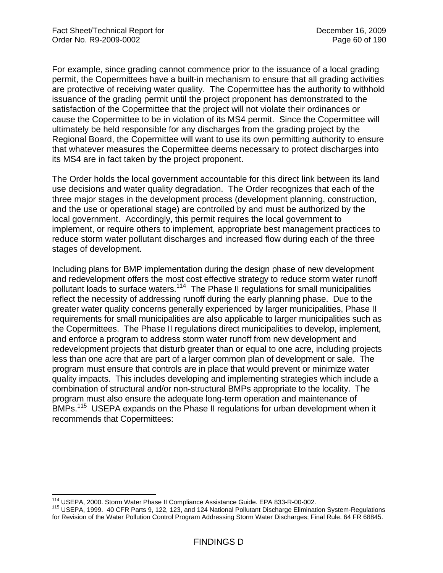For example, since grading cannot commence prior to the issuance of a local grading permit, the Copermittees have a built-in mechanism to ensure that all grading activities are protective of receiving water quality. The Copermittee has the authority to withhold issuance of the grading permit until the project proponent has demonstrated to the satisfaction of the Copermittee that the project will not violate their ordinances or cause the Copermittee to be in violation of its MS4 permit. Since the Copermittee will ultimately be held responsible for any discharges from the grading project by the Regional Board, the Copermittee will want to use its own permitting authority to ensure that whatever measures the Copermittee deems necessary to protect discharges into its MS4 are in fact taken by the project proponent.

The Order holds the local government accountable for this direct link between its land use decisions and water quality degradation. The Order recognizes that each of the three major stages in the development process (development planning, construction, and the use or operational stage) are controlled by and must be authorized by the local government. Accordingly, this permit requires the local government to implement, or require others to implement, appropriate best management practices to reduce storm water pollutant discharges and increased flow during each of the three stages of development.

Including plans for BMP implementation during the design phase of new development and redevelopment offers the most cost effective strategy to reduce storm water runoff pollutant loads to surface waters.114 The Phase II regulations for small municipalities reflect the necessity of addressing runoff during the early planning phase. Due to the greater water quality concerns generally experienced by larger municipalities, Phase II requirements for small municipalities are also applicable to larger municipalities such as the Copermittees. The Phase II regulations direct municipalities to develop, implement, and enforce a program to address storm water runoff from new development and redevelopment projects that disturb greater than or equal to one acre, including projects less than one acre that are part of a larger common plan of development or sale. The program must ensure that controls are in place that would prevent or minimize water quality impacts. This includes developing and implementing strategies which include a combination of structural and/or non-structural BMPs appropriate to the locality. The program must also ensure the adequate long-term operation and maintenance of BMPs.<sup>115</sup> USEPA expands on the Phase II regulations for urban development when it recommends that Copermittees:

<sup>&</sup>lt;sup>114</sup> USEPA, 2000. Storm Water Phase II Compliance Assistance Guide. EPA 833-R-00-002.

<sup>&</sup>lt;sup>115</sup> USEPA, 1999. 40 CFR Parts 9, 122, 123, and 124 National Pollutant Discharge Elimination System-Regulations for Revision of the Water Pollution Control Program Addressing Storm Water Discharges; Final Rule. 64 FR 68845.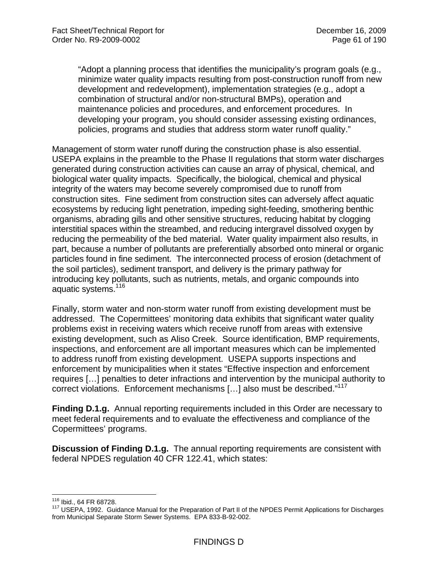"Adopt a planning process that identifies the municipality's program goals (e.g., minimize water quality impacts resulting from post-construction runoff from new development and redevelopment), implementation strategies (e.g., adopt a combination of structural and/or non-structural BMPs), operation and maintenance policies and procedures, and enforcement procedures. In developing your program, you should consider assessing existing ordinances, policies, programs and studies that address storm water runoff quality."

Management of storm water runoff during the construction phase is also essential. USEPA explains in the preamble to the Phase II regulations that storm water discharges generated during construction activities can cause an array of physical, chemical, and biological water quality impacts. Specifically, the biological, chemical and physical integrity of the waters may become severely compromised due to runoff from construction sites. Fine sediment from construction sites can adversely affect aquatic ecosystems by reducing light penetration, impeding sight-feeding, smothering benthic organisms, abrading gills and other sensitive structures, reducing habitat by clogging interstitial spaces within the streambed, and reducing intergravel dissolved oxygen by reducing the permeability of the bed material. Water quality impairment also results, in part, because a number of pollutants are preferentially absorbed onto mineral or organic particles found in fine sediment. The interconnected process of erosion (detachment of the soil particles), sediment transport, and delivery is the primary pathway for introducing key pollutants, such as nutrients, metals, and organic compounds into aquatic systems.<sup>116</sup>

Finally, storm water and non-storm water runoff from existing development must be addressed. The Copermittees' monitoring data exhibits that significant water quality problems exist in receiving waters which receive runoff from areas with extensive existing development, such as Aliso Creek. Source identification, BMP requirements, inspections, and enforcement are all important measures which can be implemented to address runoff from existing development. USEPA supports inspections and enforcement by municipalities when it states "Effective inspection and enforcement requires […] penalties to deter infractions and intervention by the municipal authority to correct violations. Enforcement mechanisms [...] also must be described."<sup>117</sup>

**Finding D.1.g.** Annual reporting requirements included in this Order are necessary to meet federal requirements and to evaluate the effectiveness and compliance of the Copermittees' programs.

**Discussion of Finding D.1.g.** The annual reporting requirements are consistent with federal NPDES regulation 40 CFR 122.41, which states:

<sup>116</sup> Ibid., 64 FR 68728.

<sup>117</sup> USEPA, 1992. Guidance Manual for the Preparation of Part II of the NPDES Permit Applications for Discharges from Municipal Separate Storm Sewer Systems. EPA 833-B-92-002.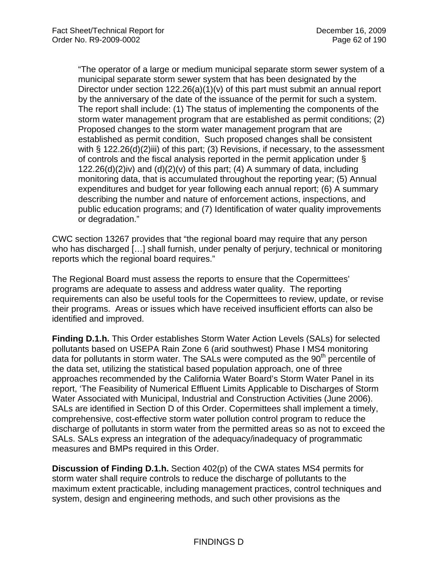"The operator of a large or medium municipal separate storm sewer system of a municipal separate storm sewer system that has been designated by the Director under section  $122.26(a)(1)(v)$  of this part must submit an annual report by the anniversary of the date of the issuance of the permit for such a system. The report shall include: (1) The status of implementing the components of the storm water management program that are established as permit conditions; (2) Proposed changes to the storm water management program that are established as permit condition, Such proposed changes shall be consistent with § 122.26(d)(2)iii) of this part; (3) Revisions, if necessary, to the assessment of controls and the fiscal analysis reported in the permit application under § 122.26(d)(2)iv) and  $(d)(2)(v)$  of this part; (4) A summary of data, including monitoring data, that is accumulated throughout the reporting year; (5) Annual expenditures and budget for year following each annual report; (6) A summary describing the number and nature of enforcement actions, inspections, and public education programs; and (7) Identification of water quality improvements or degradation."

CWC section 13267 provides that "the regional board may require that any person who has discharged [...] shall furnish, under penalty of perjury, technical or monitoring reports which the regional board requires."

The Regional Board must assess the reports to ensure that the Copermittees' programs are adequate to assess and address water quality. The reporting requirements can also be useful tools for the Copermittees to review, update, or revise their programs. Areas or issues which have received insufficient efforts can also be identified and improved.

**Finding D.1.h.** This Order establishes Storm Water Action Levels (SALs) for selected pollutants based on USEPA Rain Zone 6 (arid southwest) Phase I MS4 monitoring data for pollutants in storm water. The SALs were computed as the  $90<sup>th</sup>$  percentile of the data set, utilizing the statistical based population approach, one of three approaches recommended by the California Water Board's Storm Water Panel in its report, 'The Feasibility of Numerical Effluent Limits Applicable to Discharges of Storm Water Associated with Municipal, Industrial and Construction Activities (June 2006). SALs are identified in Section D of this Order. Copermittees shall implement a timely, comprehensive, cost-effective storm water pollution control program to reduce the discharge of pollutants in storm water from the permitted areas so as not to exceed the SALs. SALs express an integration of the adequacy/inadequacy of programmatic measures and BMPs required in this Order.

**Discussion of Finding D.1.h.** Section 402(p) of the CWA states MS4 permits for storm water shall require controls to reduce the discharge of pollutants to the maximum extent practicable, including management practices, control techniques and system, design and engineering methods, and such other provisions as the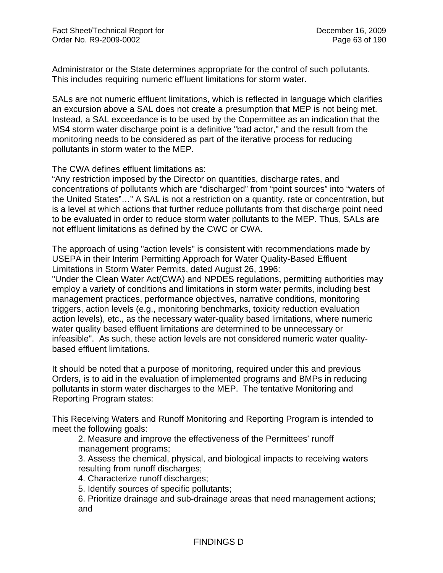Administrator or the State determines appropriate for the control of such pollutants. This includes requiring numeric effluent limitations for storm water.

SALs are not numeric effluent limitations, which is reflected in language which clarifies an excursion above a SAL does not create a presumption that MEP is not being met. Instead, a SAL exceedance is to be used by the Copermittee as an indication that the MS4 storm water discharge point is a definitive "bad actor," and the result from the monitoring needs to be considered as part of the iterative process for reducing pollutants in storm water to the MEP.

The CWA defines effluent limitations as:

"Any restriction imposed by the Director on quantities, discharge rates, and concentrations of pollutants which are "discharged" from "point sources" into "waters of the United States"…" A SAL is not a restriction on a quantity, rate or concentration, but is a level at which actions that further reduce pollutants from that discharge point need to be evaluated in order to reduce storm water pollutants to the MEP. Thus, SALs are not effluent limitations as defined by the CWC or CWA.

The approach of using "action levels" is consistent with recommendations made by USEPA in their Interim Permitting Approach for Water Quality-Based Effluent Limitations in Storm Water Permits, dated August 26, 1996:

"Under the Clean Water Act(CWA) and NPDES regulations, permitting authorities may employ a variety of conditions and limitations in storm water permits, including best management practices, performance objectives, narrative conditions, monitoring triggers, action levels (e.g., monitoring benchmarks, toxicity reduction evaluation action levels), etc., as the necessary water-quality based limitations, where numeric water quality based effluent limitations are determined to be unnecessary or infeasible". As such, these action levels are not considered numeric water qualitybased effluent limitations.

It should be noted that a purpose of monitoring, required under this and previous Orders, is to aid in the evaluation of implemented programs and BMPs in reducing pollutants in storm water discharges to the MEP. The tentative Monitoring and Reporting Program states:

This Receiving Waters and Runoff Monitoring and Reporting Program is intended to meet the following goals:

2. Measure and improve the effectiveness of the Permittees' runoff management programs;

3. Assess the chemical, physical, and biological impacts to receiving waters resulting from runoff discharges;

4. Characterize runoff discharges;

5. Identify sources of specific pollutants;

6. Prioritize drainage and sub-drainage areas that need management actions; and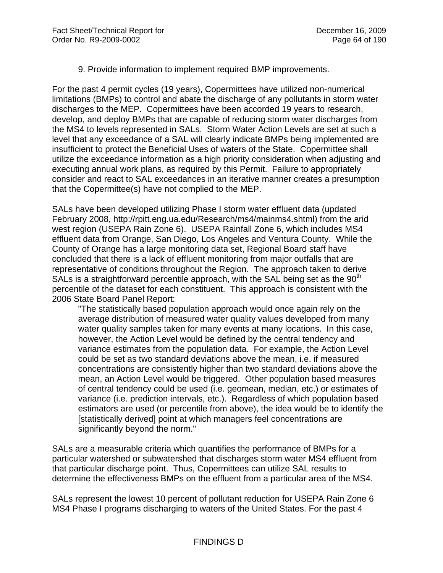9. Provide information to implement required BMP improvements.

For the past 4 permit cycles (19 years), Copermittees have utilized non-numerical limitations (BMPs) to control and abate the discharge of any pollutants in storm water discharges to the MEP. Copermittees have been accorded 19 years to research, develop, and deploy BMPs that are capable of reducing storm water discharges from the MS4 to levels represented in SALs. Storm Water Action Levels are set at such a level that any exceedance of a SAL will clearly indicate BMPs being implemented are insufficient to protect the Beneficial Uses of waters of the State. Copermittee shall utilize the exceedance information as a high priority consideration when adjusting and executing annual work plans, as required by this Permit. Failure to appropriately consider and react to SAL exceedances in an iterative manner creates a presumption that the Copermittee(s) have not complied to the MEP.

SALs have been developed utilizing Phase I storm water effluent data (updated February 2008, http://rpitt.eng.ua.edu/Research/ms4/mainms4.shtml) from the arid west region (USEPA Rain Zone 6). USEPA Rainfall Zone 6, which includes MS4 effluent data from Orange, San Diego, Los Angeles and Ventura County. While the County of Orange has a large monitoring data set, Regional Board staff have concluded that there is a lack of effluent monitoring from major outfalls that are representative of conditions throughout the Region. The approach taken to derive SALs is a straightforward percentile approach, with the SAL being set as the  $90<sup>th</sup>$ percentile of the dataset for each constituent. This approach is consistent with the 2006 State Board Panel Report:

"The statistically based population approach would once again rely on the average distribution of measured water quality values developed from many water quality samples taken for many events at many locations. In this case, however, the Action Level would be defined by the central tendency and variance estimates from the population data. For example, the Action Level could be set as two standard deviations above the mean, i.e. if measured concentrations are consistently higher than two standard deviations above the mean, an Action Level would be triggered. Other population based measures of central tendency could be used (i.e. geomean, median, etc.) or estimates of variance (i.e. prediction intervals, etc.). Regardless of which population based estimators are used (or percentile from above), the idea would be to identify the [statistically derived] point at which managers feel concentrations are significantly beyond the norm."

SALs are a measurable criteria which quantifies the performance of BMPs for a particular watershed or subwatershed that discharges storm water MS4 effluent from that particular discharge point. Thus, Copermittees can utilize SAL results to determine the effectiveness BMPs on the effluent from a particular area of the MS4.

SALs represent the lowest 10 percent of pollutant reduction for USEPA Rain Zone 6 MS4 Phase I programs discharging to waters of the United States. For the past 4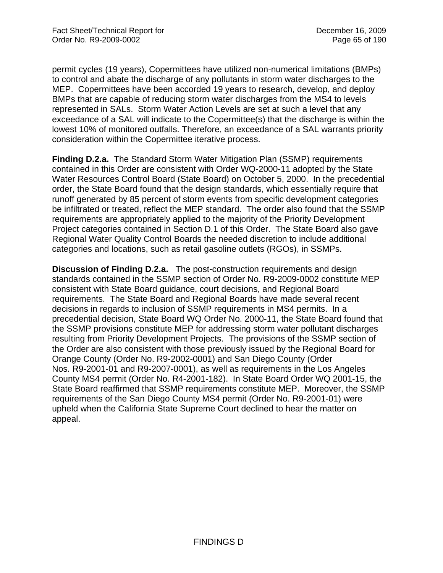permit cycles (19 years), Copermittees have utilized non-numerical limitations (BMPs) to control and abate the discharge of any pollutants in storm water discharges to the MEP. Copermittees have been accorded 19 years to research, develop, and deploy BMPs that are capable of reducing storm water discharges from the MS4 to levels represented in SALs. Storm Water Action Levels are set at such a level that any exceedance of a SAL will indicate to the Copermittee(s) that the discharge is within the lowest 10% of monitored outfalls. Therefore, an exceedance of a SAL warrants priority consideration within the Copermittee iterative process.

**Finding D.2.a.** The Standard Storm Water Mitigation Plan (SSMP) requirements contained in this Order are consistent with Order WQ-2000-11 adopted by the State Water Resources Control Board (State Board) on October 5, 2000. In the precedential order, the State Board found that the design standards, which essentially require that runoff generated by 85 percent of storm events from specific development categories be infiltrated or treated, reflect the MEP standard. The order also found that the SSMP requirements are appropriately applied to the majority of the Priority Development Project categories contained in Section D.1 of this Order. The State Board also gave Regional Water Quality Control Boards the needed discretion to include additional categories and locations, such as retail gasoline outlets (RGOs), in SSMPs.

**Discussion of Finding D.2.a.** The post-construction requirements and design standards contained in the SSMP section of Order No. R9-2009-0002 constitute MEP consistent with State Board guidance, court decisions, and Regional Board requirements. The State Board and Regional Boards have made several recent decisions in regards to inclusion of SSMP requirements in MS4 permits. In a precedential decision, State Board WQ Order No. 2000-11, the State Board found that the SSMP provisions constitute MEP for addressing storm water pollutant discharges resulting from Priority Development Projects. The provisions of the SSMP section of the Order are also consistent with those previously issued by the Regional Board for Orange County (Order No. R9-2002-0001) and San Diego County (Order Nos. R9-2001-01 and R9-2007-0001), as well as requirements in the Los Angeles County MS4 permit (Order No. R4-2001-182). In State Board Order WQ 2001-15, the State Board reaffirmed that SSMP requirements constitute MEP. Moreover, the SSMP requirements of the San Diego County MS4 permit (Order No. R9-2001-01) were upheld when the California State Supreme Court declined to hear the matter on appeal.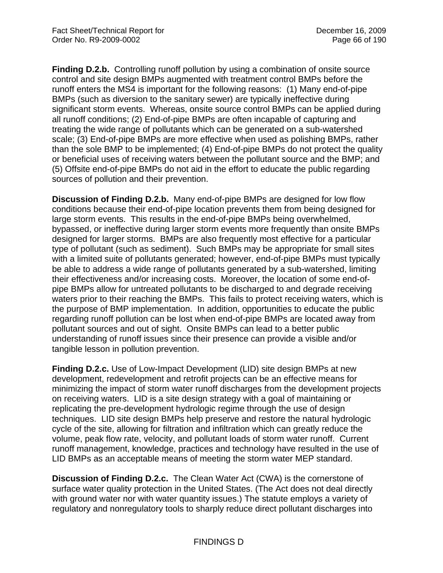**Finding D.2.b.** Controlling runoff pollution by using a combination of onsite source control and site design BMPs augmented with treatment control BMPs before the runoff enters the MS4 is important for the following reasons: (1) Many end-of-pipe BMPs (such as diversion to the sanitary sewer) are typically ineffective during significant storm events. Whereas, onsite source control BMPs can be applied during all runoff conditions; (2) End-of-pipe BMPs are often incapable of capturing and treating the wide range of pollutants which can be generated on a sub-watershed scale; (3) End-of-pipe BMPs are more effective when used as polishing BMPs, rather than the sole BMP to be implemented; (4) End-of-pipe BMPs do not protect the quality or beneficial uses of receiving waters between the pollutant source and the BMP; and (5) Offsite end-of-pipe BMPs do not aid in the effort to educate the public regarding sources of pollution and their prevention.

**Discussion of Finding D.2.b.** Many end-of-pipe BMPs are designed for low flow conditions because their end-of-pipe location prevents them from being designed for large storm events. This results in the end-of-pipe BMPs being overwhelmed, bypassed, or ineffective during larger storm events more frequently than onsite BMPs designed for larger storms. BMPs are also frequently most effective for a particular type of pollutant (such as sediment). Such BMPs may be appropriate for small sites with a limited suite of pollutants generated; however, end-of-pipe BMPs must typically be able to address a wide range of pollutants generated by a sub-watershed, limiting their effectiveness and/or increasing costs. Moreover, the location of some end-ofpipe BMPs allow for untreated pollutants to be discharged to and degrade receiving waters prior to their reaching the BMPs. This fails to protect receiving waters, which is the purpose of BMP implementation. In addition, opportunities to educate the public regarding runoff pollution can be lost when end-of-pipe BMPs are located away from pollutant sources and out of sight. Onsite BMPs can lead to a better public understanding of runoff issues since their presence can provide a visible and/or tangible lesson in pollution prevention.

**Finding D.2.c.** Use of Low-Impact Development (LID) site design BMPs at new development, redevelopment and retrofit projects can be an effective means for minimizing the impact of storm water runoff discharges from the development projects on receiving waters. LID is a site design strategy with a goal of maintaining or replicating the pre-development hydrologic regime through the use of design techniques. LID site design BMPs help preserve and restore the natural hydrologic cycle of the site, allowing for filtration and infiltration which can greatly reduce the volume, peak flow rate, velocity, and pollutant loads of storm water runoff. Current runoff management, knowledge, practices and technology have resulted in the use of LID BMPs as an acceptable means of meeting the storm water MEP standard.

**Discussion of Finding D.2.c.** The Clean Water Act (CWA) is the cornerstone of surface water quality protection in the United States. (The Act does not deal directly with ground water nor with water quantity issues.) The statute employs a variety of regulatory and nonregulatory tools to sharply reduce direct pollutant discharges into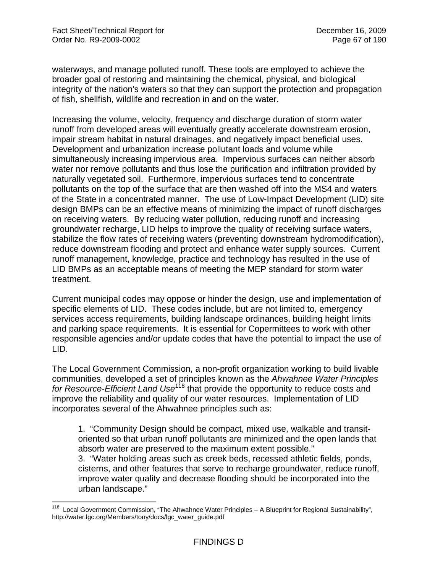waterways, and manage polluted runoff. These tools are employed to achieve the broader goal of restoring and maintaining the chemical, physical, and biological integrity of the nation's waters so that they can support the protection and propagation of fish, shellfish, wildlife and recreation in and on the water.

Increasing the volume, velocity, frequency and discharge duration of storm water runoff from developed areas will eventually greatly accelerate downstream erosion, impair stream habitat in natural drainages, and negatively impact beneficial uses. Development and urbanization increase pollutant loads and volume while simultaneously increasing impervious area. Impervious surfaces can neither absorb water nor remove pollutants and thus lose the purification and infiltration provided by naturally vegetated soil. Furthermore, impervious surfaces tend to concentrate pollutants on the top of the surface that are then washed off into the MS4 and waters of the State in a concentrated manner. The use of Low-Impact Development (LID) site design BMPs can be an effective means of minimizing the impact of runoff discharges on receiving waters. By reducing water pollution, reducing runoff and increasing groundwater recharge, LID helps to improve the quality of receiving surface waters, stabilize the flow rates of receiving waters (preventing downstream hydromodification), reduce downstream flooding and protect and enhance water supply sources. Current runoff management, knowledge, practice and technology has resulted in the use of LID BMPs as an acceptable means of meeting the MEP standard for storm water treatment.

Current municipal codes may oppose or hinder the design, use and implementation of specific elements of LID. These codes include, but are not limited to, emergency services access requirements, building landscape ordinances, building height limits and parking space requirements. It is essential for Copermittees to work with other responsible agencies and/or update codes that have the potential to impact the use of LID.

The Local Government Commission, a non-profit organization working to build livable communities, developed a set of principles known as the *Ahwahnee Water Principles for Resource-Efficient Land Use*118 that provide the opportunity to reduce costs and improve the reliability and quality of our water resources. Implementation of LID incorporates several of the Ahwahnee principles such as:

1. "Community Design should be compact, mixed use, walkable and transitoriented so that urban runoff pollutants are minimized and the open lands that absorb water are preserved to the maximum extent possible."

3. "Water holding areas such as creek beds, recessed athletic fields, ponds, cisterns, and other features that serve to recharge groundwater, reduce runoff, improve water quality and decrease flooding should be incorporated into the urban landscape."

<sup>1</sup> Local Government Commission, "The Ahwahnee Water Principles – A Blueprint for Regional Sustainability", http://water.lgc.org/Members/tony/docs/lgc\_water\_guide.pdf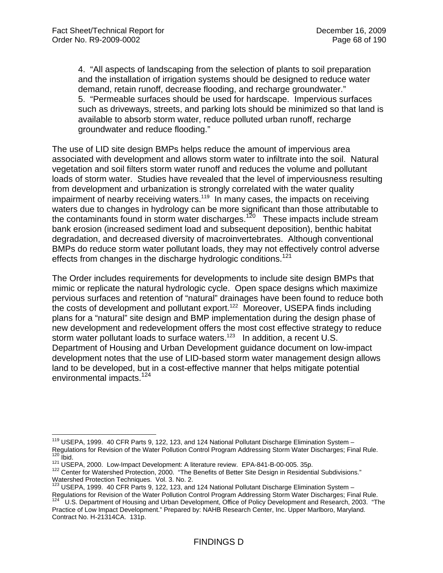4. "All aspects of landscaping from the selection of plants to soil preparation and the installation of irrigation systems should be designed to reduce water demand, retain runoff, decrease flooding, and recharge groundwater." 5. "Permeable surfaces should be used for hardscape. Impervious surfaces such as driveways, streets, and parking lots should be minimized so that land is available to absorb storm water, reduce polluted urban runoff, recharge groundwater and reduce flooding."

The use of LID site design BMPs helps reduce the amount of impervious area associated with development and allows storm water to infiltrate into the soil. Natural vegetation and soil filters storm water runoff and reduces the volume and pollutant loads of storm water. Studies have revealed that the level of imperviousness resulting from development and urbanization is strongly correlated with the water quality impairment of nearby receiving waters.<sup>119</sup> In many cases, the impacts on receiving waters due to changes in hydrology can be more significant than those attributable to the contaminants found in storm water discharges.<sup>120</sup> These impacts include stream bank erosion (increased sediment load and subsequent deposition), benthic habitat degradation, and decreased diversity of macroinvertebrates. Although conventional BMPs do reduce storm water pollutant loads, they may not effectively control adverse effects from changes in the discharge hydrologic conditions.<sup>121</sup>

The Order includes requirements for developments to include site design BMPs that mimic or replicate the natural hydrologic cycle. Open space designs which maximize pervious surfaces and retention of "natural" drainages have been found to reduce both the costs of development and pollutant export.<sup>122</sup> Moreover, USEPA finds including plans for a "natural" site design and BMP implementation during the design phase of new development and redevelopment offers the most cost effective strategy to reduce storm water pollutant loads to surface waters.<sup>123</sup> In addition, a recent U.S. Department of Housing and Urban Development guidance document on low-impact development notes that the use of LID-based storm water management design allows land to be developed, but in a cost-effective manner that helps mitigate potential environmental impacts.<sup>124</sup>

<sup>1</sup> <sup>119</sup> USEPA, 1999. 40 CFR Parts 9, 122, 123, and 124 National Pollutant Discharge Elimination System -Regulations for Revision of the Water Pollution Control Program Addressing Storm Water Discharges; Final Rule.<br><sup>120</sup> Ibid.<br><sup>121</sup> USEPA, 2000. Low-Impact Development: A literature review. EPA-841-B-00-005. 35p.<br><sup>122</sup> Center

Watershed Protection Techniques. Vol. 3. No. 2.

 $123$  USEPA, 1999. 40 CFR Parts 9, 122, 123, and 124 National Pollutant Discharge Elimination System -Regulations for Revision of the Water Pollution Control Program Addressing Storm Water Discharges; Final Rule.<br><sup>124</sup> U.S. Department of Housing and Urban Development, Office of Policy Development and Research, 2003. "The

Practice of Low Impact Development." Prepared by: NAHB Research Center, Inc. Upper Marlboro, Maryland. Contract No. H-21314CA. 131p.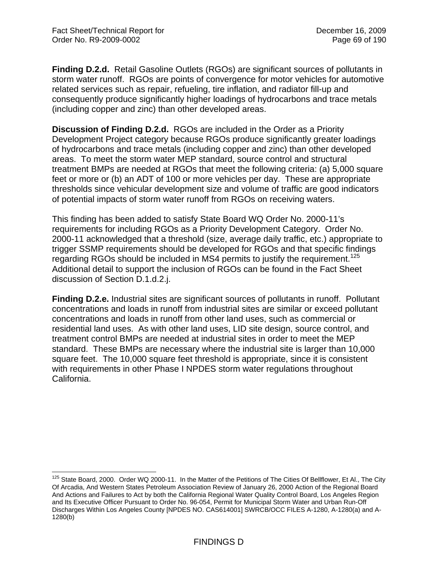**Finding D.2.d.** Retail Gasoline Outlets (RGOs) are significant sources of pollutants in storm water runoff. RGOs are points of convergence for motor vehicles for automotive related services such as repair, refueling, tire inflation, and radiator fill-up and consequently produce significantly higher loadings of hydrocarbons and trace metals (including copper and zinc) than other developed areas.

**Discussion of Finding D.2.d.** RGOs are included in the Order as a Priority Development Project category because RGOs produce significantly greater loadings of hydrocarbons and trace metals (including copper and zinc) than other developed areas. To meet the storm water MEP standard, source control and structural treatment BMPs are needed at RGOs that meet the following criteria: (a) 5,000 square feet or more or (b) an ADT of 100 or more vehicles per day. These are appropriate thresholds since vehicular development size and volume of traffic are good indicators of potential impacts of storm water runoff from RGOs on receiving waters.

This finding has been added to satisfy State Board WQ Order No. 2000-11's requirements for including RGOs as a Priority Development Category. Order No. 2000-11 acknowledged that a threshold (size, average daily traffic, etc.) appropriate to trigger SSMP requirements should be developed for RGOs and that specific findings regarding RGOs should be included in MS4 permits to justify the requirement.<sup>125</sup> Additional detail to support the inclusion of RGOs can be found in the Fact Sheet discussion of Section D.1.d.2.j.

**Finding D.2.e.** Industrial sites are significant sources of pollutants in runoff. Pollutant concentrations and loads in runoff from industrial sites are similar or exceed pollutant concentrations and loads in runoff from other land uses, such as commercial or residential land uses. As with other land uses, LID site design, source control, and treatment control BMPs are needed at industrial sites in order to meet the MEP standard. These BMPs are necessary where the industrial site is larger than 10,000 square feet. The 10,000 square feet threshold is appropriate, since it is consistent with requirements in other Phase I NPDES storm water regulations throughout California.

 $\overline{a}$ <sup>125</sup> State Board, 2000. Order WQ 2000-11. In the Matter of the Petitions of The Cities Of Bellflower, Et Al., The City Of Arcadia, And Western States Petroleum Association Review of January 26, 2000 Action of the Regional Board And Actions and Failures to Act by both the California Regional Water Quality Control Board, Los Angeles Region and Its Executive Officer Pursuant to Order No. 96-054, Permit for Municipal Storm Water and Urban Run-Off Discharges Within Los Angeles County [NPDES NO. CAS614001] SWRCB/OCC FILES A-1280, A-1280(a) and A-1280(b)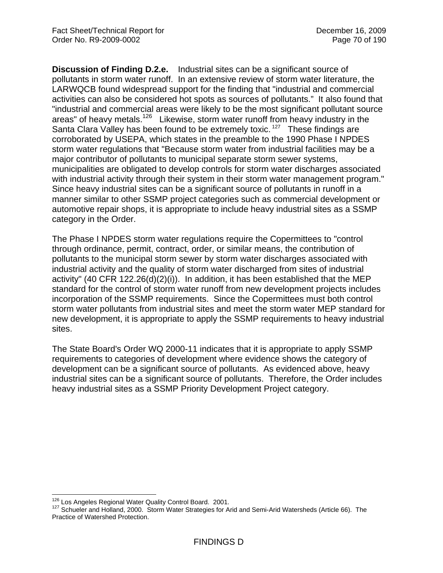**Discussion of Finding D.2.e.** Industrial sites can be a significant source of pollutants in storm water runoff. In an extensive review of storm water literature, the LARWQCB found widespread support for the finding that "industrial and commercial activities can also be considered hot spots as sources of pollutants." It also found that "industrial and commercial areas were likely to be the most significant pollutant source areas" of heavy metals.<sup>126</sup> Likewise, storm water runoff from heavy industry in the Santa Clara Valley has been found to be extremely toxic.<sup>127</sup> These findings are corroborated by USEPA, which states in the preamble to the 1990 Phase I NPDES storm water regulations that "Because storm water from industrial facilities may be a major contributor of pollutants to municipal separate storm sewer systems, municipalities are obligated to develop controls for storm water discharges associated with industrial activity through their system in their storm water management program." Since heavy industrial sites can be a significant source of pollutants in runoff in a manner similar to other SSMP project categories such as commercial development or automotive repair shops, it is appropriate to include heavy industrial sites as a SSMP category in the Order.

The Phase I NPDES storm water regulations require the Copermittees to "control through ordinance, permit, contract, order, or similar means, the contribution of pollutants to the municipal storm sewer by storm water discharges associated with industrial activity and the quality of storm water discharged from sites of industrial activity" (40 CFR 122.26(d)(2)(i)). In addition, it has been established that the MEP standard for the control of storm water runoff from new development projects includes incorporation of the SSMP requirements. Since the Copermittees must both control storm water pollutants from industrial sites and meet the storm water MEP standard for new development, it is appropriate to apply the SSMP requirements to heavy industrial sites.

The State Board's Order WQ 2000-11 indicates that it is appropriate to apply SSMP requirements to categories of development where evidence shows the category of development can be a significant source of pollutants. As evidenced above, heavy industrial sites can be a significant source of pollutants. Therefore, the Order includes heavy industrial sites as a SSMP Priority Development Project category.

<sup>&</sup>lt;sup>126</sup> Los Angeles Regional Water Quality Control Board. 2001.

<sup>127</sup> Schueler and Holland, 2000. Storm Water Strategies for Arid and Semi-Arid Watersheds (Article 66). The Practice of Watershed Protection.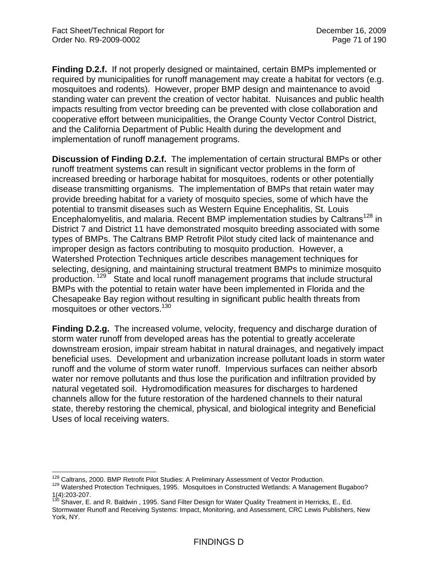**Finding D.2.f.** If not properly designed or maintained, certain BMPs implemented or required by municipalities for runoff management may create a habitat for vectors (e.g. mosquitoes and rodents). However, proper BMP design and maintenance to avoid standing water can prevent the creation of vector habitat. Nuisances and public health impacts resulting from vector breeding can be prevented with close collaboration and cooperative effort between municipalities, the Orange County Vector Control District, and the California Department of Public Health during the development and implementation of runoff management programs.

**Discussion of Finding D.2.f.** The implementation of certain structural BMPs or other runoff treatment systems can result in significant vector problems in the form of increased breeding or harborage habitat for mosquitoes, rodents or other potentially disease transmitting organisms. The implementation of BMPs that retain water may provide breeding habitat for a variety of mosquito species, some of which have the potential to transmit diseases such as Western Equine Encephalitis, St. Louis Encephalomyelitis, and malaria. Recent BMP implementation studies by Caltrans<sup>128</sup> in District 7 and District 11 have demonstrated mosquito breeding associated with some types of BMPs. The Caltrans BMP Retrofit Pilot study cited lack of maintenance and improper design as factors contributing to mosquito production. However, a Watershed Protection Techniques article describes management techniques for selecting, designing, and maintaining structural treatment BMPs to minimize mosquito production. <sup>129</sup> State and local runoff management programs that include structural BMPs with the potential to retain water have been implemented in Florida and the Chesapeake Bay region without resulting in significant public health threats from mosquitoes or other vectors.<sup>130</sup>

**Finding D.2.g.** The increased volume, velocity, frequency and discharge duration of storm water runoff from developed areas has the potential to greatly accelerate downstream erosion, impair stream habitat in natural drainages, and negatively impact beneficial uses. Development and urbanization increase pollutant loads in storm water runoff and the volume of storm water runoff. Impervious surfaces can neither absorb water nor remove pollutants and thus lose the purification and infiltration provided by natural vegetated soil. Hydromodification measures for discharges to hardened channels allow for the future restoration of the hardened channels to their natural state, thereby restoring the chemical, physical, and biological integrity and Beneficial Uses of local receiving waters.

<sup>&</sup>lt;sup>128</sup> Caltrans. 2000. BMP Retrofit Pilot Studies: A Preliminary Assessment of Vector Production.

<sup>129</sup> Watershed Protection Techniques, 1995. Mosquitoes in Constructed Wetlands: A Management Bugaboo? 1(4):203-207.

<sup>&</sup>lt;sup>130</sup> Shaver, E. and R. Baldwin, 1995. Sand Filter Design for Water Quality Treatment in Herricks, E., Ed. Stormwater Runoff and Receiving Systems: Impact, Monitoring, and Assessment, CRC Lewis Publishers, New York, NY.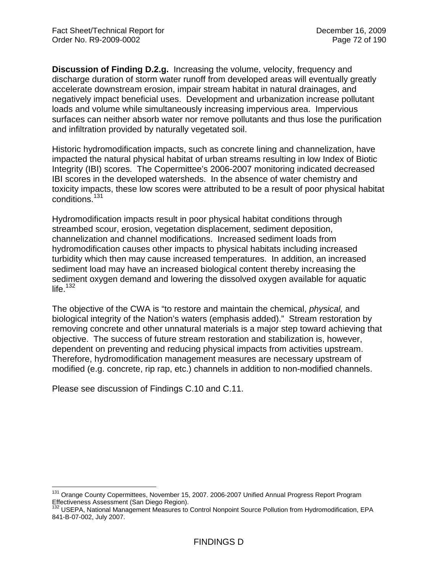**Discussion of Finding D.2.g.** Increasing the volume, velocity, frequency and discharge duration of storm water runoff from developed areas will eventually greatly accelerate downstream erosion, impair stream habitat in natural drainages, and negatively impact beneficial uses. Development and urbanization increase pollutant loads and volume while simultaneously increasing impervious area. Impervious surfaces can neither absorb water nor remove pollutants and thus lose the purification and infiltration provided by naturally vegetated soil.

Historic hydromodification impacts, such as concrete lining and channelization, have impacted the natural physical habitat of urban streams resulting in low Index of Biotic Integrity (IBI) scores. The Copermittee's 2006-2007 monitoring indicated decreased IBI scores in the developed watersheds. In the absence of water chemistry and toxicity impacts, these low scores were attributed to be a result of poor physical habitat conditions.131

Hydromodification impacts result in poor physical habitat conditions through streambed scour, erosion, vegetation displacement, sediment deposition, channelization and channel modifications. Increased sediment loads from hydromodification causes other impacts to physical habitats including increased turbidity which then may cause increased temperatures. In addition, an increased sediment load may have an increased biological content thereby increasing the sediment oxygen demand and lowering the dissolved oxygen available for aquatic life. $132$ 

The objective of the CWA is "to restore and maintain the chemical, *physical,* and biological integrity of the Nation's waters (emphasis added)." Stream restoration by removing concrete and other unnatural materials is a major step toward achieving that objective. The success of future stream restoration and stabilization is, however, dependent on preventing and reducing physical impacts from activities upstream. Therefore, hydromodification management measures are necessary upstream of modified (e.g. concrete, rip rap, etc.) channels in addition to non-modified channels.

Please see discussion of Findings C.10 and C.11.

 $\overline{a}$ 

<sup>&</sup>lt;sup>131</sup> Orange County Copermittees, November 15, 2007. 2006-2007 Unified Annual Progress Report Program Effectiveness Assessment (San Diego Region).

<sup>132</sup> USEPA, National Management Measures to Control Nonpoint Source Pollution from Hydromodification, EPA 841-B-07-002, July 2007.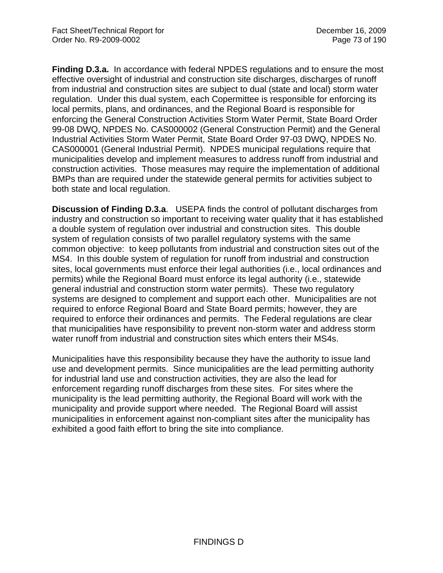**Finding D.3.a.** In accordance with federal NPDES regulations and to ensure the most effective oversight of industrial and construction site discharges, discharges of runoff from industrial and construction sites are subject to dual (state and local) storm water regulation. Under this dual system, each Copermittee is responsible for enforcing its local permits, plans, and ordinances, and the Regional Board is responsible for enforcing the General Construction Activities Storm Water Permit, State Board Order 99-08 DWQ, NPDES No. CAS000002 (General Construction Permit) and the General Industrial Activities Storm Water Permit, State Board Order 97-03 DWQ, NPDES No. CAS000001 (General Industrial Permit). NPDES municipal regulations require that municipalities develop and implement measures to address runoff from industrial and construction activities. Those measures may require the implementation of additional BMPs than are required under the statewide general permits for activities subject to both state and local regulation.

**Discussion of Finding D.3.a**. USEPA finds the control of pollutant discharges from industry and construction so important to receiving water quality that it has established a double system of regulation over industrial and construction sites. This double system of regulation consists of two parallel regulatory systems with the same common objective: to keep pollutants from industrial and construction sites out of the MS4. In this double system of regulation for runoff from industrial and construction sites, local governments must enforce their legal authorities (i.e., local ordinances and permits) while the Regional Board must enforce its legal authority (i.e., statewide general industrial and construction storm water permits). These two regulatory systems are designed to complement and support each other. Municipalities are not required to enforce Regional Board and State Board permits; however, they are required to enforce their ordinances and permits. The Federal regulations are clear that municipalities have responsibility to prevent non-storm water and address storm water runoff from industrial and construction sites which enters their MS4s.

Municipalities have this responsibility because they have the authority to issue land use and development permits. Since municipalities are the lead permitting authority for industrial land use and construction activities, they are also the lead for enforcement regarding runoff discharges from these sites. For sites where the municipality is the lead permitting authority, the Regional Board will work with the municipality and provide support where needed. The Regional Board will assist municipalities in enforcement against non-compliant sites after the municipality has exhibited a good faith effort to bring the site into compliance.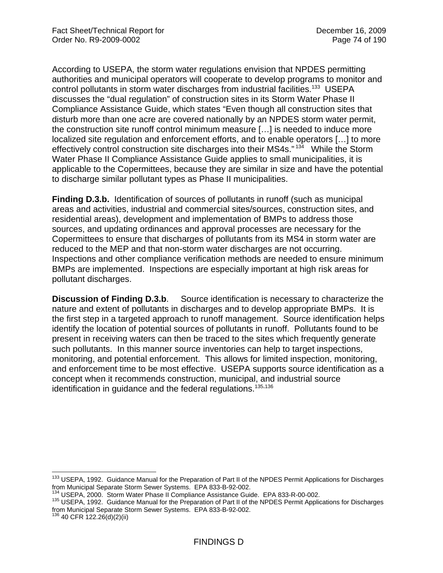According to USEPA, the storm water regulations envision that NPDES permitting authorities and municipal operators will cooperate to develop programs to monitor and control pollutants in storm water discharges from industrial facilities.<sup>133</sup> USEPA discusses the "dual regulation" of construction sites in its Storm Water Phase II Compliance Assistance Guide, which states "Even though all construction sites that disturb more than one acre are covered nationally by an NPDES storm water permit, the construction site runoff control minimum measure […] is needed to induce more localized site regulation and enforcement efforts, and to enable operators […] to more effectively control construction site discharges into their MS4s."<sup>134</sup> While the Storm Water Phase II Compliance Assistance Guide applies to small municipalities, it is applicable to the Copermittees, because they are similar in size and have the potential to discharge similar pollutant types as Phase II municipalities.

**Finding D.3.b.** Identification of sources of pollutants in runoff (such as municipal areas and activities, industrial and commercial sites/sources, construction sites, and residential areas), development and implementation of BMPs to address those sources, and updating ordinances and approval processes are necessary for the Copermittees to ensure that discharges of pollutants from its MS4 in storm water are reduced to the MEP and that non-storm water discharges are not occurring. Inspections and other compliance verification methods are needed to ensure minimum BMPs are implemented. Inspections are especially important at high risk areas for pollutant discharges.

**Discussion of Finding D.3.b**. Source identification is necessary to characterize the nature and extent of pollutants in discharges and to develop appropriate BMPs. It is the first step in a targeted approach to runoff management. Source identification helps identify the location of potential sources of pollutants in runoff. Pollutants found to be present in receiving waters can then be traced to the sites which frequently generate such pollutants. In this manner source inventories can help to target inspections, monitoring, and potential enforcement. This allows for limited inspection, monitoring, and enforcement time to be most effective. USEPA supports source identification as a concept when it recommends construction, municipal, and industrial source identification in guidance and the federal regulations.<sup>135,136</sup>

<sup>1</sup> <sup>133</sup> USEPA, 1992. Guidance Manual for the Preparation of Part II of the NPDES Permit Applications for Discharges from Municipal Separate Storm Sewer Systems. EPA 833-B-92-002.<br><sup>134</sup> USEPA, 2000. Storm Water Phase II Compliance Assistance Guide. EPA 833-R-00-002.

<sup>&</sup>lt;sup>135</sup> USEPA, 1992. Guidance Manual for the Preparation of Part II of the NPDES Permit Applications for Discharges from Municipal Separate Storm Sewer Systems. EPA 833-B-92-002.

 $136$  40 CFR 122.26(d)(2)(ii)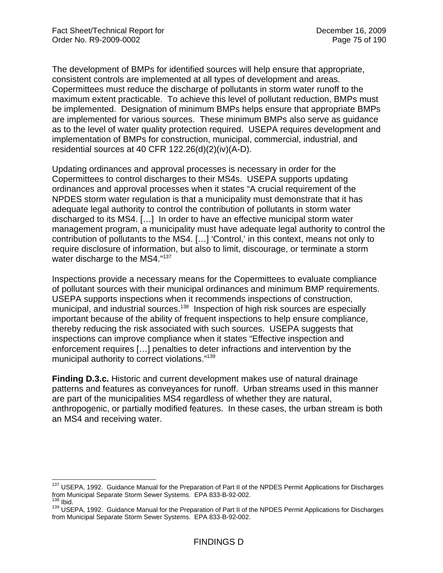The development of BMPs for identified sources will help ensure that appropriate, consistent controls are implemented at all types of development and areas. Copermittees must reduce the discharge of pollutants in storm water runoff to the maximum extent practicable. To achieve this level of pollutant reduction, BMPs must be implemented. Designation of minimum BMPs helps ensure that appropriate BMPs are implemented for various sources. These minimum BMPs also serve as guidance as to the level of water quality protection required. USEPA requires development and implementation of BMPs for construction, municipal, commercial, industrial, and residential sources at 40 CFR 122.26(d)(2)(iv)(A-D).

Updating ordinances and approval processes is necessary in order for the Copermittees to control discharges to their MS4s. USEPA supports updating ordinances and approval processes when it states "A crucial requirement of the NPDES storm water regulation is that a municipality must demonstrate that it has adequate legal authority to control the contribution of pollutants in storm water discharged to its MS4. […] In order to have an effective municipal storm water management program, a municipality must have adequate legal authority to control the contribution of pollutants to the MS4. […] 'Control,' in this context, means not only to require disclosure of information, but also to limit, discourage, or terminate a storm water discharge to the MS4."137

Inspections provide a necessary means for the Copermittees to evaluate compliance of pollutant sources with their municipal ordinances and minimum BMP requirements. USEPA supports inspections when it recommends inspections of construction, municipal, and industrial sources.<sup>138</sup> Inspection of high risk sources are especially important because of the ability of frequent inspections to help ensure compliance, thereby reducing the risk associated with such sources. USEPA suggests that inspections can improve compliance when it states "Effective inspection and enforcement requires […] penalties to deter infractions and intervention by the municipal authority to correct violations."139

**Finding D.3.c.** Historic and current development makes use of natural drainage patterns and features as conveyances for runoff. Urban streams used in this manner are part of the municipalities MS4 regardless of whether they are natural, anthropogenic, or partially modified features. In these cases, the urban stream is both an MS4 and receiving water.

 $\overline{a}$ <sup>137</sup> USEPA, 1992. Guidance Manual for the Preparation of Part II of the NPDES Permit Applications for Discharges from Municipal Separate Storm Sewer Systems. EPA 833-B-92-002.<br><sup>138</sup> Ibid.

<sup>139</sup> USEPA, 1992. Guidance Manual for the Preparation of Part II of the NPDES Permit Applications for Discharges from Municipal Separate Storm Sewer Systems. EPA 833-B-92-002.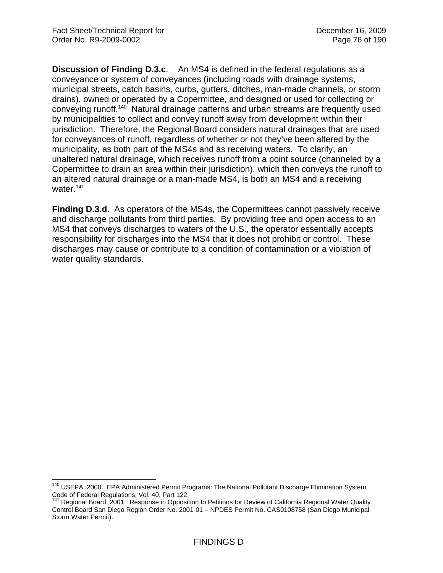**Discussion of Finding D.3.c**. An MS4 is defined in the federal regulations as a conveyance or system of conveyances (including roads with drainage systems, municipal streets, catch basins, curbs, gutters, ditches, man-made channels, or storm drains), owned or operated by a Copermittee, and designed or used for collecting or conveying runoff.140 Natural drainage patterns and urban streams are frequently used by municipalities to collect and convey runoff away from development within their jurisdiction. Therefore, the Regional Board considers natural drainages that are used for conveyances of runoff, regardless of whether or not they've been altered by the municipality, as both part of the MS4s and as receiving waters. To clarify, an unaltered natural drainage, which receives runoff from a point source (channeled by a Copermittee to drain an area within their jurisdiction), which then conveys the runoff to an altered natural drainage or a man-made MS4, is both an MS4 and a receiving water.<sup>141</sup>

**Finding D.3.d.** As operators of the MS4s, the Copermittees cannot passively receive and discharge pollutants from third parties. By providing free and open access to an MS4 that conveys discharges to waters of the U.S., the operator essentially accepts responsibility for discharges into the MS4 that it does not prohibit or control. These discharges may cause or contribute to a condition of contamination or a violation of water quality standards.

<sup>1</sup> <sup>140</sup> USEPA, 2000. EPA Administered Permit Programs: The National Pollutant Discharge Elimination System. Code of Federal Regulations, Vol. 40, Part 122.

Regional Board, 2001. Response in Opposition to Petitions for Review of California Regional Water Quality Control Board San Diego Region Order No. 2001-01 – NPDES Permit No. CAS0108758 (San Diego Municipal Storm Water Permit).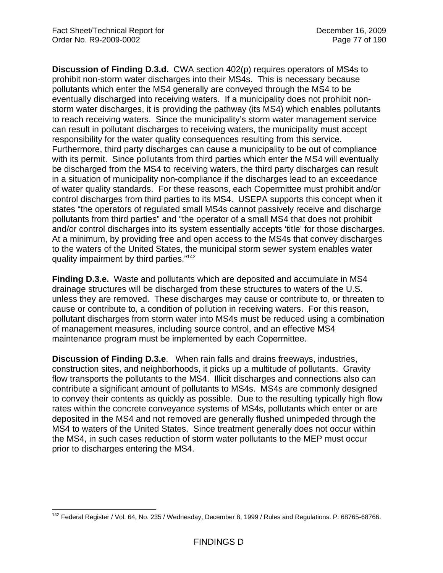**Discussion of Finding D.3.d.** CWA section 402(p) requires operators of MS4s to prohibit non-storm water discharges into their MS4s. This is necessary because pollutants which enter the MS4 generally are conveyed through the MS4 to be eventually discharged into receiving waters. If a municipality does not prohibit nonstorm water discharges, it is providing the pathway (its MS4) which enables pollutants to reach receiving waters. Since the municipality's storm water management service can result in pollutant discharges to receiving waters, the municipality must accept responsibility for the water quality consequences resulting from this service. Furthermore, third party discharges can cause a municipality to be out of compliance with its permit. Since pollutants from third parties which enter the MS4 will eventually be discharged from the MS4 to receiving waters, the third party discharges can result in a situation of municipality non-compliance if the discharges lead to an exceedance of water quality standards. For these reasons, each Copermittee must prohibit and/or control discharges from third parties to its MS4. USEPA supports this concept when it states "the operators of regulated small MS4s cannot passively receive and discharge pollutants from third parties" and "the operator of a small MS4 that does not prohibit and/or control discharges into its system essentially accepts 'title' for those discharges. At a minimum, by providing free and open access to the MS4s that convey discharges to the waters of the United States, the municipal storm sewer system enables water quality impairment by third parties."142

**Finding D.3.e.** Waste and pollutants which are deposited and accumulate in MS4 drainage structures will be discharged from these structures to waters of the U.S. unless they are removed. These discharges may cause or contribute to, or threaten to cause or contribute to, a condition of pollution in receiving waters. For this reason, pollutant discharges from storm water into MS4s must be reduced using a combination of management measures, including source control, and an effective MS4 maintenance program must be implemented by each Copermittee.

**Discussion of Finding D.3.e**. When rain falls and drains freeways, industries, construction sites, and neighborhoods, it picks up a multitude of pollutants. Gravity flow transports the pollutants to the MS4. Illicit discharges and connections also can contribute a significant amount of pollutants to MS4s. MS4s are commonly designed to convey their contents as quickly as possible. Due to the resulting typically high flow rates within the concrete conveyance systems of MS4s, pollutants which enter or are deposited in the MS4 and not removed are generally flushed unimpeded through the MS4 to waters of the United States. Since treatment generally does not occur within the MS4, in such cases reduction of storm water pollutants to the MEP must occur prior to discharges entering the MS4.

<sup>1</sup> <sup>142</sup> Federal Register / Vol. 64, No. 235 / Wednesday, December 8, 1999 / Rules and Regulations. P. 68765-68766.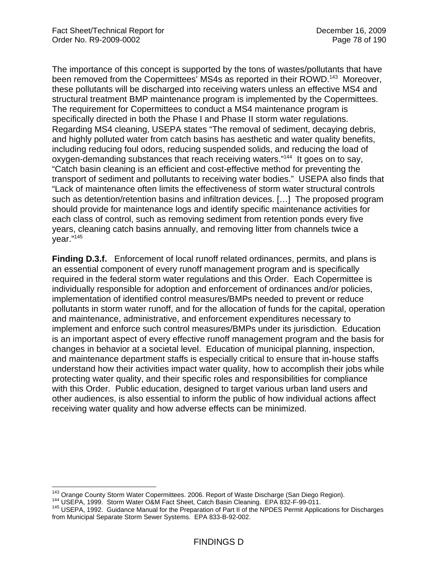The importance of this concept is supported by the tons of wastes/pollutants that have been removed from the Copermittees' MS4s as reported in their ROWD.<sup>143</sup> Moreover, these pollutants will be discharged into receiving waters unless an effective MS4 and structural treatment BMP maintenance program is implemented by the Copermittees. The requirement for Copermittees to conduct a MS4 maintenance program is specifically directed in both the Phase I and Phase II storm water regulations. Regarding MS4 cleaning, USEPA states "The removal of sediment, decaying debris, and highly polluted water from catch basins has aesthetic and water quality benefits, including reducing foul odors, reducing suspended solids, and reducing the load of oxygen-demanding substances that reach receiving waters."144 It goes on to say, "Catch basin cleaning is an efficient and cost-effective method for preventing the transport of sediment and pollutants to receiving water bodies." USEPA also finds that "Lack of maintenance often limits the effectiveness of storm water structural controls such as detention/retention basins and infiltration devices. […] The proposed program should provide for maintenance logs and identify specific maintenance activities for each class of control, such as removing sediment from retention ponds every five years, cleaning catch basins annually, and removing litter from channels twice a year."145

**Finding D.3.f.** Enforcement of local runoff related ordinances, permits, and plans is an essential component of every runoff management program and is specifically required in the federal storm water regulations and this Order. Each Copermittee is individually responsible for adoption and enforcement of ordinances and/or policies, implementation of identified control measures/BMPs needed to prevent or reduce pollutants in storm water runoff, and for the allocation of funds for the capital, operation and maintenance, administrative, and enforcement expenditures necessary to implement and enforce such control measures/BMPs under its jurisdiction. Education is an important aspect of every effective runoff management program and the basis for changes in behavior at a societal level. Education of municipal planning, inspection, and maintenance department staffs is especially critical to ensure that in-house staffs understand how their activities impact water quality, how to accomplish their jobs while protecting water quality, and their specific roles and responsibilities for compliance with this Order. Public education, designed to target various urban land users and other audiences, is also essential to inform the public of how individual actions affect receiving water quality and how adverse effects can be minimized.

<sup>&</sup>lt;sup>143</sup> Orange County Storm Water Copermittees. 2006. Report of Waste Discharge (San Diego Region).

<sup>&</sup>lt;sup>144</sup> USEPA, 1999. Storm Water O&M Fact Sheet, Catch Basin Cleaning. EPA 832-F-99-011.<br><sup>145</sup> USEPA, 1992. Guidance Manual for the Preparation of Part II of the NPDES Permit Applications for Discharges from Municipal Separate Storm Sewer Systems. EPA 833-B-92-002.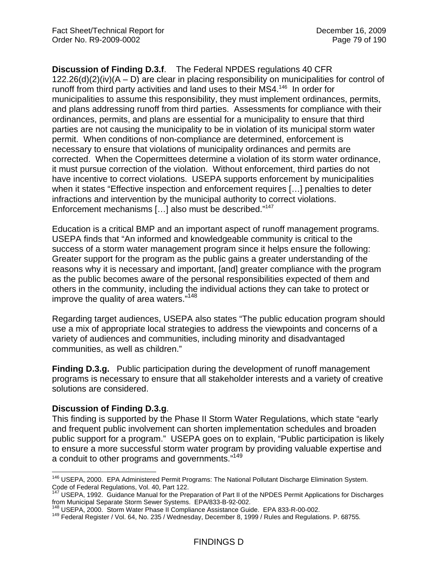**Discussion of Finding D.3.f**. The Federal NPDES regulations 40 CFR  $122.26(d)(2)(iv)(A – D)$  are clear in placing responsibility on municipalities for control of runoff from third party activities and land uses to their MS4.<sup>146</sup> In order for municipalities to assume this responsibility, they must implement ordinances, permits, and plans addressing runoff from third parties. Assessments for compliance with their ordinances, permits, and plans are essential for a municipality to ensure that third parties are not causing the municipality to be in violation of its municipal storm water permit. When conditions of non-compliance are determined, enforcement is necessary to ensure that violations of municipality ordinances and permits are corrected. When the Copermittees determine a violation of its storm water ordinance, it must pursue correction of the violation. Without enforcement, third parties do not have incentive to correct violations. USEPA supports enforcement by municipalities when it states "Effective inspection and enforcement requires […] penalties to deter infractions and intervention by the municipal authority to correct violations. Enforcement mechanisms […] also must be described."147

Education is a critical BMP and an important aspect of runoff management programs. USEPA finds that "An informed and knowledgeable community is critical to the success of a storm water management program since it helps ensure the following: Greater support for the program as the public gains a greater understanding of the reasons why it is necessary and important, [and] greater compliance with the program as the public becomes aware of the personal responsibilities expected of them and others in the community, including the individual actions they can take to protect or improve the quality of area waters."148

Regarding target audiences, USEPA also states "The public education program should use a mix of appropriate local strategies to address the viewpoints and concerns of a variety of audiences and communities, including minority and disadvantaged communities, as well as children."

**Finding D.3.g.** Public participation during the development of runoff management programs is necessary to ensure that all stakeholder interests and a variety of creative solutions are considered.

#### **Discussion of Finding D.3.g**.

This finding is supported by the Phase II Storm Water Regulations, which state "early and frequent public involvement can shorten implementation schedules and broaden public support for a program." USEPA goes on to explain, "Public participation is likely to ensure a more successful storm water program by providing valuable expertise and a conduit to other programs and governments."149

 $\overline{a}$ <sup>146</sup> USEPA, 2000. EPA Administered Permit Programs: The National Pollutant Discharge Elimination System. Code of Federal Regulations, Vol. 40, Part 122.

<sup>&</sup>lt;sup>147</sup> USEPA, 1992. Guidance Manual for the Preparation of Part II of the NPDES Permit Applications for Discharges from Municipal Separate Storm Sewer Systems. EPA/833-B-92-002.<br><sup>148</sup> USEPA, 2000. Storm Water Phase II Compliance Assistance Guide. EPA 833-R-00-002.<br><sup>149</sup> Federal Register / Vol. 64, No. 235 / Wednesday, December 8, 1999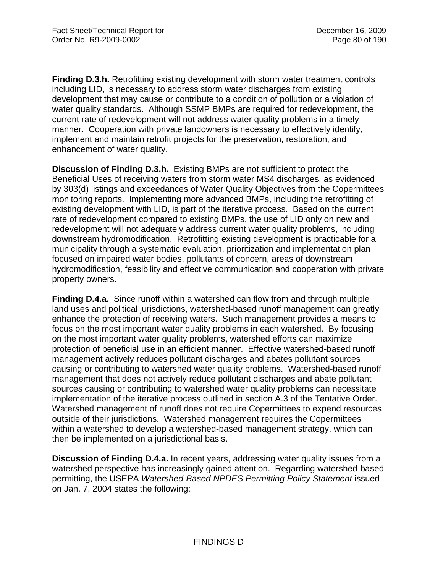**Finding D.3.h.** Retrofitting existing development with storm water treatment controls including LID, is necessary to address storm water discharges from existing development that may cause or contribute to a condition of pollution or a violation of water quality standards. Although SSMP BMPs are required for redevelopment, the current rate of redevelopment will not address water quality problems in a timely manner. Cooperation with private landowners is necessary to effectively identify, implement and maintain retrofit projects for the preservation, restoration, and enhancement of water quality.

**Discussion of Finding D.3.h.** Existing BMPs are not sufficient to protect the Beneficial Uses of receiving waters from storm water MS4 discharges, as evidenced by 303(d) listings and exceedances of Water Quality Objectives from the Copermittees monitoring reports. Implementing more advanced BMPs, including the retrofitting of existing development with LID, is part of the iterative process. Based on the current rate of redevelopment compared to existing BMPs, the use of LID only on new and redevelopment will not adequately address current water quality problems, including downstream hydromodification. Retrofitting existing development is practicable for a municipality through a systematic evaluation, prioritization and implementation plan focused on impaired water bodies, pollutants of concern, areas of downstream hydromodification, feasibility and effective communication and cooperation with private property owners.

**Finding D.4.a.** Since runoff within a watershed can flow from and through multiple land uses and political jurisdictions, watershed-based runoff management can greatly enhance the protection of receiving waters. Such management provides a means to focus on the most important water quality problems in each watershed. By focusing on the most important water quality problems, watershed efforts can maximize protection of beneficial use in an efficient manner. Effective watershed-based runoff management actively reduces pollutant discharges and abates pollutant sources causing or contributing to watershed water quality problems. Watershed-based runoff management that does not actively reduce pollutant discharges and abate pollutant sources causing or contributing to watershed water quality problems can necessitate implementation of the iterative process outlined in section A.3 of the Tentative Order. Watershed management of runoff does not require Copermittees to expend resources outside of their jurisdictions. Watershed management requires the Copermittees within a watershed to develop a watershed-based management strategy, which can then be implemented on a jurisdictional basis.

**Discussion of Finding D.4.a.** In recent years, addressing water quality issues from a watershed perspective has increasingly gained attention. Regarding watershed-based permitting, the USEPA *Watershed-Based NPDES Permitting Policy Statement* issued on Jan. 7, 2004 states the following: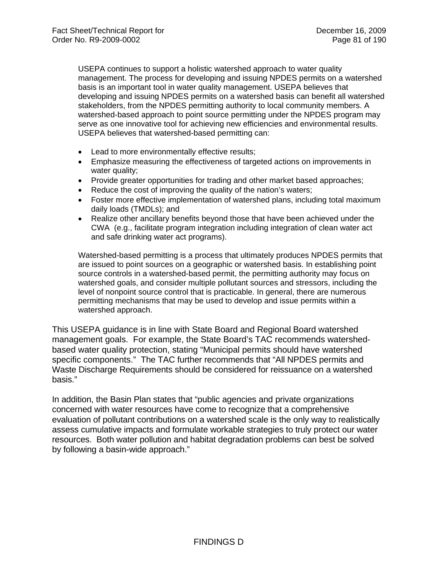USEPA continues to support a holistic watershed approach to water quality management. The process for developing and issuing NPDES permits on a watershed basis is an important tool in water quality management. USEPA believes that developing and issuing NPDES permits on a watershed basis can benefit all watershed stakeholders, from the NPDES permitting authority to local community members. A watershed-based approach to point source permitting under the NPDES program may serve as one innovative tool for achieving new efficiencies and environmental results. USEPA believes that watershed-based permitting can:

- Lead to more environmentally effective results;
- Emphasize measuring the effectiveness of targeted actions on improvements in water quality;
- Provide greater opportunities for trading and other market based approaches;
- Reduce the cost of improving the quality of the nation's waters;
- Foster more effective implementation of watershed plans, including total maximum daily loads (TMDLs); and
- Realize other ancillary benefits beyond those that have been achieved under the CWA (e.g., facilitate program integration including integration of clean water act and safe drinking water act programs).

Watershed-based permitting is a process that ultimately produces NPDES permits that are issued to point sources on a geographic or watershed basis. In establishing point source controls in a watershed-based permit, the permitting authority may focus on watershed goals, and consider multiple pollutant sources and stressors, including the level of nonpoint source control that is practicable. In general, there are numerous permitting mechanisms that may be used to develop and issue permits within a watershed approach.

This USEPA guidance is in line with State Board and Regional Board watershed management goals. For example, the State Board's TAC recommends watershedbased water quality protection, stating "Municipal permits should have watershed specific components." The TAC further recommends that "All NPDES permits and Waste Discharge Requirements should be considered for reissuance on a watershed basis."

In addition, the Basin Plan states that "public agencies and private organizations concerned with water resources have come to recognize that a comprehensive evaluation of pollutant contributions on a watershed scale is the only way to realistically assess cumulative impacts and formulate workable strategies to truly protect our water resources. Both water pollution and habitat degradation problems can best be solved by following a basin-wide approach."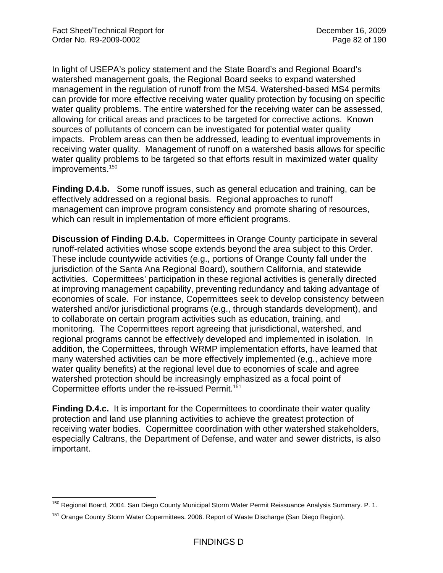In light of USEPA's policy statement and the State Board's and Regional Board's watershed management goals, the Regional Board seeks to expand watershed management in the regulation of runoff from the MS4. Watershed-based MS4 permits can provide for more effective receiving water quality protection by focusing on specific water quality problems. The entire watershed for the receiving water can be assessed, allowing for critical areas and practices to be targeted for corrective actions. Known sources of pollutants of concern can be investigated for potential water quality impacts. Problem areas can then be addressed, leading to eventual improvements in receiving water quality. Management of runoff on a watershed basis allows for specific water quality problems to be targeted so that efforts result in maximized water quality improvements.<sup>150</sup>

**Finding D.4.b.** Some runoff issues, such as general education and training, can be effectively addressed on a regional basis. Regional approaches to runoff management can improve program consistency and promote sharing of resources, which can result in implementation of more efficient programs.

**Discussion of Finding D.4.b.** Copermittees in Orange County participate in several runoff-related activities whose scope extends beyond the area subject to this Order. These include countywide activities (e.g., portions of Orange County fall under the jurisdiction of the Santa Ana Regional Board), southern California, and statewide activities. Copermittees' participation in these regional activities is generally directed at improving management capability, preventing redundancy and taking advantage of economies of scale. For instance, Copermittees seek to develop consistency between watershed and/or jurisdictional programs (e.g., through standards development), and to collaborate on certain program activities such as education, training, and monitoring. The Copermittees report agreeing that jurisdictional, watershed, and regional programs cannot be effectively developed and implemented in isolation. In addition, the Copermittees, through WRMP implementation efforts, have learned that many watershed activities can be more effectively implemented (e.g., achieve more water quality benefits) at the regional level due to economies of scale and agree watershed protection should be increasingly emphasized as a focal point of Copermittee efforts under the re-issued Permit.<sup>151</sup>

**Finding D.4.c.** It is important for the Copermittees to coordinate their water quality protection and land use planning activities to achieve the greatest protection of receiving water bodies. Copermittee coordination with other watershed stakeholders, especially Caltrans, the Department of Defense, and water and sewer districts, is also important.

 $\overline{a}$ <sup>150</sup> Regional Board, 2004. San Diego County Municipal Storm Water Permit Reissuance Analysis Summary. P. 1.

<sup>&</sup>lt;sup>151</sup> Orange County Storm Water Copermittees. 2006. Report of Waste Discharge (San Diego Region).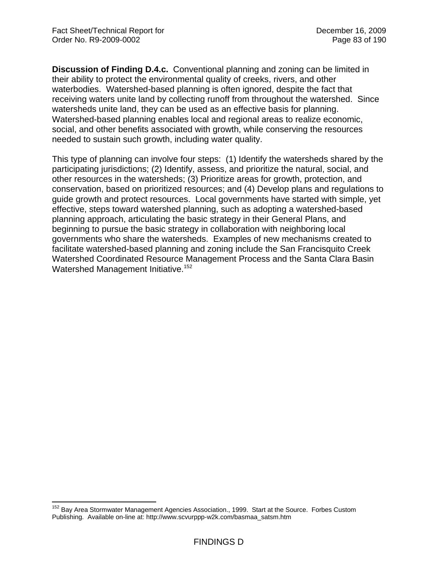$\overline{a}$ 

**Discussion of Finding D.4.c.** Conventional planning and zoning can be limited in their ability to protect the environmental quality of creeks, rivers, and other waterbodies. Watershed-based planning is often ignored, despite the fact that receiving waters unite land by collecting runoff from throughout the watershed. Since watersheds unite land, they can be used as an effective basis for planning. Watershed-based planning enables local and regional areas to realize economic, social, and other benefits associated with growth, while conserving the resources needed to sustain such growth, including water quality.

This type of planning can involve four steps: (1) Identify the watersheds shared by the participating jurisdictions; (2) Identify, assess, and prioritize the natural, social, and other resources in the watersheds; (3) Prioritize areas for growth, protection, and conservation, based on prioritized resources; and (4) Develop plans and regulations to guide growth and protect resources. Local governments have started with simple, yet effective, steps toward watershed planning, such as adopting a watershed-based planning approach, articulating the basic strategy in their General Plans, and beginning to pursue the basic strategy in collaboration with neighboring local governments who share the watersheds. Examples of new mechanisms created to facilitate watershed-based planning and zoning include the San Francisquito Creek Watershed Coordinated Resource Management Process and the Santa Clara Basin Watershed Management Initiative.<sup>152</sup>

<sup>&</sup>lt;sup>152</sup> Bay Area Stormwater Management Agencies Association., 1999. Start at the Source. Forbes Custom Publishing. Available on-line at: http://www.scvurppp-w2k.com/basmaa\_satsm.htm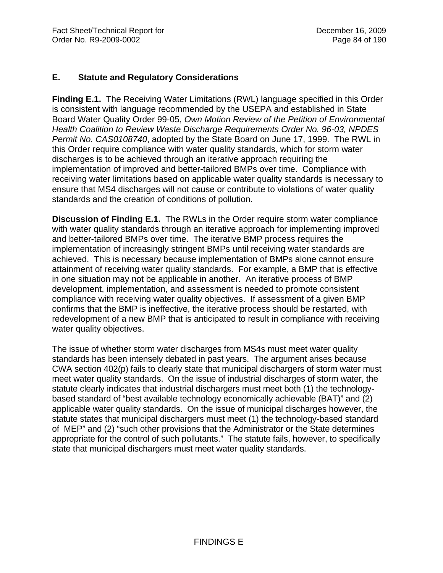### **E. Statute and Regulatory Considerations**

**Finding E.1.** The Receiving Water Limitations (RWL) language specified in this Order is consistent with language recommended by the USEPA and established in State Board Water Quality Order 99-05, *Own Motion Review of the Petition of Environmental Health Coalition to Review Waste Discharge Requirements Order No. 96-03, NPDES Permit No. CAS0108740*, adopted by the State Board on June 17, 1999. The RWL in this Order require compliance with water quality standards, which for storm water discharges is to be achieved through an iterative approach requiring the implementation of improved and better-tailored BMPs over time. Compliance with receiving water limitations based on applicable water quality standards is necessary to ensure that MS4 discharges will not cause or contribute to violations of water quality standards and the creation of conditions of pollution.

**Discussion of Finding E.1.** The RWLs in the Order require storm water compliance with water quality standards through an iterative approach for implementing improved and better-tailored BMPs over time. The iterative BMP process requires the implementation of increasingly stringent BMPs until receiving water standards are achieved. This is necessary because implementation of BMPs alone cannot ensure attainment of receiving water quality standards. For example, a BMP that is effective in one situation may not be applicable in another. An iterative process of BMP development, implementation, and assessment is needed to promote consistent compliance with receiving water quality objectives. If assessment of a given BMP confirms that the BMP is ineffective, the iterative process should be restarted, with redevelopment of a new BMP that is anticipated to result in compliance with receiving water quality objectives.

The issue of whether storm water discharges from MS4s must meet water quality standards has been intensely debated in past years. The argument arises because CWA section 402(p) fails to clearly state that municipal dischargers of storm water must meet water quality standards. On the issue of industrial discharges of storm water, the statute clearly indicates that industrial dischargers must meet both (1) the technologybased standard of "best available technology economically achievable (BAT)" and (2) applicable water quality standards. On the issue of municipal discharges however, the statute states that municipal dischargers must meet (1) the technology-based standard of MEP" and (2) "such other provisions that the Administrator or the State determines appropriate for the control of such pollutants." The statute fails, however, to specifically state that municipal dischargers must meet water quality standards.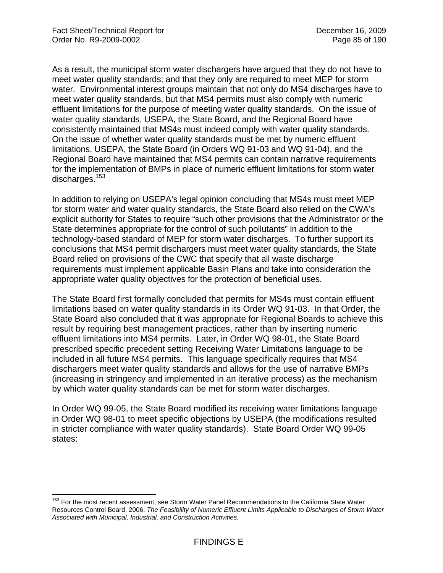$\overline{a}$ 

As a result, the municipal storm water dischargers have argued that they do not have to meet water quality standards; and that they only are required to meet MEP for storm water. Environmental interest groups maintain that not only do MS4 discharges have to meet water quality standards, but that MS4 permits must also comply with numeric effluent limitations for the purpose of meeting water quality standards. On the issue of water quality standards, USEPA, the State Board, and the Regional Board have consistently maintained that MS4s must indeed comply with water quality standards. On the issue of whether water quality standards must be met by numeric effluent limitations, USEPA, the State Board (in Orders WQ 91-03 and WQ 91-04), and the Regional Board have maintained that MS4 permits can contain narrative requirements for the implementation of BMPs in place of numeric effluent limitations for storm water discharges.<sup>153</sup>

In addition to relying on USEPA's legal opinion concluding that MS4s must meet MEP for storm water and water quality standards, the State Board also relied on the CWA's explicit authority for States to require "such other provisions that the Administrator or the State determines appropriate for the control of such pollutants" in addition to the technology-based standard of MEP for storm water discharges. To further support its conclusions that MS4 permit dischargers must meet water quality standards, the State Board relied on provisions of the CWC that specify that all waste discharge requirements must implement applicable Basin Plans and take into consideration the appropriate water quality objectives for the protection of beneficial uses.

The State Board first formally concluded that permits for MS4s must contain effluent limitations based on water quality standards in its Order WQ 91-03. In that Order, the State Board also concluded that it was appropriate for Regional Boards to achieve this result by requiring best management practices, rather than by inserting numeric effluent limitations into MS4 permits. Later, in Order WQ 98-01, the State Board prescribed specific precedent setting Receiving Water Limitations language to be included in all future MS4 permits. This language specifically requires that MS4 dischargers meet water quality standards and allows for the use of narrative BMPs (increasing in stringency and implemented in an iterative process) as the mechanism by which water quality standards can be met for storm water discharges.

In Order WQ 99-05, the State Board modified its receiving water limitations language in Order WQ 98-01 to meet specific objections by USEPA (the modifications resulted in stricter compliance with water quality standards). State Board Order WQ 99-05 states:

<sup>&</sup>lt;sup>153</sup> For the most recent assessment, see Storm Water Panel Recommendations to the California State Water Resources Control Board, 2006. *The Feasibility of Numeric Effluent Limits Applicable to Discharges of Storm Water Associated with Municipal, Industrial, and Construction Activities.*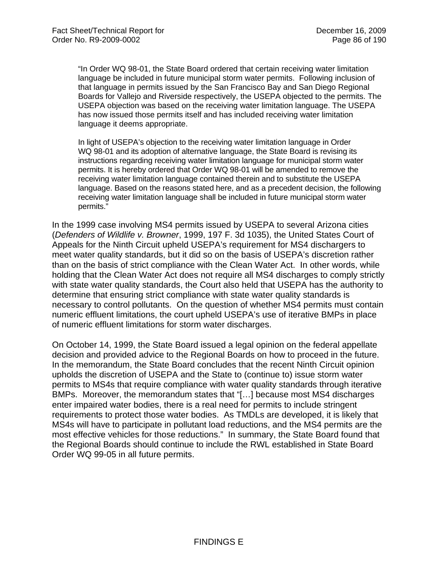"In Order WQ 98-01, the State Board ordered that certain receiving water limitation language be included in future municipal storm water permits. Following inclusion of that language in permits issued by the San Francisco Bay and San Diego Regional Boards for Vallejo and Riverside respectively, the USEPA objected to the permits. The USEPA objection was based on the receiving water limitation language. The USEPA has now issued those permits itself and has included receiving water limitation language it deems appropriate.

In light of USEPA's objection to the receiving water limitation language in Order WQ 98-01 and its adoption of alternative language, the State Board is revising its instructions regarding receiving water limitation language for municipal storm water permits. It is hereby ordered that Order WQ 98-01 will be amended to remove the receiving water limitation language contained therein and to substitute the USEPA language. Based on the reasons stated here, and as a precedent decision, the following receiving water limitation language shall be included in future municipal storm water permits."

In the 1999 case involving MS4 permits issued by USEPA to several Arizona cities (*Defenders of Wildlife v. Browner*, 1999, 197 F. 3d 1035), the United States Court of Appeals for the Ninth Circuit upheld USEPA's requirement for MS4 dischargers to meet water quality standards, but it did so on the basis of USEPA's discretion rather than on the basis of strict compliance with the Clean Water Act. In other words, while holding that the Clean Water Act does not require all MS4 discharges to comply strictly with state water quality standards, the Court also held that USEPA has the authority to determine that ensuring strict compliance with state water quality standards is necessary to control pollutants. On the question of whether MS4 permits must contain numeric effluent limitations, the court upheld USEPA's use of iterative BMPs in place of numeric effluent limitations for storm water discharges.

On October 14, 1999, the State Board issued a legal opinion on the federal appellate decision and provided advice to the Regional Boards on how to proceed in the future. In the memorandum, the State Board concludes that the recent Ninth Circuit opinion upholds the discretion of USEPA and the State to (continue to) issue storm water permits to MS4s that require compliance with water quality standards through iterative BMPs. Moreover, the memorandum states that "[…] because most MS4 discharges enter impaired water bodies, there is a real need for permits to include stringent requirements to protect those water bodies. As TMDLs are developed, it is likely that MS4s will have to participate in pollutant load reductions, and the MS4 permits are the most effective vehicles for those reductions." In summary, the State Board found that the Regional Boards should continue to include the RWL established in State Board Order WQ 99-05 in all future permits.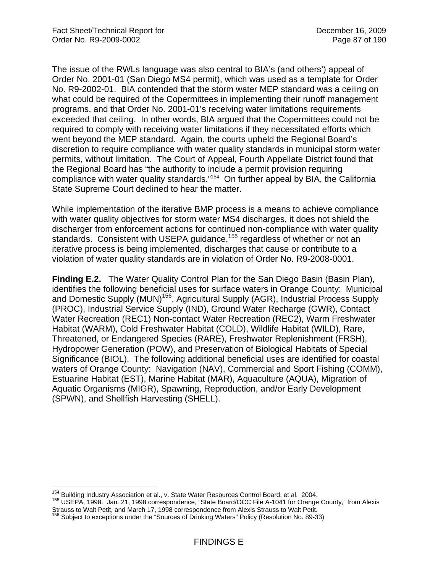The issue of the RWLs language was also central to BIA's (and others') appeal of Order No. 2001-01 (San Diego MS4 permit), which was used as a template for Order No. R9-2002-01. BIA contended that the storm water MEP standard was a ceiling on what could be required of the Copermittees in implementing their runoff management programs, and that Order No. 2001-01's receiving water limitations requirements exceeded that ceiling. In other words, BIA argued that the Copermittees could not be required to comply with receiving water limitations if they necessitated efforts which went beyond the MEP standard. Again, the courts upheld the Regional Board's discretion to require compliance with water quality standards in municipal storm water permits, without limitation. The Court of Appeal, Fourth Appellate District found that the Regional Board has "the authority to include a permit provision requiring compliance with water quality standards."154 On further appeal by BIA, the California State Supreme Court declined to hear the matter.

While implementation of the iterative BMP process is a means to achieve compliance with water quality objectives for storm water MS4 discharges, it does not shield the discharger from enforcement actions for continued non-compliance with water quality standards. Consistent with USEPA guidance,<sup>155</sup> regardless of whether or not an iterative process is being implemented, discharges that cause or contribute to a violation of water quality standards are in violation of Order No. R9-2008-0001.

**Finding E.2.** The Water Quality Control Plan for the San Diego Basin (Basin Plan), identifies the following beneficial uses for surface waters in Orange County: Municipal and Domestic Supply (MUN)<sup>156</sup>, Agricultural Supply (AGR), Industrial Process Supply (PROC), Industrial Service Supply (IND), Ground Water Recharge (GWR), Contact Water Recreation (REC1) Non-contact Water Recreation (REC2), Warm Freshwater Habitat (WARM), Cold Freshwater Habitat (COLD), Wildlife Habitat (WILD), Rare, Threatened, or Endangered Species (RARE), Freshwater Replenishment (FRSH), Hydropower Generation (POW), and Preservation of Biological Habitats of Special Significance (BIOL). The following additional beneficial uses are identified for coastal waters of Orange County: Navigation (NAV), Commercial and Sport Fishing (COMM), Estuarine Habitat (EST), Marine Habitat (MAR), Aquaculture (AQUA), Migration of Aquatic Organisms (MIGR), Spawning, Reproduction, and/or Early Development (SPWN), and Shellfish Harvesting (SHELL).

<sup>154</sup> Building Industry Association et al., v. State Water Resources Control Board, et al. 2004.

<sup>155</sup> Building Industry Association et al., 1998 correspondence, "State Board/OCC File A-1041 for Orange County," from Alexis Strauss to Walt Petit, and March 17, 1998 correspondence from Alexis Strauss to Walt Petit.<br><sup>156</sup> Subject to exceptions under the "Sources of Drinking Waters" Policy (Resolution No. 89-33)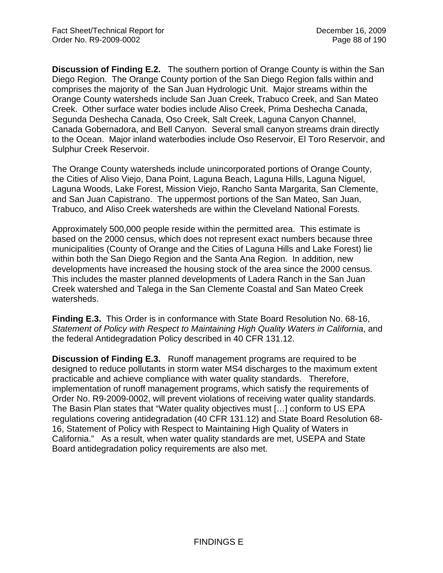**Discussion of Finding E.2.** The southern portion of Orange County is within the San Diego Region. The Orange County portion of the San Diego Region falls within and comprises the majority of the San Juan Hydrologic Unit. Major streams within the Orange County watersheds include San Juan Creek, Trabuco Creek, and San Mateo Creek. Other surface water bodies include Aliso Creek, Prima Deshecha Canada, Segunda Deshecha Canada, Oso Creek, Salt Creek, Laguna Canyon Channel, Canada Gobernadora, and Bell Canyon. Several small canyon streams drain directly to the Ocean. Major inland waterbodies include Oso Reservoir, El Toro Reservoir, and Sulphur Creek Reservoir.

The Orange County watersheds include unincorporated portions of Orange County, the Cities of Aliso Viejo, Dana Point, Laguna Beach, Laguna Hills, Laguna Niguel, Laguna Woods, Lake Forest, Mission Viejo, Rancho Santa Margarita, San Clemente, and San Juan Capistrano. The uppermost portions of the San Mateo, San Juan, Trabuco, and Aliso Creek watersheds are within the Cleveland National Forests.

Approximately 500,000 people reside within the permitted area. This estimate is based on the 2000 census, which does not represent exact numbers because three municipalities (County of Orange and the Cities of Laguna Hills and Lake Forest) lie within both the San Diego Region and the Santa Ana Region. In addition, new developments have increased the housing stock of the area since the 2000 census. This includes the master planned developments of Ladera Ranch in the San Juan Creek watershed and Talega in the San Clemente Coastal and San Mateo Creek watersheds.

**Finding E.3.** This Order is in conformance with State Board Resolution No. 68-16, *Statement of Policy with Respect to Maintaining High Quality Waters in California*, and the federal Antidegradation Policy described in 40 CFR 131.12.

**Discussion of Finding E.3.** Runoff management programs are required to be designed to reduce pollutants in storm water MS4 discharges to the maximum extent practicable and achieve compliance with water quality standards. Therefore, implementation of runoff management programs, which satisfy the requirements of Order No. R9-2009-0002, will prevent violations of receiving water quality standards. The Basin Plan states that "Water quality objectives must […] conform to US EPA regulations covering antidegradation (40 CFR 131.12) and State Board Resolution 68- 16, Statement of Policy with Respect to Maintaining High Quality of Waters in California." As a result, when water quality standards are met, USEPA and State Board antidegradation policy requirements are also met.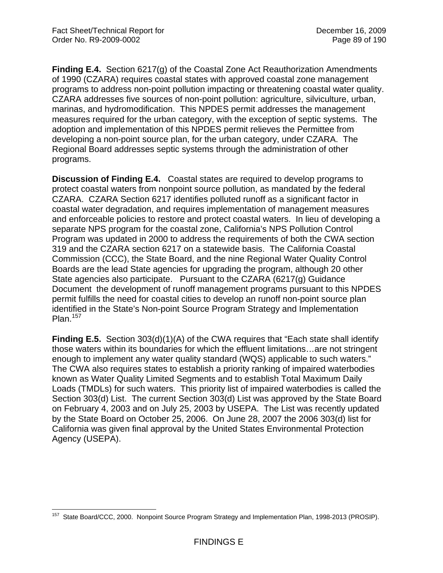**Finding E.4.** Section 6217(g) of the Coastal Zone Act Reauthorization Amendments of 1990 (CZARA) requires coastal states with approved coastal zone management programs to address non-point pollution impacting or threatening coastal water quality. CZARA addresses five sources of non-point pollution: agriculture, silviculture, urban, marinas, and hydromodification. This NPDES permit addresses the management measures required for the urban category, with the exception of septic systems. The adoption and implementation of this NPDES permit relieves the Permittee from developing a non-point source plan, for the urban category, under CZARA. The Regional Board addresses septic systems through the administration of other programs.

**Discussion of Finding E.4.** Coastal states are required to develop programs to protect coastal waters from nonpoint source pollution, as mandated by the federal CZARA. CZARA Section 6217 identifies polluted runoff as a significant factor in coastal water degradation, and requires implementation of management measures and enforceable policies to restore and protect coastal waters. In lieu of developing a separate NPS program for the coastal zone, California's NPS Pollution Control Program was updated in 2000 to address the requirements of both the CWA section 319 and the CZARA section 6217 on a statewide basis. The California Coastal Commission (CCC), the State Board, and the nine Regional Water Quality Control Boards are the lead State agencies for upgrading the program, although 20 other State agencies also participate. Pursuant to the CZARA (6217(g) Guidance Document the development of runoff management programs pursuant to this NPDES permit fulfills the need for coastal cities to develop an runoff non-point source plan identified in the State's Non-point Source Program Strategy and Implementation Plan. $157$ 

**Finding E.5.** Section 303(d)(1)(A) of the CWA requires that "Each state shall identify those waters within its boundaries for which the effluent limitations…are not stringent enough to implement any water quality standard (WQS) applicable to such waters." The CWA also requires states to establish a priority ranking of impaired waterbodies known as Water Quality Limited Segments and to establish Total Maximum Daily Loads (TMDLs) for such waters. This priority list of impaired waterbodies is called the Section 303(d) List. The current Section 303(d) List was approved by the State Board on February 4, 2003 and on July 25, 2003 by USEPA. The List was recently updated by the State Board on October 25, 2006. On June 28, 2007 the 2006 303(d) list for California was given final approval by the United States Environmental Protection Agency (USEPA).

 $\overline{a}$ State Board/CCC, 2000. Nonpoint Source Program Strategy and Implementation Plan, 1998-2013 (PROSIP).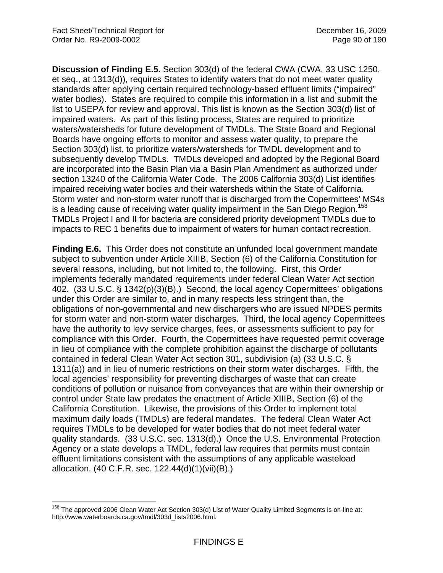1

**Discussion of Finding E.5.** Section 303(d) of the federal CWA (CWA, 33 USC 1250, et seq., at 1313(d)), requires States to identify waters that do not meet water quality standards after applying certain required technology-based effluent limits ("impaired" water bodies). States are required to compile this information in a list and submit the list to USEPA for review and approval. This list is known as the Section 303(d) list of impaired waters. As part of this listing process, States are required to prioritize waters/watersheds for future development of TMDLs. The State Board and Regional Boards have ongoing efforts to monitor and assess water quality, to prepare the Section 303(d) list, to prioritize waters/watersheds for TMDL development and to subsequently develop TMDLs. TMDLs developed and adopted by the Regional Board are incorporated into the Basin Plan via a Basin Plan Amendment as authorized under section 13240 of the California Water Code. The 2006 California 303(d) List identifies impaired receiving water bodies and their watersheds within the State of California. Storm water and non-storm water runoff that is discharged from the Copermittees' MS4s is a leading cause of receiving water quality impairment in the San Diego Region.<sup>158</sup> TMDLs Project I and II for bacteria are considered priority development TMDLs due to impacts to REC 1 benefits due to impairment of waters for human contact recreation.

**Finding E.6.** This Order does not constitute an unfunded local government mandate subject to subvention under Article XIIIB, Section (6) of the California Constitution for several reasons, including, but not limited to, the following. First, this Order implements federally mandated requirements under federal Clean Water Act section 402. (33 U.S.C. § 1342(p)(3)(B).) Second, the local agency Copermittees' obligations under this Order are similar to, and in many respects less stringent than, the obligations of non-governmental and new dischargers who are issued NPDES permits for storm water and non-storm water discharges. Third, the local agency Copermittees have the authority to levy service charges, fees, or assessments sufficient to pay for compliance with this Order. Fourth, the Copermittees have requested permit coverage in lieu of compliance with the complete prohibition against the discharge of pollutants contained in federal Clean Water Act section 301, subdivision (a) (33 U.S.C. § 1311(a)) and in lieu of numeric restrictions on their storm water discharges. Fifth, the local agencies' responsibility for preventing discharges of waste that can create conditions of pollution or nuisance from conveyances that are within their ownership or control under State law predates the enactment of Article XIIIB, Section (6) of the California Constitution. Likewise, the provisions of this Order to implement total maximum daily loads (TMDLs) are federal mandates. The federal Clean Water Act requires TMDLs to be developed for water bodies that do not meet federal water quality standards. (33 U.S.C. sec. 1313(d).) Once the U.S. Environmental Protection Agency or a state develops a TMDL, federal law requires that permits must contain effluent limitations consistent with the assumptions of any applicable wasteload allocation. (40 C.F.R. sec. 122.44(d)(1)(vii)(B).)

<sup>&</sup>lt;sup>158</sup> The approved 2006 Clean Water Act Section 303(d) List of Water Quality Limited Segments is on-line at: http://www.waterboards.ca.gov/tmdl/303d\_lists2006.html.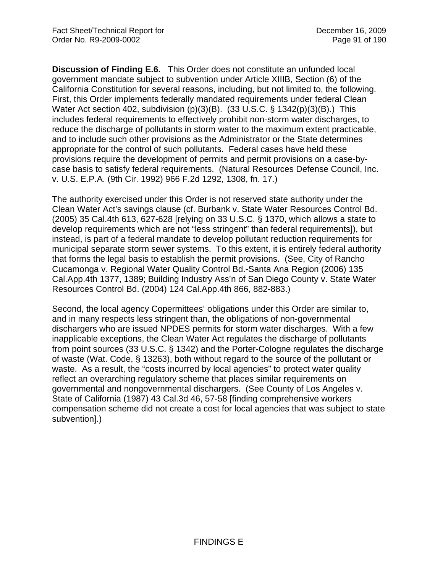**Discussion of Finding E.6.** This Order does not constitute an unfunded local government mandate subject to subvention under Article XIIIB, Section (6) of the California Constitution for several reasons, including, but not limited to, the following. First, this Order implements federally mandated requirements under federal Clean Water Act section 402, subdivision (p)(3)(B). (33 U.S.C. § 1342(p)(3)(B).) This includes federal requirements to effectively prohibit non-storm water discharges, to reduce the discharge of pollutants in storm water to the maximum extent practicable, and to include such other provisions as the Administrator or the State determines appropriate for the control of such pollutants. Federal cases have held these provisions require the development of permits and permit provisions on a case-bycase basis to satisfy federal requirements. (Natural Resources Defense Council, Inc. v. U.S. E.P.A. (9th Cir. 1992) 966 F.2d 1292, 1308, fn. 17.)

The authority exercised under this Order is not reserved state authority under the Clean Water Act's savings clause (cf. Burbank v. State Water Resources Control Bd. (2005) 35 Cal.4th 613, 627-628 [relying on 33 U.S.C. § 1370, which allows a state to develop requirements which are not "less stringent" than federal requirements]), but instead, is part of a federal mandate to develop pollutant reduction requirements for municipal separate storm sewer systems. To this extent, it is entirely federal authority that forms the legal basis to establish the permit provisions. (See, City of Rancho Cucamonga v. Regional Water Quality Control Bd.-Santa Ana Region (2006) 135 Cal.App.4th 1377, 1389; Building Industry Ass'n of San Diego County v. State Water Resources Control Bd. (2004) 124 Cal.App.4th 866, 882-883.)

Second, the local agency Copermittees' obligations under this Order are similar to, and in many respects less stringent than, the obligations of non-governmental dischargers who are issued NPDES permits for storm water discharges. With a few inapplicable exceptions, the Clean Water Act regulates the discharge of pollutants from point sources (33 U.S.C. § 1342) and the Porter-Cologne regulates the discharge of waste (Wat. Code, § 13263), both without regard to the source of the pollutant or waste. As a result, the "costs incurred by local agencies" to protect water quality reflect an overarching regulatory scheme that places similar requirements on governmental and nongovernmental dischargers. (See County of Los Angeles v. State of California (1987) 43 Cal.3d 46, 57-58 [finding comprehensive workers compensation scheme did not create a cost for local agencies that was subject to state subvention].)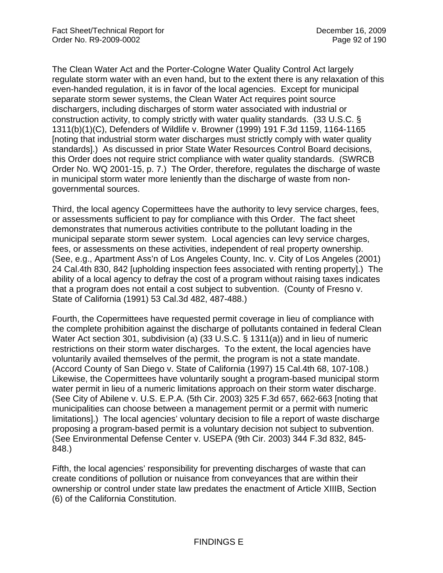The Clean Water Act and the Porter-Cologne Water Quality Control Act largely regulate storm water with an even hand, but to the extent there is any relaxation of this even-handed regulation, it is in favor of the local agencies. Except for municipal separate storm sewer systems, the Clean Water Act requires point source dischargers, including discharges of storm water associated with industrial or construction activity, to comply strictly with water quality standards. (33 U.S.C. § 1311(b)(1)(C), Defenders of Wildlife v. Browner (1999) 191 F.3d 1159, 1164-1165 [noting that industrial storm water discharges must strictly comply with water quality standards].) As discussed in prior State Water Resources Control Board decisions, this Order does not require strict compliance with water quality standards. (SWRCB Order No. WQ 2001-15, p. 7.) The Order, therefore, regulates the discharge of waste in municipal storm water more leniently than the discharge of waste from nongovernmental sources.

Third, the local agency Copermittees have the authority to levy service charges, fees, or assessments sufficient to pay for compliance with this Order. The fact sheet demonstrates that numerous activities contribute to the pollutant loading in the municipal separate storm sewer system. Local agencies can levy service charges, fees, or assessments on these activities, independent of real property ownership. (See, e.g., Apartment Ass'n of Los Angeles County, Inc. v. City of Los Angeles (2001) 24 Cal.4th 830, 842 [upholding inspection fees associated with renting property].) The ability of a local agency to defray the cost of a program without raising taxes indicates that a program does not entail a cost subject to subvention. (County of Fresno v. State of California (1991) 53 Cal.3d 482, 487-488.)

Fourth, the Copermittees have requested permit coverage in lieu of compliance with the complete prohibition against the discharge of pollutants contained in federal Clean Water Act section 301, subdivision (a) (33 U.S.C. § 1311(a)) and in lieu of numeric restrictions on their storm water discharges. To the extent, the local agencies have voluntarily availed themselves of the permit, the program is not a state mandate. (Accord County of San Diego v. State of California (1997) 15 Cal.4th 68, 107-108.) Likewise, the Copermittees have voluntarily sought a program-based municipal storm water permit in lieu of a numeric limitations approach on their storm water discharge. (See City of Abilene v. U.S. E.P.A. (5th Cir. 2003) 325 F.3d 657, 662-663 [noting that municipalities can choose between a management permit or a permit with numeric limitations].) The local agencies' voluntary decision to file a report of waste discharge proposing a program-based permit is a voluntary decision not subject to subvention. (See Environmental Defense Center v. USEPA (9th Cir. 2003) 344 F.3d 832, 845- 848.)

Fifth, the local agencies' responsibility for preventing discharges of waste that can create conditions of pollution or nuisance from conveyances that are within their ownership or control under state law predates the enactment of Article XIIIB, Section (6) of the California Constitution.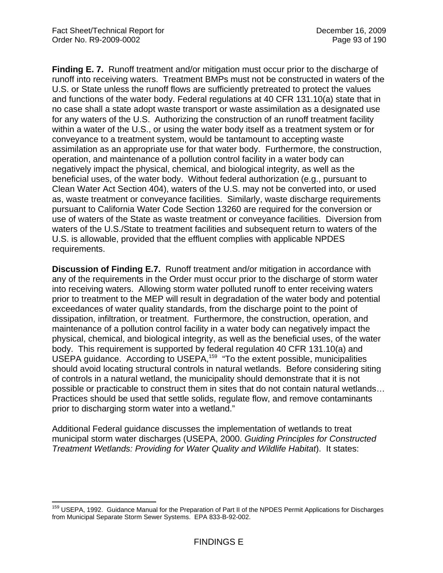**Finding E. 7.** Runoff treatment and/or mitigation must occur prior to the discharge of runoff into receiving waters. Treatment BMPs must not be constructed in waters of the U.S. or State unless the runoff flows are sufficiently pretreated to protect the values and functions of the water body. Federal regulations at 40 CFR 131.10(a) state that in no case shall a state adopt waste transport or waste assimilation as a designated use for any waters of the U.S. Authorizing the construction of an runoff treatment facility within a water of the U.S., or using the water body itself as a treatment system or for conveyance to a treatment system, would be tantamount to accepting waste assimilation as an appropriate use for that water body. Furthermore, the construction, operation, and maintenance of a pollution control facility in a water body can negatively impact the physical, chemical, and biological integrity, as well as the beneficial uses, of the water body. Without federal authorization (e.g., pursuant to Clean Water Act Section 404), waters of the U.S. may not be converted into, or used as, waste treatment or conveyance facilities. Similarly, waste discharge requirements pursuant to California Water Code Section 13260 are required for the conversion or use of waters of the State as waste treatment or conveyance facilities. Diversion from waters of the U.S./State to treatment facilities and subsequent return to waters of the U.S. is allowable, provided that the effluent complies with applicable NPDES requirements.

**Discussion of Finding E.7.** Runoff treatment and/or mitigation in accordance with any of the requirements in the Order must occur prior to the discharge of storm water into receiving waters. Allowing storm water polluted runoff to enter receiving waters prior to treatment to the MEP will result in degradation of the water body and potential exceedances of water quality standards, from the discharge point to the point of dissipation, infiltration, or treatment. Furthermore, the construction, operation, and maintenance of a pollution control facility in a water body can negatively impact the physical, chemical, and biological integrity, as well as the beneficial uses, of the water body. This requirement is supported by federal regulation 40 CFR 131.10(a) and USEPA guidance. According to USEPA,<sup>159</sup> "To the extent possible, municipalities should avoid locating structural controls in natural wetlands. Before considering siting of controls in a natural wetland, the municipality should demonstrate that it is not possible or practicable to construct them in sites that do not contain natural wetlands… Practices should be used that settle solids, regulate flow, and remove contaminants prior to discharging storm water into a wetland."

Additional Federal guidance discusses the implementation of wetlands to treat municipal storm water discharges (USEPA, 2000. *Guiding Principles for Constructed Treatment Wetlands: Providing for Water Quality and Wildlife Habitat*). It states:

 $\overline{a}$ <sup>159</sup> USEPA, 1992. Guidance Manual for the Preparation of Part II of the NPDES Permit Applications for Discharges from Municipal Separate Storm Sewer Systems. EPA 833-B-92-002.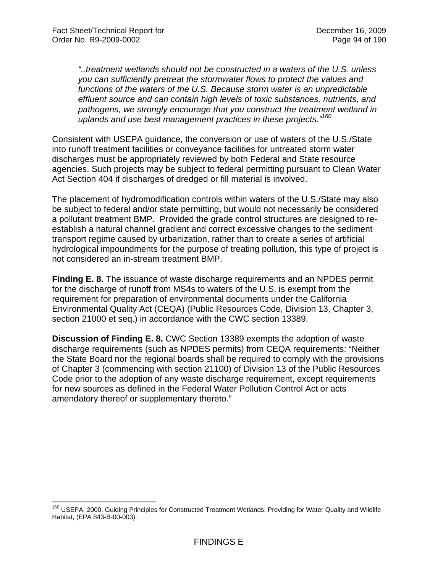1

*"..treatment wetlands should not be constructed in a waters of the U.S. unless you can sufficiently pretreat the stormwater flows to protect the values and functions of the waters of the U.S. Because storm water is an unpredictable effluent source and can contain high levels of toxic substances, nutrients, and pathogens, we strongly encourage that you construct the treatment wetland in uplands and use best management practices in these projects."160*

Consistent with USEPA guidance, the conversion or use of waters of the U.S./State into runoff treatment facilities or conveyance facilities for untreated storm water discharges must be appropriately reviewed by both Federal and State resource agencies. Such projects may be subject to federal permitting pursuant to Clean Water Act Section 404 if discharges of dredged or fill material is involved.

The placement of hydromodification controls within waters of the U.S./State may also be subject to federal and/or state permitting, but would not necessarily be considered a pollutant treatment BMP. Provided the grade control structures are designed to reestablish a natural channel gradient and correct excessive changes to the sediment transport regime caused by urbanization, rather than to create a series of artificial hydrological impoundments for the purpose of treating pollution, this type of project is not considered an in-stream treatment BMP.

**Finding E. 8.** The issuance of waste discharge requirements and an NPDES permit for the discharge of runoff from MS4s to waters of the U.S. is exempt from the requirement for preparation of environmental documents under the California Environmental Quality Act (CEQA) (Public Resources Code, Division 13, Chapter 3, section 21000 et seq.) in accordance with the CWC section 13389.

**Discussion of Finding E. 8.** CWC Section 13389 exempts the adoption of waste discharge requirements (such as NPDES permits) from CEQA requirements: "Neither the State Board nor the regional boards shall be required to comply with the provisions of Chapter 3 (commencing with section 21100) of Division 13 of the Public Resources Code prior to the adoption of any waste discharge requirement, except requirements for new sources as defined in the Federal Water Pollution Control Act or acts amendatory thereof or supplementary thereto."

<sup>&</sup>lt;sup>160</sup> USEPA, 2000. Guiding Principles for Constructed Treatment Wetlands: Providing for Water Quality and Wildlife Habitat, (EPA 843-B-00-003).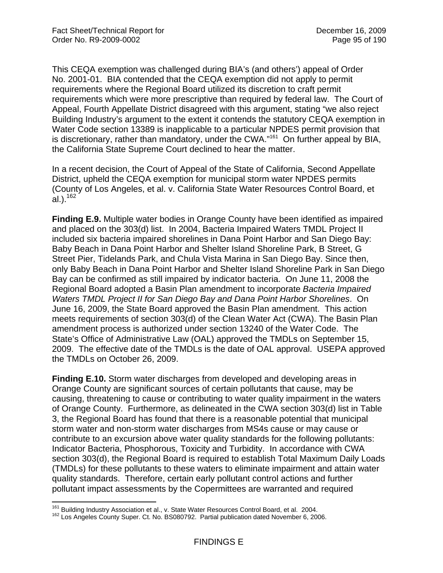This CEQA exemption was challenged during BIA's (and others') appeal of Order No. 2001-01. BIA contended that the CEQA exemption did not apply to permit requirements where the Regional Board utilized its discretion to craft permit requirements which were more prescriptive than required by federal law. The Court of Appeal, Fourth Appellate District disagreed with this argument, stating "we also reject Building Industry's argument to the extent it contends the statutory CEQA exemption in Water Code section 13389 is inapplicable to a particular NPDES permit provision that is discretionary, rather than mandatory, under the CWA."<sup>161</sup> On further appeal by BIA, the California State Supreme Court declined to hear the matter.

In a recent decision, the Court of Appeal of the State of California, Second Appellate District, upheld the CEQA exemption for municipal storm water NPDES permits (County of Los Angeles, et al. v. California State Water Resources Control Board, et al.).<sup>162</sup>

**Finding E.9.** Multiple water bodies in Orange County have been identified as impaired and placed on the 303(d) list. In 2004, Bacteria Impaired Waters TMDL Project II included six bacteria impaired shorelines in Dana Point Harbor and San Diego Bay: Baby Beach in Dana Point Harbor and Shelter Island Shoreline Park, B Street, G Street Pier, Tidelands Park, and Chula Vista Marina in San Diego Bay. Since then, only Baby Beach in Dana Point Harbor and Shelter Island Shoreline Park in San Diego Bay can be confirmed as still impaired by indicator bacteria. On June 11, 2008 the Regional Board adopted a Basin Plan amendment to incorporate *Bacteria Impaired Waters TMDL Project II for San Diego Bay and Dana Point Harbor Shorelines*. On June 16, 2009, the State Board approved the Basin Plan amendment. This action meets requirements of section 303(d) of the Clean Water Act (CWA). The Basin Plan amendment process is authorized under section 13240 of the Water Code. The State's Office of Administrative Law (OAL) approved the TMDLs on September 15, 2009. The effective date of the TMDLs is the date of OAL approval. USEPA approved the TMDLs on October 26, 2009.

**Finding E.10.** Storm water discharges from developed and developing areas in Orange County are significant sources of certain pollutants that cause, may be causing, threatening to cause or contributing to water quality impairment in the waters of Orange County. Furthermore, as delineated in the CWA section 303(d) list in Table 3, the Regional Board has found that there is a reasonable potential that municipal storm water and non-storm water discharges from MS4s cause or may cause or contribute to an excursion above water quality standards for the following pollutants: Indicator Bacteria, Phosphorous, Toxicity and Turbidity. In accordance with CWA section 303(d), the Regional Board is required to establish Total Maximum Daily Loads (TMDLs) for these pollutants to these waters to eliminate impairment and attain water quality standards. Therefore, certain early pollutant control actions and further pollutant impact assessments by the Copermittees are warranted and required

<sup>&</sup>lt;sup>161</sup> Building Industry Association et al., v. State Water Resources Control Board, et al. 2004.

<sup>162</sup> Los Angeles County Super. Ct. No. BS080792. Partial publication dated November 6, 2006.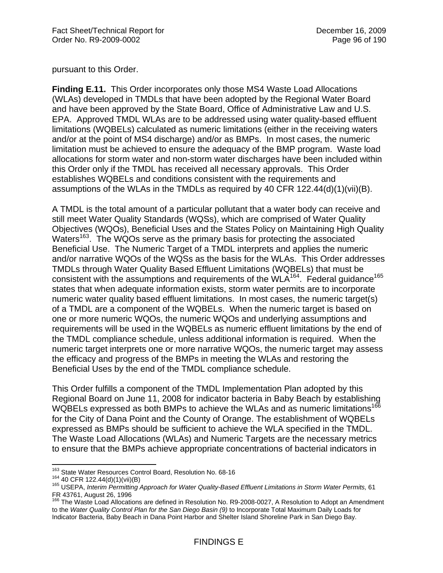pursuant to this Order.

**Finding E.11.** This Order incorporates only those MS4 Waste Load Allocations (WLAs) developed in TMDLs that have been adopted by the Regional Water Board and have been approved by the State Board, Office of Administrative Law and U.S. EPA. Approved TMDL WLAs are to be addressed using water quality-based effluent limitations (WQBELs) calculated as numeric limitations (either in the receiving waters and/or at the point of MS4 discharge) and/or as BMPs. In most cases, the numeric limitation must be achieved to ensure the adequacy of the BMP program. Waste load allocations for storm water and non-storm water discharges have been included within this Order only if the TMDL has received all necessary approvals. This Order establishes WQBELs and conditions consistent with the requirements and assumptions of the WLAs in the TMDLs as required by 40 CFR  $122.44(d)(1)(iii)(B)$ .

A TMDL is the total amount of a particular pollutant that a water body can receive and still meet Water Quality Standards (WQSs), which are comprised of Water Quality Objectives (WQOs), Beneficial Uses and the States Policy on Maintaining High Quality Waters<sup>163</sup>. The WQOs serve as the primary basis for protecting the associated Beneficial Use. The Numeric Target of a TMDL interprets and applies the numeric and/or narrative WQOs of the WQSs as the basis for the WLAs. This Order addresses TMDLs through Water Quality Based Effluent Limitations (WQBELs) that must be consistent with the assumptions and requirements of the WLA<sup>164</sup>. Federal guidance<sup>165</sup> states that when adequate information exists, storm water permits are to incorporate numeric water quality based effluent limitations. In most cases, the numeric target(s) of a TMDL are a component of the WQBELs. When the numeric target is based on one or more numeric WQOs, the numeric WQOs and underlying assumptions and requirements will be used in the WQBELs as numeric effluent limitations by the end of the TMDL compliance schedule, unless additional information is required. When the numeric target interprets one or more narrative WQOs, the numeric target may assess the efficacy and progress of the BMPs in meeting the WLAs and restoring the Beneficial Uses by the end of the TMDL compliance schedule.

This Order fulfills a component of the TMDL Implementation Plan adopted by this Regional Board on June 11, 2008 for indicator bacteria in Baby Beach by establishing WQBELs expressed as both BMPs to achieve the WLAs and as numeric limitations<sup>166</sup> for the City of Dana Point and the County of Orange. The establishment of WQBELs expressed as BMPs should be sufficient to achieve the WLA specified in the TMDL. The Waste Load Allocations (WLAs) and Numeric Targets are the necessary metrics to ensure that the BMPs achieve appropriate concentrations of bacterial indicators in

<sup>&</sup>lt;sup>163</sup> State Water Resources Control Board, Resolution No. 68-16

<sup>164</sup> State Water Resources Control Board, Resolution 2016<br><sup>164</sup> 40 CFR 122.44(d)(1)(vii)(B)<br><sup>165</sup> USEPA, *Interim Permitting Approach for Water Quality-Based Effluent Limitations in Storm Water Permits, 61* FR 43761, August 26, 1996

<sup>166</sup> The Waste Load Allocations are defined in Resolution No. R9-2008-0027, A Resolution to Adopt an Amendment to the *Water Quality Control Plan for the San Diego Basin (9)* to Incorporate Total Maximum Daily Loads for Indicator Bacteria, Baby Beach in Dana Point Harbor and Shelter Island Shoreline Park in San Diego Bay.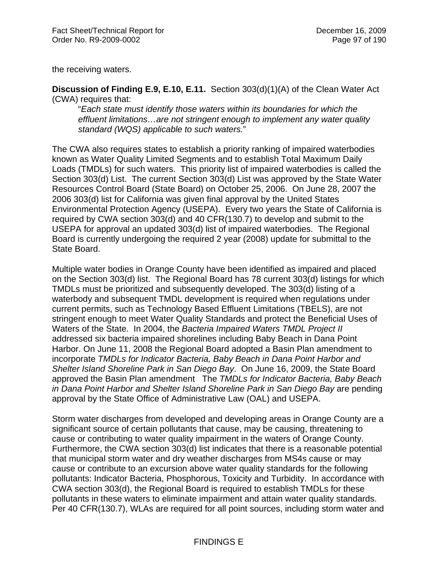the receiving waters.

**Discussion of Finding E.9, E.10, E.11.** Section 303(d)(1)(A) of the Clean Water Act (CWA) requires that:

"*Each state must identify those waters within its boundaries for which the effluent limitations…are not stringent enough to implement any water quality standard (WQS) applicable to such waters.*"

The CWA also requires states to establish a priority ranking of impaired waterbodies known as Water Quality Limited Segments and to establish Total Maximum Daily Loads (TMDLs) for such waters. This priority list of impaired waterbodies is called the Section 303(d) List. The current Section 303(d) List was approved by the State Water Resources Control Board (State Board) on October 25, 2006. On June 28, 2007 the 2006 303(d) list for California was given final approval by the United States Environmental Protection Agency (USEPA). Every two years the State of California is required by CWA section 303(d) and 40 CFR(130.7) to develop and submit to the USEPA for approval an updated 303(d) list of impaired waterbodies. The Regional Board is currently undergoing the required 2 year (2008) update for submittal to the State Board.

Multiple water bodies in Orange County have been identified as impaired and placed on the Section 303(d) list. The Regional Board has 78 current 303(d) listings for which TMDLs must be prioritized and subsequently developed. The 303(d) listing of a waterbody and subsequent TMDL development is required when regulations under current permits, such as Technology Based Effluent Limitations (TBELS), are not stringent enough to meet Water Quality Standards and protect the Beneficial Uses of Waters of the State. In 2004, the *Bacteria Impaired Waters TMDL Project II* addressed six bacteria impaired shorelines including Baby Beach in Dana Point Harbor. On June 11, 2008 the Regional Board adopted a Basin Plan amendment to incorporate *TMDLs for Indicator Bacteria, Baby Beach in Dana Point Harbor and Shelter Island Shoreline Park in San Diego Bay*. On June 16, 2009, the State Board approved the Basin Plan amendment The *TMDLs for Indicator Bacteria, Baby Beach in Dana Point Harbor and Shelter Island Shoreline Park in San Diego Bay* are pending approval by the State Office of Administrative Law (OAL) and USEPA.

Storm water discharges from developed and developing areas in Orange County are a significant source of certain pollutants that cause, may be causing, threatening to cause or contributing to water quality impairment in the waters of Orange County. Furthermore, the CWA section 303(d) list indicates that there is a reasonable potential that municipal storm water and dry weather discharges from MS4s cause or may cause or contribute to an excursion above water quality standards for the following pollutants: Indicator Bacteria, Phosphorous, Toxicity and Turbidity. In accordance with CWA section 303(d), the Regional Board is required to establish TMDLs for these pollutants in these waters to eliminate impairment and attain water quality standards. Per 40 CFR(130.7), WLAs are required for all point sources, including storm water and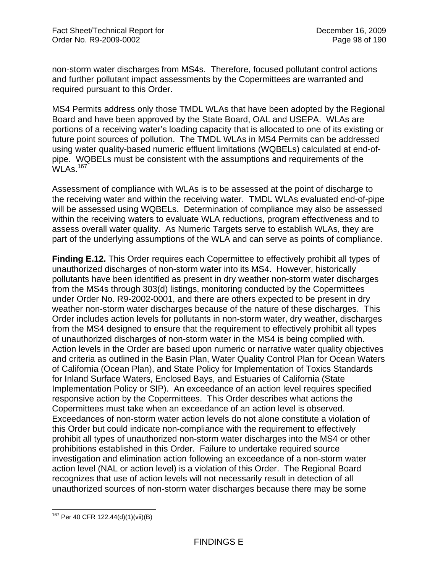non-storm water discharges from MS4s. Therefore, focused pollutant control actions and further pollutant impact assessments by the Copermittees are warranted and required pursuant to this Order.

MS4 Permits address only those TMDL WLAs that have been adopted by the Regional Board and have been approved by the State Board, OAL and USEPA. WLAs are portions of a receiving water's loading capacity that is allocated to one of its existing or future point sources of pollution. The TMDL WLAs in MS4 Permits can be addressed using water quality-based numeric effluent limitations (WQBELs) calculated at end-ofpipe. WQBELs must be consistent with the assumptions and requirements of the WI As.  $167$ 

Assessment of compliance with WLAs is to be assessed at the point of discharge to the receiving water and within the receiving water. TMDL WLAs evaluated end-of-pipe will be assessed using WQBELs. Determination of compliance may also be assessed within the receiving waters to evaluate WLA reductions, program effectiveness and to assess overall water quality. As Numeric Targets serve to establish WLAs, they are part of the underlying assumptions of the WLA and can serve as points of compliance.

**Finding E.12.** This Order requires each Copermittee to effectively prohibit all types of unauthorized discharges of non-storm water into its MS4. However, historically pollutants have been identified as present in dry weather non-storm water discharges from the MS4s through 303(d) listings, monitoring conducted by the Copermittees under Order No. R9-2002-0001, and there are others expected to be present in dry weather non-storm water discharges because of the nature of these discharges. This Order includes action levels for pollutants in non-storm water, dry weather, discharges from the MS4 designed to ensure that the requirement to effectively prohibit all types of unauthorized discharges of non-storm water in the MS4 is being complied with. Action levels in the Order are based upon numeric or narrative water quality objectives and criteria as outlined in the Basin Plan, Water Quality Control Plan for Ocean Waters of California (Ocean Plan), and State Policy for Implementation of Toxics Standards for Inland Surface Waters, Enclosed Bays, and Estuaries of California (State Implementation Policy or SIP). An exceedance of an action level requires specified responsive action by the Copermittees. This Order describes what actions the Copermittees must take when an exceedance of an action level is observed. Exceedances of non-storm water action levels do not alone constitute a violation of this Order but could indicate non-compliance with the requirement to effectively prohibit all types of unauthorized non-storm water discharges into the MS4 or other prohibitions established in this Order. Failure to undertake required source investigation and elimination action following an exceedance of a non-storm water action level (NAL or action level) is a violation of this Order. The Regional Board recognizes that use of action levels will not necessarily result in detection of all unauthorized sources of non-storm water discharges because there may be some

 $\overline{a}$ <sup>167</sup> Per 40 CFR 122.44(d)(1)(vii)(B)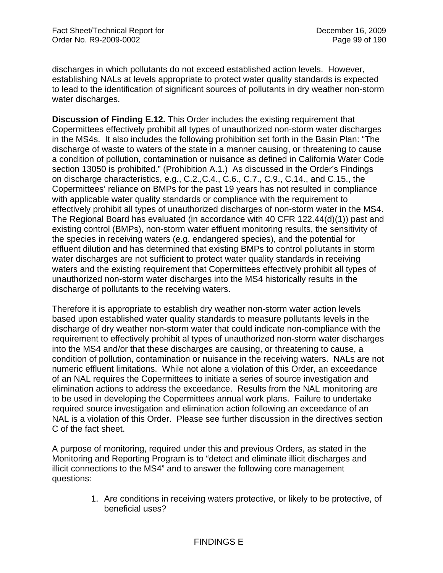discharges in which pollutants do not exceed established action levels. However, establishing NALs at levels appropriate to protect water quality standards is expected to lead to the identification of significant sources of pollutants in dry weather non-storm water discharges.

**Discussion of Finding E.12.** This Order includes the existing requirement that Copermittees effectively prohibit all types of unauthorized non-storm water discharges in the MS4s. It also includes the following prohibition set forth in the Basin Plan: "The discharge of waste to waters of the state in a manner causing, or threatening to cause a condition of pollution, contamination or nuisance as defined in California Water Code section 13050 is prohibited." (Prohibition A.1.) As discussed in the Order's Findings on discharge characteristics, e.g., C.2.,C.4., C.6., C.7., C.9., C.14., and C.15., the Copermittees' reliance on BMPs for the past 19 years has not resulted in compliance with applicable water quality standards or compliance with the requirement to effectively prohibit all types of unauthorized discharges of non-storm water in the MS4. The Regional Board has evaluated (in accordance with 40 CFR 122.44(d)(1)) past and existing control (BMPs), non-storm water effluent monitoring results, the sensitivity of the species in receiving waters (e.g. endangered species), and the potential for effluent dilution and has determined that existing BMPs to control pollutants in storm water discharges are not sufficient to protect water quality standards in receiving waters and the existing requirement that Copermittees effectively prohibit all types of unauthorized non-storm water discharges into the MS4 historically results in the discharge of pollutants to the receiving waters.

Therefore it is appropriate to establish dry weather non-storm water action levels based upon established water quality standards to measure pollutants levels in the discharge of dry weather non-storm water that could indicate non-compliance with the requirement to effectively prohibit al types of unauthorized non-storm water discharges into the MS4 and/or that these discharges are causing, or threatening to cause, a condition of pollution, contamination or nuisance in the receiving waters. NALs are not numeric effluent limitations. While not alone a violation of this Order, an exceedance of an NAL requires the Copermittees to initiate a series of source investigation and elimination actions to address the exceedance. Results from the NAL monitoring are to be used in developing the Copermittees annual work plans. Failure to undertake required source investigation and elimination action following an exceedance of an NAL is a violation of this Order. Please see further discussion in the directives section C of the fact sheet.

A purpose of monitoring, required under this and previous Orders, as stated in the Monitoring and Reporting Program is to "detect and eliminate illicit discharges and illicit connections to the MS4" and to answer the following core management questions:

> 1. Are conditions in receiving waters protective, or likely to be protective, of beneficial uses?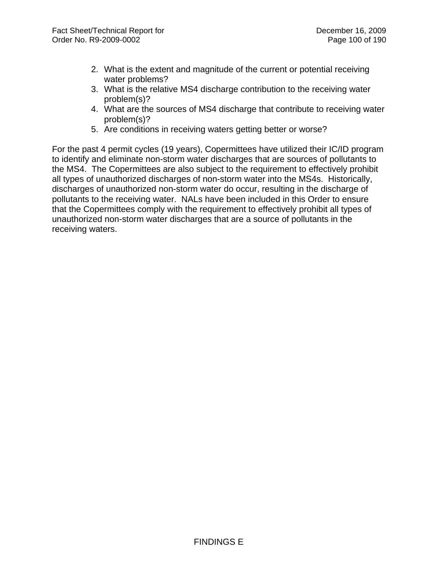- 2. What is the extent and magnitude of the current or potential receiving water problems?
- 3. What is the relative MS4 discharge contribution to the receiving water problem(s)?
- 4. What are the sources of MS4 discharge that contribute to receiving water problem(s)?
- 5. Are conditions in receiving waters getting better or worse?

For the past 4 permit cycles (19 years), Copermittees have utilized their IC/ID program to identify and eliminate non-storm water discharges that are sources of pollutants to the MS4. The Copermittees are also subject to the requirement to effectively prohibit all types of unauthorized discharges of non-storm water into the MS4s. Historically, discharges of unauthorized non-storm water do occur, resulting in the discharge of pollutants to the receiving water. NALs have been included in this Order to ensure that the Copermittees comply with the requirement to effectively prohibit all types of unauthorized non-storm water discharges that are a source of pollutants in the receiving waters.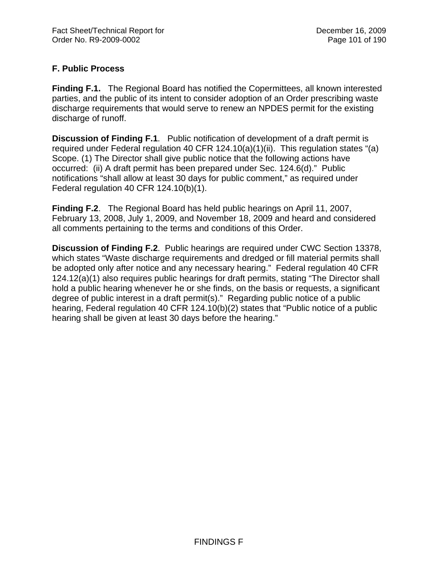# **F. Public Process**

**Finding F.1.** The Regional Board has notified the Copermittees, all known interested parties, and the public of its intent to consider adoption of an Order prescribing waste discharge requirements that would serve to renew an NPDES permit for the existing discharge of runoff.

**Discussion of Finding F.1**. Public notification of development of a draft permit is required under Federal regulation 40 CFR 124.10(a)(1)(ii). This regulation states "(a) Scope. (1) The Director shall give public notice that the following actions have occurred: (ii) A draft permit has been prepared under Sec. 124.6(d)." Public notifications "shall allow at least 30 days for public comment," as required under Federal regulation 40 CFR 124.10(b)(1).

**Finding F.2**. The Regional Board has held public hearings on April 11, 2007, February 13, 2008, July 1, 2009, and November 18, 2009 and heard and considered all comments pertaining to the terms and conditions of this Order.

**Discussion of Finding F.2**. Public hearings are required under CWC Section 13378, which states "Waste discharge requirements and dredged or fill material permits shall be adopted only after notice and any necessary hearing." Federal regulation 40 CFR 124.12(a)(1) also requires public hearings for draft permits, stating "The Director shall hold a public hearing whenever he or she finds, on the basis or requests, a significant degree of public interest in a draft permit(s)." Regarding public notice of a public hearing, Federal regulation 40 CFR 124.10(b)(2) states that "Public notice of a public hearing shall be given at least 30 days before the hearing."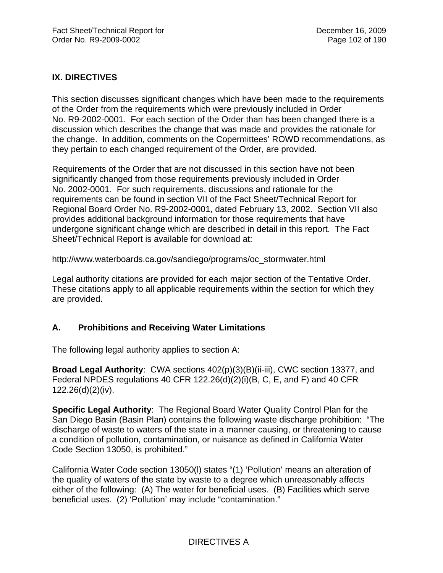## **IX. DIRECTIVES**

This section discusses significant changes which have been made to the requirements of the Order from the requirements which were previously included in Order No. R9-2002-0001. For each section of the Order than has been changed there is a discussion which describes the change that was made and provides the rationale for the change. In addition, comments on the Copermittees' ROWD recommendations, as they pertain to each changed requirement of the Order, are provided.

Requirements of the Order that are not discussed in this section have not been significantly changed from those requirements previously included in Order No. 2002-0001. For such requirements, discussions and rationale for the requirements can be found in section VII of the Fact Sheet/Technical Report for Regional Board Order No. R9-2002-0001, dated February 13, 2002. Section VII also provides additional background information for those requirements that have undergone significant change which are described in detail in this report. The Fact Sheet/Technical Report is available for download at:

http://www.waterboards.ca.gov/sandiego/programs/oc\_stormwater.html

Legal authority citations are provided for each major section of the Tentative Order. These citations apply to all applicable requirements within the section for which they are provided.

## **A. Prohibitions and Receiving Water Limitations**

The following legal authority applies to section A:

**Broad Legal Authority**: CWA sections 402(p)(3)(B)(ii-iii), CWC section 13377, and Federal NPDES regulations 40 CFR 122.26(d)(2)(i)(B, C, E, and F) and 40 CFR 122.26(d)(2)(iv).

**Specific Legal Authority**: The Regional Board Water Quality Control Plan for the San Diego Basin (Basin Plan) contains the following waste discharge prohibition: "The discharge of waste to waters of the state in a manner causing, or threatening to cause a condition of pollution, contamination, or nuisance as defined in California Water Code Section 13050, is prohibited."

California Water Code section 13050(l) states "(1) 'Pollution' means an alteration of the quality of waters of the state by waste to a degree which unreasonably affects either of the following: (A) The water for beneficial uses. (B) Facilities which serve beneficial uses. (2) 'Pollution' may include "contamination."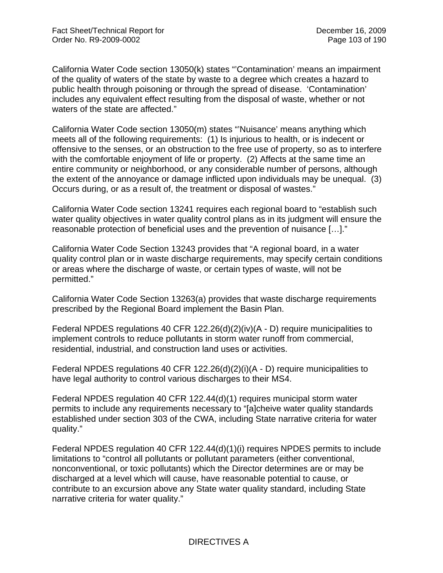California Water Code section 13050(k) states "'Contamination' means an impairment of the quality of waters of the state by waste to a degree which creates a hazard to public health through poisoning or through the spread of disease. 'Contamination' includes any equivalent effect resulting from the disposal of waste, whether or not waters of the state are affected."

California Water Code section 13050(m) states "'Nuisance' means anything which meets all of the following requirements: (1) Is injurious to health, or is indecent or offensive to the senses, or an obstruction to the free use of property, so as to interfere with the comfortable enjoyment of life or property. (2) Affects at the same time an entire community or neighborhood, or any considerable number of persons, although the extent of the annoyance or damage inflicted upon individuals may be unequal. (3) Occurs during, or as a result of, the treatment or disposal of wastes."

California Water Code section 13241 requires each regional board to "establish such water quality objectives in water quality control plans as in its judgment will ensure the reasonable protection of beneficial uses and the prevention of nuisance […]."

California Water Code Section 13243 provides that "A regional board, in a water quality control plan or in waste discharge requirements, may specify certain conditions or areas where the discharge of waste, or certain types of waste, will not be permitted."

California Water Code Section 13263(a) provides that waste discharge requirements prescribed by the Regional Board implement the Basin Plan.

Federal NPDES regulations 40 CFR 122.26(d)(2)(iv)(A - D) require municipalities to implement controls to reduce pollutants in storm water runoff from commercial, residential, industrial, and construction land uses or activities.

Federal NPDES regulations 40 CFR 122.26(d)(2)(i)(A - D) require municipalities to have legal authority to control various discharges to their MS4.

Federal NPDES regulation 40 CFR 122.44(d)(1) requires municipal storm water permits to include any requirements necessary to "[a]cheive water quality standards established under section 303 of the CWA, including State narrative criteria for water quality."

Federal NPDES regulation 40 CFR 122.44(d)(1)(i) requires NPDES permits to include limitations to "control all pollutants or pollutant parameters (either conventional, nonconventional, or toxic pollutants) which the Director determines are or may be discharged at a level which will cause, have reasonable potential to cause, or contribute to an excursion above any State water quality standard, including State narrative criteria for water quality."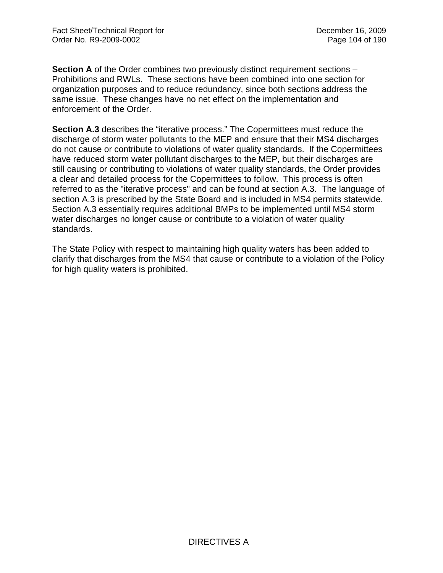**Section A** of the Order combines two previously distinct requirement sections – Prohibitions and RWLs. These sections have been combined into one section for organization purposes and to reduce redundancy, since both sections address the same issue. These changes have no net effect on the implementation and enforcement of the Order.

**Section A.3** describes the "iterative process." The Copermittees must reduce the discharge of storm water pollutants to the MEP and ensure that their MS4 discharges do not cause or contribute to violations of water quality standards. If the Copermittees have reduced storm water pollutant discharges to the MEP, but their discharges are still causing or contributing to violations of water quality standards, the Order provides a clear and detailed process for the Copermittees to follow. This process is often referred to as the "iterative process" and can be found at section A.3. The language of section A.3 is prescribed by the State Board and is included in MS4 permits statewide. Section A.3 essentially requires additional BMPs to be implemented until MS4 storm water discharges no longer cause or contribute to a violation of water quality standards.

The State Policy with respect to maintaining high quality waters has been added to clarify that discharges from the MS4 that cause or contribute to a violation of the Policy for high quality waters is prohibited.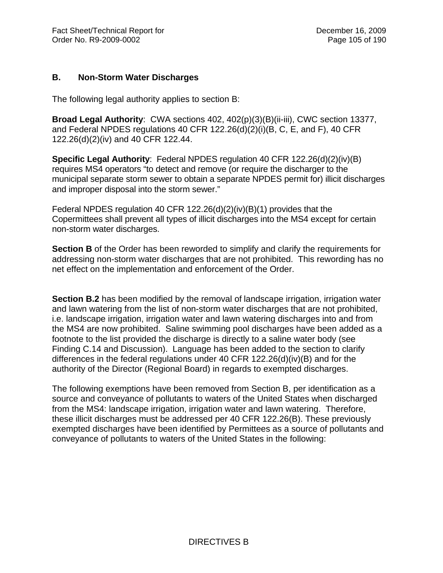#### **B. Non-Storm Water Discharges**

The following legal authority applies to section B:

**Broad Legal Authority**: CWA sections 402, 402(p)(3)(B)(ii-iii), CWC section 13377, and Federal NPDES regulations 40 CFR 122.26(d)(2)(i)(B, C, E, and F), 40 CFR 122.26(d)(2)(iv) and 40 CFR 122.44.

**Specific Legal Authority**: Federal NPDES regulation 40 CFR 122.26(d)(2)(iv)(B) requires MS4 operators "to detect and remove (or require the discharger to the municipal separate storm sewer to obtain a separate NPDES permit for) illicit discharges and improper disposal into the storm sewer."

Federal NPDES regulation 40 CFR 122.26(d)(2)(iv)(B)(1) provides that the Copermittees shall prevent all types of illicit discharges into the MS4 except for certain non-storm water discharges.

**Section B** of the Order has been reworded to simplify and clarify the requirements for addressing non-storm water discharges that are not prohibited. This rewording has no net effect on the implementation and enforcement of the Order.

**Section B.2** has been modified by the removal of landscape irrigation, irrigation water and lawn watering from the list of non-storm water discharges that are not prohibited, i.e. landscape irrigation, irrigation water and lawn watering discharges into and from the MS4 are now prohibited. Saline swimming pool discharges have been added as a footnote to the list provided the discharge is directly to a saline water body (see Finding C.14 and Discussion). Language has been added to the section to clarify differences in the federal regulations under 40 CFR 122.26(d)(iv)(B) and for the authority of the Director (Regional Board) in regards to exempted discharges.

The following exemptions have been removed from Section B, per identification as a source and conveyance of pollutants to waters of the United States when discharged from the MS4: landscape irrigation, irrigation water and lawn watering. Therefore, these illicit discharges must be addressed per 40 CFR 122.26(B). These previously exempted discharges have been identified by Permittees as a source of pollutants and conveyance of pollutants to waters of the United States in the following: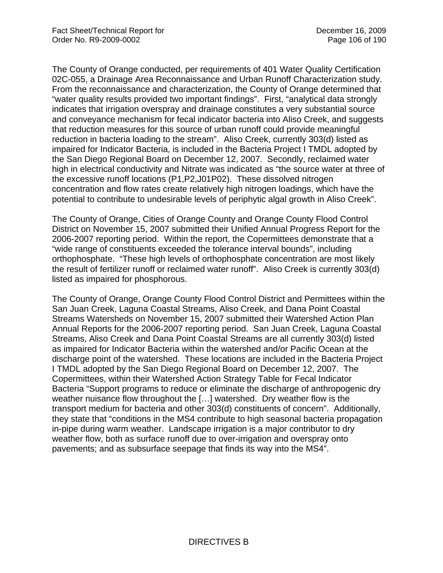The County of Orange conducted, per requirements of 401 Water Quality Certification 02C-055, a Drainage Area Reconnaissance and Urban Runoff Characterization study. From the reconnaissance and characterization, the County of Orange determined that "water quality results provided two important findings". First, "analytical data strongly indicates that irrigation overspray and drainage constitutes a very substantial source and conveyance mechanism for fecal indicator bacteria into Aliso Creek, and suggests that reduction measures for this source of urban runoff could provide meaningful reduction in bacteria loading to the stream". Aliso Creek, currently 303(d) listed as impaired for Indicator Bacteria, is included in the Bacteria Project I TMDL adopted by the San Diego Regional Board on December 12, 2007. Secondly, reclaimed water high in electrical conductivity and Nitrate was indicated as "the source water at three of the excessive runoff locations (P1,P2,J01P02). These dissolved nitrogen concentration and flow rates create relatively high nitrogen loadings, which have the potential to contribute to undesirable levels of periphytic algal growth in Aliso Creek".

The County of Orange, Cities of Orange County and Orange County Flood Control District on November 15, 2007 submitted their Unified Annual Progress Report for the 2006-2007 reporting period. Within the report, the Copermittees demonstrate that a "wide range of constituents exceeded the tolerance interval bounds", including orthophosphate. "These high levels of orthophosphate concentration are most likely the result of fertilizer runoff or reclaimed water runoff". Aliso Creek is currently 303(d) listed as impaired for phosphorous.

The County of Orange, Orange County Flood Control District and Permittees within the San Juan Creek, Laguna Coastal Streams, Aliso Creek, and Dana Point Coastal Streams Watersheds on November 15, 2007 submitted their Watershed Action Plan Annual Reports for the 2006-2007 reporting period. San Juan Creek, Laguna Coastal Streams, Aliso Creek and Dana Point Coastal Streams are all currently 303(d) listed as impaired for Indicator Bacteria within the watershed and/or Pacific Ocean at the discharge point of the watershed. These locations are included in the Bacteria Project I TMDL adopted by the San Diego Regional Board on December 12, 2007. The Copermittees, within their Watershed Action Strategy Table for Fecal Indicator Bacteria "Support programs to reduce or eliminate the discharge of anthropogenic dry weather nuisance flow throughout the […] watershed. Dry weather flow is the transport medium for bacteria and other 303(d) constituents of concern". Additionally, they state that "conditions in the MS4 contribute to high seasonal bacteria propagation in-pipe during warm weather. Landscape irrigation is a major contributor to dry weather flow, both as surface runoff due to over-irrigation and overspray onto pavements; and as subsurface seepage that finds its way into the MS4".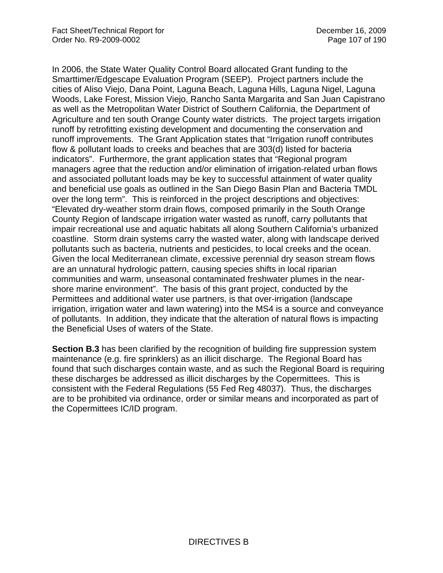In 2006, the State Water Quality Control Board allocated Grant funding to the Smarttimer/Edgescape Evaluation Program (SEEP). Project partners include the cities of Aliso Viejo, Dana Point, Laguna Beach, Laguna Hills, Laguna Nigel, Laguna Woods, Lake Forest, Mission Viejo, Rancho Santa Margarita and San Juan Capistrano as well as the Metropolitan Water District of Southern California, the Department of Agriculture and ten south Orange County water districts. The project targets irrigation runoff by retrofitting existing development and documenting the conservation and runoff improvements. The Grant Application states that "Irrigation runoff contributes flow & pollutant loads to creeks and beaches that are 303(d) listed for bacteria indicators". Furthermore, the grant application states that "Regional program managers agree that the reduction and/or elimination of irrigation-related urban flows and associated pollutant loads may be key to successful attainment of water quality and beneficial use goals as outlined in the San Diego Basin Plan and Bacteria TMDL over the long term". This is reinforced in the project descriptions and objectives: "Elevated dry-weather storm drain flows, composed primarily in the South Orange County Region of landscape irrigation water wasted as runoff, carry pollutants that impair recreational use and aquatic habitats all along Southern California's urbanized coastline. Storm drain systems carry the wasted water, along with landscape derived pollutants such as bacteria, nutrients and pesticides, to local creeks and the ocean. Given the local Mediterranean climate, excessive perennial dry season stream flows are an unnatural hydrologic pattern, causing species shifts in local riparian communities and warm, unseasonal contaminated freshwater plumes in the nearshore marine environment". The basis of this grant project, conducted by the Permittees and additional water use partners, is that over-irrigation (landscape irrigation, irrigation water and lawn watering) into the MS4 is a source and conveyance of pollutants. In addition, they indicate that the alteration of natural flows is impacting the Beneficial Uses of waters of the State.

**Section B.3** has been clarified by the recognition of building fire suppression system maintenance (e.g. fire sprinklers) as an illicit discharge. The Regional Board has found that such discharges contain waste, and as such the Regional Board is requiring these discharges be addressed as illicit discharges by the Copermittees. This is consistent with the Federal Regulations (55 Fed Reg 48037). Thus, the discharges are to be prohibited via ordinance, order or similar means and incorporated as part of the Copermittees IC/ID program.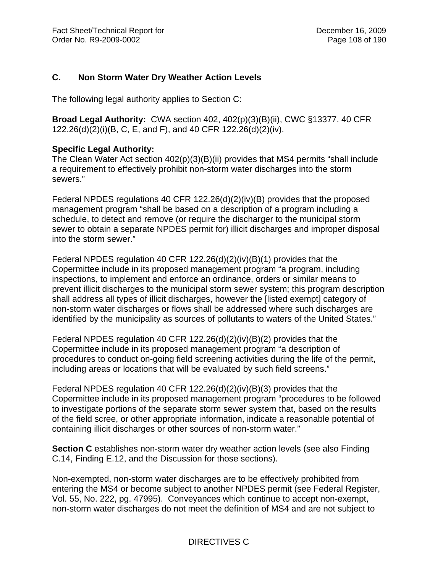## **C. Non Storm Water Dry Weather Action Levels**

The following legal authority applies to Section C:

**Broad Legal Authority:** CWA section 402, 402(p)(3)(B)(ii), CWC §13377. 40 CFR 122.26(d)(2)(i)(B, C, E, and F), and 40 CFR 122.26(d)(2)(iv).

### **Specific Legal Authority:**

The Clean Water Act section 402(p)(3)(B)(ii) provides that MS4 permits "shall include a requirement to effectively prohibit non-storm water discharges into the storm sewers."

Federal NPDES regulations 40 CFR 122.26(d)(2)(iv)(B) provides that the proposed management program "shall be based on a description of a program including a schedule, to detect and remove (or require the discharger to the municipal storm sewer to obtain a separate NPDES permit for) illicit discharges and improper disposal into the storm sewer."

Federal NPDES regulation 40 CFR 122.26(d)(2)(iv)(B)(1) provides that the Copermittee include in its proposed management program "a program, including inspections, to implement and enforce an ordinance, orders or similar means to prevent illicit discharges to the municipal storm sewer system; this program description shall address all types of illicit discharges, however the [listed exempt] category of non-storm water discharges or flows shall be addressed where such discharges are identified by the municipality as sources of pollutants to waters of the United States."

Federal NPDES regulation 40 CFR 122.26(d)(2)(iv)(B)(2) provides that the Copermittee include in its proposed management program "a description of procedures to conduct on-going field screening activities during the life of the permit, including areas or locations that will be evaluated by such field screens."

Federal NPDES regulation 40 CFR 122.26(d)(2)(iv)(B)(3) provides that the Copermittee include in its proposed management program "procedures to be followed to investigate portions of the separate storm sewer system that, based on the results of the field scree, or other appropriate information, indicate a reasonable potential of containing illicit discharges or other sources of non-storm water."

**Section C** establishes non-storm water dry weather action levels (see also Finding C.14, Finding E.12, and the Discussion for those sections).

Non-exempted, non-storm water discharges are to be effectively prohibited from entering the MS4 or become subject to another NPDES permit (see Federal Register, Vol. 55, No. 222, pg. 47995). Conveyances which continue to accept non-exempt, non-storm water discharges do not meet the definition of MS4 and are not subject to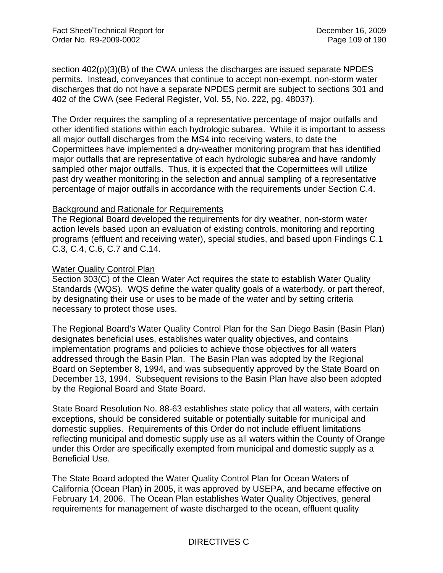section 402(p)(3)(B) of the CWA unless the discharges are issued separate NPDES permits. Instead, conveyances that continue to accept non-exempt, non-storm water discharges that do not have a separate NPDES permit are subject to sections 301 and 402 of the CWA (see Federal Register, Vol. 55, No. 222, pg. 48037).

The Order requires the sampling of a representative percentage of major outfalls and other identified stations within each hydrologic subarea. While it is important to assess all major outfall discharges from the MS4 into receiving waters, to date the Copermittees have implemented a dry-weather monitoring program that has identified major outfalls that are representative of each hydrologic subarea and have randomly sampled other major outfalls. Thus, it is expected that the Copermittees will utilize past dry weather monitoring in the selection and annual sampling of a representative percentage of major outfalls in accordance with the requirements under Section C.4.

#### Background and Rationale for Requirements

The Regional Board developed the requirements for dry weather, non-storm water action levels based upon an evaluation of existing controls, monitoring and reporting programs (effluent and receiving water), special studies, and based upon Findings C.1 C.3, C.4, C.6, C.7 and C.14.

#### Water Quality Control Plan

Section 303(C) of the Clean Water Act requires the state to establish Water Quality Standards (WQS). WQS define the water quality goals of a waterbody, or part thereof, by designating their use or uses to be made of the water and by setting criteria necessary to protect those uses.

The Regional Board's Water Quality Control Plan for the San Diego Basin (Basin Plan) designates beneficial uses, establishes water quality objectives, and contains implementation programs and policies to achieve those objectives for all waters addressed through the Basin Plan. The Basin Plan was adopted by the Regional Board on September 8, 1994, and was subsequently approved by the State Board on December 13, 1994. Subsequent revisions to the Basin Plan have also been adopted by the Regional Board and State Board.

State Board Resolution No. 88-63 establishes state policy that all waters, with certain exceptions, should be considered suitable or potentially suitable for municipal and domestic supplies. Requirements of this Order do not include effluent limitations reflecting municipal and domestic supply use as all waters within the County of Orange under this Order are specifically exempted from municipal and domestic supply as a Beneficial Use.

The State Board adopted the Water Quality Control Plan for Ocean Waters of California (Ocean Plan) in 2005, it was approved by USEPA, and became effective on February 14, 2006. The Ocean Plan establishes Water Quality Objectives, general requirements for management of waste discharged to the ocean, effluent quality

# DIRECTIVES C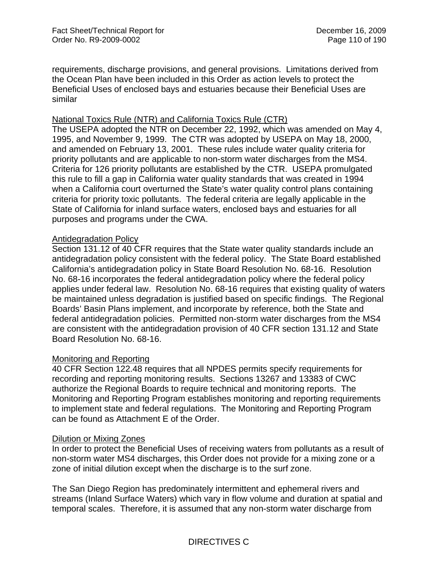requirements, discharge provisions, and general provisions. Limitations derived from the Ocean Plan have been included in this Order as action levels to protect the Beneficial Uses of enclosed bays and estuaries because their Beneficial Uses are similar

## National Toxics Rule (NTR) and California Toxics Rule (CTR)

The USEPA adopted the NTR on December 22, 1992, which was amended on May 4, 1995, and November 9, 1999. The CTR was adopted by USEPA on May 18, 2000, and amended on February 13, 2001. These rules include water quality criteria for priority pollutants and are applicable to non-storm water discharges from the MS4. Criteria for 126 priority pollutants are established by the CTR. USEPA promulgated this rule to fill a gap in California water quality standards that was created in 1994 when a California court overturned the State's water quality control plans containing criteria for priority toxic pollutants. The federal criteria are legally applicable in the State of California for inland surface waters, enclosed bays and estuaries for all purposes and programs under the CWA.

### Antidegradation Policy

Section 131.12 of 40 CFR requires that the State water quality standards include an antidegradation policy consistent with the federal policy. The State Board established California's antidegradation policy in State Board Resolution No. 68-16. Resolution No. 68-16 incorporates the federal antidegradation policy where the federal policy applies under federal law. Resolution No. 68-16 requires that existing quality of waters be maintained unless degradation is justified based on specific findings. The Regional Boards' Basin Plans implement, and incorporate by reference, both the State and federal antidegradation policies. Permitted non-storm water discharges from the MS4 are consistent with the antidegradation provision of 40 CFR section 131.12 and State Board Resolution No. 68-16.

## Monitoring and Reporting

40 CFR Section 122.48 requires that all NPDES permits specify requirements for recording and reporting monitoring results. Sections 13267 and 13383 of CWC authorize the Regional Boards to require technical and monitoring reports. The Monitoring and Reporting Program establishes monitoring and reporting requirements to implement state and federal regulations. The Monitoring and Reporting Program can be found as Attachment E of the Order.

#### Dilution or Mixing Zones

In order to protect the Beneficial Uses of receiving waters from pollutants as a result of non-storm water MS4 discharges, this Order does not provide for a mixing zone or a zone of initial dilution except when the discharge is to the surf zone.

The San Diego Region has predominately intermittent and ephemeral rivers and streams (Inland Surface Waters) which vary in flow volume and duration at spatial and temporal scales. Therefore, it is assumed that any non-storm water discharge from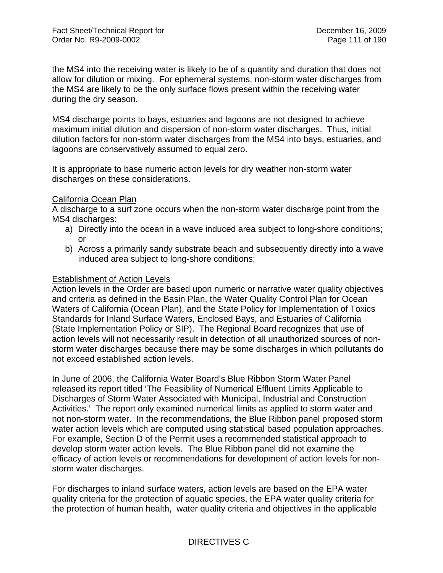the MS4 into the receiving water is likely to be of a quantity and duration that does not allow for dilution or mixing. For ephemeral systems, non-storm water discharges from the MS4 are likely to be the only surface flows present within the receiving water during the dry season.

MS4 discharge points to bays, estuaries and lagoons are not designed to achieve maximum initial dilution and dispersion of non-storm water discharges. Thus, initial dilution factors for non-storm water discharges from the MS4 into bays, estuaries, and lagoons are conservatively assumed to equal zero.

It is appropriate to base numeric action levels for dry weather non-storm water discharges on these considerations.

### California Ocean Plan

A discharge to a surf zone occurs when the non-storm water discharge point from the MS4 discharges:

- a) Directly into the ocean in a wave induced area subject to long-shore conditions; or
- b) Across a primarily sandy substrate beach and subsequently directly into a wave induced area subject to long-shore conditions;

#### Establishment of Action Levels

Action levels in the Order are based upon numeric or narrative water quality objectives and criteria as defined in the Basin Plan, the Water Quality Control Plan for Ocean Waters of California (Ocean Plan), and the State Policy for Implementation of Toxics Standards for Inland Surface Waters, Enclosed Bays, and Estuaries of California (State Implementation Policy or SIP). The Regional Board recognizes that use of action levels will not necessarily result in detection of all unauthorized sources of nonstorm water discharges because there may be some discharges in which pollutants do not exceed established action levels.

In June of 2006, the California Water Board's Blue Ribbon Storm Water Panel released its report titled 'The Feasibility of Numerical Effluent Limits Applicable to Discharges of Storm Water Associated with Municipal, Industrial and Construction Activities.' The report only examined numerical limits as applied to storm water and not non-storm water. In the recommendations, the Blue Ribbon panel proposed storm water action levels which are computed using statistical based population approaches. For example, Section D of the Permit uses a recommended statistical approach to develop storm water action levels. The Blue Ribbon panel did not examine the efficacy of action levels or recommendations for development of action levels for nonstorm water discharges.

For discharges to inland surface waters, action levels are based on the EPA water quality criteria for the protection of aquatic species, the EPA water quality criteria for the protection of human health, water quality criteria and objectives in the applicable

# DIRECTIVES C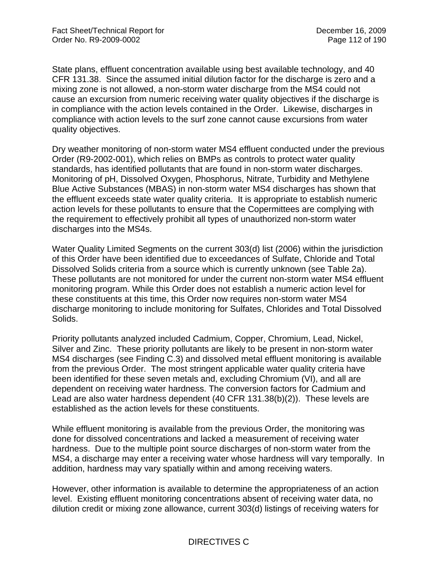State plans, effluent concentration available using best available technology, and 40 CFR 131.38. Since the assumed initial dilution factor for the discharge is zero and a mixing zone is not allowed, a non-storm water discharge from the MS4 could not cause an excursion from numeric receiving water quality objectives if the discharge is in compliance with the action levels contained in the Order. Likewise, discharges in compliance with action levels to the surf zone cannot cause excursions from water quality objectives.

Dry weather monitoring of non-storm water MS4 effluent conducted under the previous Order (R9-2002-001), which relies on BMPs as controls to protect water quality standards, has identified pollutants that are found in non-storm water discharges. Monitoring of pH, Dissolved Oxygen, Phosphorus, Nitrate, Turbidity and Methylene Blue Active Substances (MBAS) in non-storm water MS4 discharges has shown that the effluent exceeds state water quality criteria. It is appropriate to establish numeric action levels for these pollutants to ensure that the Copermittees are complying with the requirement to effectively prohibit all types of unauthorized non-storm water discharges into the MS4s.

Water Quality Limited Segments on the current 303(d) list (2006) within the jurisdiction of this Order have been identified due to exceedances of Sulfate, Chloride and Total Dissolved Solids criteria from a source which is currently unknown (see Table 2a). These pollutants are not monitored for under the current non-storm water MS4 effluent monitoring program. While this Order does not establish a numeric action level for these constituents at this time, this Order now requires non-storm water MS4 discharge monitoring to include monitoring for Sulfates, Chlorides and Total Dissolved Solids.

Priority pollutants analyzed included Cadmium, Copper, Chromium, Lead, Nickel, Silver and Zinc. These priority pollutants are likely to be present in non-storm water MS4 discharges (see Finding C.3) and dissolved metal effluent monitoring is available from the previous Order. The most stringent applicable water quality criteria have been identified for these seven metals and, excluding Chromium (VI), and all are dependent on receiving water hardness. The conversion factors for Cadmium and Lead are also water hardness dependent (40 CFR 131.38(b)(2)). These levels are established as the action levels for these constituents.

While effluent monitoring is available from the previous Order, the monitoring was done for dissolved concentrations and lacked a measurement of receiving water hardness. Due to the multiple point source discharges of non-storm water from the MS4, a discharge may enter a receiving water whose hardness will vary temporally. In addition, hardness may vary spatially within and among receiving waters.

However, other information is available to determine the appropriateness of an action level. Existing effluent monitoring concentrations absent of receiving water data, no dilution credit or mixing zone allowance, current 303(d) listings of receiving waters for

# DIRECTIVES C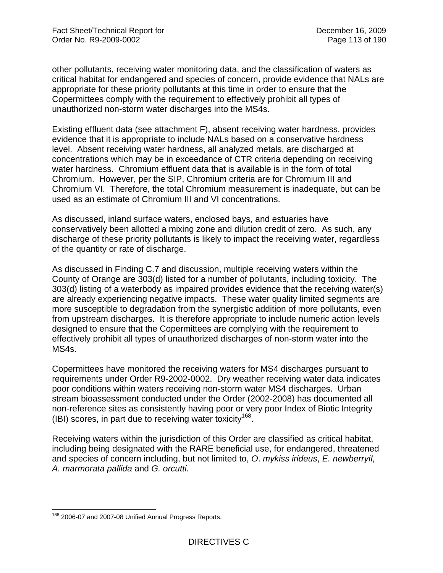other pollutants, receiving water monitoring data, and the classification of waters as critical habitat for endangered and species of concern, provide evidence that NALs are appropriate for these priority pollutants at this time in order to ensure that the Copermittees comply with the requirement to effectively prohibit all types of unauthorized non-storm water discharges into the MS4s.

Existing effluent data (see attachment F), absent receiving water hardness, provides evidence that it is appropriate to include NALs based on a conservative hardness level. Absent receiving water hardness, all analyzed metals, are discharged at concentrations which may be in exceedance of CTR criteria depending on receiving water hardness. Chromium effluent data that is available is in the form of total Chromium. However, per the SIP, Chromium criteria are for Chromium III and Chromium VI. Therefore, the total Chromium measurement is inadequate, but can be used as an estimate of Chromium III and VI concentrations.

As discussed, inland surface waters, enclosed bays, and estuaries have conservatively been allotted a mixing zone and dilution credit of zero. As such, any discharge of these priority pollutants is likely to impact the receiving water, regardless of the quantity or rate of discharge.

As discussed in Finding C.7 and discussion, multiple receiving waters within the County of Orange are 303(d) listed for a number of pollutants, including toxicity. The 303(d) listing of a waterbody as impaired provides evidence that the receiving water(s) are already experiencing negative impacts. These water quality limited segments are more susceptible to degradation from the synergistic addition of more pollutants, even from upstream discharges. It is therefore appropriate to include numeric action levels designed to ensure that the Copermittees are complying with the requirement to effectively prohibit all types of unauthorized discharges of non-storm water into the MS4s.

Copermittees have monitored the receiving waters for MS4 discharges pursuant to requirements under Order R9-2002-0002. Dry weather receiving water data indicates poor conditions within waters receiving non-storm water MS4 discharges. Urban stream bioassessment conducted under the Order (2002-2008) has documented all non-reference sites as consistently having poor or very poor Index of Biotic Integrity (IBI) scores, in part due to receiving water toxicity<sup>168</sup>.

Receiving waters within the jurisdiction of this Order are classified as critical habitat, including being designated with the RARE beneficial use, for endangered, threatened and species of concern including, but not limited to, *O*. *mykiss irideus*, *E. newberryiI, A. marmorata pallida* and *G. orcutti.* 

 $\overline{a}$ <sup>168</sup> 2006-07 and 2007-08 Unified Annual Progress Reports.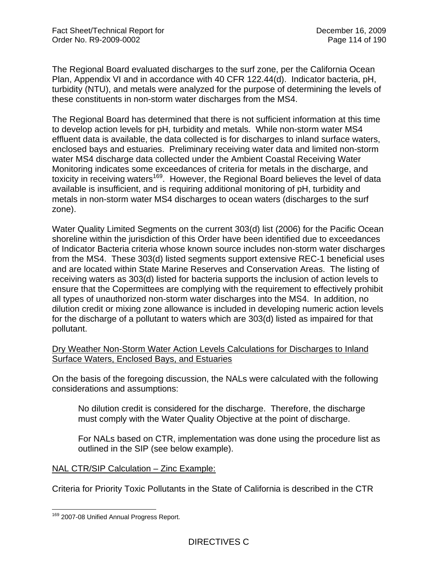The Regional Board evaluated discharges to the surf zone, per the California Ocean Plan, Appendix VI and in accordance with 40 CFR 122.44(d). Indicator bacteria, pH, turbidity (NTU), and metals were analyzed for the purpose of determining the levels of these constituents in non-storm water discharges from the MS4.

The Regional Board has determined that there is not sufficient information at this time to develop action levels for pH, turbidity and metals. While non-storm water MS4 effluent data is available, the data collected is for discharges to inland surface waters, enclosed bays and estuaries. Preliminary receiving water data and limited non-storm water MS4 discharge data collected under the Ambient Coastal Receiving Water Monitoring indicates some exceedances of criteria for metals in the discharge, and toxicity in receiving waters<sup>169</sup>. However, the Regional Board believes the level of data available is insufficient, and is requiring additional monitoring of pH, turbidity and metals in non-storm water MS4 discharges to ocean waters (discharges to the surf zone).

Water Quality Limited Segments on the current 303(d) list (2006) for the Pacific Ocean shoreline within the jurisdiction of this Order have been identified due to exceedances of Indicator Bacteria criteria whose known source includes non-storm water discharges from the MS4. These 303(d) listed segments support extensive REC-1 beneficial uses and are located within State Marine Reserves and Conservation Areas. The listing of receiving waters as 303(d) listed for bacteria supports the inclusion of action levels to ensure that the Copermittees are complying with the requirement to effectively prohibit all types of unauthorized non-storm water discharges into the MS4. In addition, no dilution credit or mixing zone allowance is included in developing numeric action levels for the discharge of a pollutant to waters which are 303(d) listed as impaired for that pollutant.

## Dry Weather Non-Storm Water Action Levels Calculations for Discharges to Inland Surface Waters, Enclosed Bays, and Estuaries

On the basis of the foregoing discussion, the NALs were calculated with the following considerations and assumptions:

No dilution credit is considered for the discharge. Therefore, the discharge must comply with the Water Quality Objective at the point of discharge.

For NALs based on CTR, implementation was done using the procedure list as outlined in the SIP (see below example).

## NAL CTR/SIP Calculation – Zinc Example:

Criteria for Priority Toxic Pollutants in the State of California is described in the CTR

<sup>1</sup> <sup>169</sup> 2007-08 Unified Annual Progress Report.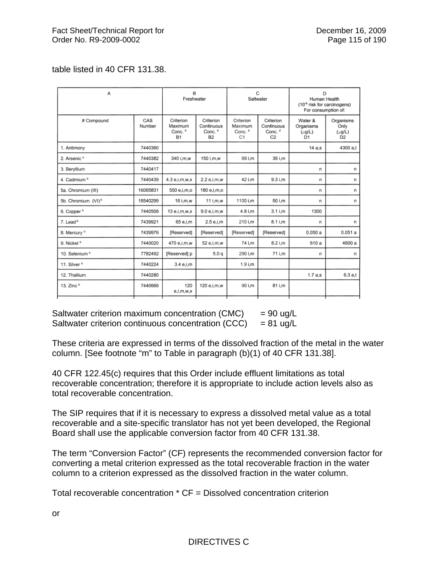## table listed in 40 CFR 131.38.

| Α                              |               | в<br>Freshwater                                         |                                                            | C<br>Saltwater                                   |                                                                 | D<br>Human Health<br>(10 <sup>-6</sup> risk for carcinogens)<br>For consumption of: |                                                    |
|--------------------------------|---------------|---------------------------------------------------------|------------------------------------------------------------|--------------------------------------------------|-----------------------------------------------------------------|-------------------------------------------------------------------------------------|----------------------------------------------------|
| # Compound                     | CAS<br>Number | Criterion<br>Maximum<br>Conc. <sup>d</sup><br><b>B1</b> | Criterion<br>Continuous<br>Conc. <sup>d</sup><br><b>B2</b> | Criterion<br>Maximum<br>Conc. <sup>d</sup><br>C1 | Criterion<br>Continuous<br>Conc. <sup>d</sup><br>C <sub>2</sub> | Water &<br>Organisms<br>$(\mu$ g/L)<br>D1                                           | Organisms<br>Only<br>$(\mu g/L)$<br>D <sub>2</sub> |
| 1. Antimony                    | 7440360       |                                                         |                                                            |                                                  |                                                                 | 14 a.s                                                                              | 4300 a.t                                           |
| 2. Arsenic <sup>b</sup>        | 7440382       | 340 i.m.w                                               | 150 i.m.w                                                  | 69 i.m                                           | 36 i.m                                                          |                                                                                     |                                                    |
| 3. Beryllium                   | 7440417       |                                                         |                                                            |                                                  |                                                                 | n                                                                                   | n                                                  |
| 4. Cadmium b                   | 7440439       | 4.3 e.i.m.w.x                                           | 2.2 e.i.m.w                                                | 42 i.m                                           | 9.3 i.m                                                         | n                                                                                   | n                                                  |
| 5a. Chromium (III)             | 16065831      | 550 e,i,m,o                                             | 180 e,i,m,o                                                |                                                  |                                                                 | n                                                                                   | n                                                  |
| 5b. Chromium (VI) <sup>b</sup> | 18540299      | 16 i.m.w                                                | 11 i.m.w                                                   | 1100 i.m                                         | 50 i.m                                                          | n                                                                                   | n                                                  |
| 6. Copper <sup>b</sup>         | 7440508       | 13 e.i.m.w.x                                            | 9.0 e.i.m.w                                                | 4.8 i.m                                          | $3.1$ i.m                                                       | 1300                                                                                |                                                    |
| 7. Lead <sup>b</sup>           | 7439921       | 65 e.i.m                                                | 2.5 e.i.m                                                  | 210 i.m                                          | 8.1 i,m                                                         | n                                                                                   | n                                                  |
| 8. Mercury <sup>b</sup>        | 7439976       | [Reserved]                                              | [Reserved]                                                 | [Reserved]                                       | [Reserved]                                                      | 0.050a                                                                              | 0.051a                                             |
| 9. Nickel <sup>b</sup>         | 7440020       | 470 e.i.m.w                                             | 52 e.i.m.w                                                 | 74 i.m                                           | 8.2 i.m                                                         | 610 a                                                                               | 4600 a                                             |
| 10. Selenium b                 | 7782492       | [Reserved] p                                            | 5.0 <sub>a</sub>                                           | 290 i.m                                          | 71 i.m                                                          | n                                                                                   | n                                                  |
| 11. Silver <sup>b</sup>        | 7440224       | 3.4 e.i.m                                               |                                                            | $1.9$ i.m                                        |                                                                 |                                                                                     |                                                    |
| 12. Thallium                   | 7440280       |                                                         |                                                            |                                                  |                                                                 | 1.7a.s                                                                              | 6.3a.t                                             |
| 13. Zinc $b$                   | 7440666       | 120<br>e,i,m,w,x                                        | 120 e,i,m,w                                                | 90 i.m                                           | 81 i.m                                                          |                                                                                     |                                                    |

Saltwater criterion maximum concentration  $(CMC)$  = 90 ug/L Saltwater criterion continuous concentration (CCC) =  $81 \text{ u}g/L$ 

These criteria are expressed in terms of the dissolved fraction of the metal in the water column. [See footnote "m" to Table in paragraph (b)(1) of 40 CFR 131.38].

40 CFR 122.45(c) requires that this Order include effluent limitations as total recoverable concentration; therefore it is appropriate to include action levels also as total recoverable concentration.

The SIP requires that if it is necessary to express a dissolved metal value as a total recoverable and a site-specific translator has not yet been developed, the Regional Board shall use the applicable conversion factor from 40 CFR 131.38.

The term "Conversion Factor" (CF) represents the recommended conversion factor for converting a metal criterion expressed as the total recoverable fraction in the water column to a criterion expressed as the dissolved fraction in the water column.

Total recoverable concentration \* CF = Dissolved concentration criterion

or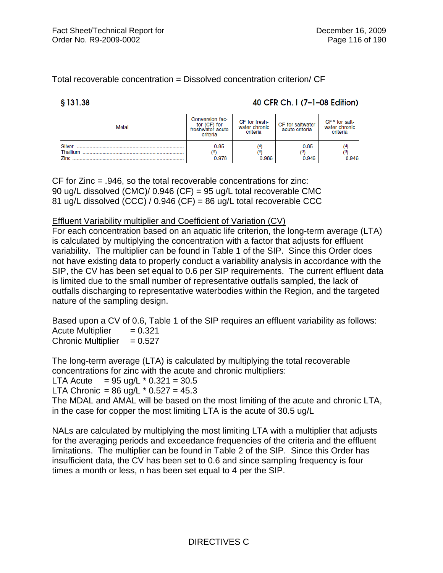Total recoverable concentration = Dissolved concentration criterion/ CF

 $$131.38$ 

## 40 CFR Ch. I (7-1-08 Edition)

| Metal                      | Conversion fac-<br>tor (CF) for<br>freshwater acute<br>criteria | CF for fresh-<br>water chronic<br>criteria | CF for saltwater<br>acute criteria | CF <sup>a</sup> for salt-<br>water chronic<br>criteria |
|----------------------------|-----------------------------------------------------------------|--------------------------------------------|------------------------------------|--------------------------------------------------------|
| Silver<br>Thallium<br>Zinc | 0.85<br>(d)<br>0.978                                            | ٢ď<br>0.986                                | 0.85<br>(d<br>0.946                | 0.946                                                  |

**FAARIAREA EA TURIE A AF BURGARDEN ANAS** 

CF for Zinc = .946, so the total recoverable concentrations for zinc: 90 ug/L dissolved (CMC)/ 0.946 (CF) = 95 ug/L total recoverable CMC 81 ug/L dissolved (CCC) / 0.946 (CF) = 86 ug/L total recoverable CCC

### Effluent Variability multiplier and Coefficient of Variation (CV)

For each concentration based on an aquatic life criterion, the long-term average (LTA) is calculated by multiplying the concentration with a factor that adjusts for effluent variability. The multiplier can be found in Table 1 of the SIP. Since this Order does not have existing data to properly conduct a variability analysis in accordance with the SIP, the CV has been set equal to 0.6 per SIP requirements. The current effluent data is limited due to the small number of representative outfalls sampled, the lack of outfalls discharging to representative waterbodies within the Region, and the targeted nature of the sampling design.

Based upon a CV of 0.6, Table 1 of the SIP requires an effluent variability as follows: Acute Multiplier  $= 0.321$ Chronic Multiplier  $= 0.527$ 

The long-term average (LTA) is calculated by multiplying the total recoverable concentrations for zinc with the acute and chronic multipliers:

LTA Acute  $= 95$  ug/L  $*$  0.321 = 30.5

LTA Chronic =  $86 \text{ uq/L} \cdot 0.527 = 45.3$ 

The MDAL and AMAL will be based on the most limiting of the acute and chronic LTA, in the case for copper the most limiting LTA is the acute of 30.5 ug/L

NALs are calculated by multiplying the most limiting LTA with a multiplier that adjusts for the averaging periods and exceedance frequencies of the criteria and the effluent limitations. The multiplier can be found in Table 2 of the SIP. Since this Order has insufficient data, the CV has been set to 0.6 and since sampling frequency is four times a month or less, n has been set equal to 4 per the SIP.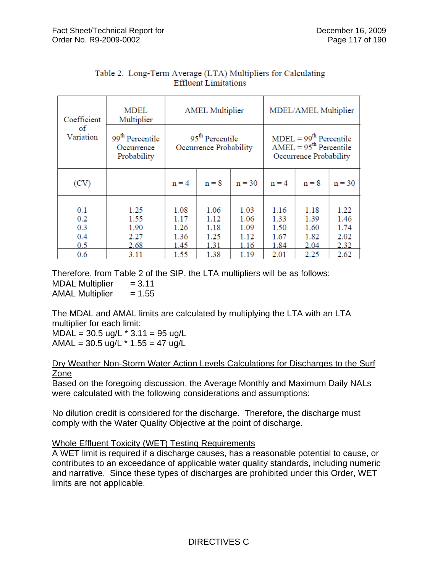| Coefficient                     | <b>MDEL</b><br>Multiplier                                | <b>AMEL Multiplier</b>               |                                                       |                                      | MDEL/AMEL Multiplier                                                           |                                      |                                      |  |
|---------------------------------|----------------------------------------------------------|--------------------------------------|-------------------------------------------------------|--------------------------------------|--------------------------------------------------------------------------------|--------------------------------------|--------------------------------------|--|
| οf<br>Variation                 | 99 <sup>th</sup> Percentile<br>Occurrence<br>Probability |                                      | 95 <sup>th</sup> Percentile<br>Occurrence Probability |                                      | $MDEL = 99th Percentile$<br>$AMEL = 95th$ Percentile<br>Occurrence Probability |                                      |                                      |  |
| (CV)                            |                                                          | $n = 4$                              | $n = 8$                                               | $n = 30$                             | $n = 4$                                                                        | $n = 8$                              | $n = 30$                             |  |
| 0.1<br>0.2<br>0.3<br>0.4<br>0.5 | 1.25<br>1.55<br>1.90<br>2.27<br>2.68                     | 1.08<br>1.17<br>1.26<br>1.36<br>1.45 | 1.06<br>1.12<br>1.18<br>1.25<br>1.31                  | 1.03<br>1.06<br>1.09<br>1.12<br>1.16 | 1.16<br>1.33<br>1.50<br>1.67<br>1.84                                           | 1.18<br>1.39<br>1.60<br>1.82<br>2.04 | 1.22<br>1.46<br>1.74<br>2.02<br>2.32 |  |
| 0.6                             | 3.11                                                     | 1.55                                 | 1.38                                                  | 1.19                                 | 2.01                                                                           | 2.25                                 | 2.62                                 |  |

## Table 2. Long-Term Average (LTA) Multipliers for Calculating **Effluent Limitations**

Therefore, from Table 2 of the SIP, the LTA multipliers will be as follows: MDAL Multiplier  $= 3.11$ AMAL Multiplier  $= 1.55$ 

The MDAL and AMAL limits are calculated by multiplying the LTA with an LTA multiplier for each limit:  $MDAL = 30.5$  ug/L  $*$  3.11 = 95 ug/L

 $AMAL = 30.5$  ug/L  $*$  1.55 = 47 ug/L

## Dry Weather Non-Storm Water Action Levels Calculations for Discharges to the Surf Zone

Based on the foregoing discussion, the Average Monthly and Maximum Daily NALs were calculated with the following considerations and assumptions:

No dilution credit is considered for the discharge. Therefore, the discharge must comply with the Water Quality Objective at the point of discharge.

# Whole Effluent Toxicity (WET) Testing Requirements

A WET limit is required if a discharge causes, has a reasonable potential to cause, or contributes to an exceedance of applicable water quality standards, including numeric and narrative. Since these types of discharges are prohibited under this Order, WET limits are not applicable.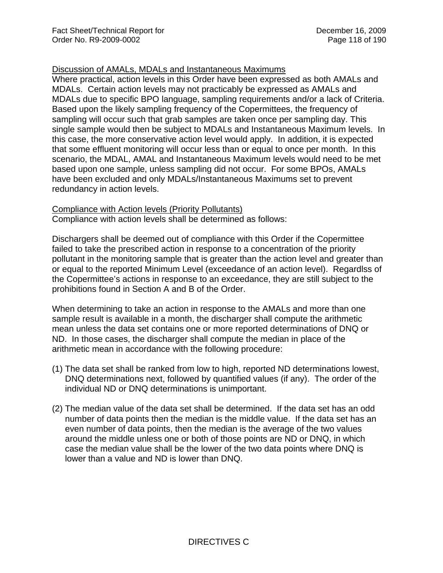## Discussion of AMALs, MDALs and Instantaneous Maximums

Where practical, action levels in this Order have been expressed as both AMALs and MDALs. Certain action levels may not practicably be expressed as AMALs and MDALs due to specific BPO language, sampling requirements and/or a lack of Criteria. Based upon the likely sampling frequency of the Copermittees, the frequency of sampling will occur such that grab samples are taken once per sampling day. This single sample would then be subject to MDALs and Instantaneous Maximum levels. In this case, the more conservative action level would apply. In addition, it is expected that some effluent monitoring will occur less than or equal to once per month. In this scenario, the MDAL, AMAL and Instantaneous Maximum levels would need to be met based upon one sample, unless sampling did not occur. For some BPOs, AMALs have been excluded and only MDALs/Instantaneous Maximums set to prevent redundancy in action levels.

### Compliance with Action levels (Priority Pollutants)

Compliance with action levels shall be determined as follows:

Dischargers shall be deemed out of compliance with this Order if the Copermittee failed to take the prescribed action in response to a concentration of the priority pollutant in the monitoring sample that is greater than the action level and greater than or equal to the reported Minimum Level (exceedance of an action level). Regardlss of the Copermittee's actions in response to an exceedance, they are still subject to the prohibitions found in Section A and B of the Order.

When determining to take an action in response to the AMALs and more than one sample result is available in a month, the discharger shall compute the arithmetic mean unless the data set contains one or more reported determinations of DNQ or ND. In those cases, the discharger shall compute the median in place of the arithmetic mean in accordance with the following procedure:

- (1) The data set shall be ranked from low to high, reported ND determinations lowest, DNQ determinations next, followed by quantified values (if any). The order of the individual ND or DNQ determinations is unimportant.
- (2) The median value of the data set shall be determined. If the data set has an odd number of data points then the median is the middle value. If the data set has an even number of data points, then the median is the average of the two values around the middle unless one or both of those points are ND or DNQ, in which case the median value shall be the lower of the two data points where DNQ is lower than a value and ND is lower than DNQ.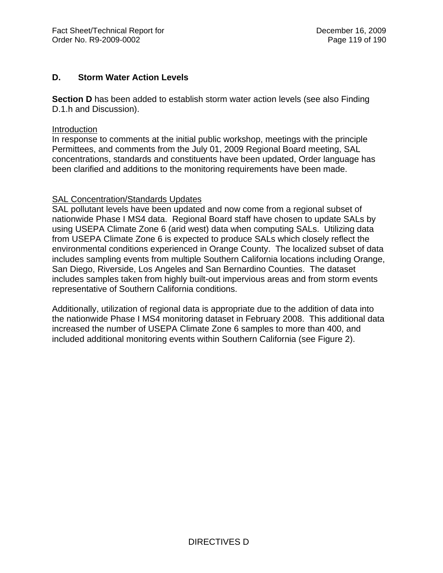## **D. Storm Water Action Levels**

**Section D** has been added to establish storm water action levels (see also Finding D.1.h and Discussion).

#### Introduction

In response to comments at the initial public workshop, meetings with the principle Permittees, and comments from the July 01, 2009 Regional Board meeting, SAL concentrations, standards and constituents have been updated, Order language has been clarified and additions to the monitoring requirements have been made.

## SAL Concentration/Standards Updates

SAL pollutant levels have been updated and now come from a regional subset of nationwide Phase I MS4 data. Regional Board staff have chosen to update SALs by using USEPA Climate Zone 6 (arid west) data when computing SALs. Utilizing data from USEPA Climate Zone 6 is expected to produce SALs which closely reflect the environmental conditions experienced in Orange County. The localized subset of data includes sampling events from multiple Southern California locations including Orange, San Diego, Riverside, Los Angeles and San Bernardino Counties. The dataset includes samples taken from highly built-out impervious areas and from storm events representative of Southern California conditions.

Additionally, utilization of regional data is appropriate due to the addition of data into the nationwide Phase I MS4 monitoring dataset in February 2008. This additional data increased the number of USEPA Climate Zone 6 samples to more than 400, and included additional monitoring events within Southern California (see Figure 2).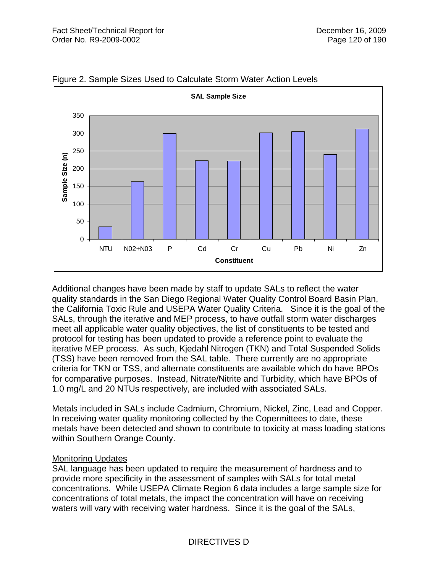

Figure 2. Sample Sizes Used to Calculate Storm Water Action Levels

Additional changes have been made by staff to update SALs to reflect the water quality standards in the San Diego Regional Water Quality Control Board Basin Plan, the California Toxic Rule and USEPA Water Quality Criteria. Since it is the goal of the SALs, through the iterative and MEP process, to have outfall storm water discharges meet all applicable water quality objectives, the list of constituents to be tested and protocol for testing has been updated to provide a reference point to evaluate the iterative MEP process. As such, Kjedahl Nitrogen (TKN) and Total Suspended Solids (TSS) have been removed from the SAL table. There currently are no appropriate criteria for TKN or TSS, and alternate constituents are available which do have BPOs for comparative purposes. Instead, Nitrate/Nitrite and Turbidity, which have BPOs of 1.0 mg/L and 20 NTUs respectively, are included with associated SALs.

Metals included in SALs include Cadmium, Chromium, Nickel, Zinc, Lead and Copper. In receiving water quality monitoring collected by the Copermittees to date, these metals have been detected and shown to contribute to toxicity at mass loading stations within Southern Orange County.

## Monitoring Updates

SAL language has been updated to require the measurement of hardness and to provide more specificity in the assessment of samples with SALs for total metal concentrations. While USEPA Climate Region 6 data includes a large sample size for concentrations of total metals, the impact the concentration will have on receiving waters will vary with receiving water hardness. Since it is the goal of the SALs,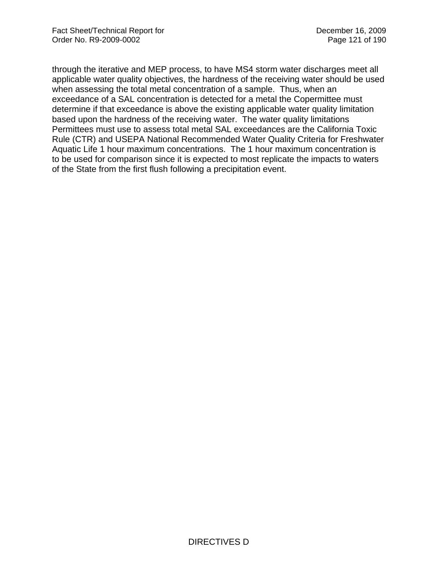through the iterative and MEP process, to have MS4 storm water discharges meet all applicable water quality objectives, the hardness of the receiving water should be used when assessing the total metal concentration of a sample. Thus, when an exceedance of a SAL concentration is detected for a metal the Copermittee must determine if that exceedance is above the existing applicable water quality limitation based upon the hardness of the receiving water. The water quality limitations Permittees must use to assess total metal SAL exceedances are the California Toxic Rule (CTR) and USEPA National Recommended Water Quality Criteria for Freshwater Aquatic Life 1 hour maximum concentrations. The 1 hour maximum concentration is to be used for comparison since it is expected to most replicate the impacts to waters of the State from the first flush following a precipitation event.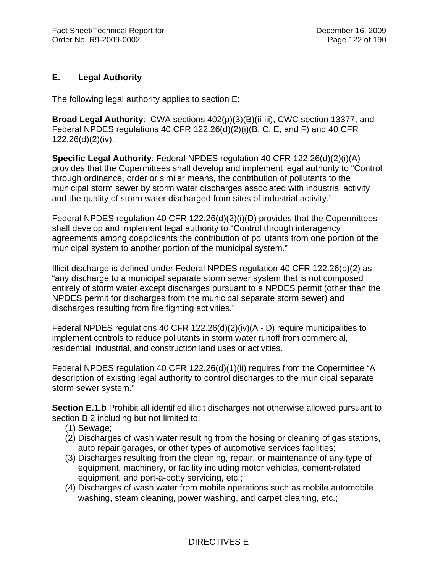# **E. Legal Authority**

The following legal authority applies to section E:

**Broad Legal Authority**: CWA sections 402(p)(3)(B)(ii-iii), CWC section 13377, and Federal NPDES regulations 40 CFR 122.26(d)(2)(i)(B, C, E, and F) and 40 CFR 122.26(d)(2)(iv).

**Specific Legal Authority**: Federal NPDES regulation 40 CFR 122.26(d)(2)(i)(A) provides that the Copermittees shall develop and implement legal authority to "Control through ordinance, order or similar means, the contribution of pollutants to the municipal storm sewer by storm water discharges associated with industrial activity and the quality of storm water discharged from sites of industrial activity."

Federal NPDES regulation 40 CFR 122.26(d)(2)(i)(D) provides that the Copermittees shall develop and implement legal authority to "Control through interagency agreements among coapplicants the contribution of pollutants from one portion of the municipal system to another portion of the municipal system."

Illicit discharge is defined under Federal NPDES regulation 40 CFR 122.26(b)(2) as "any discharge to a municipal separate storm sewer system that is not composed entirely of storm water except discharges pursuant to a NPDES permit (other than the NPDES permit for discharges from the municipal separate storm sewer) and discharges resulting from fire fighting activities."

Federal NPDES regulations 40 CFR 122.26(d)(2)(iv)(A - D) require municipalities to implement controls to reduce pollutants in storm water runoff from commercial, residential, industrial, and construction land uses or activities.

Federal NPDES regulation 40 CFR 122.26(d)(1)(ii) requires from the Copermittee "A description of existing legal authority to control discharges to the municipal separate storm sewer system."

**Section E.1.b** Prohibit all identified illicit discharges not otherwise allowed pursuant to section B.2 including but not limited to:

- (1) Sewage;
- (2) Discharges of wash water resulting from the hosing or cleaning of gas stations, auto repair garages, or other types of automotive services facilities;
- (3) Discharges resulting from the cleaning, repair, or maintenance of any type of equipment, machinery, or facility including motor vehicles, cement-related equipment, and port-a-potty servicing, etc.;
- (4) Discharges of wash water from mobile operations such as mobile automobile washing, steam cleaning, power washing, and carpet cleaning, etc.;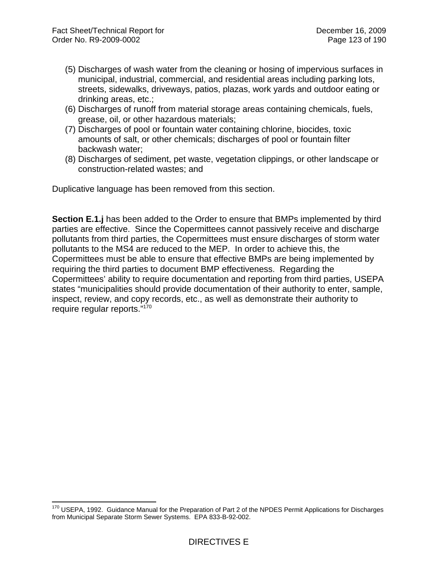- (5) Discharges of wash water from the cleaning or hosing of impervious surfaces in municipal, industrial, commercial, and residential areas including parking lots, streets, sidewalks, driveways, patios, plazas, work yards and outdoor eating or drinking areas, etc.;
- (6) Discharges of runoff from material storage areas containing chemicals, fuels, grease, oil, or other hazardous materials;
- (7) Discharges of pool or fountain water containing chlorine, biocides, toxic amounts of salt, or other chemicals; discharges of pool or fountain filter backwash water;
- (8) Discharges of sediment, pet waste, vegetation clippings, or other landscape or construction-related wastes; and

Duplicative language has been removed from this section.

**Section E.1.j** has been added to the Order to ensure that BMPs implemented by third parties are effective. Since the Copermittees cannot passively receive and discharge pollutants from third parties, the Copermittees must ensure discharges of storm water pollutants to the MS4 are reduced to the MEP. In order to achieve this, the Copermittees must be able to ensure that effective BMPs are being implemented by requiring the third parties to document BMP effectiveness. Regarding the Copermittees' ability to require documentation and reporting from third parties, USEPA states "municipalities should provide documentation of their authority to enter, sample, inspect, review, and copy records, etc., as well as demonstrate their authority to require regular reports."170

 $\overline{a}$  $170$  USEPA, 1992. Guidance Manual for the Preparation of Part 2 of the NPDES Permit Applications for Discharges from Municipal Separate Storm Sewer Systems. EPA 833-B-92-002.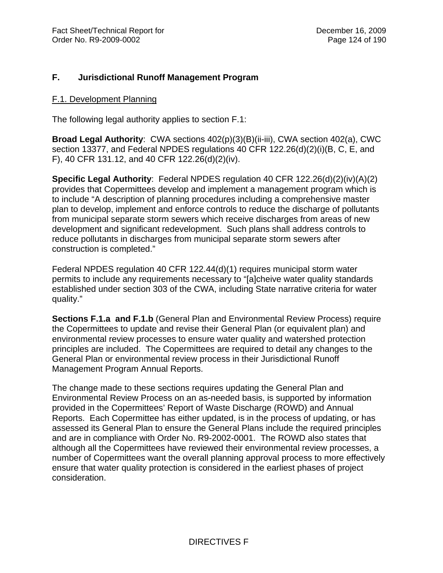## **F. Jurisdictional Runoff Management Program**

#### F.1. Development Planning

The following legal authority applies to section F.1:

**Broad Legal Authority**: CWA sections 402(p)(3)(B)(ii-iii), CWA section 402(a), CWC section 13377, and Federal NPDES regulations 40 CFR 122.26(d)(2)(i)(B, C, E, and F), 40 CFR 131.12, and 40 CFR 122.26(d)(2)(iv).

**Specific Legal Authority**: Federal NPDES regulation 40 CFR 122.26(d)(2)(iv)(A)(2) provides that Copermittees develop and implement a management program which is to include "A description of planning procedures including a comprehensive master plan to develop, implement and enforce controls to reduce the discharge of pollutants from municipal separate storm sewers which receive discharges from areas of new development and significant redevelopment. Such plans shall address controls to reduce pollutants in discharges from municipal separate storm sewers after construction is completed."

Federal NPDES regulation 40 CFR 122.44(d)(1) requires municipal storm water permits to include any requirements necessary to "[a]cheive water quality standards established under section 303 of the CWA, including State narrative criteria for water quality."

**Sections F.1.a and F.1.b** (General Plan and Environmental Review Process) require the Copermittees to update and revise their General Plan (or equivalent plan) and environmental review processes to ensure water quality and watershed protection principles are included. The Copermittees are required to detail any changes to the General Plan or environmental review process in their Jurisdictional Runoff Management Program Annual Reports.

The change made to these sections requires updating the General Plan and Environmental Review Process on an as-needed basis, is supported by information provided in the Copermittees' Report of Waste Discharge (ROWD) and Annual Reports. Each Copermittee has either updated, is in the process of updating, or has assessed its General Plan to ensure the General Plans include the required principles and are in compliance with Order No. R9-2002-0001. The ROWD also states that although all the Copermittees have reviewed their environmental review processes, a number of Copermittees want the overall planning approval process to more effectively ensure that water quality protection is considered in the earliest phases of project consideration.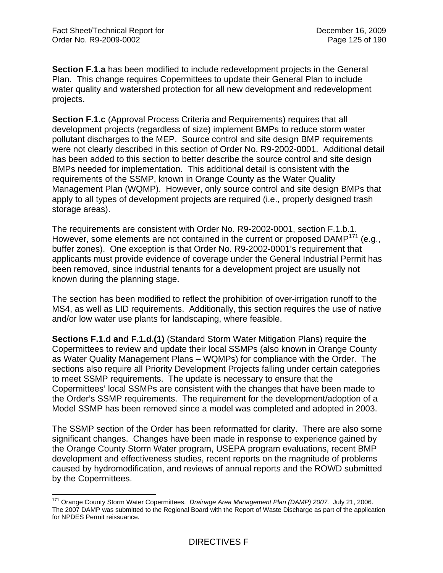1

**Section F.1.a** has been modified to include redevelopment projects in the General Plan. This change requires Copermittees to update their General Plan to include water quality and watershed protection for all new development and redevelopment projects.

**Section F.1.c** (Approval Process Criteria and Requirements) requires that all development projects (regardless of size) implement BMPs to reduce storm water pollutant discharges to the MEP. Source control and site design BMP requirements were not clearly described in this section of Order No. R9-2002-0001. Additional detail has been added to this section to better describe the source control and site design BMPs needed for implementation. This additional detail is consistent with the requirements of the SSMP, known in Orange County as the Water Quality Management Plan (WQMP). However, only source control and site design BMPs that apply to all types of development projects are required (i.e., properly designed trash storage areas).

The requirements are consistent with Order No. R9-2002-0001, section F.1.b.1. However, some elements are not contained in the current or proposed DAMP<sup>171</sup> (e.g., buffer zones). One exception is that Order No. R9-2002-0001's requirement that applicants must provide evidence of coverage under the General Industrial Permit has been removed, since industrial tenants for a development project are usually not known during the planning stage.

The section has been modified to reflect the prohibition of over-irrigation runoff to the MS4, as well as LID requirements. Additionally, this section requires the use of native and/or low water use plants for landscaping, where feasible.

**Sections F.1.d and F.1.d.(1)** (Standard Storm Water Mitigation Plans) require the Copermittees to review and update their local SSMPs (also known in Orange County as Water Quality Management Plans – WQMPs) for compliance with the Order. The sections also require all Priority Development Projects falling under certain categories to meet SSMP requirements. The update is necessary to ensure that the Copermittees' local SSMPs are consistent with the changes that have been made to the Order's SSMP requirements. The requirement for the development/adoption of a Model SSMP has been removed since a model was completed and adopted in 2003.

The SSMP section of the Order has been reformatted for clarity. There are also some significant changes. Changes have been made in response to experience gained by the Orange County Storm Water program, USEPA program evaluations, recent BMP development and effectiveness studies, recent reports on the magnitude of problems caused by hydromodification, and reviews of annual reports and the ROWD submitted by the Copermittees.

<sup>171</sup> Orange County Storm Water Copermittees. *Drainage Area Management Plan (DAMP) 2007.* July 21, 2006. The 2007 DAMP was submitted to the Regional Board with the Report of Waste Discharge as part of the application for NPDES Permit reissuance.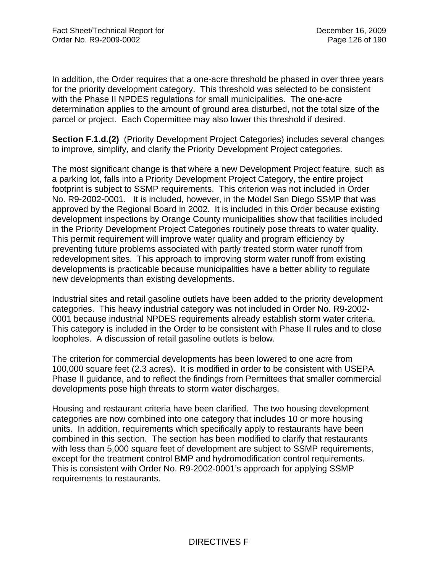In addition, the Order requires that a one-acre threshold be phased in over three years for the priority development category. This threshold was selected to be consistent with the Phase II NPDES regulations for small municipalities. The one-acre determination applies to the amount of ground area disturbed, not the total size of the parcel or project. Each Copermittee may also lower this threshold if desired.

**Section F.1.d.(2)** (Priority Development Project Categories) includes several changes to improve, simplify, and clarify the Priority Development Project categories.

The most significant change is that where a new Development Project feature, such as a parking lot, falls into a Priority Development Project Category, the entire project footprint is subject to SSMP requirements. This criterion was not included in Order No. R9-2002-0001. It is included, however, in the Model San Diego SSMP that was approved by the Regional Board in 2002. It is included in this Order because existing development inspections by Orange County municipalities show that facilities included in the Priority Development Project Categories routinely pose threats to water quality. This permit requirement will improve water quality and program efficiency by preventing future problems associated with partly treated storm water runoff from redevelopment sites. This approach to improving storm water runoff from existing developments is practicable because municipalities have a better ability to regulate new developments than existing developments.

Industrial sites and retail gasoline outlets have been added to the priority development categories. This heavy industrial category was not included in Order No. R9-2002- 0001 because industrial NPDES requirements already establish storm water criteria. This category is included in the Order to be consistent with Phase II rules and to close loopholes. A discussion of retail gasoline outlets is below.

The criterion for commercial developments has been lowered to one acre from 100,000 square feet (2.3 acres). It is modified in order to be consistent with USEPA Phase II guidance, and to reflect the findings from Permittees that smaller commercial developments pose high threats to storm water discharges.

Housing and restaurant criteria have been clarified. The two housing development categories are now combined into one category that includes 10 or more housing units. In addition, requirements which specifically apply to restaurants have been combined in this section. The section has been modified to clarify that restaurants with less than 5,000 square feet of development are subject to SSMP requirements, except for the treatment control BMP and hydromodification control requirements. This is consistent with Order No. R9-2002-0001's approach for applying SSMP requirements to restaurants.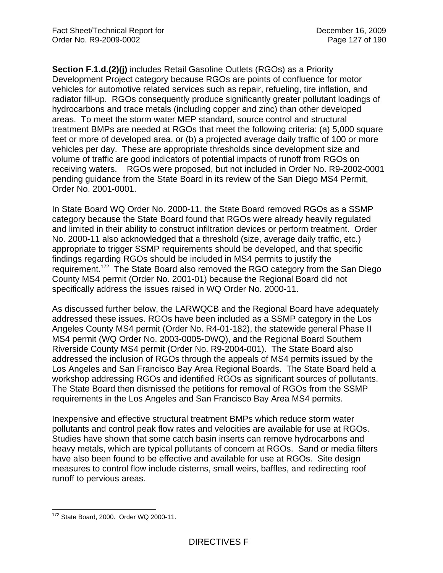**Section F.1.d.(2)(j)** includes Retail Gasoline Outlets (RGOs) as a Priority Development Project category because RGOs are points of confluence for motor vehicles for automotive related services such as repair, refueling, tire inflation, and radiator fill-up. RGOs consequently produce significantly greater pollutant loadings of hydrocarbons and trace metals (including copper and zinc) than other developed areas. To meet the storm water MEP standard, source control and structural treatment BMPs are needed at RGOs that meet the following criteria: (a) 5,000 square feet or more of developed area, or (b) a projected average daily traffic of 100 or more vehicles per day. These are appropriate thresholds since development size and volume of traffic are good indicators of potential impacts of runoff from RGOs on receiving waters. RGOs were proposed, but not included in Order No. R9-2002-0001 pending guidance from the State Board in its review of the San Diego MS4 Permit, Order No. 2001-0001.

In State Board WQ Order No. 2000-11, the State Board removed RGOs as a SSMP category because the State Board found that RGOs were already heavily regulated and limited in their ability to construct infiltration devices or perform treatment. Order No. 2000-11 also acknowledged that a threshold (size, average daily traffic, etc.) appropriate to trigger SSMP requirements should be developed, and that specific findings regarding RGOs should be included in MS4 permits to justify the requirement.172 The State Board also removed the RGO category from the San Diego County MS4 permit (Order No. 2001-01) because the Regional Board did not specifically address the issues raised in WQ Order No. 2000-11.

As discussed further below, the LARWQCB and the Regional Board have adequately addressed these issues. RGOs have been included as a SSMP category in the Los Angeles County MS4 permit (Order No. R4-01-182), the statewide general Phase II MS4 permit (WQ Order No. 2003-0005-DWQ), and the Regional Board Southern Riverside County MS4 permit (Order No. R9-2004-001). The State Board also addressed the inclusion of RGOs through the appeals of MS4 permits issued by the Los Angeles and San Francisco Bay Area Regional Boards. The State Board held a workshop addressing RGOs and identified RGOs as significant sources of pollutants. The State Board then dismissed the petitions for removal of RGOs from the SSMP requirements in the Los Angeles and San Francisco Bay Area MS4 permits.

Inexpensive and effective structural treatment BMPs which reduce storm water pollutants and control peak flow rates and velocities are available for use at RGOs. Studies have shown that some catch basin inserts can remove hydrocarbons and heavy metals, which are typical pollutants of concern at RGOs. Sand or media filters have also been found to be effective and available for use at RGOs. Site design measures to control flow include cisterns, small weirs, baffles, and redirecting roof runoff to pervious areas.

 $\overline{a}$ <sup>172</sup> State Board, 2000. Order WQ 2000-11.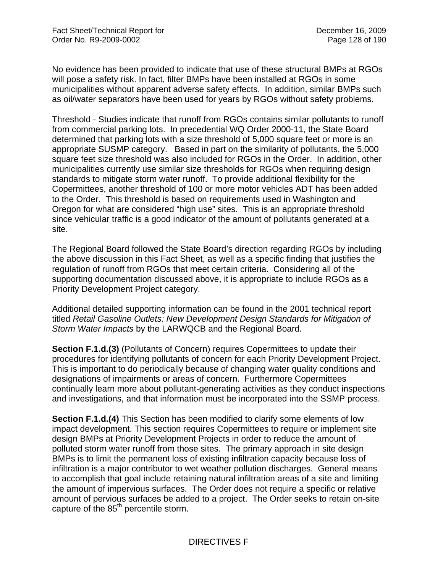No evidence has been provided to indicate that use of these structural BMPs at RGOs will pose a safety risk. In fact, filter BMPs have been installed at RGOs in some municipalities without apparent adverse safety effects. In addition, similar BMPs such as oil/water separators have been used for years by RGOs without safety problems.

Threshold - Studies indicate that runoff from RGOs contains similar pollutants to runoff from commercial parking lots. In precedential WQ Order 2000-11, the State Board determined that parking lots with a size threshold of 5,000 square feet or more is an appropriate SUSMP category. Based in part on the similarity of pollutants, the 5,000 square feet size threshold was also included for RGOs in the Order. In addition, other municipalities currently use similar size thresholds for RGOs when requiring design standards to mitigate storm water runoff. To provide additional flexibility for the Copermittees, another threshold of 100 or more motor vehicles ADT has been added to the Order. This threshold is based on requirements used in Washington and Oregon for what are considered "high use" sites. This is an appropriate threshold since vehicular traffic is a good indicator of the amount of pollutants generated at a site.

The Regional Board followed the State Board's direction regarding RGOs by including the above discussion in this Fact Sheet, as well as a specific finding that justifies the regulation of runoff from RGOs that meet certain criteria. Considering all of the supporting documentation discussed above, it is appropriate to include RGOs as a Priority Development Project category.

Additional detailed supporting information can be found in the 2001 technical report titled *Retail Gasoline Outlets: New Development Design Standards for Mitigation of Storm Water Impacts* by the LARWQCB and the Regional Board.

**Section F.1.d.(3)** (Pollutants of Concern) requires Copermittees to update their procedures for identifying pollutants of concern for each Priority Development Project. This is important to do periodically because of changing water quality conditions and designations of impairments or areas of concern. Furthermore Copermittees continually learn more about pollutant-generating activities as they conduct inspections and investigations, and that information must be incorporated into the SSMP process.

**Section F.1.d.(4)** This Section has been modified to clarify some elements of low impact development. This section requires Copermittees to require or implement site design BMPs at Priority Development Projects in order to reduce the amount of polluted storm water runoff from those sites. The primary approach in site design BMPs is to limit the permanent loss of existing infiltration capacity because loss of infiltration is a major contributor to wet weather pollution discharges. General means to accomplish that goal include retaining natural infiltration areas of a site and limiting the amount of impervious surfaces. The Order does not require a specific or relative amount of pervious surfaces be added to a project. The Order seeks to retain on-site capture of the 85<sup>th</sup> percentile storm.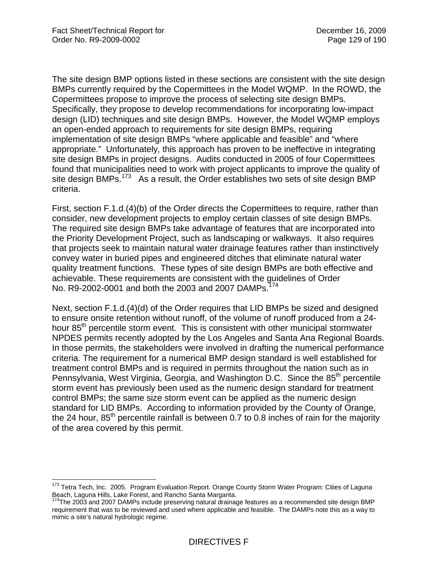The site design BMP options listed in these sections are consistent with the site design BMPs currently required by the Copermittees in the Model WQMP. In the ROWD, the Copermittees propose to improve the process of selecting site design BMPs. Specifically, they propose to develop recommendations for incorporating low-impact design (LID) techniques and site design BMPs. However, the Model WQMP employs an open-ended approach to requirements for site design BMPs, requiring implementation of site design BMPs "where applicable and feasible" and "where appropriate." Unfortunately, this approach has proven to be ineffective in integrating site design BMPs in project designs. Audits conducted in 2005 of four Copermittees found that municipalities need to work with project applicants to improve the quality of site design BMPs.<sup>173</sup> As a result, the Order establishes two sets of site design BMP criteria.

First, section F.1.d.(4)(b) of the Order directs the Copermittees to require, rather than consider, new development projects to employ certain classes of site design BMPs. The required site design BMPs take advantage of features that are incorporated into the Priority Development Project, such as landscaping or walkways. It also requires that projects seek to maintain natural water drainage features rather than instinctively convey water in buried pipes and engineered ditches that eliminate natural water quality treatment functions. These types of site design BMPs are both effective and achievable. These requirements are consistent with the guidelines of Order No. R9-2002-0001 and both the 2003 and 2007 DAMPs.<sup>174</sup>

Next, section F.1.d.(4)(d) of the Order requires that LID BMPs be sized and designed to ensure onsite retention without runoff, of the volume of runoff produced from a 24 hour 85<sup>th</sup> percentile storm event. This is consistent with other municipal stormwater NPDES permits recently adopted by the Los Angeles and Santa Ana Regional Boards. In those permits, the stakeholders were involved in drafting the numerical performance criteria. The requirement for a numerical BMP design standard is well established for treatment control BMPs and is required in permits throughout the nation such as in Pennsylvania, West Virginia, Georgia, and Washington D.C. Since the 85<sup>th</sup> percentile storm event has previously been used as the numeric design standard for treatment control BMPs; the same size storm event can be applied as the numeric design standard for LID BMPs. According to information provided by the County of Orange, the 24 hour,  $85<sup>th</sup>$  percentile rainfall is between 0.7 to 0.8 inches of rain for the majority of the area covered by this permit.

<sup>1</sup> <sup>173</sup> Tetra Tech, Inc. 2005. Program Evaluation Report. Orange County Storm Water Program: Cities of Laguna Beach, Laguna Hills, Lake Forest, and Rancho Santa Margarita.

<sup>&</sup>lt;sup>174</sup>The 2003 and 2007 DAMPs include preserving natural drainage features as a recommended site design BMP requirement that was to be reviewed and used where applicable and feasible. The DAMPs note this as a way to mimic a site's natural hydrologic regime.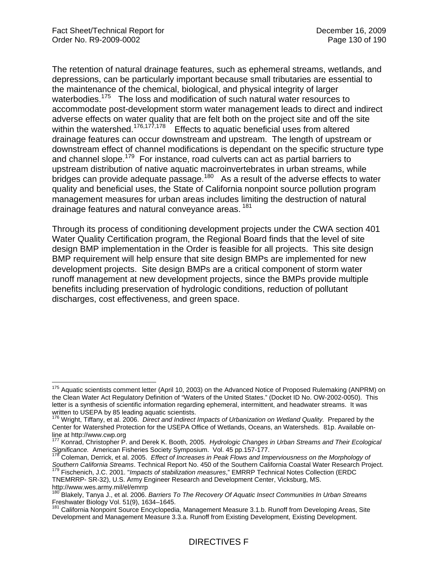$\overline{1}$ 

The retention of natural drainage features, such as ephemeral streams, wetlands, and depressions, can be particularly important because small tributaries are essential to the maintenance of the chemical, biological, and physical integrity of larger waterbodies.<sup>175</sup> The loss and modification of such natural water resources to accommodate post-development storm water management leads to direct and indirect adverse effects on water quality that are felt both on the project site and off the site within the watershed.<sup>176,177,178</sup> Effects to aquatic beneficial uses from altered drainage features can occur downstream and upstream. The length of upstream or downstream effect of channel modifications is dependant on the specific structure type and channel slope.<sup>179</sup> For instance, road culverts can act as partial barriers to upstream distribution of native aquatic macroinvertebrates in urban streams, while bridges can provide adequate passage.<sup>180</sup> As a result of the adverse effects to water quality and beneficial uses, the State of California nonpoint source pollution program management measures for urban areas includes limiting the destruction of natural drainage features and natural conveyance areas.<sup>181</sup>

Through its process of conditioning development projects under the CWA section 401 Water Quality Certification program, the Regional Board finds that the level of site design BMP implementation in the Order is feasible for all projects. This site design BMP requirement will help ensure that site design BMPs are implemented for new development projects. Site design BMPs are a critical component of storm water runoff management at new development projects, since the BMPs provide multiple benefits including preservation of hydrologic conditions, reduction of pollutant discharges, cost effectiveness, and green space.

TNEMRRP- SR-32), U.S. Army Engineer Research and Development Center, Vicksburg, MS.

<sup>&</sup>lt;sup>175</sup> Aquatic scientists comment letter (April 10, 2003) on the Advanced Notice of Proposed Rulemaking (ANPRM) on the Clean Water Act Regulatory Definition of "Waters of the United States." (Docket ID No. OW-2002-0050). This letter is a synthesis of scientific information regarding ephemeral, intermittent, and headwater streams. It was written to USEPA by 85 leading aquatic scientists.

<sup>176</sup> Wright, Tiffany, et al. 2006. *Direct and Indirect Impacts of Urbanization on Wetland Quality.* Prepared by the Center for Watershed Protection for the USEPA Office of Wetlands, Oceans, an Watersheds. 81p. Available online at http://www.cwp.org

<sup>177</sup> Konrad, Christopher P. and Derek K. Booth, 2005. *Hydrologic Changes in Urban Streams and Their Ecological Significance.* American Fisheries Society Symposium. Vol. 45 pp.157-177.<br><sup>178</sup> Coleman, Derrick, et al. 2005. *Effect of Increases in Peak Flows and Imperviousness on the Morphology of* 

Southern California Streams. Technical Report No. 450 of the Southern California Coastal Water Research Project.<br><sup>179</sup> Fischenich, J.C. 2001. "Impacts of stabilization measures," EMRRP Technical Notes Collection (ERDC

http://www.wes.army.mil/el/emrrp<br><sup>180</sup> Blakely, Tanya J., et al. 2006. *Barriers To The Recovery Of Aquatic Insect Communities In Urban Streams* Freshwater Biology Vol. 51(9), 1634–1645.

<sup>181</sup> California Nonpoint Source Encyclopedia, Management Measure 3.1.b. Runoff from Developing Areas, Site Development and Management Measure 3.3.a. Runoff from Existing Development, Existing Development.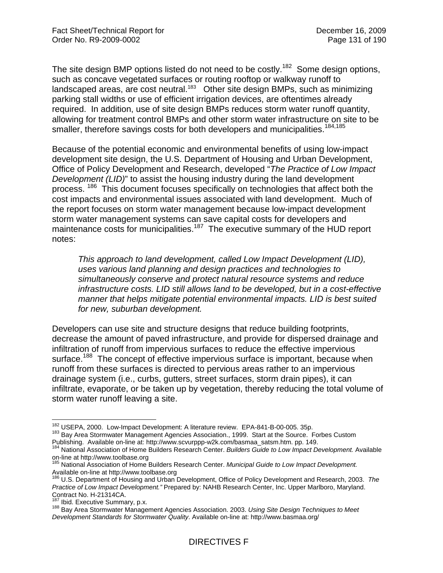The site design BMP options listed do not need to be costly.<sup>182</sup> Some design options, such as concave vegetated surfaces or routing rooftop or walkway runoff to landscaped areas, are cost neutral.<sup>183</sup> Other site design BMPs, such as minimizing parking stall widths or use of efficient irrigation devices, are oftentimes already required. In addition, use of site design BMPs reduces storm water runoff quantity, allowing for treatment control BMPs and other storm water infrastructure on site to be smaller, therefore savings costs for both developers and municipalities.<sup>184,185</sup>

Because of the potential economic and environmental benefits of using low-impact development site design, the U.S. Department of Housing and Urban Development, Office of Policy Development and Research, developed "*The Practice of Low Impact Development (LID)*" to assist the housing industry during the land development process. <sup>186</sup> This document focuses specifically on technologies that affect both the cost impacts and environmental issues associated with land development. Much of the report focuses on storm water management because low-impact development storm water management systems can save capital costs for developers and maintenance costs for municipalities.<sup>187</sup> The executive summary of the HUD report notes:

*This approach to land development, called Low Impact Development (LID), uses various land planning and design practices and technologies to simultaneously conserve and protect natural resource systems and reduce infrastructure costs. LID still allows land to be developed, but in a cost-effective manner that helps mitigate potential environmental impacts. LID is best suited for new, suburban development.* 

Developers can use site and structure designs that reduce building footprints, decrease the amount of paved infrastructure, and provide for dispersed drainage and infiltration of runoff from impervious surfaces to reduce the effective impervious surface.<sup>188</sup> The concept of effective impervious surface is important, because when runoff from these surfaces is directed to pervious areas rather to an impervious drainage system (i.e., curbs, gutters, street surfaces, storm drain pipes), it can infiltrate, evaporate, or be taken up by vegetation, thereby reducing the total volume of storm water runoff leaving a site.

<sup>182</sup> USEPA, 2000. Low-Impact Development: A literature review. EPA-841-B-00-005. 35p.

<sup>183</sup> Bay Area Stormwater Management Agencies Association., 1999. Start at the Source. Forbes Custom Publishing. Available on-line at: http://www.scvurppp-w2k.com/basmaa\_satsm.htm. pp. 149. 184 National Association of Home Builders Research Center. *Builders Guide to Low Impact Development.* Available

on-line at http://www.toolbase.org

<sup>185</sup> National Association of Home Builders Research Center. *Municipal Guide to Low Impact Development.* Available on-line at http://www.toolbase.org

<sup>186</sup> U.S. Department of Housing and Urban Development, Office of Policy Development and Research, 2003. *The Practice of Low Impact Development."* Prepared by: NAHB Research Center, Inc. Upper Marlboro, Maryland. Contract No. H-21314CA.<br><sup>187</sup> Ibid. Executive Summary, p.x.

<sup>188</sup> Bay Area Stormwater Management Agencies Association. 2003. Using Site Design Techniques to Meet *Development Standards for Stormwater Quality*. Available on-line at: http://www.basmaa.org/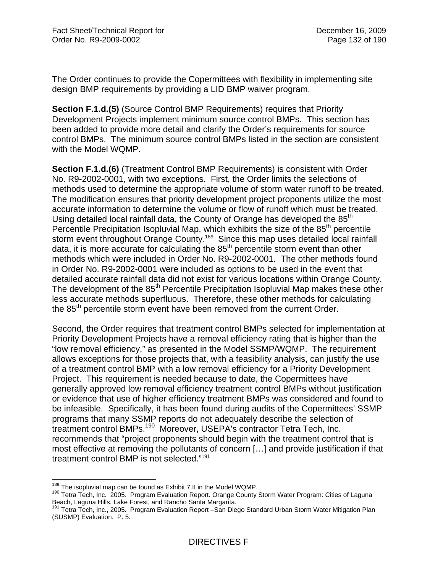The Order continues to provide the Copermittees with flexibility in implementing site design BMP requirements by providing a LID BMP waiver program.

**Section F.1.d.(5)** (Source Control BMP Requirements) requires that Priority Development Projects implement minimum source control BMPs. This section has been added to provide more detail and clarify the Order's requirements for source control BMPs. The minimum source control BMPs listed in the section are consistent with the Model WQMP.

**Section F.1.d.(6)** (Treatment Control BMP Requirements) is consistent with Order No. R9-2002-0001, with two exceptions. First, the Order limits the selections of methods used to determine the appropriate volume of storm water runoff to be treated. The modification ensures that priority development project proponents utilize the most accurate information to determine the volume or flow of runoff which must be treated. Using detailed local rainfall data, the County of Orange has developed the  $85<sup>th</sup>$ Percentile Precipitation Isopluvial Map, which exhibits the size of the  $85<sup>th</sup>$  percentile storm event throughout Orange County.<sup>189</sup> Since this map uses detailed local rainfall data, it is more accurate for calculating the  $85<sup>th</sup>$  percentile storm event than other methods which were included in Order No. R9-2002-0001. The other methods found in Order No. R9-2002-0001 were included as options to be used in the event that detailed accurate rainfall data did not exist for various locations within Orange County. The development of the 85<sup>th</sup> Percentile Precipitation Isopluvial Map makes these other less accurate methods superfluous. Therefore, these other methods for calculating the 85<sup>th</sup> percentile storm event have been removed from the current Order.

Second, the Order requires that treatment control BMPs selected for implementation at Priority Development Projects have a removal efficiency rating that is higher than the "low removal efficiency," as presented in the Model SSMP/WQMP. The requirement allows exceptions for those projects that, with a feasibility analysis, can justify the use of a treatment control BMP with a low removal efficiency for a Priority Development Project. This requirement is needed because to date, the Copermittees have generally approved low removal efficiency treatment control BMPs without justification or evidence that use of higher efficiency treatment BMPs was considered and found to be infeasible. Specifically, it has been found during audits of the Copermittees' SSMP programs that many SSMP reports do not adequately describe the selection of treatment control BMPs.<sup>190</sup> Moreover, USEPA's contractor Tetra Tech, Inc. recommends that "project proponents should begin with the treatment control that is most effective at removing the pollutants of concern […] and provide justification if that treatment control BMP is not selected."191

<sup>&</sup>lt;sup>189</sup> The isopluvial map can be found as Exhibit 7.II in the Model WQMP.

<sup>&</sup>lt;sup>190</sup> Tetra Tech, Inc. 2005. Program Evaluation Report. Orange County Storm Water Program: Cities of Laguna Beach, Laguna Hills, Lake Forest, and Rancho Santa Margarita.<br><sup>191</sup> Tetra Tech, Inc., 2005. Program Evaluation Report –San Diego Standard Urban Storm Water Mitigation Plan

<sup>(</sup>SUSMP) Evaluation. P. 5.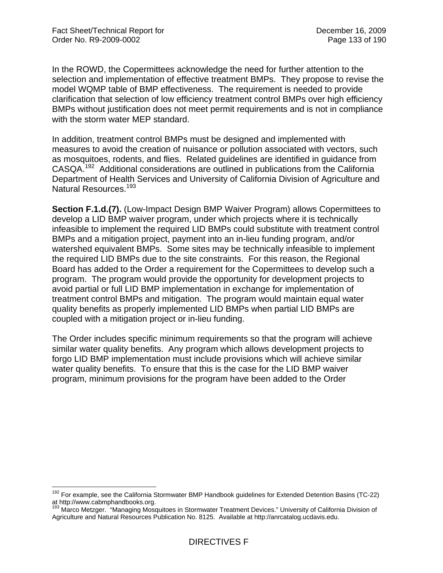$\overline{a}$ 

In the ROWD, the Copermittees acknowledge the need for further attention to the selection and implementation of effective treatment BMPs. They propose to revise the model WQMP table of BMP effectiveness. The requirement is needed to provide clarification that selection of low efficiency treatment control BMPs over high efficiency BMPs without justification does not meet permit requirements and is not in compliance with the storm water MEP standard.

In addition, treatment control BMPs must be designed and implemented with measures to avoid the creation of nuisance or pollution associated with vectors, such as mosquitoes, rodents, and flies. Related guidelines are identified in guidance from CASQA.192 Additional considerations are outlined in publications from the California Department of Health Services and University of California Division of Agriculture and Natural Resources.<sup>193</sup>

**Section F.1.d.(7).** (Low-Impact Design BMP Waiver Program) allows Copermittees to develop a LID BMP waiver program, under which projects where it is technically infeasible to implement the required LID BMPs could substitute with treatment control BMPs and a mitigation project, payment into an in-lieu funding program, and/or watershed equivalent BMPs. Some sites may be technically infeasible to implement the required LID BMPs due to the site constraints. For this reason, the Regional Board has added to the Order a requirement for the Copermittees to develop such a program. The program would provide the opportunity for development projects to avoid partial or full LID BMP implementation in exchange for implementation of treatment control BMPs and mitigation. The program would maintain equal water quality benefits as properly implemented LID BMPs when partial LID BMPs are coupled with a mitigation project or in-lieu funding.

The Order includes specific minimum requirements so that the program will achieve similar water quality benefits. Any program which allows development projects to forgo LID BMP implementation must include provisions which will achieve similar water quality benefits. To ensure that this is the case for the LID BMP waiver program, minimum provisions for the program have been added to the Order

<sup>&</sup>lt;sup>192</sup> For example, see the California Stormwater BMP Handbook guidelines for Extended Detention Basins (TC-22) at http://www.cabmphandbooks.org.

<sup>&</sup>lt;sup>193</sup> Marco Metzger. "Managing Mosquitoes in Stormwater Treatment Devices." University of California Division of Agriculture and Natural Resources Publication No. 8125. Available at http://anrcatalog.ucdavis.edu.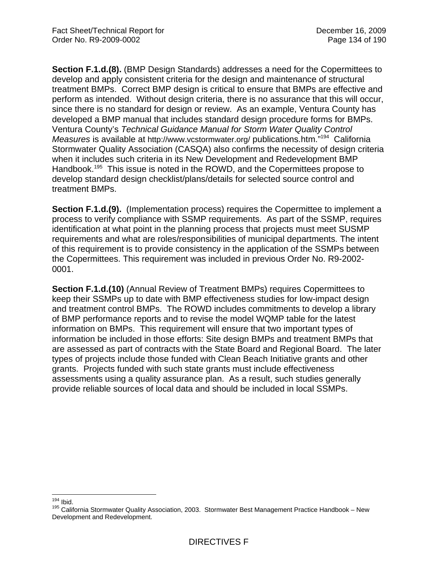**Section F.1.d.(8).** (BMP Design Standards) addresses a need for the Copermittees to develop and apply consistent criteria for the design and maintenance of structural treatment BMPs. Correct BMP design is critical to ensure that BMPs are effective and perform as intended. Without design criteria, there is no assurance that this will occur, since there is no standard for design or review. As an example, Ventura County has developed a BMP manual that includes standard design procedure forms for BMPs. Ventura County's *Technical Guidance Manual for Storm Water Quality Control Measures* is available at http://www.vcstormwater.org/ publications.htm.<sup>7194</sup> California Stormwater Quality Association (CASQA) also confirms the necessity of design criteria when it includes such criteria in its New Development and Redevelopment BMP Handbook.<sup>195</sup> This issue is noted in the ROWD, and the Copermittees propose to develop standard design checklist/plans/details for selected source control and treatment BMPs.

**Section F.1.d.(9).** (Implementation process) requires the Copermittee to implement a process to verify compliance with SSMP requirements. As part of the SSMP, requires identification at what point in the planning process that projects must meet SUSMP requirements and what are roles/responsibilities of municipal departments. The intent of this requirement is to provide consistency in the application of the SSMPs between the Copermittees. This requirement was included in previous Order No. R9-2002- 0001.

**Section F.1.d.(10)** (Annual Review of Treatment BMPs) requires Copermittees to keep their SSMPs up to date with BMP effectiveness studies for low-impact design and treatment control BMPs. The ROWD includes commitments to develop a library of BMP performance reports and to revise the model WQMP table for the latest information on BMPs. This requirement will ensure that two important types of information be included in those efforts: Site design BMPs and treatment BMPs that are assessed as part of contracts with the State Board and Regional Board. The later types of projects include those funded with Clean Beach Initiative grants and other grants. Projects funded with such state grants must include effectiveness assessments using a quality assurance plan. As a result, such studies generally provide reliable sources of local data and should be included in local SSMPs.

 $194$  Ibid.

<sup>&</sup>lt;sup>195</sup> California Stormwater Quality Association, 2003. Stormwater Best Management Practice Handbook – New Development and Redevelopment.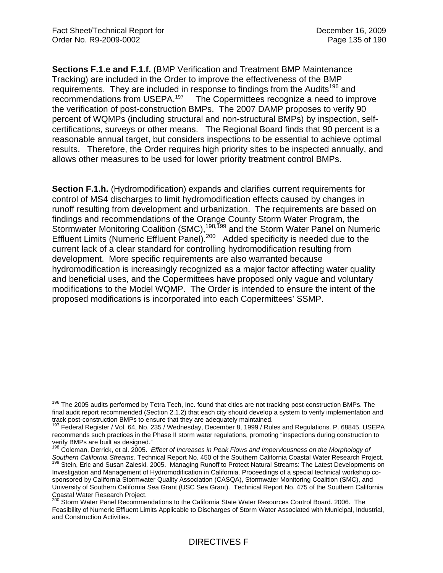$\overline{a}$ 

**Sections F.1.e and F.1.f.** (BMP Verification and Treatment BMP Maintenance Tracking) are included in the Order to improve the effectiveness of the BMP requirements. They are included in response to findings from the Audits<sup>196</sup> and recommendations from USEPA.<sup>197</sup> The Copermittees recognize a need to improve the verification of post-construction BMPs. The 2007 DAMP proposes to verify 90 percent of WQMPs (including structural and non-structural BMPs) by inspection, selfcertifications, surveys or other means. The Regional Board finds that 90 percent is a reasonable annual target, but considers inspections to be essential to achieve optimal results. Therefore, the Order requires high priority sites to be inspected annually, and allows other measures to be used for lower priority treatment control BMPs.

**Section F.1.h.** (Hydromodification) expands and clarifies current requirements for control of MS4 discharges to limit hydromodification effects caused by changes in runoff resulting from development and urbanization. The requirements are based on findings and recommendations of the Orange County Storm Water Program, the Stormwater Monitoring Coalition (SMC),<sup>198,199</sup> and the Storm Water Panel on Numeric Effluent Limits (Numeric Effluent Panel).<sup>200</sup> Added specificity is needed due to the current lack of a clear standard for controlling hydromodification resulting from development. More specific requirements are also warranted because hydromodification is increasingly recognized as a major factor affecting water quality and beneficial uses, and the Copermittees have proposed only vague and voluntary modifications to the Model WQMP. The Order is intended to ensure the intent of the proposed modifications is incorporated into each Copermittees' SSMP.

<sup>&</sup>lt;sup>196</sup> The 2005 audits performed by Tetra Tech, Inc. found that cities are not tracking post-construction BMPs. The final audit report recommended (Section 2.1.2) that each city should develop a system to verify implementation and track post-construction BMPs to ensure that they are adequately maintained.

<sup>&</sup>lt;sup>197</sup> Federal Register / Vol. 64, No. 235 / Wednesday, December 8, 1999 / Rules and Regulations. P. 68845. USEPA recommends such practices in the Phase II storm water regulations, promoting "inspections during construction to verify BMPs are built as designed."

<sup>198</sup> Coleman, Derrick, et al. 2005. *Effect of Increases in Peak Flows and Imperviousness on the Morphology of*  Southern California Streams. Technical Report No. 450 of the Southern California Coastal Water Research Project.<br><sup>199</sup> Stein, Eric and Susan Zaleski. 2005. Managing Runoff to Protect Natural Streams: The Latest Development

Investigation and Management of Hydromodification in California. Proceedings of a special technical workshop cosponsored by California Stormwater Quality Association (CASQA), Stormwater Monitoring Coalition (SMC), and University of Southern California Sea Grant (USC Sea Grant). Technical Report No. 475 of the Southern California Coastal Water Research Project.

<sup>&</sup>lt;sup>200</sup> Storm Water Panel Recommendations to the California State Water Resources Control Board. 2006. The Feasibility of Numeric Effluent Limits Applicable to Discharges of Storm Water Associated with Municipal, Industrial, and Construction Activities.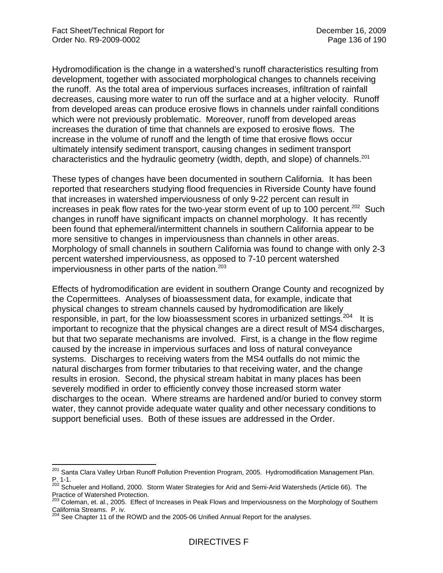Hydromodification is the change in a watershed's runoff characteristics resulting from development, together with associated morphological changes to channels receiving the runoff. As the total area of impervious surfaces increases, infiltration of rainfall decreases, causing more water to run off the surface and at a higher velocity. Runoff from developed areas can produce erosive flows in channels under rainfall conditions which were not previously problematic. Moreover, runoff from developed areas increases the duration of time that channels are exposed to erosive flows. The increase in the volume of runoff and the length of time that erosive flows occur ultimately intensify sediment transport, causing changes in sediment transport characteristics and the hydraulic geometry (width, depth, and slope) of channels.<sup>201</sup>

These types of changes have been documented in southern California. It has been reported that researchers studying flood frequencies in Riverside County have found that increases in watershed imperviousness of only 9-22 percent can result in increases in peak flow rates for the two-year storm event of up to 100 percent.<sup>202</sup> Such changes in runoff have significant impacts on channel morphology. It has recently been found that ephemeral/intermittent channels in southern California appear to be more sensitive to changes in imperviousness than channels in other areas. Morphology of small channels in southern California was found to change with only 2-3 percent watershed imperviousness, as opposed to 7-10 percent watershed imperviousness in other parts of the nation. $203$ 

Effects of hydromodification are evident in southern Orange County and recognized by the Copermittees. Analyses of bioassessment data, for example, indicate that physical changes to stream channels caused by hydromodification are likely responsible, in part, for the low bioassessment scores in urbanized settings.<sup>204</sup> It is important to recognize that the physical changes are a direct result of MS4 discharges, but that two separate mechanisms are involved. First, is a change in the flow regime caused by the increase in impervious surfaces and loss of natural conveyance systems. Discharges to receiving waters from the MS4 outfalls do not mimic the natural discharges from former tributaries to that receiving water, and the change results in erosion. Second, the physical stream habitat in many places has been severely modified in order to efficiently convey those increased storm water discharges to the ocean. Where streams are hardened and/or buried to convey storm water, they cannot provide adequate water quality and other necessary conditions to support beneficial uses. Both of these issues are addressed in the Order.

 $\overline{a}$ <sup>201</sup> Santa Clara Valley Urban Runoff Pollution Prevention Program, 2005. Hydromodification Management Plan. P. 1-1.

P.: 1-1.<br><sup>202</sup> Schueler and Holland, 2000. Storm Water Strategies for Arid and Semi-Arid Watersheds (Article 66). The Practice of Watershed Protection.

<sup>&</sup>lt;sup>203</sup> Coleman, et. al., 2005. Effect of Increases in Peak Flows and Imperviousness on the Morphology of Southern California Streams. P. iv.

See Chapter 11 of the ROWD and the 2005-06 Unified Annual Report for the analyses.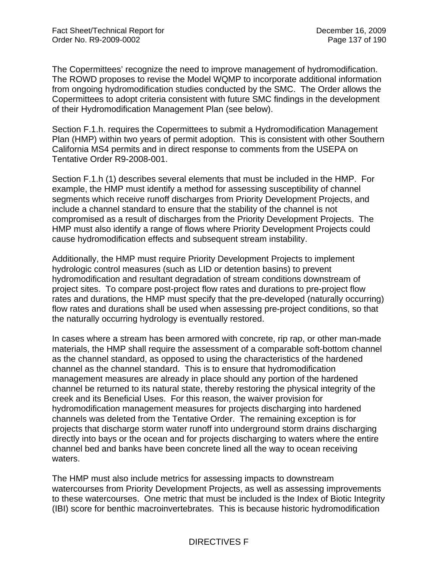The Copermittees' recognize the need to improve management of hydromodification. The ROWD proposes to revise the Model WQMP to incorporate additional information from ongoing hydromodification studies conducted by the SMC. The Order allows the Copermittees to adopt criteria consistent with future SMC findings in the development of their Hydromodification Management Plan (see below).

Section F.1.h. requires the Copermittees to submit a Hydromodification Management Plan (HMP) within two years of permit adoption. This is consistent with other Southern California MS4 permits and in direct response to comments from the USEPA on Tentative Order R9-2008-001.

Section F.1.h (1) describes several elements that must be included in the HMP. For example, the HMP must identify a method for assessing susceptibility of channel segments which receive runoff discharges from Priority Development Projects, and include a channel standard to ensure that the stability of the channel is not compromised as a result of discharges from the Priority Development Projects. The HMP must also identify a range of flows where Priority Development Projects could cause hydromodification effects and subsequent stream instability.

Additionally, the HMP must require Priority Development Projects to implement hydrologic control measures (such as LID or detention basins) to prevent hydromodification and resultant degradation of stream conditions downstream of project sites. To compare post-project flow rates and durations to pre-project flow rates and durations, the HMP must specify that the pre-developed (naturally occurring) flow rates and durations shall be used when assessing pre-project conditions, so that the naturally occurring hydrology is eventually restored.

In cases where a stream has been armored with concrete, rip rap, or other man-made materials, the HMP shall require the assessment of a comparable soft-bottom channel as the channel standard, as opposed to using the characteristics of the hardened channel as the channel standard. This is to ensure that hydromodification management measures are already in place should any portion of the hardened channel be returned to its natural state, thereby restoring the physical integrity of the creek and its Beneficial Uses. For this reason, the waiver provision for hydromodification management measures for projects discharging into hardened channels was deleted from the Tentative Order. The remaining exception is for projects that discharge storm water runoff into underground storm drains discharging directly into bays or the ocean and for projects discharging to waters where the entire channel bed and banks have been concrete lined all the way to ocean receiving waters.

The HMP must also include metrics for assessing impacts to downstream watercourses from Priority Development Projects, as well as assessing improvements to these watercourses. One metric that must be included is the Index of Biotic Integrity (IBI) score for benthic macroinvertebrates. This is because historic hydromodification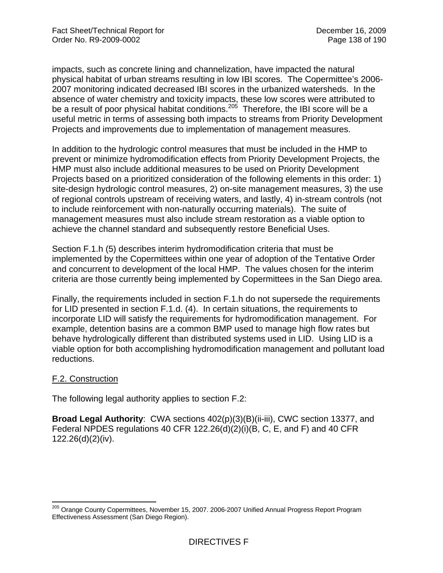impacts, such as concrete lining and channelization, have impacted the natural physical habitat of urban streams resulting in low IBI scores. The Copermittee's 2006- 2007 monitoring indicated decreased IBI scores in the urbanized watersheds. In the absence of water chemistry and toxicity impacts, these low scores were attributed to be a result of poor physical habitat conditions.<sup>205</sup> Therefore, the IBI score will be a useful metric in terms of assessing both impacts to streams from Priority Development Projects and improvements due to implementation of management measures.

In addition to the hydrologic control measures that must be included in the HMP to prevent or minimize hydromodification effects from Priority Development Projects, the HMP must also include additional measures to be used on Priority Development Projects based on a prioritized consideration of the following elements in this order: 1) site-design hydrologic control measures, 2) on-site management measures, 3) the use of regional controls upstream of receiving waters, and lastly, 4) in-stream controls (not to include reinforcement with non-naturally occurring materials). The suite of management measures must also include stream restoration as a viable option to achieve the channel standard and subsequently restore Beneficial Uses.

Section F.1.h (5) describes interim hydromodification criteria that must be implemented by the Copermittees within one year of adoption of the Tentative Order and concurrent to development of the local HMP. The values chosen for the interim criteria are those currently being implemented by Copermittees in the San Diego area.

Finally, the requirements included in section F.1.h do not supersede the requirements for LID presented in section F.1.d. (4). In certain situations, the requirements to incorporate LID will satisfy the requirements for hydromodification management. For example, detention basins are a common BMP used to manage high flow rates but behave hydrologically different than distributed systems used in LID. Using LID is a viable option for both accomplishing hydromodification management and pollutant load reductions.

## F.2. Construction

The following legal authority applies to section F.2:

**Broad Legal Authority**: CWA sections 402(p)(3)(B)(ii-iii), CWC section 13377, and Federal NPDES regulations 40 CFR 122.26(d)(2)(i)(B, C, E, and F) and 40 CFR 122.26(d)(2)(iv).

 $\overline{a}$ <sup>205</sup> Orange County Copermittees, November 15, 2007. 2006-2007 Unified Annual Progress Report Program Effectiveness Assessment (San Diego Region).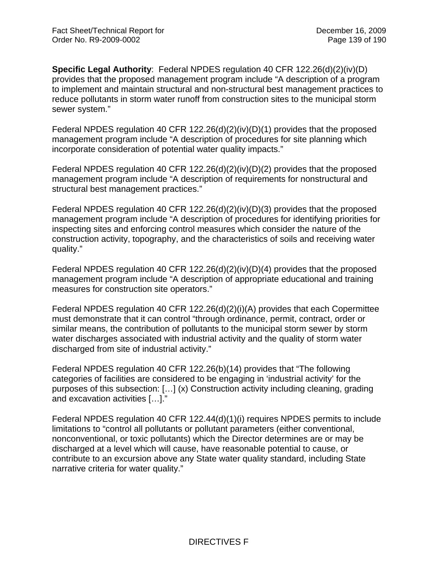**Specific Legal Authority**: Federal NPDES regulation 40 CFR 122.26(d)(2)(iv)(D) provides that the proposed management program include "A description of a program to implement and maintain structural and non-structural best management practices to reduce pollutants in storm water runoff from construction sites to the municipal storm sewer system."

Federal NPDES regulation 40 CFR 122.26(d)(2)(iv)(D)(1) provides that the proposed management program include "A description of procedures for site planning which incorporate consideration of potential water quality impacts."

Federal NPDES regulation 40 CFR 122.26(d)(2)(iv)(D)(2) provides that the proposed management program include "A description of requirements for nonstructural and structural best management practices."

Federal NPDES regulation 40 CFR 122.26(d)(2)(iv)(D)(3) provides that the proposed management program include "A description of procedures for identifying priorities for inspecting sites and enforcing control measures which consider the nature of the construction activity, topography, and the characteristics of soils and receiving water quality."

Federal NPDES regulation 40 CFR 122.26(d)(2)(iv)(D)(4) provides that the proposed management program include "A description of appropriate educational and training measures for construction site operators."

Federal NPDES regulation 40 CFR 122.26(d)(2)(i)(A) provides that each Copermittee must demonstrate that it can control "through ordinance, permit, contract, order or similar means, the contribution of pollutants to the municipal storm sewer by storm water discharges associated with industrial activity and the quality of storm water discharged from site of industrial activity."

Federal NPDES regulation 40 CFR 122.26(b)(14) provides that "The following categories of facilities are considered to be engaging in 'industrial activity' for the purposes of this subsection: […] (x) Construction activity including cleaning, grading and excavation activities […]."

Federal NPDES regulation 40 CFR 122.44(d)(1)(i) requires NPDES permits to include limitations to "control all pollutants or pollutant parameters (either conventional, nonconventional, or toxic pollutants) which the Director determines are or may be discharged at a level which will cause, have reasonable potential to cause, or contribute to an excursion above any State water quality standard, including State narrative criteria for water quality."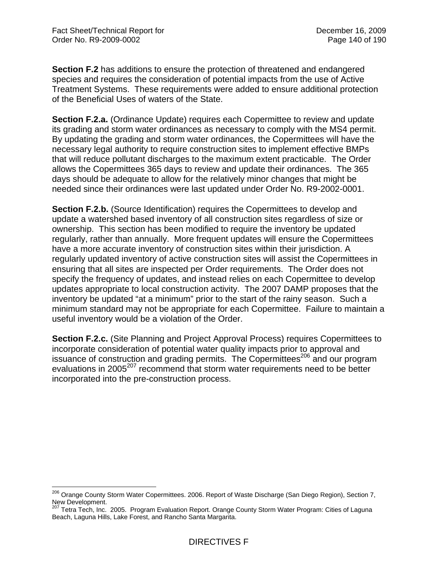**Section F.2** has additions to ensure the protection of threatened and endangered species and requires the consideration of potential impacts from the use of Active Treatment Systems. These requirements were added to ensure additional protection of the Beneficial Uses of waters of the State.

**Section F.2.a.** (Ordinance Update) requires each Copermittee to review and update its grading and storm water ordinances as necessary to comply with the MS4 permit. By updating the grading and storm water ordinances, the Copermittees will have the necessary legal authority to require construction sites to implement effective BMPs that will reduce pollutant discharges to the maximum extent practicable. The Order allows the Copermittees 365 days to review and update their ordinances. The 365 days should be adequate to allow for the relatively minor changes that might be needed since their ordinances were last updated under Order No. R9-2002-0001.

**Section F.2.b.** (Source Identification) requires the Copermittees to develop and update a watershed based inventory of all construction sites regardless of size or ownership. This section has been modified to require the inventory be updated regularly, rather than annually. More frequent updates will ensure the Copermittees have a more accurate inventory of construction sites within their jurisdiction. A regularly updated inventory of active construction sites will assist the Copermittees in ensuring that all sites are inspected per Order requirements. The Order does not specify the frequency of updates, and instead relies on each Copermittee to develop updates appropriate to local construction activity. The 2007 DAMP proposes that the inventory be updated "at a minimum" prior to the start of the rainy season. Such a minimum standard may not be appropriate for each Copermittee. Failure to maintain a useful inventory would be a violation of the Order.

**Section F.2.c.** (Site Planning and Project Approval Process) requires Copermittees to incorporate consideration of potential water quality impacts prior to approval and issuance of construction and grading permits. The Copermittees<sup>206</sup> and our program evaluations in 2005<sup>207</sup> recommend that storm water requirements need to be better incorporated into the pre-construction process.

 $\overline{a}$ <sup>206</sup> Orange County Storm Water Copermittees. 2006. Report of Waste Discharge (San Diego Region), Section 7, New Development.

<sup>207</sup> Tetra Tech, Inc. 2005. Program Evaluation Report. Orange County Storm Water Program: Cities of Laguna Beach, Laguna Hills, Lake Forest, and Rancho Santa Margarita.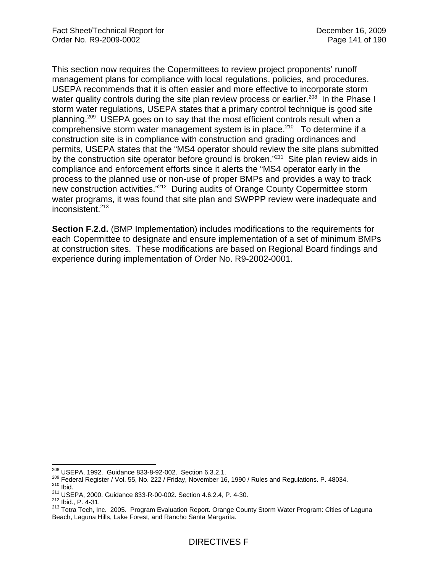This section now requires the Copermittees to review project proponents' runoff management plans for compliance with local regulations, policies, and procedures. USEPA recommends that it is often easier and more effective to incorporate storm water quality controls during the site plan review process or earlier.<sup>208</sup> In the Phase I storm water regulations, USEPA states that a primary control technique is good site planning.209 USEPA goes on to say that the most efficient controls result when a comprehensive storm water management system is in place.<sup>210</sup> To determine if a construction site is in compliance with construction and grading ordinances and permits, USEPA states that the "MS4 operator should review the site plans submitted by the construction site operator before ground is broken."<sup>211</sup> Site plan review aids in compliance and enforcement efforts since it alerts the "MS4 operator early in the process to the planned use or non-use of proper BMPs and provides a way to track new construction activities."212 During audits of Orange County Copermittee storm water programs, it was found that site plan and SWPPP review were inadequate and inconsistent.<sup>213</sup>

**Section F.2.d.** (BMP Implementation) includes modifications to the requirements for each Copermittee to designate and ensure implementation of a set of minimum BMPs at construction sites. These modifications are based on Regional Board findings and experience during implementation of Order No. R9-2002-0001.

 $^{208}$  USEPA, 1992. Guidance 833-8-92-002. Section 6.3.2.1.

<sup>&</sup>lt;sup>209</sup> Federal Register / Vol. 55, No. 222 / Friday, November 16, 1990 / Rules and Regulations. P. 48034.<br><sup>210</sup> Ibid.<br><sup>211</sup> USEPA, 2000. Guidance 833-R-00-002. Section 4.6.2.4, P. 4-30.<br><sup>212</sup> Ibid., P. 4-31.<br><sup>213</sup> Tetra Te Beach, Laguna Hills, Lake Forest, and Rancho Santa Margarita.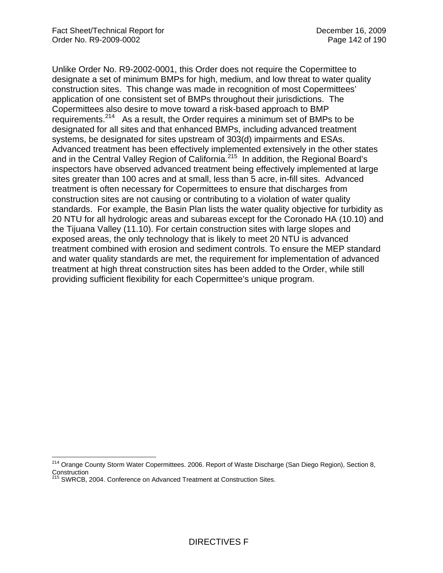Unlike Order No. R9-2002-0001, this Order does not require the Copermittee to designate a set of minimum BMPs for high, medium, and low threat to water quality construction sites. This change was made in recognition of most Copermittees' application of one consistent set of BMPs throughout their jurisdictions. The Copermittees also desire to move toward a risk-based approach to BMP requirements.<sup>214</sup> As a result, the Order requires a minimum set of BMPs to be designated for all sites and that enhanced BMPs, including advanced treatment systems, be designated for sites upstream of 303(d) impairments and ESAs. Advanced treatment has been effectively implemented extensively in the other states and in the Central Valley Region of California.<sup>215</sup> In addition, the Regional Board's inspectors have observed advanced treatment being effectively implemented at large sites greater than 100 acres and at small, less than 5 acre, in-fill sites. Advanced treatment is often necessary for Copermittees to ensure that discharges from construction sites are not causing or contributing to a violation of water quality standards. For example, the Basin Plan lists the water quality objective for turbidity as 20 NTU for all hydrologic areas and subareas except for the Coronado HA (10.10) and the Tijuana Valley (11.10). For certain construction sites with large slopes and exposed areas, the only technology that is likely to meet 20 NTU is advanced treatment combined with erosion and sediment controls. To ensure the MEP standard and water quality standards are met, the requirement for implementation of advanced treatment at high threat construction sites has been added to the Order, while still providing sufficient flexibility for each Copermittee's unique program.

 $\overline{\phantom{a}}$ 

<sup>&</sup>lt;sup>214</sup> Orange County Storm Water Copermittees. 2006. Report of Waste Discharge (San Diego Region), Section 8, Construction

<sup>215</sup> SWRCB, 2004. Conference on Advanced Treatment at Construction Sites.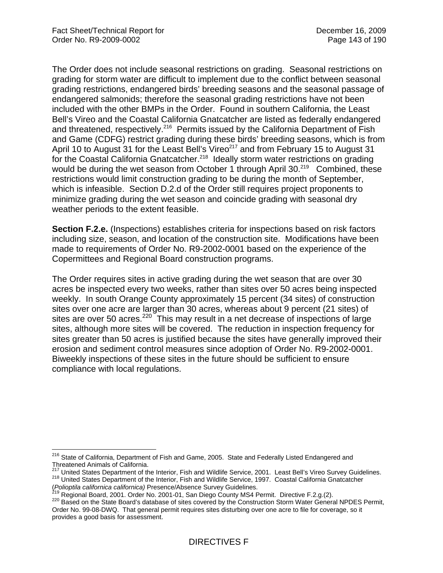The Order does not include seasonal restrictions on grading. Seasonal restrictions on grading for storm water are difficult to implement due to the conflict between seasonal grading restrictions, endangered birds' breeding seasons and the seasonal passage of endangered salmonids; therefore the seasonal grading restrictions have not been included with the other BMPs in the Order. Found in southern California, the Least Bell's Vireo and the Coastal California Gnatcatcher are listed as federally endangered and threatened, respectively.<sup>216</sup> Permits issued by the California Department of Fish and Game (CDFG) restrict grading during these birds' breeding seasons, which is from April 10 to August 31 for the Least Bell's Vireo<sup>217</sup> and from February 15 to August 31 for the Coastal California Gnatcatcher.<sup>218</sup> Ideally storm water restrictions on grading would be during the wet season from October 1 through April 30.<sup>219</sup> Combined, these restrictions would limit construction grading to be during the month of September, which is infeasible. Section D.2.d of the Order still requires project proponents to minimize grading during the wet season and coincide grading with seasonal dry weather periods to the extent feasible.

**Section F.2.e.** (Inspections) establishes criteria for inspections based on risk factors including size, season, and location of the construction site. Modifications have been made to requirements of Order No. R9-2002-0001 based on the experience of the Copermittees and Regional Board construction programs.

The Order requires sites in active grading during the wet season that are over 30 acres be inspected every two weeks, rather than sites over 50 acres being inspected weekly. In south Orange County approximately 15 percent (34 sites) of construction sites over one acre are larger than 30 acres, whereas about 9 percent (21 sites) of sites are over 50 acres.<sup>220</sup> This may result in a net decrease of inspections of large sites, although more sites will be covered. The reduction in inspection frequency for sites greater than 50 acres is justified because the sites have generally improved their erosion and sediment control measures since adoption of Order No. R9-2002-0001. Biweekly inspections of these sites in the future should be sufficient to ensure compliance with local regulations.

 $\overline{a}$ <sup>216</sup> State of California, Department of Fish and Game, 2005. State and Federally Listed Endangered and Threatened Animals of California.<br>
<sup>217</sup> United States Department of the Interior, Fish and Wildlife Service, 2001. Least Bell's Vireo Survey Guidelines.

<sup>218</sup> United States Department of the Interior, Fish and Wildlife Service, 1997. Coastal California Gnatcatcher

<sup>(</sup>Polioptila californica californica) Presence/Absence Survey Guidelines.<br><sup>219</sup> Regional Board, 2001. Order No. 2001-01, San Diego County MS4 Permit. Directive F.2.g.(2).<br><sup>219</sup> Regional Board, 2001. Order No. 2001-01, San D Order No. 99-08-DWQ. That general permit requires sites disturbing over one acre to file for coverage, so it provides a good basis for assessment.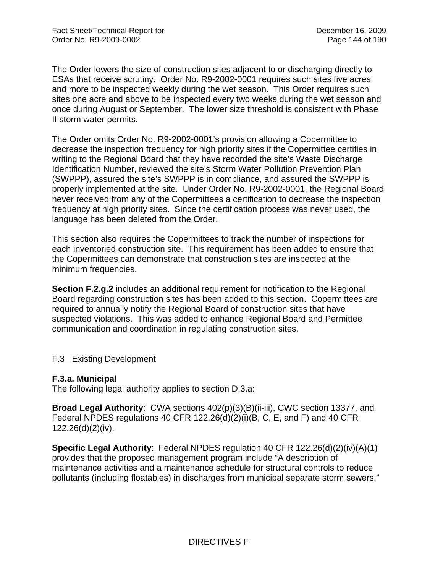The Order lowers the size of construction sites adjacent to or discharging directly to ESAs that receive scrutiny. Order No. R9-2002-0001 requires such sites five acres and more to be inspected weekly during the wet season. This Order requires such sites one acre and above to be inspected every two weeks during the wet season and once during August or September. The lower size threshold is consistent with Phase II storm water permits.

The Order omits Order No. R9-2002-0001's provision allowing a Copermittee to decrease the inspection frequency for high priority sites if the Copermittee certifies in writing to the Regional Board that they have recorded the site's Waste Discharge Identification Number, reviewed the site's Storm Water Pollution Prevention Plan (SWPPP), assured the site's SWPPP is in compliance, and assured the SWPPP is properly implemented at the site. Under Order No. R9-2002-0001, the Regional Board never received from any of the Copermittees a certification to decrease the inspection frequency at high priority sites. Since the certification process was never used, the language has been deleted from the Order.

This section also requires the Copermittees to track the number of inspections for each inventoried construction site. This requirement has been added to ensure that the Copermittees can demonstrate that construction sites are inspected at the minimum frequencies.

**Section F.2.g.2** includes an additional requirement for notification to the Regional Board regarding construction sites has been added to this section. Copermittees are required to annually notify the Regional Board of construction sites that have suspected violations. This was added to enhance Regional Board and Permittee communication and coordination in regulating construction sites.

#### F.3 Existing Development

#### **F.3.a. Municipal**

The following legal authority applies to section D.3.a:

**Broad Legal Authority**: CWA sections 402(p)(3)(B)(ii-iii), CWC section 13377, and Federal NPDES regulations 40 CFR 122.26(d)(2)(i)(B, C, E, and F) and 40 CFR 122.26(d)(2)(iv).

**Specific Legal Authority**: Federal NPDES regulation 40 CFR 122.26(d)(2)(iv)(A)(1) provides that the proposed management program include "A description of maintenance activities and a maintenance schedule for structural controls to reduce pollutants (including floatables) in discharges from municipal separate storm sewers."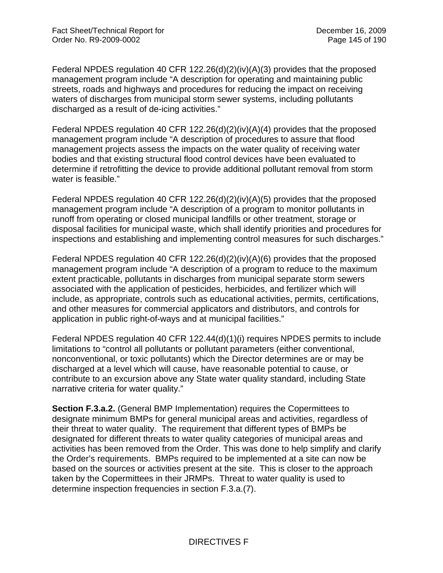Federal NPDES regulation 40 CFR 122.26(d)(2)(iv)(A)(3) provides that the proposed management program include "A description for operating and maintaining public streets, roads and highways and procedures for reducing the impact on receiving waters of discharges from municipal storm sewer systems, including pollutants discharged as a result of de-icing activities."

Federal NPDES regulation 40 CFR 122.26(d)(2)(iv)(A)(4) provides that the proposed management program include "A description of procedures to assure that flood management projects assess the impacts on the water quality of receiving water bodies and that existing structural flood control devices have been evaluated to determine if retrofitting the device to provide additional pollutant removal from storm water is feasible."

Federal NPDES regulation 40 CFR 122.26(d)(2)(iv)(A)(5) provides that the proposed management program include "A description of a program to monitor pollutants in runoff from operating or closed municipal landfills or other treatment, storage or disposal facilities for municipal waste, which shall identify priorities and procedures for inspections and establishing and implementing control measures for such discharges."

Federal NPDES regulation 40 CFR 122.26(d)(2)(iv)(A)(6) provides that the proposed management program include "A description of a program to reduce to the maximum extent practicable, pollutants in discharges from municipal separate storm sewers associated with the application of pesticides, herbicides, and fertilizer which will include, as appropriate, controls such as educational activities, permits, certifications, and other measures for commercial applicators and distributors, and controls for application in public right-of-ways and at municipal facilities."

Federal NPDES regulation 40 CFR 122.44(d)(1)(i) requires NPDES permits to include limitations to "control all pollutants or pollutant parameters (either conventional, nonconventional, or toxic pollutants) which the Director determines are or may be discharged at a level which will cause, have reasonable potential to cause, or contribute to an excursion above any State water quality standard, including State narrative criteria for water quality."

**Section F.3.a.2.** (General BMP Implementation) requires the Copermittees to designate minimum BMPs for general municipal areas and activities, regardless of their threat to water quality. The requirement that different types of BMPs be designated for different threats to water quality categories of municipal areas and activities has been removed from the Order. This was done to help simplify and clarify the Order's requirements. BMPs required to be implemented at a site can now be based on the sources or activities present at the site. This is closer to the approach taken by the Copermittees in their JRMPs. Threat to water quality is used to determine inspection frequencies in section F.3.a.(7).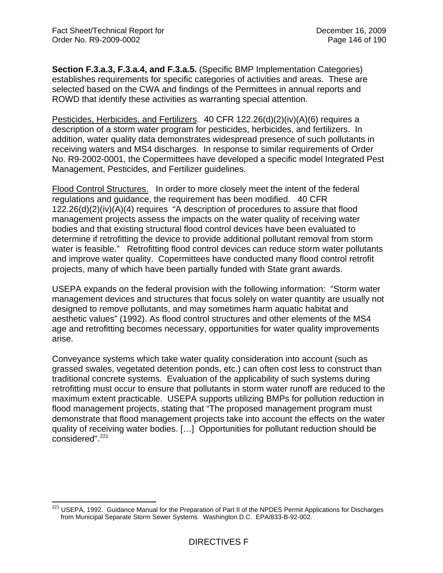**Section F.3.a.3, F.3.a.4, and F.3.a.5.** (Specific BMP Implementation Categories) establishes requirements for specific categories of activities and areas. These are selected based on the CWA and findings of the Permittees in annual reports and ROWD that identify these activities as warranting special attention.

Pesticides, Herbicides, and Fertilizers. 40 CFR 122.26(d)(2)(iv)(A)(6) requires a description of a storm water program for pesticides, herbicides, and fertilizers. In addition, water quality data demonstrates widespread presence of such pollutants in receiving waters and MS4 discharges. In response to similar requirements of Order No. R9-2002-0001, the Copermittees have developed a specific model Integrated Pest Management, Pesticides, and Fertilizer guidelines.

Flood Control Structures. In order to more closely meet the intent of the federal regulations and guidance, the requirement has been modified. 40 CFR 122.26(d)(2)(iv)(A)(4) requires "A description of procedures to assure that flood management projects assess the impacts on the water quality of receiving water bodies and that existing structural flood control devices have been evaluated to determine if retrofitting the device to provide additional pollutant removal from storm water is feasible." Retrofitting flood control devices can reduce storm water pollutants and improve water quality. Copermittees have conducted many flood control retrofit projects, many of which have been partially funded with State grant awards.

USEPA expands on the federal provision with the following information: "Storm water management devices and structures that focus solely on water quantity are usually not designed to remove pollutants, and may sometimes harm aquatic habitat and aesthetic values" (1992). As flood control structures and other elements of the MS4 age and retrofitting becomes necessary, opportunities for water quality improvements arise.

Conveyance systems which take water quality consideration into account (such as grassed swales, vegetated detention ponds, etc.) can often cost less to construct than traditional concrete systems. Evaluation of the applicability of such systems during retrofitting must occur to ensure that pollutants in storm water runoff are reduced to the maximum extent practicable. USEPA supports utilizing BMPs for pollution reduction in flood management projects, stating that "The proposed management program must demonstrate that flood management projects take into account the effects on the water quality of receiving water bodies. […] Opportunities for pollutant reduction should be considered".<sup>221</sup>

 $\overline{a}$  $221$  USEPA, 1992. Guidance Manual for the Preparation of Part II of the NPDES Permit Applications for Discharges from Municipal Separate Storm Sewer Systems. Washington D.C. EPA/833-B-92-002.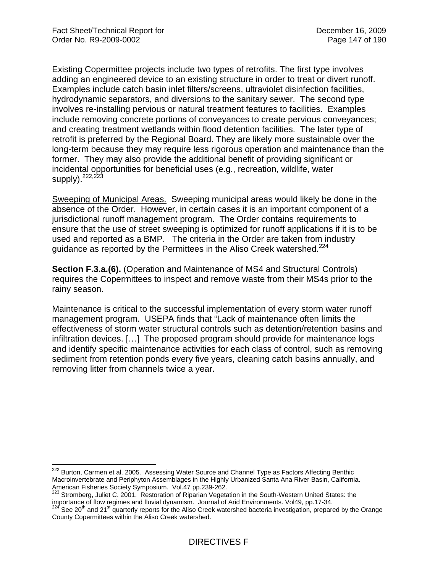$\overline{a}$ 

Existing Copermittee projects include two types of retrofits. The first type involves adding an engineered device to an existing structure in order to treat or divert runoff. Examples include catch basin inlet filters/screens, ultraviolet disinfection facilities, hydrodynamic separators, and diversions to the sanitary sewer. The second type involves re-installing pervious or natural treatment features to facilities. Examples include removing concrete portions of conveyances to create pervious conveyances; and creating treatment wetlands within flood detention facilities. The later type of retrofit is preferred by the Regional Board. They are likely more sustainable over the long-term because they may require less rigorous operation and maintenance than the former. They may also provide the additional benefit of providing significant or incidental opportunities for beneficial uses (e.g., recreation, wildlife, water  $supply)$ .  $222,223$ 

Sweeping of Municipal Areas. Sweeping municipal areas would likely be done in the absence of the Order. However, in certain cases it is an important component of a jurisdictional runoff management program. The Order contains requirements to ensure that the use of street sweeping is optimized for runoff applications if it is to be used and reported as a BMP. The criteria in the Order are taken from industry guidance as reported by the Permittees in the Aliso Creek watershed.<sup>224</sup>

**Section F.3.a.(6).** (Operation and Maintenance of MS4 and Structural Controls) requires the Copermittees to inspect and remove waste from their MS4s prior to the rainy season.

Maintenance is critical to the successful implementation of every storm water runoff management program. USEPA finds that "Lack of maintenance often limits the effectiveness of storm water structural controls such as detention/retention basins and infiltration devices. […] The proposed program should provide for maintenance logs and identify specific maintenance activities for each class of control, such as removing sediment from retention ponds every five years, cleaning catch basins annually, and removing litter from channels twice a year.

<sup>&</sup>lt;sup>222</sup> Burton, Carmen et al. 2005. Assessing Water Source and Channel Type as Factors Affecting Benthic Macroinvertebrate and Periphyton Assemblages in the Highly Urbanized Santa Ana River Basin, California. American Fisheries Society Symposium. Vol.47 pp.239-262.

<sup>&</sup>lt;sup>223</sup> Stromberg, Juliet C. 2001. Restoration of Riparian Vegetation in the South-Western United States: the importance of flow regimes and fluvial dynamism. Journal of Arid Environments. Vol49, pp.17-34.<br><sup>224</sup> See 20<sup>th</sup> and 21<sup>st</sup> quarterly reports for the Aliso Creek watershed bacteria investigation, prepared by the Orange

County Copermittees within the Aliso Creek watershed.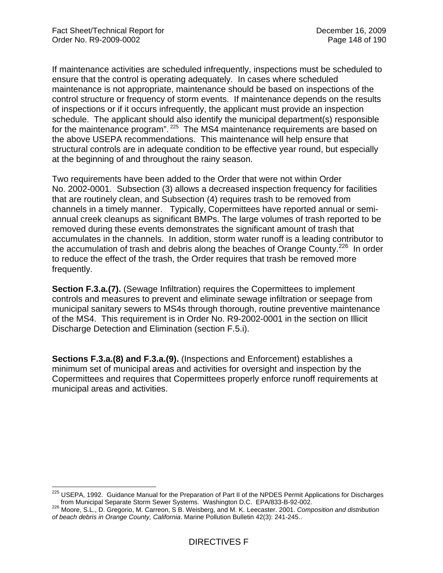If maintenance activities are scheduled infrequently, inspections must be scheduled to ensure that the control is operating adequately. In cases where scheduled maintenance is not appropriate, maintenance should be based on inspections of the control structure or frequency of storm events. If maintenance depends on the results of inspections or if it occurs infrequently, the applicant must provide an inspection schedule. The applicant should also identify the municipal department(s) responsible for the maintenance program".<sup>225</sup> The MS4 maintenance requirements are based on the above USEPA recommendations. This maintenance will help ensure that structural controls are in adequate condition to be effective year round, but especially at the beginning of and throughout the rainy season.

Two requirements have been added to the Order that were not within Order No. 2002-0001. Subsection (3) allows a decreased inspection frequency for facilities that are routinely clean, and Subsection (4) requires trash to be removed from channels in a timely manner. Typically, Copermittees have reported annual or semiannual creek cleanups as significant BMPs. The large volumes of trash reported to be removed during these events demonstrates the significant amount of trash that accumulates in the channels. In addition, storm water runoff is a leading contributor to the accumulation of trash and debris along the beaches of Orange County.<sup>226</sup> In order to reduce the effect of the trash, the Order requires that trash be removed more frequently.

**Section F.3.a.(7).** (Sewage Infiltration) requires the Copermittees to implement controls and measures to prevent and eliminate sewage infiltration or seepage from municipal sanitary sewers to MS4s through thorough, routine preventive maintenance of the MS4. This requirement is in Order No. R9-2002-0001 in the section on Illicit Discharge Detection and Elimination (section F.5.i).

**Sections F.3.a.(8) and F.3.a.(9).** (Inspections and Enforcement) establishes a minimum set of municipal areas and activities for oversight and inspection by the Copermittees and requires that Copermittees properly enforce runoff requirements at municipal areas and activities.

 $\overline{a}$ <sup>225</sup> USEPA, 1992. Guidance Manual for the Preparation of Part II of the NPDES Permit Applications for Discharges

from Municipal Separate Storm Sewer Systems. Washington D.C. EPA/833-B-92-002. 226 Moore, S.L., D. Gregorio, M. Carreon, S B. Weisberg, and M. K. Leecaster. 2001. *Composition and distribution of beach debris in Orange County, California*. Marine Pollution Bulletin 42(3): 241-245..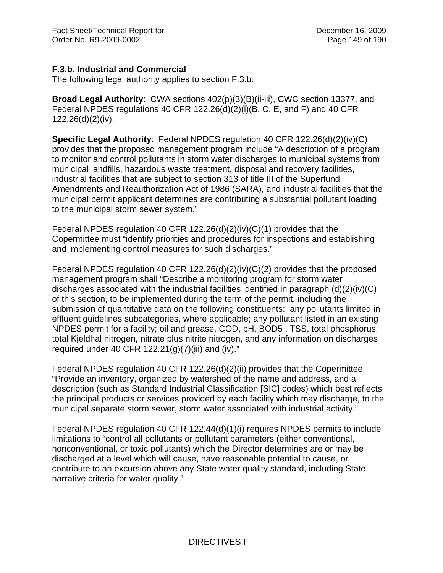# **F.3.b. Industrial and Commercial**

The following legal authority applies to section F.3.b:

**Broad Legal Authority**: CWA sections 402(p)(3)(B)(ii-iii), CWC section 13377, and Federal NPDES regulations 40 CFR 122.26(d)(2)(i)(B, C, E, and F) and 40 CFR 122.26(d)(2)(iv).

**Specific Legal Authority**: Federal NPDES regulation 40 CFR 122.26(d)(2)(iv)(C) provides that the proposed management program include "A description of a program to monitor and control pollutants in storm water discharges to municipal systems from municipal landfills, hazardous waste treatment, disposal and recovery facilities, industrial facilities that are subject to section 313 of title III of the Superfund Amendments and Reauthorization Act of 1986 (SARA), and industrial facilities that the municipal permit applicant determines are contributing a substantial pollutant loading to the municipal storm sewer system."

Federal NPDES regulation 40 CFR 122.26(d)(2)(iv)(C)(1) provides that the Copermittee must "identify priorities and procedures for inspections and establishing and implementing control measures for such discharges."

Federal NPDES regulation 40 CFR 122.26(d)(2)(iv)(C)(2) provides that the proposed management program shall "Describe a monitoring program for storm water discharges associated with the industrial facilities identified in paragraph (d)(2)(iv)(C) of this section, to be implemented during the term of the permit, including the submission of quantitative data on the following constituents: any pollutants limited in effluent guidelines subcategories, where applicable; any pollutant listed in an existing NPDES permit for a facility; oil and grease, COD, pH, BOD5 , TSS, total phosphorus, total Kjeldhal nitrogen, nitrate plus nitrite nitrogen, and any information on discharges required under 40 CFR  $122.21(g)(7)(iii)$  and (iv)."

Federal NPDES regulation 40 CFR 122.26(d)(2)(ii) provides that the Copermittee "Provide an inventory, organized by watershed of the name and address, and a description (such as Standard Industrial Classification [SIC] codes) which best reflects the principal products or services provided by each facility which may discharge, to the municipal separate storm sewer, storm water associated with industrial activity."

Federal NPDES regulation 40 CFR 122.44(d)(1)(i) requires NPDES permits to include limitations to "control all pollutants or pollutant parameters (either conventional, nonconventional, or toxic pollutants) which the Director determines are or may be discharged at a level which will cause, have reasonable potential to cause, or contribute to an excursion above any State water quality standard, including State narrative criteria for water quality."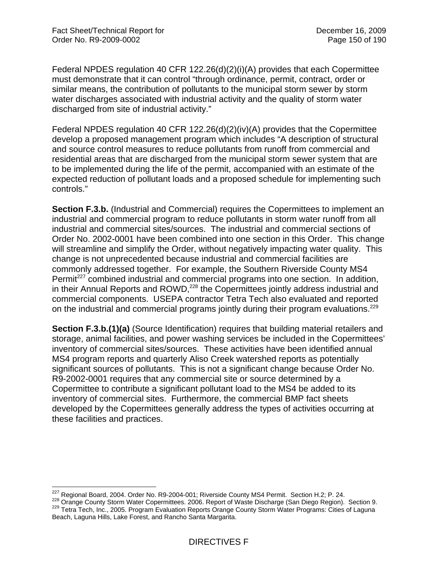Federal NPDES regulation 40 CFR 122.26(d)(2)(i)(A) provides that each Copermittee must demonstrate that it can control "through ordinance, permit, contract, order or similar means, the contribution of pollutants to the municipal storm sewer by storm water discharges associated with industrial activity and the quality of storm water discharged from site of industrial activity."

Federal NPDES regulation 40 CFR 122.26(d)(2)(iv)(A) provides that the Copermittee develop a proposed management program which includes "A description of structural and source control measures to reduce pollutants from runoff from commercial and residential areas that are discharged from the municipal storm sewer system that are to be implemented during the life of the permit, accompanied with an estimate of the expected reduction of pollutant loads and a proposed schedule for implementing such controls."

**Section F.3.b.** (Industrial and Commercial) requires the Copermittees to implement an industrial and commercial program to reduce pollutants in storm water runoff from all industrial and commercial sites/sources. The industrial and commercial sections of Order No. 2002-0001 have been combined into one section in this Order. This change will streamline and simplify the Order, without negatively impacting water quality. This change is not unprecedented because industrial and commercial facilities are commonly addressed together. For example, the Southern Riverside County MS4 Permit<sup>227</sup> combined industrial and commercial programs into one section. In addition, in their Annual Reports and ROWD, $^{228}$  the Copermittees jointly address industrial and commercial components. USEPA contractor Tetra Tech also evaluated and reported on the industrial and commercial programs jointly during their program evaluations.<sup>229</sup>

**Section F.3.b.(1)(a)** (Source Identification) requires that building material retailers and storage, animal facilities, and power washing services be included in the Copermittees' inventory of commercial sites/sources. These activities have been identified annual MS4 program reports and quarterly Aliso Creek watershed reports as potentially significant sources of pollutants. This is not a significant change because Order No. R9-2002-0001 requires that any commercial site or source determined by a Copermittee to contribute a significant pollutant load to the MS4 be added to its inventory of commercial sites. Furthermore, the commercial BMP fact sheets developed by the Copermittees generally address the types of activities occurring at these facilities and practices.

<sup>&</sup>lt;sup>227</sup> Regional Board, 2004. Order No. R9-2004-001; Riverside County MS4 Permit. Section H.2; P. 24.

<sup>228</sup> Orange County Storm Water Copermittees. 2006. Report of Waste Discharge (San Diego Region). Section 9.<br><sup>229</sup> Tetra Tech, Inc., 2005. Program Evaluation Reports Orange County Storm Water Programs: Cities of Laguna Beach, Laguna Hills, Lake Forest, and Rancho Santa Margarita.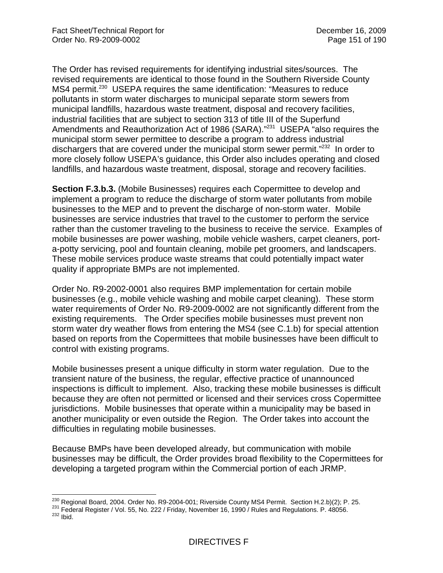The Order has revised requirements for identifying industrial sites/sources. The revised requirements are identical to those found in the Southern Riverside County MS4 permit.<sup>230</sup> USEPA requires the same identification: "Measures to reduce pollutants in storm water discharges to municipal separate storm sewers from municipal landfills, hazardous waste treatment, disposal and recovery facilities, industrial facilities that are subject to section 313 of title III of the Superfund Amendments and Reauthorization Act of 1986 (SARA)."<sup>231</sup> USEPA "also requires the municipal storm sewer permittee to describe a program to address industrial dischargers that are covered under the municipal storm sewer permit."<sup>232</sup> In order to more closely follow USEPA's guidance, this Order also includes operating and closed landfills, and hazardous waste treatment, disposal, storage and recovery facilities.

**Section F.3.b.3.** (Mobile Businesses) requires each Copermittee to develop and implement a program to reduce the discharge of storm water pollutants from mobile businesses to the MEP and to prevent the discharge of non-storm water. Mobile businesses are service industries that travel to the customer to perform the service rather than the customer traveling to the business to receive the service. Examples of mobile businesses are power washing, mobile vehicle washers, carpet cleaners, porta-potty servicing, pool and fountain cleaning, mobile pet groomers, and landscapers. These mobile services produce waste streams that could potentially impact water quality if appropriate BMPs are not implemented.

Order No. R9-2002-0001 also requires BMP implementation for certain mobile businesses (e.g., mobile vehicle washing and mobile carpet cleaning). These storm water requirements of Order No. R9-2009-0002 are not significantly different from the existing requirements. The Order specifies mobile businesses must prevent non storm water dry weather flows from entering the MS4 (see C.1.b) for special attention based on reports from the Copermittees that mobile businesses have been difficult to control with existing programs.

Mobile businesses present a unique difficulty in storm water regulation. Due to the transient nature of the business, the regular, effective practice of unannounced inspections is difficult to implement. Also, tracking these mobile businesses is difficult because they are often not permitted or licensed and their services cross Copermittee jurisdictions. Mobile businesses that operate within a municipality may be based in another municipality or even outside the Region. The Order takes into account the difficulties in regulating mobile businesses.

Because BMPs have been developed already, but communication with mobile businesses may be difficult, the Order provides broad flexibility to the Copermittees for developing a targeted program within the Commercial portion of each JRMP.

<sup>&</sup>lt;sup>230</sup> Regional Board, 2004. Order No. R9-2004-001; Riverside County MS4 Permit. Section H.2.b)(2); P. 25.

<sup>231</sup> Federal Register / Vol. 55, No. 222 / Friday, November 16, 1990 / Rules and Regulations. P. 48056.<br><sup>232</sup> Ibid.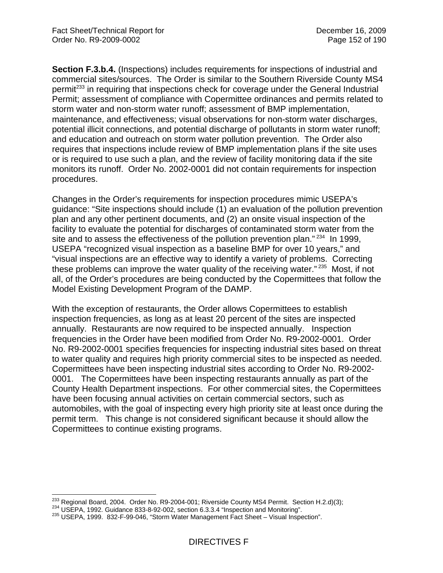**Section F.3.b.4.** (Inspections) includes requirements for inspections of industrial and commercial sites/sources. The Order is similar to the Southern Riverside County MS4 permit<sup>233</sup> in requiring that inspections check for coverage under the General Industrial Permit; assessment of compliance with Copermittee ordinances and permits related to storm water and non-storm water runoff; assessment of BMP implementation, maintenance, and effectiveness; visual observations for non-storm water discharges, potential illicit connections, and potential discharge of pollutants in storm water runoff; and education and outreach on storm water pollution prevention. The Order also requires that inspections include review of BMP implementation plans if the site uses or is required to use such a plan, and the review of facility monitoring data if the site monitors its runoff. Order No. 2002-0001 did not contain requirements for inspection procedures.

Changes in the Order's requirements for inspection procedures mimic USEPA's guidance: "Site inspections should include (1) an evaluation of the pollution prevention plan and any other pertinent documents, and (2) an onsite visual inspection of the facility to evaluate the potential for discharges of contaminated storm water from the site and to assess the effectiveness of the pollution prevention plan."<sup>234</sup> In 1999, USEPA "recognized visual inspection as a baseline BMP for over 10 years," and "visual inspections are an effective way to identify a variety of problems. Correcting these problems can improve the water quality of the receiving water."<sup>235</sup> Most, if not all, of the Order's procedures are being conducted by the Copermittees that follow the Model Existing Development Program of the DAMP.

With the exception of restaurants, the Order allows Copermittees to establish inspection frequencies, as long as at least 20 percent of the sites are inspected annually. Restaurants are now required to be inspected annually. Inspection frequencies in the Order have been modified from Order No. R9-2002-0001. Order No. R9-2002-0001 specifies frequencies for inspecting industrial sites based on threat to water quality and requires high priority commercial sites to be inspected as needed. Copermittees have been inspecting industrial sites according to Order No. R9-2002- 0001. The Copermittees have been inspecting restaurants annually as part of the County Health Department inspections. For other commercial sites, the Copermittees have been focusing annual activities on certain commercial sectors, such as automobiles, with the goal of inspecting every high priority site at least once during the permit term. This change is not considered significant because it should allow the Copermittees to continue existing programs.

<sup>1</sup> <sup>233</sup> Regional Board, 2004. Order No. R9-2004-001; Riverside County MS4 Permit. Section H.2.d)(3);<br><sup>234</sup> USEPA, 1992. Guidance 833-8-92-002, section 6.3.3.4 "Inspection and Monitoring".<br><sup>235</sup> USEPA, 1999. 832-F-99-046,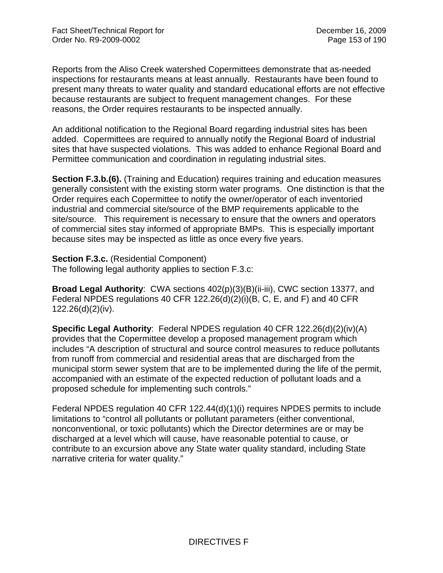Reports from the Aliso Creek watershed Copermittees demonstrate that as-needed inspections for restaurants means at least annually. Restaurants have been found to present many threats to water quality and standard educational efforts are not effective because restaurants are subject to frequent management changes. For these reasons, the Order requires restaurants to be inspected annually.

An additional notification to the Regional Board regarding industrial sites has been added. Copermittees are required to annually notify the Regional Board of industrial sites that have suspected violations. This was added to enhance Regional Board and Permittee communication and coordination in regulating industrial sites.

**Section F.3.b.(6).** (Training and Education) requires training and education measures generally consistent with the existing storm water programs. One distinction is that the Order requires each Copermittee to notify the owner/operator of each inventoried industrial and commercial site/source of the BMP requirements applicable to the site/source. This requirement is necessary to ensure that the owners and operators of commercial sites stay informed of appropriate BMPs. This is especially important because sites may be inspected as little as once every five years.

#### **Section F.3.c.** (Residential Component)

The following legal authority applies to section F.3.c:

**Broad Legal Authority**: CWA sections 402(p)(3)(B)(ii-iii), CWC section 13377, and Federal NPDES regulations 40 CFR 122.26(d)(2)(i)(B, C, E, and F) and 40 CFR 122.26(d)(2)(iv).

**Specific Legal Authority**: Federal NPDES regulation 40 CFR 122.26(d)(2)(iv)(A) provides that the Copermittee develop a proposed management program which includes "A description of structural and source control measures to reduce pollutants from runoff from commercial and residential areas that are discharged from the municipal storm sewer system that are to be implemented during the life of the permit, accompanied with an estimate of the expected reduction of pollutant loads and a proposed schedule for implementing such controls."

Federal NPDES regulation 40 CFR 122.44(d)(1)(i) requires NPDES permits to include limitations to "control all pollutants or pollutant parameters (either conventional, nonconventional, or toxic pollutants) which the Director determines are or may be discharged at a level which will cause, have reasonable potential to cause, or contribute to an excursion above any State water quality standard, including State narrative criteria for water quality."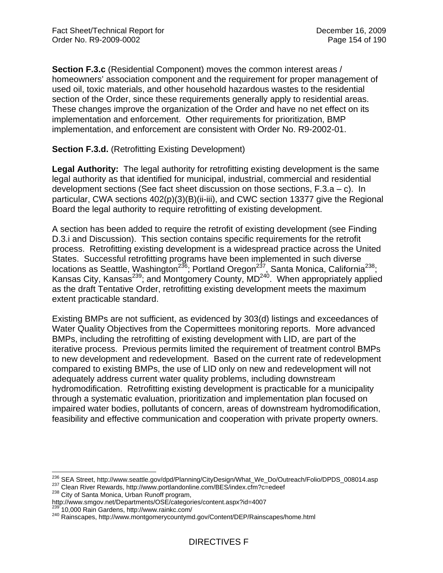**Section F.3.c** (Residential Component) moves the common interest areas / homeowners' association component and the requirement for proper management of used oil, toxic materials, and other household hazardous wastes to the residential section of the Order, since these requirements generally apply to residential areas. These changes improve the organization of the Order and have no net effect on its implementation and enforcement. Other requirements for prioritization, BMP implementation, and enforcement are consistent with Order No. R9-2002-01.

## **Section F.3.d.** (Retrofitting Existing Development)

**Legal Authority:** The legal authority for retrofitting existing development is the same legal authority as that identified for municipal, industrial, commercial and residential development sections (See fact sheet discussion on those sections, F.3.a – c). In particular, CWA sections 402(p)(3)(B)(ii-iii), and CWC section 13377 give the Regional Board the legal authority to require retrofitting of existing development.

A section has been added to require the retrofit of existing development (see Finding D.3.i and Discussion). This section contains specific requirements for the retrofit process. Retrofitting existing development is a widespread practice across the United States. Successful retrofitting programs have been implemented in such diverse locations as Seattle, Washington<sup>236</sup>; Portland Oregon<sup>237</sup>, Santa Monica, California<sup>238</sup>; Kansas City, Kansas<sup>239</sup>; and Montgomery County,  $MD<sup>240</sup>$ . When appropriately applied as the draft Tentative Order, retrofitting existing development meets the maximum extent practicable standard.

Existing BMPs are not sufficient, as evidenced by 303(d) listings and exceedances of Water Quality Objectives from the Copermittees monitoring reports. More advanced BMPs, including the retrofitting of existing development with LID, are part of the iterative process. Previous permits limited the requirement of treatment control BMPs to new development and redevelopment. Based on the current rate of redevelopment compared to existing BMPs, the use of LID only on new and redevelopment will not adequately address current water quality problems, including downstream hydromodification. Retrofitting existing development is practicable for a municipality through a systematic evaluation, prioritization and implementation plan focused on impaired water bodies, pollutants of concern, areas of downstream hydromodification, feasibility and effective communication and cooperation with private property owners.

1

<sup>&</sup>lt;sup>236</sup> SEA Street, http://www.seattle.gov/dpd/Planning/CityDesign/What\_We\_Do/Outreach/Folio/DPDS\_008014.asp<br><sup>237</sup> Clean River Rewards, http://www.portlandonline.com/BES/index.cfm?c=edeef<br><sup>238</sup> City of Santa Monica, Urban Ru

http://www.smgov.net/Departments/OSE/categories/content.aspx?id=4007<br><sup>239</sup> 10,000 Rain Gardens, http://www.rainkc.com/<br><sup>240</sup> Rainscapes, http://www.montgomerycountymd.gov/Content/DEP/Rainscapes/home.html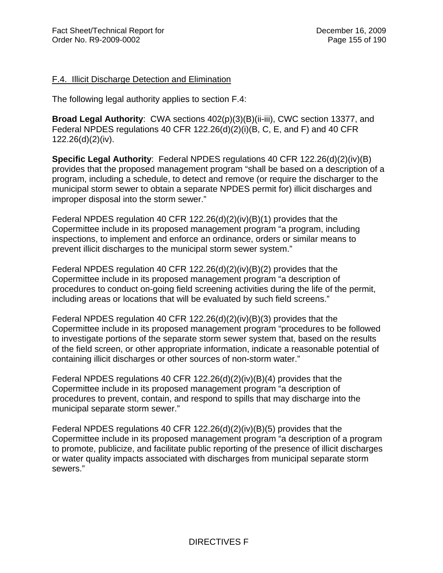#### F.4. Illicit Discharge Detection and Elimination

The following legal authority applies to section F.4:

**Broad Legal Authority**: CWA sections 402(p)(3)(B)(ii-iii), CWC section 13377, and Federal NPDES regulations 40 CFR 122.26(d)(2)(i)(B, C, E, and F) and 40 CFR 122.26(d)(2)(iv).

**Specific Legal Authority**: Federal NPDES regulations 40 CFR 122.26(d)(2)(iv)(B) provides that the proposed management program "shall be based on a description of a program, including a schedule, to detect and remove (or require the discharger to the municipal storm sewer to obtain a separate NPDES permit for) illicit discharges and improper disposal into the storm sewer."

Federal NPDES regulation 40 CFR 122.26(d)(2)(iv)(B)(1) provides that the Copermittee include in its proposed management program "a program, including inspections, to implement and enforce an ordinance, orders or similar means to prevent illicit discharges to the municipal storm sewer system."

Federal NPDES regulation 40 CFR 122.26(d)(2)(iv)(B)(2) provides that the Copermittee include in its proposed management program "a description of procedures to conduct on-going field screening activities during the life of the permit, including areas or locations that will be evaluated by such field screens."

Federal NPDES regulation 40 CFR 122.26(d)(2)(iv)(B)(3) provides that the Copermittee include in its proposed management program "procedures to be followed to investigate portions of the separate storm sewer system that, based on the results of the field screen, or other appropriate information, indicate a reasonable potential of containing illicit discharges or other sources of non-storm water."

Federal NPDES regulations 40 CFR 122.26(d)(2)(iv)(B)(4) provides that the Copermittee include in its proposed management program "a description of procedures to prevent, contain, and respond to spills that may discharge into the municipal separate storm sewer."

Federal NPDES regulations 40 CFR 122.26(d)(2)(iv)(B)(5) provides that the Copermittee include in its proposed management program "a description of a program to promote, publicize, and facilitate public reporting of the presence of illicit discharges or water quality impacts associated with discharges from municipal separate storm sewers."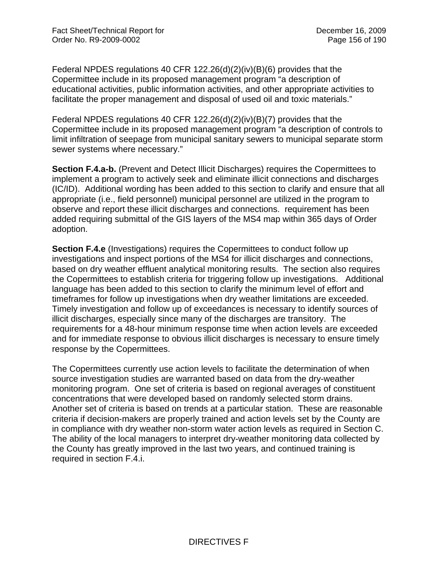Federal NPDES regulations 40 CFR 122.26(d)(2)(iv)(B)(6) provides that the Copermittee include in its proposed management program "a description of educational activities, public information activities, and other appropriate activities to facilitate the proper management and disposal of used oil and toxic materials."

Federal NPDES regulations 40 CFR 122.26(d)(2)(iv)(B)(7) provides that the Copermittee include in its proposed management program "a description of controls to limit infiltration of seepage from municipal sanitary sewers to municipal separate storm sewer systems where necessary."

**Section F.4.a-b.** (Prevent and Detect Illicit Discharges) requires the Copermittees to implement a program to actively seek and eliminate illicit connections and discharges (IC/ID). Additional wording has been added to this section to clarify and ensure that all appropriate (i.e., field personnel) municipal personnel are utilized in the program to observe and report these illicit discharges and connections. requirement has been added requiring submittal of the GIS layers of the MS4 map within 365 days of Order adoption.

**Section F.4.e** (Investigations) requires the Copermittees to conduct follow up investigations and inspect portions of the MS4 for illicit discharges and connections, based on dry weather effluent analytical monitoring results. The section also requires the Copermittees to establish criteria for triggering follow up investigations. Additional language has been added to this section to clarify the minimum level of effort and timeframes for follow up investigations when dry weather limitations are exceeded. Timely investigation and follow up of exceedances is necessary to identify sources of illicit discharges, especially since many of the discharges are transitory. The requirements for a 48-hour minimum response time when action levels are exceeded and for immediate response to obvious illicit discharges is necessary to ensure timely response by the Copermittees.

The Copermittees currently use action levels to facilitate the determination of when source investigation studies are warranted based on data from the dry-weather monitoring program. One set of criteria is based on regional averages of constituent concentrations that were developed based on randomly selected storm drains. Another set of criteria is based on trends at a particular station. These are reasonable criteria if decision-makers are properly trained and action levels set by the County are in compliance with dry weather non-storm water action levels as required in Section C. The ability of the local managers to interpret dry-weather monitoring data collected by the County has greatly improved in the last two years, and continued training is required in section F.4.i.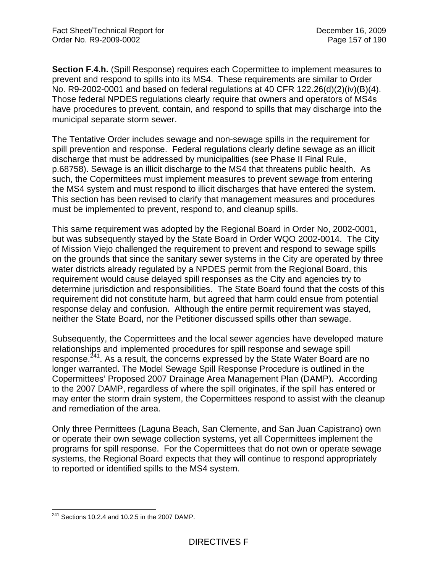**Section F.4.h.** (Spill Response) requires each Copermittee to implement measures to prevent and respond to spills into its MS4. These requirements are similar to Order No. R9-2002-0001 and based on federal regulations at 40 CFR 122.26(d)(2)(iv)(B)(4). Those federal NPDES regulations clearly require that owners and operators of MS4s have procedures to prevent, contain, and respond to spills that may discharge into the municipal separate storm sewer.

The Tentative Order includes sewage and non-sewage spills in the requirement for spill prevention and response. Federal regulations clearly define sewage as an illicit discharge that must be addressed by municipalities (see Phase II Final Rule, p.68758). Sewage is an illicit discharge to the MS4 that threatens public health. As such, the Copermittees must implement measures to prevent sewage from entering the MS4 system and must respond to illicit discharges that have entered the system. This section has been revised to clarify that management measures and procedures must be implemented to prevent, respond to, and cleanup spills.

This same requirement was adopted by the Regional Board in Order No, 2002-0001, but was subsequently stayed by the State Board in Order WQO 2002-0014. The City of Mission Viejo challenged the requirement to prevent and respond to sewage spills on the grounds that since the sanitary sewer systems in the City are operated by three water districts already regulated by a NPDES permit from the Regional Board, this requirement would cause delayed spill responses as the City and agencies try to determine jurisdiction and responsibilities. The State Board found that the costs of this requirement did not constitute harm, but agreed that harm could ensue from potential response delay and confusion. Although the entire permit requirement was stayed, neither the State Board, nor the Petitioner discussed spills other than sewage.

Subsequently, the Copermittees and the local sewer agencies have developed mature relationships and implemented procedures for spill response and sewage spill response.<sup>241</sup>. As a result, the concerns expressed by the State Water Board are no longer warranted. The Model Sewage Spill Response Procedure is outlined in the Copermittees' Proposed 2007 Drainage Area Management Plan (DAMP). According to the 2007 DAMP, regardless of where the spill originates, if the spill has entered or may enter the storm drain system, the Copermittees respond to assist with the cleanup and remediation of the area.

Only three Permittees (Laguna Beach, San Clemente, and San Juan Capistrano) own or operate their own sewage collection systems, yet all Copermittees implement the programs for spill response. For the Copermittees that do not own or operate sewage systems, the Regional Board expects that they will continue to respond appropriately to reported or identified spills to the MS4 system.

 $\overline{a}$  $^{241}$  Sections 10.2.4 and 10.2.5 in the 2007 DAMP.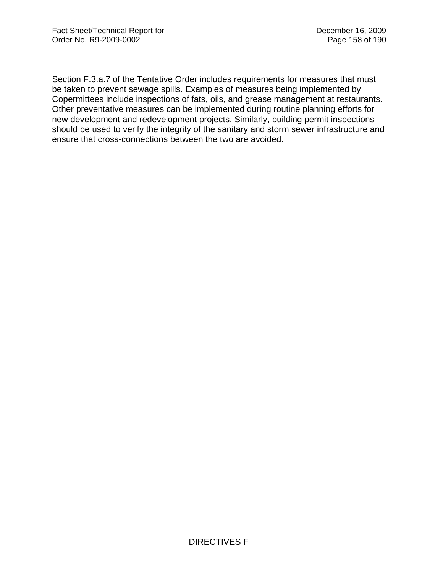Section F.3.a.7 of the Tentative Order includes requirements for measures that must be taken to prevent sewage spills. Examples of measures being implemented by Copermittees include inspections of fats, oils, and grease management at restaurants. Other preventative measures can be implemented during routine planning efforts for new development and redevelopment projects. Similarly, building permit inspections should be used to verify the integrity of the sanitary and storm sewer infrastructure and ensure that cross-connections between the two are avoided.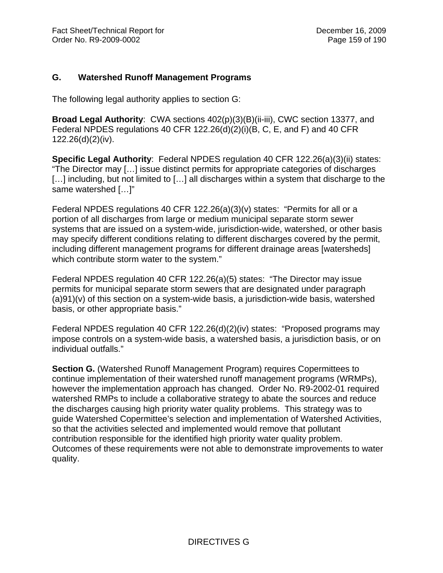## **G. Watershed Runoff Management Programs**

The following legal authority applies to section G:

**Broad Legal Authority**: CWA sections 402(p)(3)(B)(ii-iii), CWC section 13377, and Federal NPDES regulations 40 CFR 122.26(d)(2)(i)(B, C, E, and F) and 40 CFR 122.26(d)(2)(iv).

**Specific Legal Authority**: Federal NPDES regulation 40 CFR 122.26(a)(3)(ii) states: "The Director may […] issue distinct permits for appropriate categories of discharges [...] including, but not limited to [...] all discharges within a system that discharge to the same watershed […]"

Federal NPDES regulations 40 CFR 122.26(a)(3)(v) states: "Permits for all or a portion of all discharges from large or medium municipal separate storm sewer systems that are issued on a system-wide, jurisdiction-wide, watershed, or other basis may specify different conditions relating to different discharges covered by the permit, including different management programs for different drainage areas [watersheds] which contribute storm water to the system."

Federal NPDES regulation 40 CFR 122.26(a)(5) states: "The Director may issue permits for municipal separate storm sewers that are designated under paragraph (a)91)(v) of this section on a system-wide basis, a jurisdiction-wide basis, watershed basis, or other appropriate basis."

Federal NPDES regulation 40 CFR 122.26(d)(2)(iv) states: "Proposed programs may impose controls on a system-wide basis, a watershed basis, a jurisdiction basis, or on individual outfalls."

**Section G.** (Watershed Runoff Management Program) requires Copermittees to continue implementation of their watershed runoff management programs (WRMPs), however the implementation approach has changed. Order No. R9-2002-01 required watershed RMPs to include a collaborative strategy to abate the sources and reduce the discharges causing high priority water quality problems. This strategy was to guide Watershed Copermittee's selection and implementation of Watershed Activities, so that the activities selected and implemented would remove that pollutant contribution responsible for the identified high priority water quality problem. Outcomes of these requirements were not able to demonstrate improvements to water quality.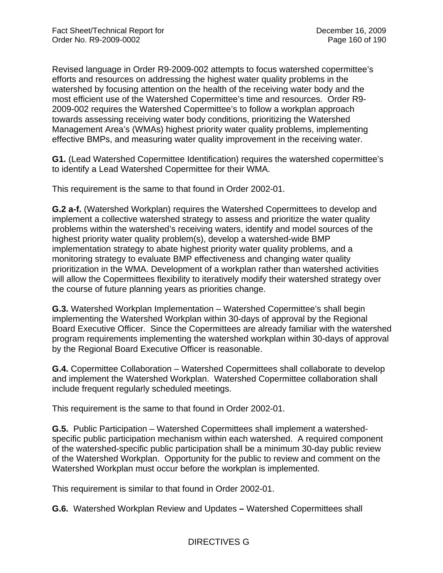Revised language in Order R9-2009-002 attempts to focus watershed copermittee's efforts and resources on addressing the highest water quality problems in the watershed by focusing attention on the health of the receiving water body and the most efficient use of the Watershed Copermittee's time and resources. Order R9- 2009-002 requires the Watershed Copermittee's to follow a workplan approach towards assessing receiving water body conditions, prioritizing the Watershed Management Area's (WMAs) highest priority water quality problems, implementing effective BMPs, and measuring water quality improvement in the receiving water.

**G1.** (Lead Watershed Copermittee Identification) requires the watershed copermittee's to identify a Lead Watershed Copermittee for their WMA.

This requirement is the same to that found in Order 2002-01.

**G.2 a-f.** (Watershed Workplan) requires the Watershed Copermittees to develop and implement a collective watershed strategy to assess and prioritize the water quality problems within the watershed's receiving waters, identify and model sources of the highest priority water quality problem(s), develop a watershed-wide BMP implementation strategy to abate highest priority water quality problems, and a monitoring strategy to evaluate BMP effectiveness and changing water quality prioritization in the WMA. Development of a workplan rather than watershed activities will allow the Copermittees flexibility to iteratively modify their watershed strategy over the course of future planning years as priorities change.

**G.3.** Watershed Workplan Implementation – Watershed Copermittee's shall begin implementing the Watershed Workplan within 30-days of approval by the Regional Board Executive Officer. Since the Copermittees are already familiar with the watershed program requirements implementing the watershed workplan within 30-days of approval by the Regional Board Executive Officer is reasonable.

**G.4.** Copermittee Collaboration – Watershed Copermittees shall collaborate to develop and implement the Watershed Workplan. Watershed Copermittee collaboration shall include frequent regularly scheduled meetings.

This requirement is the same to that found in Order 2002-01.

**G.5.** Public Participation – Watershed Copermittees shall implement a watershedspecific public participation mechanism within each watershed. A required component of the watershed-specific public participation shall be a minimum 30-day public review of the Watershed Workplan. Opportunity for the public to review and comment on the Watershed Workplan must occur before the workplan is implemented.

This requirement is similar to that found in Order 2002-01.

**G.6.** Watershed Workplan Review and Updates **–** Watershed Copermittees shall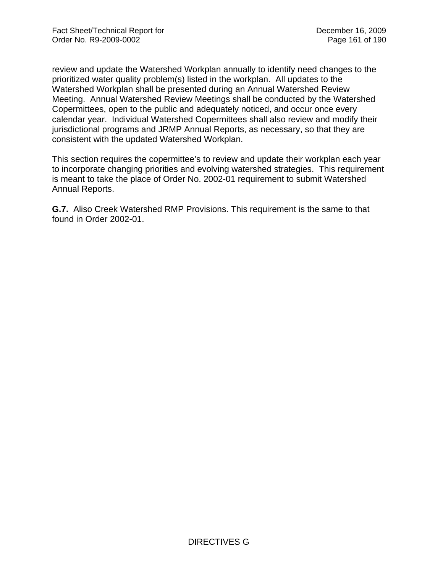review and update the Watershed Workplan annually to identify need changes to the prioritized water quality problem(s) listed in the workplan. All updates to the Watershed Workplan shall be presented during an Annual Watershed Review Meeting. Annual Watershed Review Meetings shall be conducted by the Watershed Copermittees, open to the public and adequately noticed, and occur once every calendar year. Individual Watershed Copermittees shall also review and modify their jurisdictional programs and JRMP Annual Reports, as necessary, so that they are consistent with the updated Watershed Workplan.

This section requires the copermittee's to review and update their workplan each year to incorporate changing priorities and evolving watershed strategies. This requirement is meant to take the place of Order No. 2002-01 requirement to submit Watershed Annual Reports.

**G.7.** Aliso Creek Watershed RMP Provisions. This requirement is the same to that found in Order 2002-01.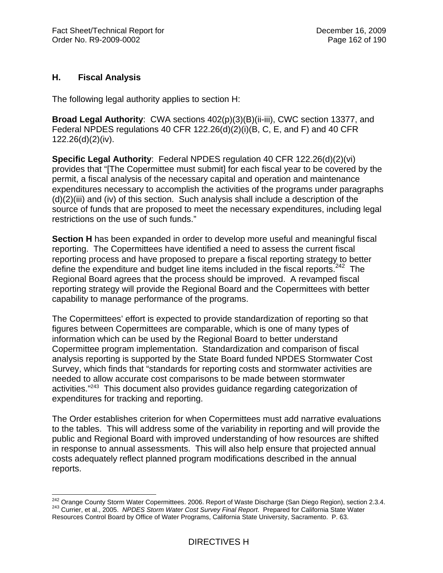## **H. Fiscal Analysis**

 $\overline{a}$ 

The following legal authority applies to section H:

**Broad Legal Authority**: CWA sections 402(p)(3)(B)(ii-iii), CWC section 13377, and Federal NPDES regulations 40 CFR 122.26(d)(2)(i)(B, C, E, and F) and 40 CFR 122.26(d)(2)(iv).

**Specific Legal Authority**: Federal NPDES regulation 40 CFR 122.26(d)(2)(vi) provides that "[The Copermittee must submit] for each fiscal year to be covered by the permit, a fiscal analysis of the necessary capital and operation and maintenance expenditures necessary to accomplish the activities of the programs under paragraphs  $(d)(2)(iii)$  and (iv) of this section. Such analysis shall include a description of the source of funds that are proposed to meet the necessary expenditures, including legal restrictions on the use of such funds."

**Section H** has been expanded in order to develop more useful and meaningful fiscal reporting. The Copermittees have identified a need to assess the current fiscal reporting process and have proposed to prepare a fiscal reporting strategy to better define the expenditure and budget line items included in the fiscal reports.<sup>242</sup> The Regional Board agrees that the process should be improved. A revamped fiscal reporting strategy will provide the Regional Board and the Copermittees with better capability to manage performance of the programs.

The Copermittees' effort is expected to provide standardization of reporting so that figures between Copermittees are comparable, which is one of many types of information which can be used by the Regional Board to better understand Copermittee program implementation. Standardization and comparison of fiscal analysis reporting is supported by the State Board funded NPDES Stormwater Cost Survey, which finds that "standards for reporting costs and stormwater activities are needed to allow accurate cost comparisons to be made between stormwater activities."243 This document also provides guidance regarding categorization of expenditures for tracking and reporting.

The Order establishes criterion for when Copermittees must add narrative evaluations to the tables. This will address some of the variability in reporting and will provide the public and Regional Board with improved understanding of how resources are shifted in response to annual assessments. This will also help ensure that projected annual costs adequately reflect planned program modifications described in the annual reports.

<sup>&</sup>lt;sup>242</sup> Orange County Storm Water Copermittees. 2006. Report of Waste Discharge (San Diego Region), section 2.3.4.<br><sup>243</sup> Currier, et al., 2005. *NPDES Storm Water Cost Survey Final Report*. Prepared for California State Wa 243 Currier, et al., 2005. NPDES Storm Water Cost Survey Final Report. Prepared for California State Water<br>Resources Control Board by Office of Water Programs, California State University, Sacramento. P. 63.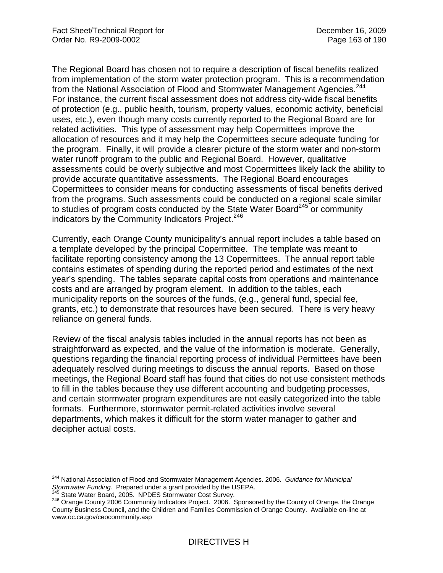The Regional Board has chosen not to require a description of fiscal benefits realized from implementation of the storm water protection program. This is a recommendation from the National Association of Flood and Stormwater Management Agencies.<sup>244</sup> For instance, the current fiscal assessment does not address city-wide fiscal benefits of protection (e.g., public health, tourism, property values, economic activity, beneficial uses, etc.), even though many costs currently reported to the Regional Board are for related activities. This type of assessment may help Copermittees improve the allocation of resources and it may help the Copermittees secure adequate funding for the program. Finally, it will provide a clearer picture of the storm water and non-storm water runoff program to the public and Regional Board. However, qualitative assessments could be overly subjective and most Copermittees likely lack the ability to provide accurate quantitative assessments. The Regional Board encourages Copermittees to consider means for conducting assessments of fiscal benefits derived from the programs. Such assessments could be conducted on a regional scale similar to studies of program costs conducted by the State Water Board<sup>245</sup> or community indicators by the Community Indicators Project.<sup>246</sup>

Currently, each Orange County municipality's annual report includes a table based on a template developed by the principal Copermittee. The template was meant to facilitate reporting consistency among the 13 Copermittees. The annual report table contains estimates of spending during the reported period and estimates of the next year's spending. The tables separate capital costs from operations and maintenance costs and are arranged by program element. In addition to the tables, each municipality reports on the sources of the funds, (e.g., general fund, special fee, grants, etc.) to demonstrate that resources have been secured. There is very heavy reliance on general funds.

Review of the fiscal analysis tables included in the annual reports has not been as straightforward as expected, and the value of the information is moderate. Generally, questions regarding the financial reporting process of individual Permittees have been adequately resolved during meetings to discuss the annual reports. Based on those meetings, the Regional Board staff has found that cities do not use consistent methods to fill in the tables because they use different accounting and budgeting processes, and certain stormwater program expenditures are not easily categorized into the table formats. Furthermore, stormwater permit-related activities involve several departments, which makes it difficult for the storm water manager to gather and decipher actual costs.

 $\overline{a}$ 244 National Association of Flood and Stormwater Management Agencies. 2006. *Guidance for Municipal*  Stormwater Funding. Prepared under a grant provided by the USEPA.<br>
<sup>245</sup> State Water Board, 2005. NPDES Stormwater Cost Survey.<br>
<sup>246</sup> Orange County 2006 Community Indicators Project. 2006. Sponsored by the County of Orang

County Business Council, and the Children and Families Commission of Orange County. Available on-line at www.oc.ca.gov/ceocommunity.asp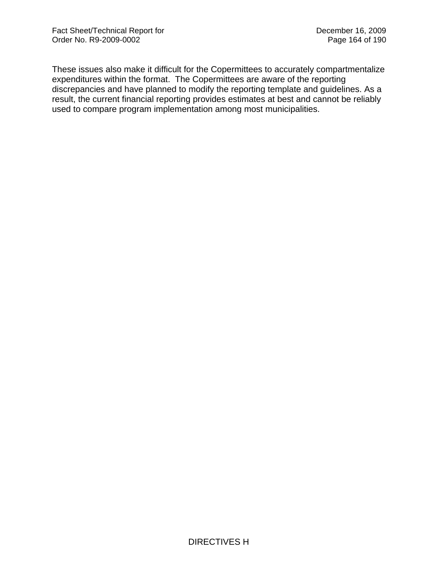These issues also make it difficult for the Copermittees to accurately compartmentalize expenditures within the format. The Copermittees are aware of the reporting discrepancies and have planned to modify the reporting template and guidelines. As a result, the current financial reporting provides estimates at best and cannot be reliably used to compare program implementation among most municipalities.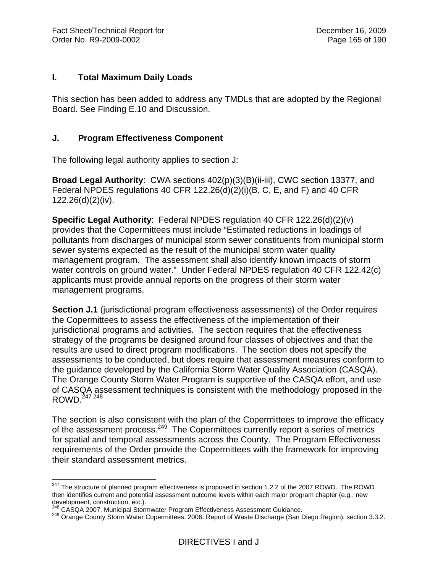#### **I. Total Maximum Daily Loads**

This section has been added to address any TMDLs that are adopted by the Regional Board. See Finding E.10 and Discussion.

## **J. Program Effectiveness Component**

The following legal authority applies to section J:

**Broad Legal Authority**: CWA sections 402(p)(3)(B)(ii-iii), CWC section 13377, and Federal NPDES regulations 40 CFR 122.26(d)(2)(i)(B, C, E, and F) and 40 CFR 122.26(d)(2)(iv).

**Specific Legal Authority**: Federal NPDES regulation 40 CFR 122.26(d)(2)(v) provides that the Copermittees must include "Estimated reductions in loadings of pollutants from discharges of municipal storm sewer constituents from municipal storm sewer systems expected as the result of the municipal storm water quality management program. The assessment shall also identify known impacts of storm water controls on ground water." Under Federal NPDES regulation 40 CFR 122.42(c) applicants must provide annual reports on the progress of their storm water management programs.

**Section J.1** (jurisdictional program effectiveness assessments) of the Order requires the Copermittees to assess the effectiveness of the implementation of their jurisdictional programs and activities. The section requires that the effectiveness strategy of the programs be designed around four classes of objectives and that the results are used to direct program modifications. The section does not specify the assessments to be conducted, but does require that assessment measures conform to the guidance developed by the California Storm Water Quality Association (CASQA). The Orange County Storm Water Program is supportive of the CASQA effort, and use of CASQA assessment techniques is consistent with the methodology proposed in the ROWD.247 248

The section is also consistent with the plan of the Copermittees to improve the efficacy of the assessment process.<sup>249</sup> The Copermittees currently report a series of metrics for spatial and temporal assessments across the County. The Program Effectiveness requirements of the Order provide the Copermittees with the framework for improving their standard assessment metrics.

 $\overline{a}$  $^{247}$  The structure of planned program effectiveness is proposed in section 1.2.2 of the 2007 ROWD. The ROWD then identifies current and potential assessment outcome levels within each major program chapter (e.g., new development, construction, etc.).

<sup>&</sup>lt;sup>248</sup> CASQA 2007. Municipal Stormwater Program Effectiveness Assessment Guidance.<br><sup>249</sup> Orange County Storm Water Copermittees. 2006. Report of Waste Discharge (San Diego Region), section 3.3.2.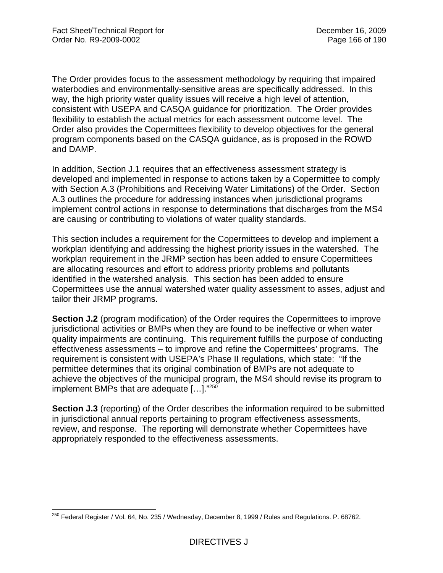The Order provides focus to the assessment methodology by requiring that impaired waterbodies and environmentally-sensitive areas are specifically addressed. In this way, the high priority water quality issues will receive a high level of attention, consistent with USEPA and CASQA guidance for prioritization. The Order provides flexibility to establish the actual metrics for each assessment outcome level. The Order also provides the Copermittees flexibility to develop objectives for the general program components based on the CASQA guidance, as is proposed in the ROWD and DAMP.

In addition, Section J.1 requires that an effectiveness assessment strategy is developed and implemented in response to actions taken by a Copermittee to comply with Section A.3 (Prohibitions and Receiving Water Limitations) of the Order. Section A.3 outlines the procedure for addressing instances when jurisdictional programs implement control actions in response to determinations that discharges from the MS4 are causing or contributing to violations of water quality standards.

This section includes a requirement for the Copermittees to develop and implement a workplan identifying and addressing the highest priority issues in the watershed. The workplan requirement in the JRMP section has been added to ensure Copermittees are allocating resources and effort to address priority problems and pollutants identified in the watershed analysis. This section has been added to ensure Copermittees use the annual watershed water quality assessment to asses, adjust and tailor their JRMP programs.

**Section J.2** (program modification) of the Order requires the Copermittees to improve jurisdictional activities or BMPs when they are found to be ineffective or when water quality impairments are continuing. This requirement fulfills the purpose of conducting effectiveness assessments – to improve and refine the Copermittees' programs. The requirement is consistent with USEPA's Phase II regulations, which state: "If the permittee determines that its original combination of BMPs are not adequate to achieve the objectives of the municipal program, the MS4 should revise its program to implement BMPs that are adequate […]."250

**Section J.3** (reporting) of the Order describes the information required to be submitted in jurisdictional annual reports pertaining to program effectiveness assessments, review, and response. The reporting will demonstrate whether Copermittees have appropriately responded to the effectiveness assessments.

 $\overline{a}$  $^{250}$  Federal Register / Vol. 64, No. 235 / Wednesday, December 8, 1999 / Rules and Regulations. P. 68762.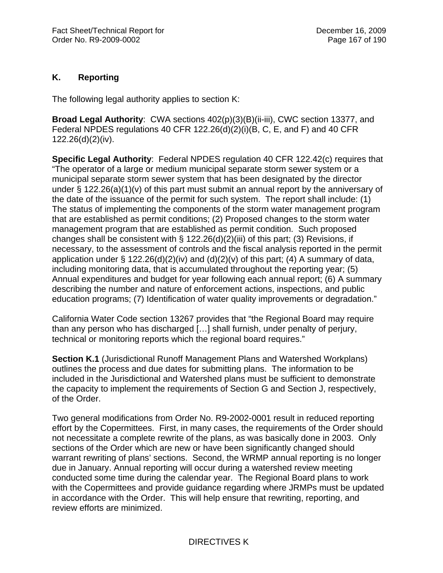# **K. Reporting**

The following legal authority applies to section K:

**Broad Legal Authority**: CWA sections 402(p)(3)(B)(ii-iii), CWC section 13377, and Federal NPDES regulations 40 CFR 122.26(d)(2)(i)(B, C, E, and F) and 40 CFR 122.26(d)(2)(iv).

**Specific Legal Authority**: Federal NPDES regulation 40 CFR 122.42(c) requires that "The operator of a large or medium municipal separate storm sewer system or a municipal separate storm sewer system that has been designated by the director under § 122.26(a)(1)(v) of this part must submit an annual report by the anniversary of the date of the issuance of the permit for such system. The report shall include: (1) The status of implementing the components of the storm water management program that are established as permit conditions; (2) Proposed changes to the storm water management program that are established as permit condition. Such proposed changes shall be consistent with  $\S$  122.26(d)(2)(iii) of this part; (3) Revisions, if necessary, to the assessment of controls and the fiscal analysis reported in the permit application under § 122.26(d)(2)(iv) and (d)(2)(v) of this part; (4) A summary of data, including monitoring data, that is accumulated throughout the reporting year; (5) Annual expenditures and budget for year following each annual report; (6) A summary describing the number and nature of enforcement actions, inspections, and public education programs; (7) Identification of water quality improvements or degradation."

California Water Code section 13267 provides that "the Regional Board may require than any person who has discharged […] shall furnish, under penalty of perjury, technical or monitoring reports which the regional board requires."

**Section K.1** (Jurisdictional Runoff Management Plans and Watershed Workplans) outlines the process and due dates for submitting plans. The information to be included in the Jurisdictional and Watershed plans must be sufficient to demonstrate the capacity to implement the requirements of Section G and Section J, respectively, of the Order.

Two general modifications from Order No. R9-2002-0001 result in reduced reporting effort by the Copermittees. First, in many cases, the requirements of the Order should not necessitate a complete rewrite of the plans, as was basically done in 2003. Only sections of the Order which are new or have been significantly changed should warrant rewriting of plans' sections. Second, the WRMP annual reporting is no longer due in January. Annual reporting will occur during a watershed review meeting conducted some time during the calendar year. The Regional Board plans to work with the Copermittees and provide guidance regarding where JRMPs must be updated in accordance with the Order. This will help ensure that rewriting, reporting, and review efforts are minimized.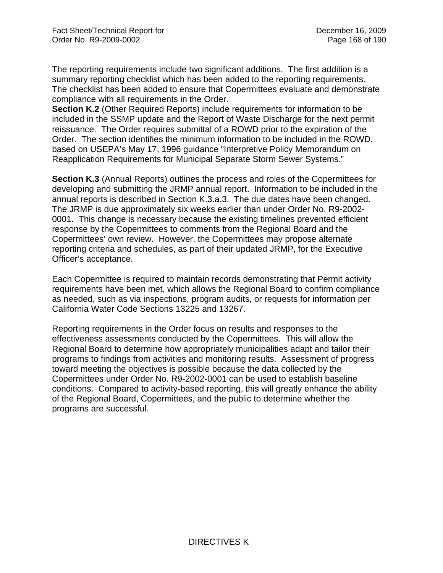The reporting requirements include two significant additions. The first addition is a summary reporting checklist which has been added to the reporting requirements. The checklist has been added to ensure that Copermittees evaluate and demonstrate compliance with all requirements in the Order.

**Section K.2** (Other Required Reports) include requirements for information to be included in the SSMP update and the Report of Waste Discharge for the next permit reissuance. The Order requires submittal of a ROWD prior to the expiration of the Order. The section identifies the minimum information to be included in the ROWD, based on USEPA's May 17, 1996 guidance "Interpretive Policy Memorandum on Reapplication Requirements for Municipal Separate Storm Sewer Systems."

**Section K.3** (Annual Reports) outlines the process and roles of the Copermittees for developing and submitting the JRMP annual report. Information to be included in the annual reports is described in Section K.3.a.3. The due dates have been changed. The JRMP is due approximately six weeks earlier than under Order No. R9-2002- 0001. This change is necessary because the existing timelines prevented efficient response by the Copermittees to comments from the Regional Board and the Copermittees' own review. However, the Copermittees may propose alternate reporting criteria and schedules, as part of their updated JRMP, for the Executive Officer's acceptance.

Each Copermittee is required to maintain records demonstrating that Permit activity requirements have been met, which allows the Regional Board to confirm compliance as needed, such as via inspections, program audits, or requests for information per California Water Code Sections 13225 and 13267.

Reporting requirements in the Order focus on results and responses to the effectiveness assessments conducted by the Copermittees. This will allow the Regional Board to determine how appropriately municipalities adapt and tailor their programs to findings from activities and monitoring results. Assessment of progress toward meeting the objectives is possible because the data collected by the Copermittees under Order No. R9-2002-0001 can be used to establish baseline conditions. Compared to activity-based reporting, this will greatly enhance the ability of the Regional Board, Copermittees, and the public to determine whether the programs are successful.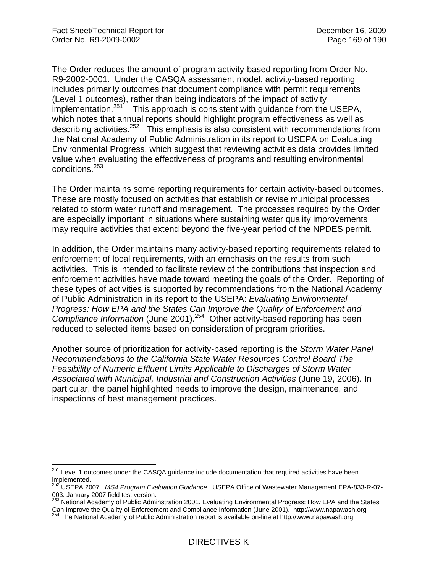The Order reduces the amount of program activity-based reporting from Order No. R9-2002-0001. Under the CASQA assessment model, activity-based reporting includes primarily outcomes that document compliance with permit requirements (Level 1 outcomes), rather than being indicators of the impact of activity implementation. $251$  This approach is consistent with guidance from the USEPA, which notes that annual reports should highlight program effectiveness as well as describing activities.252 This emphasis is also consistent with recommendations from the National Academy of Public Administration in its report to USEPA on Evaluating Environmental Progress, which suggest that reviewing activities data provides limited value when evaluating the effectiveness of programs and resulting environmental conditions.<sup>253</sup>

The Order maintains some reporting requirements for certain activity-based outcomes. These are mostly focused on activities that establish or revise municipal processes related to storm water runoff and management. The processes required by the Order are especially important in situations where sustaining water quality improvements may require activities that extend beyond the five-year period of the NPDES permit.

In addition, the Order maintains many activity-based reporting requirements related to enforcement of local requirements, with an emphasis on the results from such activities. This is intended to facilitate review of the contributions that inspection and enforcement activities have made toward meeting the goals of the Order. Reporting of these types of activities is supported by recommendations from the National Academy of Public Administration in its report to the USEPA: *Evaluating Environmental Progress: How EPA and the States Can Improve the Quality of Enforcement and Compliance Information* (June 2001).254 Other activity-based reporting has been reduced to selected items based on consideration of program priorities.

Another source of prioritization for activity-based reporting is the *Storm Water Panel Recommendations to the California State Water Resources Control Board The Feasibility of Numeric Effluent Limits Applicable to Discharges of Storm Water Associated with Municipal, Industrial and Construction Activities* (June 19, 2006). In particular, the panel highlighted needs to improve the design, maintenance, and inspections of best management practices.

 $\overline{a}$  $251$  Level 1 outcomes under the CASQA guidance include documentation that required activities have been implemented.

<sup>252</sup> USEPA 2007. *MS4 Program Evaluation Guidance.* USEPA Office of Wastewater Management EPA-833-R-07- 003. January 2007 field test version.

<sup>&</sup>lt;sup>253</sup> National Academy of Public Adminstration 2001. Evaluating Environmental Progress: How EPA and the States Can Improve the Quality of Enforcement and Compliance Information (June 2001). http://www.napawash.org 254 The National Academy of Public Administration report is available on-line at http://www.napawash.org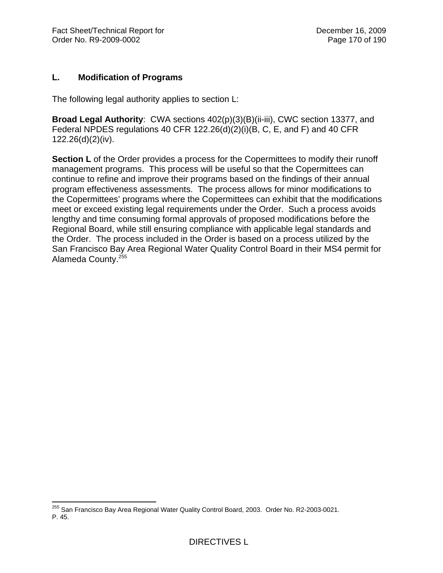## **L. Modification of Programs**

The following legal authority applies to section L:

**Broad Legal Authority**: CWA sections 402(p)(3)(B)(ii-iii), CWC section 13377, and Federal NPDES regulations 40 CFR 122.26(d)(2)(i)(B, C, E, and F) and 40 CFR 122.26(d)(2)(iv).

**Section L** of the Order provides a process for the Copermittees to modify their runoff management programs. This process will be useful so that the Copermittees can continue to refine and improve their programs based on the findings of their annual program effectiveness assessments. The process allows for minor modifications to the Copermittees' programs where the Copermittees can exhibit that the modifications meet or exceed existing legal requirements under the Order. Such a process avoids lengthy and time consuming formal approvals of proposed modifications before the Regional Board, while still ensuring compliance with applicable legal standards and the Order. The process included in the Order is based on a process utilized by the San Francisco Bay Area Regional Water Quality Control Board in their MS4 permit for Alameda County.255

1

<sup>&</sup>lt;sup>255</sup> San Francisco Bay Area Regional Water Quality Control Board, 2003. Order No. R2-2003-0021. P. 45.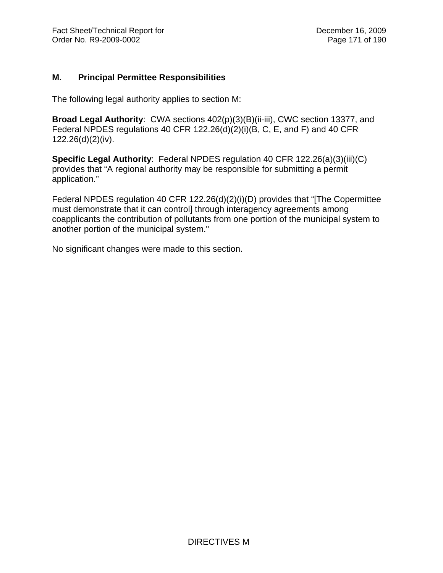## **M. Principal Permittee Responsibilities**

The following legal authority applies to section M:

**Broad Legal Authority**: CWA sections 402(p)(3)(B)(ii-iii), CWC section 13377, and Federal NPDES regulations 40 CFR 122.26(d)(2)(i)(B, C, E, and F) and 40 CFR 122.26(d)(2)(iv).

**Specific Legal Authority**: Federal NPDES regulation 40 CFR 122.26(a)(3)(iii)(C) provides that "A regional authority may be responsible for submitting a permit application."

Federal NPDES regulation 40 CFR 122.26(d)(2)(i)(D) provides that "[The Copermittee must demonstrate that it can control] through interagency agreements among coapplicants the contribution of pollutants from one portion of the municipal system to another portion of the municipal system."

No significant changes were made to this section.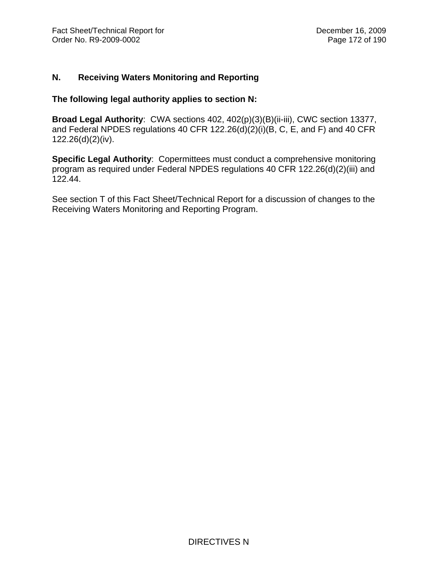#### **N. Receiving Waters Monitoring and Reporting**

#### **The following legal authority applies to section N:**

**Broad Legal Authority**: CWA sections 402, 402(p)(3)(B)(ii-iii), CWC section 13377, and Federal NPDES regulations 40 CFR 122.26(d)(2)(i)(B, C, E, and F) and 40 CFR 122.26(d)(2)(iv).

**Specific Legal Authority**: Copermittees must conduct a comprehensive monitoring program as required under Federal NPDES regulations 40 CFR 122.26(d)(2)(iii) and 122.44.

See section T of this Fact Sheet/Technical Report for a discussion of changes to the Receiving Waters Monitoring and Reporting Program.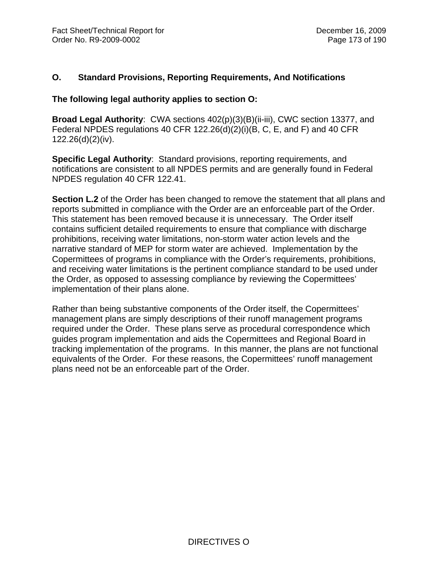## **O. Standard Provisions, Reporting Requirements, And Notifications**

#### **The following legal authority applies to section O:**

**Broad Legal Authority**: CWA sections 402(p)(3)(B)(ii-iii), CWC section 13377, and Federal NPDES regulations 40 CFR 122.26(d)(2)(i)(B, C, E, and F) and 40 CFR 122.26(d)(2)(iv).

**Specific Legal Authority**: Standard provisions, reporting requirements, and notifications are consistent to all NPDES permits and are generally found in Federal NPDES regulation 40 CFR 122.41.

**Section L.2** of the Order has been changed to remove the statement that all plans and reports submitted in compliance with the Order are an enforceable part of the Order. This statement has been removed because it is unnecessary. The Order itself contains sufficient detailed requirements to ensure that compliance with discharge prohibitions, receiving water limitations, non-storm water action levels and the narrative standard of MEP for storm water are achieved. Implementation by the Copermittees of programs in compliance with the Order's requirements, prohibitions, and receiving water limitations is the pertinent compliance standard to be used under the Order, as opposed to assessing compliance by reviewing the Copermittees' implementation of their plans alone.

Rather than being substantive components of the Order itself, the Copermittees' management plans are simply descriptions of their runoff management programs required under the Order. These plans serve as procedural correspondence which guides program implementation and aids the Copermittees and Regional Board in tracking implementation of the programs. In this manner, the plans are not functional equivalents of the Order. For these reasons, the Copermittees' runoff management plans need not be an enforceable part of the Order.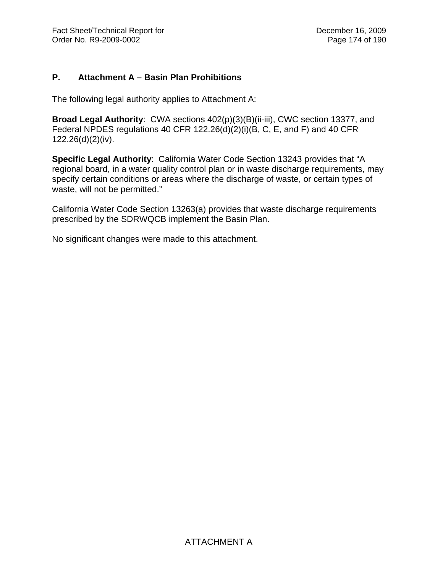## **P. Attachment A – Basin Plan Prohibitions**

The following legal authority applies to Attachment A:

**Broad Legal Authority**: CWA sections 402(p)(3)(B)(ii-iii), CWC section 13377, and Federal NPDES regulations 40 CFR 122.26(d)(2)(i)(B, C, E, and F) and 40 CFR 122.26(d)(2)(iv).

**Specific Legal Authority**: California Water Code Section 13243 provides that "A regional board, in a water quality control plan or in waste discharge requirements, may specify certain conditions or areas where the discharge of waste, or certain types of waste, will not be permitted."

California Water Code Section 13263(a) provides that waste discharge requirements prescribed by the SDRWQCB implement the Basin Plan.

No significant changes were made to this attachment.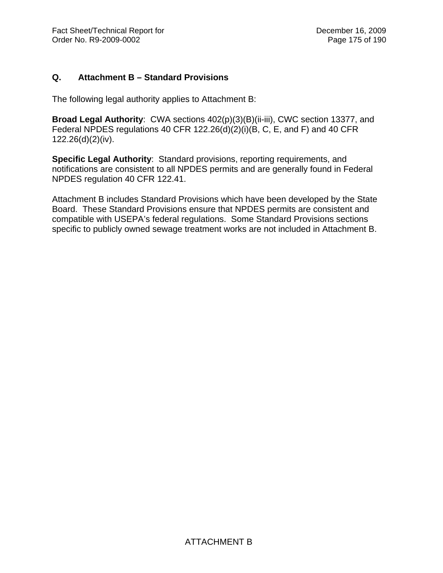# **Q. Attachment B – Standard Provisions**

The following legal authority applies to Attachment B:

**Broad Legal Authority**: CWA sections 402(p)(3)(B)(ii-iii), CWC section 13377, and Federal NPDES regulations 40 CFR 122.26(d)(2)(i)(B, C, E, and F) and 40 CFR 122.26(d)(2)(iv).

**Specific Legal Authority**: Standard provisions, reporting requirements, and notifications are consistent to all NPDES permits and are generally found in Federal NPDES regulation 40 CFR 122.41.

Attachment B includes Standard Provisions which have been developed by the State Board. These Standard Provisions ensure that NPDES permits are consistent and compatible with USEPA's federal regulations. Some Standard Provisions sections specific to publicly owned sewage treatment works are not included in Attachment B.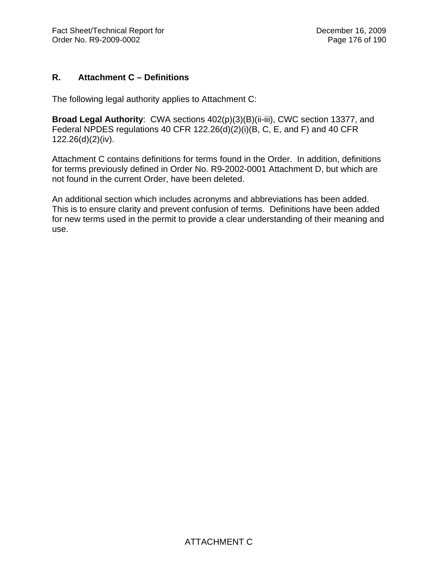# **R. Attachment C – Definitions**

The following legal authority applies to Attachment C:

**Broad Legal Authority**: CWA sections 402(p)(3)(B)(ii-iii), CWC section 13377, and Federal NPDES regulations 40 CFR 122.26(d)(2)(i)(B, C, E, and F) and 40 CFR 122.26(d)(2)(iv).

Attachment C contains definitions for terms found in the Order. In addition, definitions for terms previously defined in Order No. R9-2002-0001 Attachment D, but which are not found in the current Order, have been deleted.

An additional section which includes acronyms and abbreviations has been added. This is to ensure clarity and prevent confusion of terms. Definitions have been added for new terms used in the permit to provide a clear understanding of their meaning and use.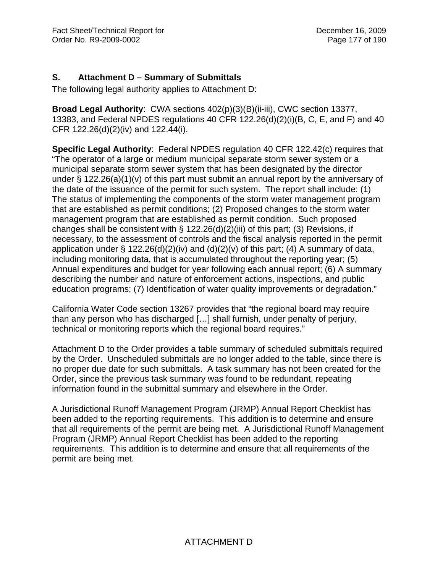# **S. Attachment D – Summary of Submittals**

The following legal authority applies to Attachment D:

**Broad Legal Authority**: CWA sections 402(p)(3)(B)(ii-iii), CWC section 13377, 13383, and Federal NPDES regulations 40 CFR 122.26(d)(2)(i)(B, C, E, and F) and 40 CFR 122.26(d)(2)(iv) and 122.44(i).

**Specific Legal Authority**: Federal NPDES regulation 40 CFR 122.42(c) requires that "The operator of a large or medium municipal separate storm sewer system or a municipal separate storm sewer system that has been designated by the director under § 122.26(a)(1)(v) of this part must submit an annual report by the anniversary of the date of the issuance of the permit for such system. The report shall include: (1) The status of implementing the components of the storm water management program that are established as permit conditions; (2) Proposed changes to the storm water management program that are established as permit condition. Such proposed changes shall be consistent with  $\S$  122.26(d)(2)(iii) of this part; (3) Revisions, if necessary, to the assessment of controls and the fiscal analysis reported in the permit application under  $\S$  122.26(d)(2)(iv) and (d)(2)(v) of this part; (4) A summary of data, including monitoring data, that is accumulated throughout the reporting year; (5) Annual expenditures and budget for year following each annual report; (6) A summary describing the number and nature of enforcement actions, inspections, and public education programs; (7) Identification of water quality improvements or degradation."

California Water Code section 13267 provides that "the regional board may require than any person who has discharged […] shall furnish, under penalty of perjury, technical or monitoring reports which the regional board requires."

Attachment D to the Order provides a table summary of scheduled submittals required by the Order. Unscheduled submittals are no longer added to the table, since there is no proper due date for such submittals. A task summary has not been created for the Order, since the previous task summary was found to be redundant, repeating information found in the submittal summary and elsewhere in the Order.

A Jurisdictional Runoff Management Program (JRMP) Annual Report Checklist has been added to the reporting requirements. This addition is to determine and ensure that all requirements of the permit are being met. A Jurisdictional Runoff Management Program (JRMP) Annual Report Checklist has been added to the reporting requirements. This addition is to determine and ensure that all requirements of the permit are being met.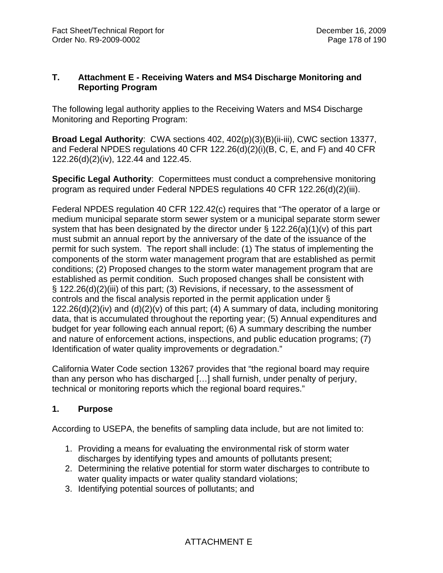## **T. Attachment E - Receiving Waters and MS4 Discharge Monitoring and Reporting Program**

The following legal authority applies to the Receiving Waters and MS4 Discharge Monitoring and Reporting Program:

**Broad Legal Authority**: CWA sections 402, 402(p)(3)(B)(ii-iii), CWC section 13377, and Federal NPDES regulations 40 CFR 122.26(d)(2)(i)(B, C, E, and F) and 40 CFR 122.26(d)(2)(iv), 122.44 and 122.45.

**Specific Legal Authority**: Copermittees must conduct a comprehensive monitoring program as required under Federal NPDES regulations 40 CFR 122.26(d)(2)(iii).

Federal NPDES regulation 40 CFR 122.42(c) requires that "The operator of a large or medium municipal separate storm sewer system or a municipal separate storm sewer system that has been designated by the director under § 122.26(a)(1)(v) of this part must submit an annual report by the anniversary of the date of the issuance of the permit for such system. The report shall include: (1) The status of implementing the components of the storm water management program that are established as permit conditions; (2) Proposed changes to the storm water management program that are established as permit condition. Such proposed changes shall be consistent with § 122.26(d)(2)(iii) of this part; (3) Revisions, if necessary, to the assessment of controls and the fiscal analysis reported in the permit application under §  $122.26(d)(2)(iv)$  and  $(d)(2)(v)$  of this part; (4) A summary of data, including monitoring data, that is accumulated throughout the reporting year; (5) Annual expenditures and budget for year following each annual report; (6) A summary describing the number and nature of enforcement actions, inspections, and public education programs; (7) Identification of water quality improvements or degradation."

California Water Code section 13267 provides that "the regional board may require than any person who has discharged […] shall furnish, under penalty of perjury, technical or monitoring reports which the regional board requires."

# **1. Purpose**

According to USEPA, the benefits of sampling data include, but are not limited to:

- 1. Providing a means for evaluating the environmental risk of storm water discharges by identifying types and amounts of pollutants present;
- 2. Determining the relative potential for storm water discharges to contribute to water quality impacts or water quality standard violations;
- 3. Identifying potential sources of pollutants; and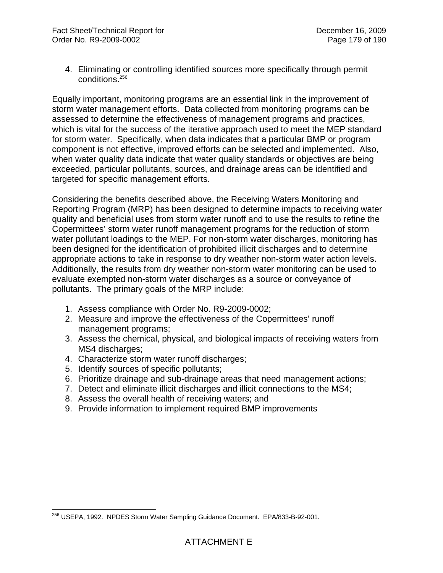4. Eliminating or controlling identified sources more specifically through permit conditions.<sup>256</sup>

Equally important, monitoring programs are an essential link in the improvement of storm water management efforts. Data collected from monitoring programs can be assessed to determine the effectiveness of management programs and practices, which is vital for the success of the iterative approach used to meet the MEP standard for storm water. Specifically, when data indicates that a particular BMP or program component is not effective, improved efforts can be selected and implemented. Also, when water quality data indicate that water quality standards or objectives are being exceeded, particular pollutants, sources, and drainage areas can be identified and targeted for specific management efforts.

Considering the benefits described above, the Receiving Waters Monitoring and Reporting Program (MRP) has been designed to determine impacts to receiving water quality and beneficial uses from storm water runoff and to use the results to refine the Copermittees' storm water runoff management programs for the reduction of storm water pollutant loadings to the MEP. For non-storm water discharges, monitoring has been designed for the identification of prohibited illicit discharges and to determine appropriate actions to take in response to dry weather non-storm water action levels. Additionally, the results from dry weather non-storm water monitoring can be used to evaluate exempted non-storm water discharges as a source or conveyance of pollutants. The primary goals of the MRP include:

- 1. Assess compliance with Order No. R9-2009-0002;
- 2. Measure and improve the effectiveness of the Copermittees' runoff management programs;
- 3. Assess the chemical, physical, and biological impacts of receiving waters from MS4 discharges;
- 4. Characterize storm water runoff discharges;
- 5. Identify sources of specific pollutants;
- 6. Prioritize drainage and sub-drainage areas that need management actions;
- 7. Detect and eliminate illicit discharges and illicit connections to the MS4;
- 8. Assess the overall health of receiving waters; and
- 9. Provide information to implement required BMP improvements

 $\overline{a}$ <sup>256</sup> USEPA, 1992. NPDES Storm Water Sampling Guidance Document. EPA/833-B-92-001.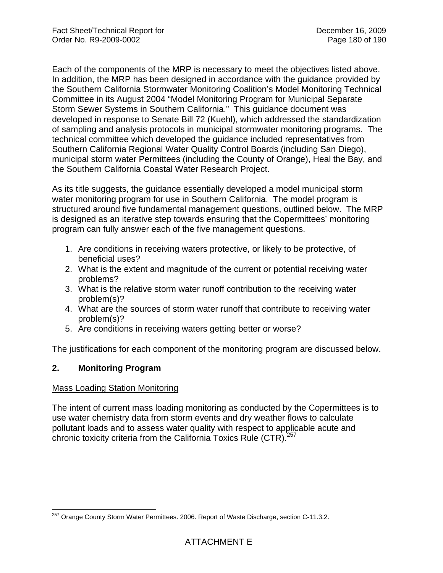Each of the components of the MRP is necessary to meet the objectives listed above. In addition, the MRP has been designed in accordance with the guidance provided by the Southern California Stormwater Monitoring Coalition's Model Monitoring Technical Committee in its August 2004 "Model Monitoring Program for Municipal Separate Storm Sewer Systems in Southern California." This guidance document was developed in response to Senate Bill 72 (Kuehl), which addressed the standardization of sampling and analysis protocols in municipal stormwater monitoring programs. The technical committee which developed the guidance included representatives from Southern California Regional Water Quality Control Boards (including San Diego), municipal storm water Permittees (including the County of Orange), Heal the Bay, and the Southern California Coastal Water Research Project.

As its title suggests, the guidance essentially developed a model municipal storm water monitoring program for use in Southern California. The model program is structured around five fundamental management questions, outlined below. The MRP is designed as an iterative step towards ensuring that the Copermittees' monitoring program can fully answer each of the five management questions.

- 1. Are conditions in receiving waters protective, or likely to be protective, of beneficial uses?
- 2. What is the extent and magnitude of the current or potential receiving water problems?
- 3. What is the relative storm water runoff contribution to the receiving water problem(s)?
- 4. What are the sources of storm water runoff that contribute to receiving water problem(s)?
- 5. Are conditions in receiving waters getting better or worse?

The justifications for each component of the monitoring program are discussed below.

## **2. Monitoring Program**

## Mass Loading Station Monitoring

The intent of current mass loading monitoring as conducted by the Copermittees is to use water chemistry data from storm events and dry weather flows to calculate pollutant loads and to assess water quality with respect to applicable acute and chronic toxicity criteria from the California Toxics Rule (CTR).<sup>257</sup>

 $\overline{a}$  $257$  Orange County Storm Water Permittees. 2006. Report of Waste Discharge, section C-11.3.2.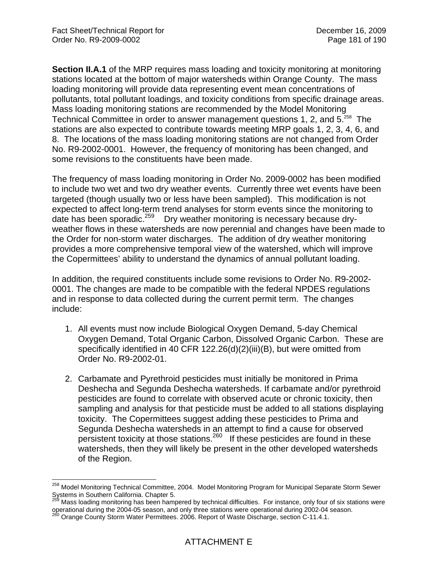**Section II.A.1** of the MRP requires mass loading and toxicity monitoring at monitoring stations located at the bottom of major watersheds within Orange County. The mass loading monitoring will provide data representing event mean concentrations of pollutants, total pollutant loadings, and toxicity conditions from specific drainage areas. Mass loading monitoring stations are recommended by the Model Monitoring Technical Committee in order to answer management questions 1, 2, and 5.<sup>258</sup> The stations are also expected to contribute towards meeting MRP goals 1, 2, 3, 4, 6, and 8. The locations of the mass loading monitoring stations are not changed from Order No. R9-2002-0001. However, the frequency of monitoring has been changed, and some revisions to the constituents have been made.

The frequency of mass loading monitoring in Order No. 2009-0002 has been modified to include two wet and two dry weather events. Currently three wet events have been targeted (though usually two or less have been sampled). This modification is not expected to affect long-term trend analyses for storm events since the monitoring to date has been sporadic.<sup>259</sup> Dry weather monitoring is necessary because dryweather flows in these watersheds are now perennial and changes have been made to the Order for non-storm water discharges. The addition of dry weather monitoring provides a more comprehensive temporal view of the watershed, which will improve the Copermittees' ability to understand the dynamics of annual pollutant loading.

In addition, the required constituents include some revisions to Order No. R9-2002- 0001. The changes are made to be compatible with the federal NPDES regulations and in response to data collected during the current permit term. The changes include:

- 1. All events must now include Biological Oxygen Demand, 5-day Chemical Oxygen Demand, Total Organic Carbon, Dissolved Organic Carbon. These are specifically identified in 40 CFR 122.26(d)(2)(iii)(B), but were omitted from Order No. R9-2002-01.
- 2. Carbamate and Pyrethroid pesticides must initially be monitored in Prima Deshecha and Segunda Deshecha watersheds. If carbamate and/or pyrethroid pesticides are found to correlate with observed acute or chronic toxicity, then sampling and analysis for that pesticide must be added to all stations displaying toxicity. The Copermittees suggest adding these pesticides to Prima and Segunda Deshecha watersheds in an attempt to find a cause for observed persistent toxicity at those stations.  $260$  If these pesticides are found in these watersheds, then they will likely be present in the other developed watersheds of the Region.

<sup>1</sup> <sup>258</sup> Model Monitoring Technical Committee, 2004. Model Monitoring Program for Municipal Separate Storm Sewer Systems in Southern California. Chapter 5.<br><sup>259</sup> Mass loading monitoring has been hampered by technical difficulties. For instance, only four of six stations were

operational during the 2004-05 season, and only three stations were operational during 2002-04 season.<br><sup>260</sup> Orange County Storm Water Permittees. 2006. Report of Waste Discharge, section C-11.4.1.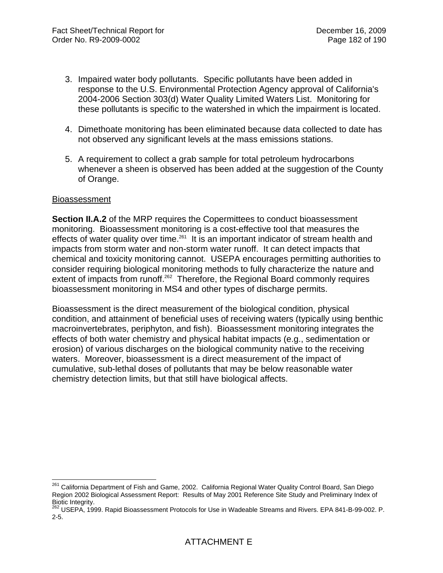- 3. Impaired water body pollutants. Specific pollutants have been added in response to the U.S. Environmental Protection Agency approval of California's 2004-2006 Section 303(d) Water Quality Limited Waters List. Monitoring for these pollutants is specific to the watershed in which the impairment is located.
- 4. Dimethoate monitoring has been eliminated because data collected to date has not observed any significant levels at the mass emissions stations.
- 5. A requirement to collect a grab sample for total petroleum hydrocarbons whenever a sheen is observed has been added at the suggestion of the County of Orange.

#### **Bioassessment**

**Section II.A.2** of the MRP requires the Copermittees to conduct bioassessment monitoring. Bioassessment monitoring is a cost-effective tool that measures the effects of water quality over time.<sup>261</sup> It is an important indicator of stream health and impacts from storm water and non-storm water runoff. It can detect impacts that chemical and toxicity monitoring cannot. USEPA encourages permitting authorities to consider requiring biological monitoring methods to fully characterize the nature and extent of impacts from runoff.<sup>262</sup> Therefore, the Regional Board commonly requires bioassessment monitoring in MS4 and other types of discharge permits.

Bioassessment is the direct measurement of the biological condition, physical condition, and attainment of beneficial uses of receiving waters (typically using benthic macroinvertebrates, periphyton, and fish). Bioassessment monitoring integrates the effects of both water chemistry and physical habitat impacts (e.g., sedimentation or erosion) of various discharges on the biological community native to the receiving waters. Moreover, bioassessment is a direct measurement of the impact of cumulative, sub-lethal doses of pollutants that may be below reasonable water chemistry detection limits, but that still have biological affects.

 $\overline{a}$ <sup>261</sup> California Department of Fish and Game, 2002. California Regional Water Quality Control Board, San Diego Region 2002 Biological Assessment Report: Results of May 2001 Reference Site Study and Preliminary Index of Biotic Integrity.

<sup>&</sup>lt;sup>262</sup> USEPA, 1999. Rapid Bioassessment Protocols for Use in Wadeable Streams and Rivers. EPA 841-B-99-002. P. 2-5.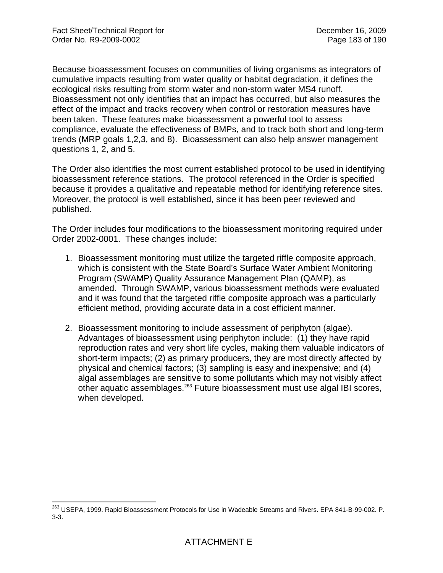1

Because bioassessment focuses on communities of living organisms as integrators of cumulative impacts resulting from water quality or habitat degradation, it defines the ecological risks resulting from storm water and non-storm water MS4 runoff. Bioassessment not only identifies that an impact has occurred, but also measures the effect of the impact and tracks recovery when control or restoration measures have been taken. These features make bioassessment a powerful tool to assess compliance, evaluate the effectiveness of BMPs, and to track both short and long-term trends (MRP goals 1,2,3, and 8). Bioassessment can also help answer management questions 1, 2, and 5.

The Order also identifies the most current established protocol to be used in identifying bioassessment reference stations. The protocol referenced in the Order is specified because it provides a qualitative and repeatable method for identifying reference sites. Moreover, the protocol is well established, since it has been peer reviewed and published.

The Order includes four modifications to the bioassessment monitoring required under Order 2002-0001. These changes include:

- 1. Bioassessment monitoring must utilize the targeted riffle composite approach, which is consistent with the State Board's Surface Water Ambient Monitoring Program (SWAMP) Quality Assurance Management Plan (QAMP), as amended. Through SWAMP, various bioassessment methods were evaluated and it was found that the targeted riffle composite approach was a particularly efficient method, providing accurate data in a cost efficient manner.
- 2. Bioassessment monitoring to include assessment of periphyton (algae). Advantages of bioassessment using periphyton include: (1) they have rapid reproduction rates and very short life cycles, making them valuable indicators of short-term impacts; (2) as primary producers, they are most directly affected by physical and chemical factors; (3) sampling is easy and inexpensive; and (4) algal assemblages are sensitive to some pollutants which may not visibly affect other aquatic assemblages.263 Future bioassessment must use algal IBI scores, when developed.

<sup>&</sup>lt;sup>263</sup> USEPA, 1999. Rapid Bioassessment Protocols for Use in Wadeable Streams and Rivers. EPA 841-B-99-002. P. 3-3.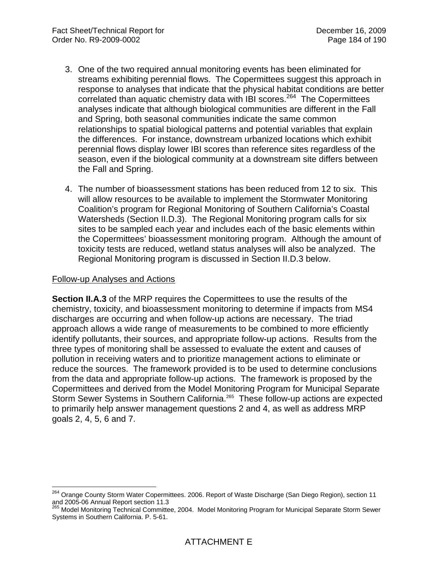- 3. One of the two required annual monitoring events has been eliminated for streams exhibiting perennial flows. The Copermittees suggest this approach in response to analyses that indicate that the physical habitat conditions are better correlated than aquatic chemistry data with IBI scores.<sup>264</sup> The Copermittees analyses indicate that although biological communities are different in the Fall and Spring, both seasonal communities indicate the same common relationships to spatial biological patterns and potential variables that explain the differences. For instance, downstream urbanized locations which exhibit perennial flows display lower IBI scores than reference sites regardless of the season, even if the biological community at a downstream site differs between the Fall and Spring.
- 4. The number of bioassessment stations has been reduced from 12 to six. This will allow resources to be available to implement the Stormwater Monitoring Coalition's program for Regional Monitoring of Southern California's Coastal Watersheds (Section II.D.3). The Regional Monitoring program calls for six sites to be sampled each year and includes each of the basic elements within the Copermittees' bioassessment monitoring program. Although the amount of toxicity tests are reduced, wetland status analyses will also be analyzed. The Regional Monitoring program is discussed in Section II.D.3 below.

#### Follow-up Analyses and Actions

 $\overline{a}$ 

**Section II.A.3** of the MRP requires the Copermittees to use the results of the chemistry, toxicity, and bioassessment monitoring to determine if impacts from MS4 discharges are occurring and when follow-up actions are necessary. The triad approach allows a wide range of measurements to be combined to more efficiently identify pollutants, their sources, and appropriate follow-up actions. Results from the three types of monitoring shall be assessed to evaluate the extent and causes of pollution in receiving waters and to prioritize management actions to eliminate or reduce the sources. The framework provided is to be used to determine conclusions from the data and appropriate follow-up actions. The framework is proposed by the Copermittees and derived from the Model Monitoring Program for Municipal Separate Storm Sewer Systems in Southern California.265 These follow-up actions are expected to primarily help answer management questions 2 and 4, as well as address MRP goals 2, 4, 5, 6 and 7.

<sup>&</sup>lt;sup>264</sup> Orange County Storm Water Copermittees. 2006. Report of Waste Discharge (San Diego Region), section 11 and 2005-06 Annual Report section 11.3

<sup>&</sup>lt;sup>265</sup> Model Monitoring Technical Committee, 2004. Model Monitoring Program for Municipal Separate Storm Sewer Systems in Southern California. P. 5-61.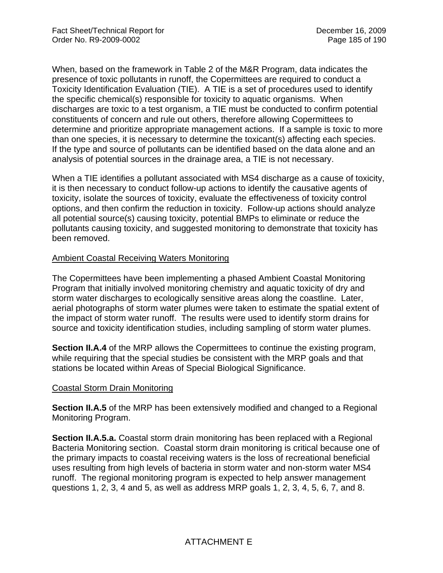When, based on the framework in Table 2 of the M&R Program, data indicates the presence of toxic pollutants in runoff, the Copermittees are required to conduct a Toxicity Identification Evaluation (TIE). A TIE is a set of procedures used to identify the specific chemical(s) responsible for toxicity to aquatic organisms. When discharges are toxic to a test organism, a TIE must be conducted to confirm potential constituents of concern and rule out others, therefore allowing Copermittees to determine and prioritize appropriate management actions. If a sample is toxic to more than one species, it is necessary to determine the toxicant(s) affecting each species. If the type and source of pollutants can be identified based on the data alone and an analysis of potential sources in the drainage area, a TIE is not necessary.

When a TIE identifies a pollutant associated with MS4 discharge as a cause of toxicity, it is then necessary to conduct follow-up actions to identify the causative agents of toxicity, isolate the sources of toxicity, evaluate the effectiveness of toxicity control options, and then confirm the reduction in toxicity. Follow-up actions should analyze all potential source(s) causing toxicity, potential BMPs to eliminate or reduce the pollutants causing toxicity, and suggested monitoring to demonstrate that toxicity has been removed.

## Ambient Coastal Receiving Waters Monitoring

The Copermittees have been implementing a phased Ambient Coastal Monitoring Program that initially involved monitoring chemistry and aquatic toxicity of dry and storm water discharges to ecologically sensitive areas along the coastline. Later, aerial photographs of storm water plumes were taken to estimate the spatial extent of the impact of storm water runoff. The results were used to identify storm drains for source and toxicity identification studies, including sampling of storm water plumes.

**Section II.A.4** of the MRP allows the Copermittees to continue the existing program, while requiring that the special studies be consistent with the MRP goals and that stations be located within Areas of Special Biological Significance.

## Coastal Storm Drain Monitoring

**Section II.A.5** of the MRP has been extensively modified and changed to a Regional Monitoring Program.

**Section II.A.5.a.** Coastal storm drain monitoring has been replaced with a Regional Bacteria Monitoring section. Coastal storm drain monitoring is critical because one of the primary impacts to coastal receiving waters is the loss of recreational beneficial uses resulting from high levels of bacteria in storm water and non-storm water MS4 runoff. The regional monitoring program is expected to help answer management questions 1, 2, 3, 4 and 5, as well as address MRP goals 1, 2, 3, 4, 5, 6, 7, and 8.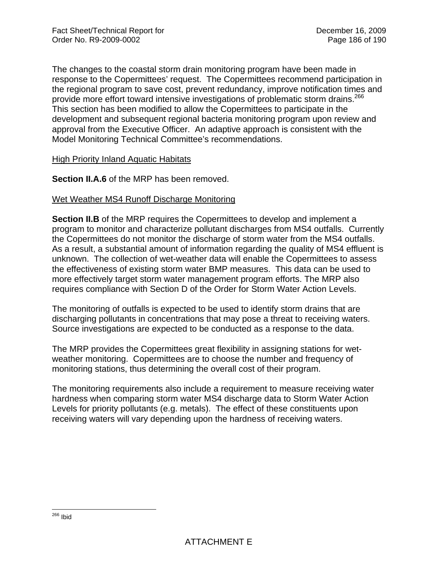The changes to the coastal storm drain monitoring program have been made in response to the Copermittees' request. The Copermittees recommend participation in the regional program to save cost, prevent redundancy, improve notification times and provide more effort toward intensive investigations of problematic storm drains.<sup>266</sup> This section has been modified to allow the Copermittees to participate in the development and subsequent regional bacteria monitoring program upon review and approval from the Executive Officer. An adaptive approach is consistent with the Model Monitoring Technical Committee's recommendations.

#### High Priority Inland Aquatic Habitats

**Section II.A.6** of the MRP has been removed.

## Wet Weather MS4 Runoff Discharge Monitoring

**Section II.B** of the MRP requires the Copermittees to develop and implement a program to monitor and characterize pollutant discharges from MS4 outfalls. Currently the Copermittees do not monitor the discharge of storm water from the MS4 outfalls. As a result, a substantial amount of information regarding the quality of MS4 effluent is unknown. The collection of wet-weather data will enable the Copermittees to assess the effectiveness of existing storm water BMP measures. This data can be used to more effectively target storm water management program efforts. The MRP also requires compliance with Section D of the Order for Storm Water Action Levels.

The monitoring of outfalls is expected to be used to identify storm drains that are discharging pollutants in concentrations that may pose a threat to receiving waters. Source investigations are expected to be conducted as a response to the data.

The MRP provides the Copermittees great flexibility in assigning stations for wetweather monitoring. Copermittees are to choose the number and frequency of monitoring stations, thus determining the overall cost of their program.

The monitoring requirements also include a requirement to measure receiving water hardness when comparing storm water MS4 discharge data to Storm Water Action Levels for priority pollutants (e.g. metals). The effect of these constituents upon receiving waters will vary depending upon the hardness of receiving waters.

<sup>1</sup> <sup>266</sup> Ibid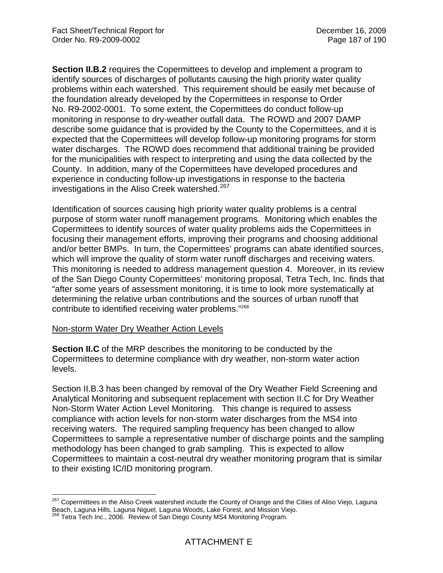**Section II.B.2** requires the Copermittees to develop and implement a program to identify sources of discharges of pollutants causing the high priority water quality problems within each watershed. This requirement should be easily met because of the foundation already developed by the Copermittees in response to Order No. R9-2002-0001. To some extent, the Copermittees do conduct follow-up monitoring in response to dry-weather outfall data. The ROWD and 2007 DAMP describe some guidance that is provided by the County to the Copermittees, and it is expected that the Copermittees will develop follow-up monitoring programs for storm water discharges. The ROWD does recommend that additional training be provided for the municipalities with respect to interpreting and using the data collected by the County. In addition, many of the Copermittees have developed procedures and experience in conducting follow-up investigations in response to the bacteria investigations in the Aliso Creek watershed.<sup>267</sup>

Identification of sources causing high priority water quality problems is a central purpose of storm water runoff management programs. Monitoring which enables the Copermittees to identify sources of water quality problems aids the Copermittees in focusing their management efforts, improving their programs and choosing additional and/or better BMPs. In turn, the Copermittees' programs can abate identified sources, which will improve the quality of storm water runoff discharges and receiving waters. This monitoring is needed to address management question 4. Moreover, in its review of the San Diego County Copermittees' monitoring proposal, Tetra Tech, Inc. finds that "after some years of assessment monitoring, it is time to look more systematically at determining the relative urban contributions and the sources of urban runoff that contribute to identified receiving water problems."268

#### Non-storm Water Dry Weather Action Levels

 $\overline{a}$ 

**Section II.C** of the MRP describes the monitoring to be conducted by the Copermittees to determine compliance with dry weather, non-storm water action levels.

Section II.B.3 has been changed by removal of the Dry Weather Field Screening and Analytical Monitoring and subsequent replacement with section II.C for Dry Weather Non-Storm Water Action Level Monitoring. This change is required to assess compliance with action levels for non-storm water discharges from the MS4 into receiving waters. The required sampling frequency has been changed to allow Copermittees to sample a representative number of discharge points and the sampling methodology has been changed to grab sampling. This is expected to allow Copermittees to maintain a cost-neutral dry weather monitoring program that is similar to their existing IC/ID monitoring program.

<sup>&</sup>lt;sup>267</sup> Copermittees in the Aliso Creek watershed include the County of Orange and the Cities of Aliso Viejo, Laguna Beach, Laguna Hills, Laguna Niguel, Laguna Woods, Lake Forest, and Mission Viejo.

<sup>&</sup>lt;sup>268</sup> Tetra Tech Inc., 2006. Review of San Diego County MS4 Monitoring Program.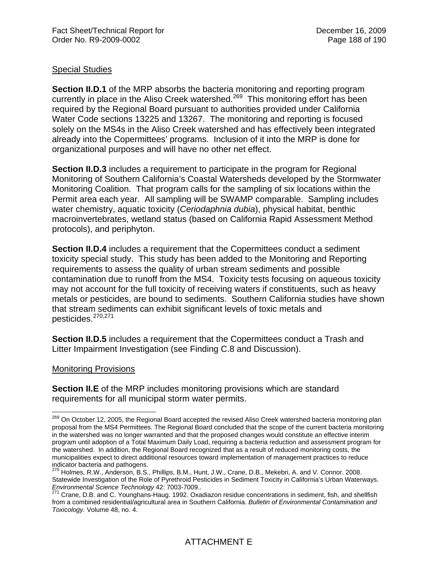# Special Studies

**Section II.D.1** of the MRP absorbs the bacteria monitoring and reporting program currently in place in the Aliso Creek watershed.<sup>269</sup> This monitoring effort has been required by the Regional Board pursuant to authorities provided under California Water Code sections 13225 and 13267. The monitoring and reporting is focused solely on the MS4s in the Aliso Creek watershed and has effectively been integrated already into the Copermittees' programs. Inclusion of it into the MRP is done for organizational purposes and will have no other net effect.

**Section II.D.3** includes a requirement to participate in the program for Regional Monitoring of Southern California's Coastal Watersheds developed by the Stormwater Monitoring Coalition. That program calls for the sampling of six locations within the Permit area each year. All sampling will be SWAMP comparable. Sampling includes water chemistry, aquatic toxicity (*Ceriodaphnia dubia*), physical habitat, benthic macroinvertebrates, wetland status (based on California Rapid Assessment Method protocols), and periphyton.

**Section II.D.4** includes a requirement that the Copermittees conduct a sediment toxicity special study. This study has been added to the Monitoring and Reporting requirements to assess the quality of urban stream sediments and possible contamination due to runoff from the MS4. Toxicity tests focusing on aqueous toxicity may not account for the full toxicity of receiving waters if constituents, such as heavy metals or pesticides, are bound to sediments. Southern California studies have shown that stream sediments can exhibit significant levels of toxic metals and pesticides.270,271

**Section II.D.5** includes a requirement that the Copermittees conduct a Trash and Litter Impairment Investigation (see Finding C.8 and Discussion).

## Monitoring Provisions

**Section II.E** of the MRP includes monitoring provisions which are standard requirements for all municipal storm water permits.

 $\overline{a}$ <sup>269</sup> On October 12, 2005, the Regional Board accepted the revised Aliso Creek watershed bacteria monitoring plan proposal from the MS4 Permittees. The Regional Board concluded that the scope of the current bacteria monitoring in the watershed was no longer warranted and that the proposed changes would constitute an effective interim program until adoption of a Total Maximum Daily Load, requiring a bacteria reduction and assessment program for the watershed. In addition, the Regional Board recognized that as a result of reduced monitoring costs, the municipalities expect to direct additional resources toward implementation of management practices to reduce indicator bacteria and pathogens.

<sup>&</sup>lt;sup>270</sup> Holmes, R.W., Anderson, B.S., Phillips, B.M., Hunt, J.W., Crane, D.B., Mekebri, A. and V. Connor. 2008. Statewide Investigation of the Role of Pyrethroid Pesticides in Sediment Toxicity in California's Urban Waterways. *Environmental Science Technology* 42: 7003-7009..<br><sup>271</sup> Crane, D.B. and C. Younghans-Haug. 1992. Oxadiazon residue concentrations in sediment, fish, and shellfish

from a combined residential/agricultural area in Southern California. *Bulletin of Environmental Contamination and Toxicology.* Volume 48, no. 4.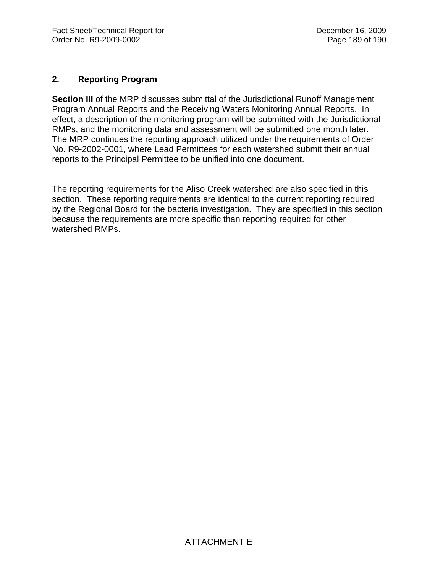# **2. Reporting Program**

**Section III** of the MRP discusses submittal of the Jurisdictional Runoff Management Program Annual Reports and the Receiving Waters Monitoring Annual Reports. In effect, a description of the monitoring program will be submitted with the Jurisdictional RMPs, and the monitoring data and assessment will be submitted one month later. The MRP continues the reporting approach utilized under the requirements of Order No. R9-2002-0001, where Lead Permittees for each watershed submit their annual reports to the Principal Permittee to be unified into one document.

The reporting requirements for the Aliso Creek watershed are also specified in this section. These reporting requirements are identical to the current reporting required by the Regional Board for the bacteria investigation. They are specified in this section because the requirements are more specific than reporting required for other watershed RMPs.